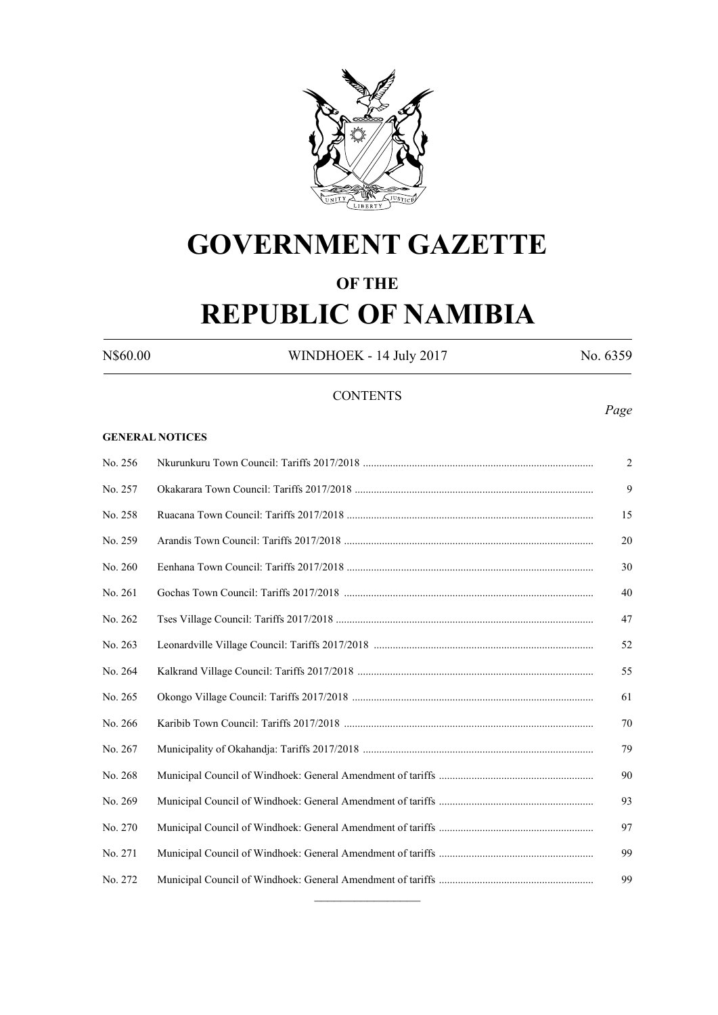

# **GOVERNMENT GAZETTE**

## **OF THE REPUBLIC OF NAMIBIA**

N\$60.00 WINDHOEK - 14 July 2017 No. 6359

## **CONTENTS**

### **GENERAL NOTICES**

| No. 256 | $\overline{2}$ |
|---------|----------------|
| No. 257 | 9              |
| No. 258 | 15             |
| No. 259 | 20             |
| No. 260 | 30             |
| No. 261 | 40             |
| No. 262 | 47             |
| No. 263 | 52             |
| No. 264 | 55             |
| No. 265 | 61             |
| No. 266 | 70             |
| No. 267 | 79             |
| No. 268 | 90             |
| No. 269 | 93             |
| No. 270 | 97             |
| No. 271 | 99             |
| No. 272 | 99             |
|         |                |

*Page*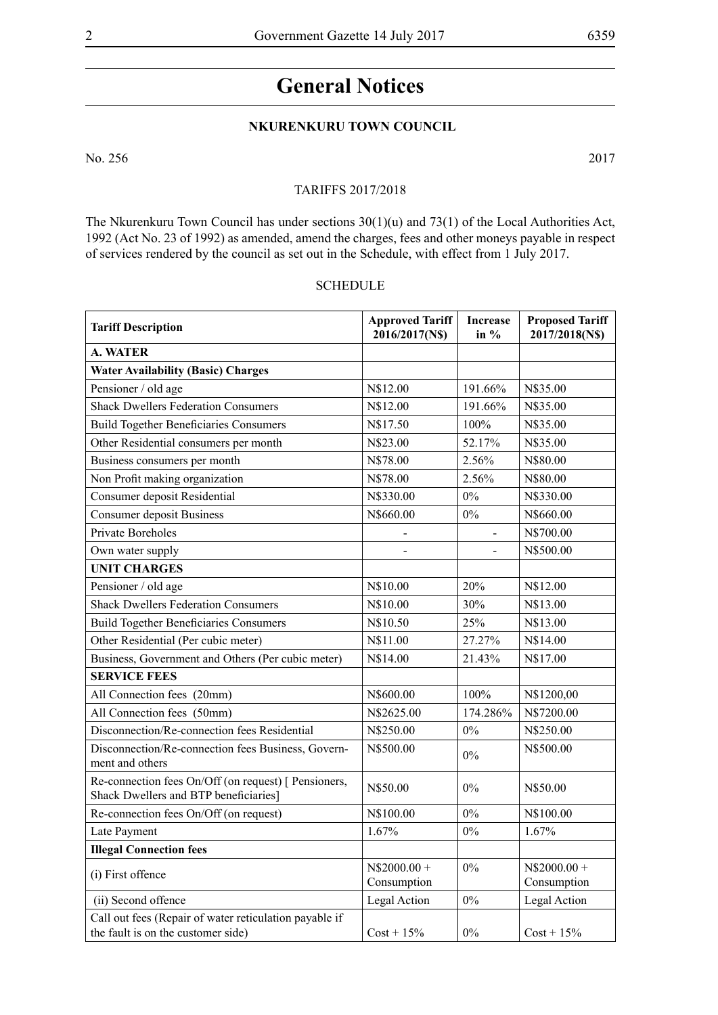## **General Notices**

## **NKURENKURU TOWN COUNCIL**

No. 256 2017

#### TARIFFS 2017/2018

The Nkurenkuru Town Council has under sections 30(1)(u) and 73(1) of the Local Authorities Act, 1992 (Act No. 23 of 1992) as amended, amend the charges, fees and other moneys payable in respect of services rendered by the council as set out in the Schedule, with effect from 1 July 2017.

#### **SCHEDULE**

| <b>Tariff Description</b>                                                                     | <b>Approved Tariff</b><br>2016/2017(N\$) | <b>Increase</b><br>in $%$ | <b>Proposed Tariff</b><br>2017/2018(N\$) |
|-----------------------------------------------------------------------------------------------|------------------------------------------|---------------------------|------------------------------------------|
| <b>A. WATER</b>                                                                               |                                          |                           |                                          |
| <b>Water Availability (Basic) Charges</b>                                                     |                                          |                           |                                          |
| Pensioner / old age                                                                           | N\$12.00                                 | 191.66%                   | N\$35.00                                 |
| <b>Shack Dwellers Federation Consumers</b>                                                    | N\$12.00                                 | 191.66%                   | N\$35.00                                 |
| <b>Build Together Beneficiaries Consumers</b>                                                 | N\$17.50                                 | 100%                      | N\$35.00                                 |
| Other Residential consumers per month                                                         | N\$23.00                                 | 52.17%                    | N\$35.00                                 |
| Business consumers per month                                                                  | N\$78.00                                 | 2.56%                     | N\$80.00                                 |
| Non Profit making organization                                                                | N\$78.00                                 | 2.56%                     | N\$80.00                                 |
| Consumer deposit Residential                                                                  | N\$330.00                                | $0\%$                     | N\$330.00                                |
| <b>Consumer deposit Business</b>                                                              | N\$660.00                                | $0\%$                     | N\$660.00                                |
| <b>Private Boreholes</b>                                                                      | $\overline{\phantom{0}}$                 | $\overline{\phantom{a}}$  | N\$700.00                                |
| Own water supply                                                                              |                                          |                           | N\$500.00                                |
| <b>UNIT CHARGES</b>                                                                           |                                          |                           |                                          |
| Pensioner / old age                                                                           | N\$10.00                                 | 20%                       | N\$12.00                                 |
| <b>Shack Dwellers Federation Consumers</b>                                                    | N\$10.00                                 | 30%                       | N\$13.00                                 |
| <b>Build Together Beneficiaries Consumers</b>                                                 | N\$10.50                                 | 25%                       | N\$13.00                                 |
| Other Residential (Per cubic meter)                                                           | N\$11.00                                 | 27.27%                    | N\$14.00                                 |
| Business, Government and Others (Per cubic meter)                                             | N\$14.00                                 | 21.43%                    | N\$17.00                                 |
| <b>SERVICE FEES</b>                                                                           |                                          |                           |                                          |
| All Connection fees (20mm)                                                                    | N\$600.00                                | 100%                      | N\$1200,00                               |
| All Connection fees (50mm)                                                                    | N\$2625.00                               | 174.286%                  | N\$7200.00                               |
| Disconnection/Re-connection fees Residential                                                  | N\$250.00                                | 0%                        | N\$250.00                                |
| Disconnection/Re-connection fees Business, Govern-<br>ment and others                         | N\$500.00                                | $0\%$                     | N\$500.00                                |
| Re-connection fees On/Off (on request) [ Pensioners,<br>Shack Dwellers and BTP beneficiaries] | N\$50.00                                 | $0\%$                     | N\$50.00                                 |
| Re-connection fees On/Off (on request)                                                        | N\$100.00                                | $0\%$                     | N\$100.00                                |
| Late Payment                                                                                  | 1.67%                                    | 0%                        | 1.67%                                    |
| <b>Illegal Connection fees</b>                                                                |                                          |                           |                                          |
| (i) First offence                                                                             | $N$2000.00 +$<br>Consumption             | $0\%$                     | $N$2000.00 +$<br>Consumption             |
| (ii) Second offence                                                                           | Legal Action                             | $0\%$                     | Legal Action                             |
| Call out fees (Repair of water reticulation payable if<br>the fault is on the customer side)  | $Cost + 15\%$                            | $0\%$                     | $Cost + 15\%$                            |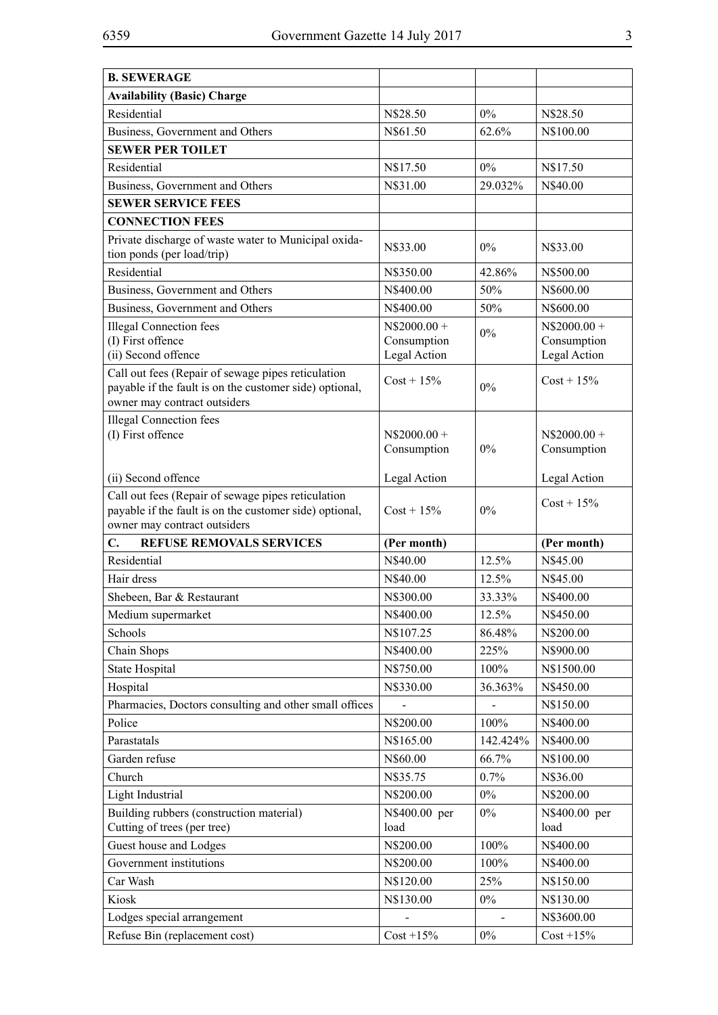| <b>B. SEWERAGE</b>                                                                                                                            |                                              |          |                                              |
|-----------------------------------------------------------------------------------------------------------------------------------------------|----------------------------------------------|----------|----------------------------------------------|
| <b>Availability (Basic) Charge</b>                                                                                                            |                                              |          |                                              |
| Residential                                                                                                                                   | N\$28.50                                     | $0\%$    | N\$28.50                                     |
| Business, Government and Others                                                                                                               | N\$61.50                                     | 62.6%    | N\$100.00                                    |
| <b>SEWER PER TOILET</b>                                                                                                                       |                                              |          |                                              |
| Residential                                                                                                                                   | N\$17.50                                     | $0\%$    | N\$17.50                                     |
| Business, Government and Others                                                                                                               | N\$31.00                                     | 29.032%  | N\$40.00                                     |
| <b>SEWER SERVICE FEES</b>                                                                                                                     |                                              |          |                                              |
| <b>CONNECTION FEES</b>                                                                                                                        |                                              |          |                                              |
| Private discharge of waste water to Municipal oxida-<br>tion ponds (per load/trip)                                                            | N\$33.00                                     | 0%       | N\$33.00                                     |
| Residential                                                                                                                                   | N\$350.00                                    | 42.86%   | N\$500.00                                    |
| Business, Government and Others                                                                                                               | N\$400.00                                    | 50%      | N\$600.00                                    |
| Business, Government and Others                                                                                                               | N\$400.00                                    | 50%      | N\$600.00                                    |
| <b>Illegal Connection fees</b><br>(I) First offence<br>(ii) Second offence                                                                    | $N$2000.00 +$<br>Consumption<br>Legal Action | $0\%$    | $N$2000.00 +$<br>Consumption<br>Legal Action |
| Call out fees (Repair of sewage pipes reticulation<br>payable if the fault is on the customer side) optional,<br>owner may contract outsiders | $Cost + 15\%$                                | 0%       | $Cost + 15\%$                                |
| <b>Illegal Connection fees</b><br>(I) First offence                                                                                           | $N$2000.00 +$<br>Consumption                 | 0%       | $N$2000.00 +$<br>Consumption                 |
| (ii) Second offence                                                                                                                           | Legal Action                                 |          | Legal Action                                 |
| Call out fees (Repair of sewage pipes reticulation<br>payable if the fault is on the customer side) optional,<br>owner may contract outsiders | $Cost + 15\%$                                | $0\%$    | $Cost + 15\%$                                |
| $C_{\bullet}$<br><b>REFUSE REMOVALS SERVICES</b>                                                                                              | (Per month)                                  |          | (Per month)                                  |
| Residential                                                                                                                                   | N\$40.00                                     | 12.5%    | N\$45.00                                     |
| Hair dress                                                                                                                                    | N\$40.00                                     | 12.5%    | N\$45.00                                     |
| Shebeen, Bar & Restaurant                                                                                                                     | N\$300.00                                    | 33.33%   | N\$400.00                                    |
| Medium supermarket                                                                                                                            | N\$400.00                                    | 12.5%    | N\$450.00                                    |
| Schools                                                                                                                                       | N\$107.25                                    | 86.48%   | N\$200.00                                    |
| Chain Shops                                                                                                                                   | N\$400.00                                    | 225%     | N\$900.00                                    |
| State Hospital                                                                                                                                | N\$750.00                                    | 100%     | N\$1500.00                                   |
| Hospital                                                                                                                                      | N\$330.00                                    | 36.363%  | N\$450.00                                    |
| Pharmacies, Doctors consulting and other small offices                                                                                        |                                              |          | N\$150.00                                    |
| Police                                                                                                                                        | N\$200.00                                    | 100%     | N\$400.00                                    |
| Parastatals                                                                                                                                   | N\$165.00                                    | 142.424% | N\$400.00                                    |
| Garden refuse                                                                                                                                 | N\$60.00                                     | 66.7%    | N\$100.00                                    |
| Church                                                                                                                                        | N\$35.75                                     | 0.7%     | N\$36.00                                     |
| Light Industrial                                                                                                                              | N\$200.00                                    | $0\%$    | N\$200.00                                    |
| Building rubbers (construction material)<br>Cutting of trees (per tree)                                                                       | N\$400.00 per<br>load                        | $0\%$    | N\$400.00 per<br>load                        |
| Guest house and Lodges                                                                                                                        | N\$200.00                                    | 100%     | N\$400.00                                    |
| Government institutions                                                                                                                       | N\$200.00                                    | 100%     | N\$400.00                                    |
| Car Wash                                                                                                                                      | N\$120.00                                    | 25%      | N\$150.00                                    |
| Kiosk                                                                                                                                         | N\$130.00                                    | $0\%$    | N\$130.00                                    |
| Lodges special arrangement                                                                                                                    |                                              |          | N\$3600.00                                   |
| Refuse Bin (replacement cost)                                                                                                                 | $Cost + 15\%$                                | $0\%$    | $Cost + 15\%$                                |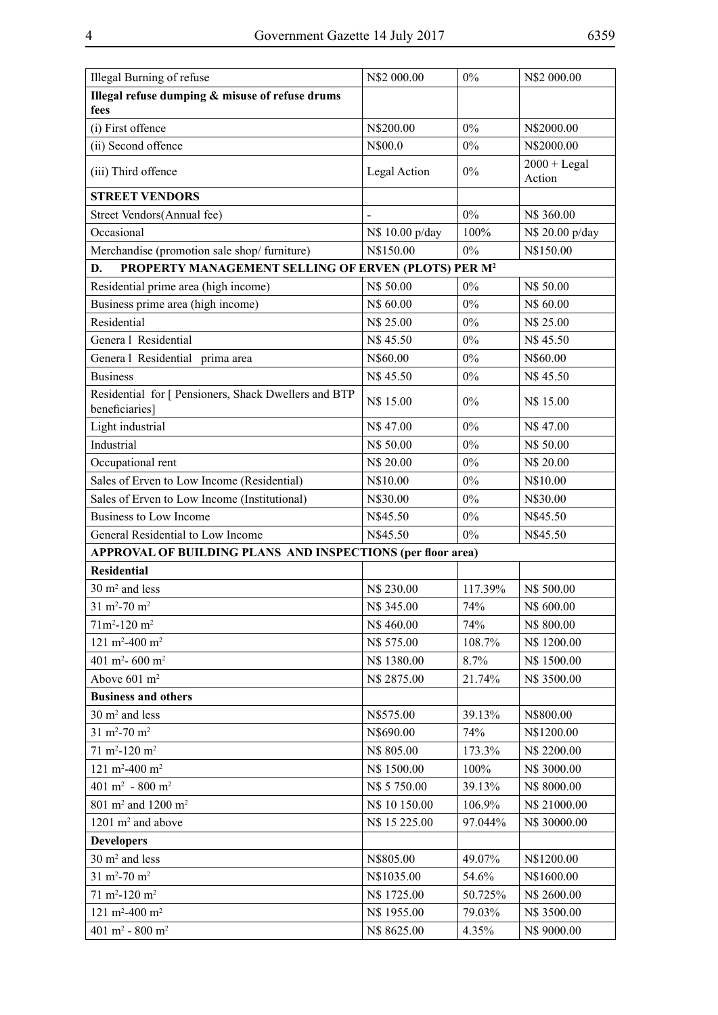| Illegal Burning of refuse                                              | N\$2 000.00     | $0\%$   | N\$2 000.00     |
|------------------------------------------------------------------------|-----------------|---------|-----------------|
| Illegal refuse dumping & misuse of refuse drums                        |                 |         |                 |
| fees                                                                   |                 |         |                 |
| (i) First offence                                                      | N\$200.00       | $0\%$   | N\$2000.00      |
| (ii) Second offence                                                    | N\$00.0         | $0\%$   | N\$2000.00      |
| (iii) Third offence                                                    | Legal Action    | $0\%$   | $2000 + Legal$  |
|                                                                        |                 |         | Action          |
| <b>STREET VENDORS</b>                                                  |                 |         |                 |
| Street Vendors(Annual fee)                                             |                 | $0\%$   | N\$ 360.00      |
| Occasional                                                             | N\$ 10.00 p/day | 100%    | N\$ 20.00 p/day |
| Merchandise (promotion sale shop/ furniture)                           | N\$150.00       | $0\%$   | N\$150.00       |
| PROPERTY MANAGEMENT SELLING OF ERVEN (PLOTS) PER M <sup>2</sup><br>D.  |                 |         |                 |
| Residential prime area (high income)                                   | N\$ 50.00       | $0\%$   | N\$ 50.00       |
| Business prime area (high income)                                      | N\$ 60.00       | $0\%$   | N\$ 60.00       |
| Residential                                                            | N\$ 25.00       | $0\%$   | N\$ 25.00       |
| Genera 1 Residential                                                   | N\$45.50        | $0\%$   | N\$45.50        |
| Genera l Residential prima area                                        | N\$60.00        | $0\%$   | N\$60.00        |
| <b>Business</b>                                                        | N\$45.50        | $0\%$   | N\$45.50        |
| Residential for [ Pensioners, Shack Dwellers and BTP<br>beneficiaries] | N\$ 15.00       | $0\%$   | N\$ 15.00       |
| Light industrial                                                       | N\$47.00        | $0\%$   | N\$47.00        |
| Industrial                                                             | N\$ 50.00       | $0\%$   | N\$ 50.00       |
| Occupational rent                                                      | N\$ 20.00       | $0\%$   | N\$ 20.00       |
| Sales of Erven to Low Income (Residential)                             | N\$10.00        | $0\%$   | N\$10.00        |
| Sales of Erven to Low Income (Institutional)                           | N\$30.00        | $0\%$   | N\$30.00        |
| Business to Low Income                                                 | N\$45.50        | $0\%$   | N\$45.50        |
| General Residential to Low Income                                      | N\$45.50        | $0\%$   | N\$45.50        |
| APPROVAL OF BUILDING PLANS AND INSPECTIONS (per floor area)            |                 |         |                 |
| <b>Residential</b>                                                     |                 |         |                 |
| $30 \text{ m}^2$ and less                                              | N\$ 230.00      | 117.39% | N\$ 500.00      |
| $31 \text{ m}^2 - 70 \text{ m}^2$                                      | N\$ 345.00      | 74%     | N\$ 600.00      |
| $71m^2 - 120m^2$                                                       | N\$460.00       | 74%     | N\$ 800.00      |
| 121 m <sup>2</sup> -400 m <sup>2</sup>                                 | N\$ 575.00      | 108.7%  | N\$ 1200.00     |
| 401 m <sup>2</sup> - 600 m <sup>2</sup>                                | N\$ 1380.00     | 8.7%    | N\$ 1500.00     |
| Above 601 m <sup>2</sup>                                               | N\$ 2875.00     | 21.74%  | N\$ 3500.00     |
| <b>Business and others</b>                                             |                 |         |                 |
| $30 \text{ m}^2$ and less                                              | N\$575.00       | 39.13%  | N\$800.00       |
| $31 \text{ m}^2 - 70 \text{ m}^2$                                      | N\$690.00       | 74%     | N\$1200.00      |
| $71 \text{ m}^2 - 120 \text{ m}^2$                                     | N\$ 805.00      | 173.3%  | N\$ 2200.00     |
| 121 m <sup>2</sup> -400 m <sup>2</sup>                                 | N\$ 1500.00     | 100%    | N\$ 3000.00     |
| 401 m <sup>2</sup> - 800 m <sup>2</sup>                                | N\$ 5 750.00    | 39.13%  | N\$ 8000.00     |
| 801 m <sup>2</sup> and 1200 m <sup>2</sup>                             | N\$ 10 150.00   | 106.9%  | N\$ 21000.00    |
| $1201 \text{ m}^2$ and above                                           | N\$ 15 225.00   | 97.044% | N\$ 30000.00    |
| <b>Developers</b>                                                      |                 |         |                 |
| $30 \text{ m}^2$ and less                                              | N\$805.00       | 49.07%  | N\$1200.00      |
| $31 \text{ m}^2 - 70 \text{ m}^2$                                      | N\$1035.00      | 54.6%   | N\$1600.00      |
| $71 \text{ m}^2 - 120 \text{ m}^2$                                     | N\$ 1725.00     | 50.725% | N\$ 2600.00     |
| 121 m <sup>2</sup> -400 m <sup>2</sup>                                 | N\$ 1955.00     | 79.03%  | N\$ 3500.00     |
| 401 m <sup>2</sup> - 800 m <sup>2</sup>                                | N\$ 8625.00     | 4.35%   | N\$ 9000.00     |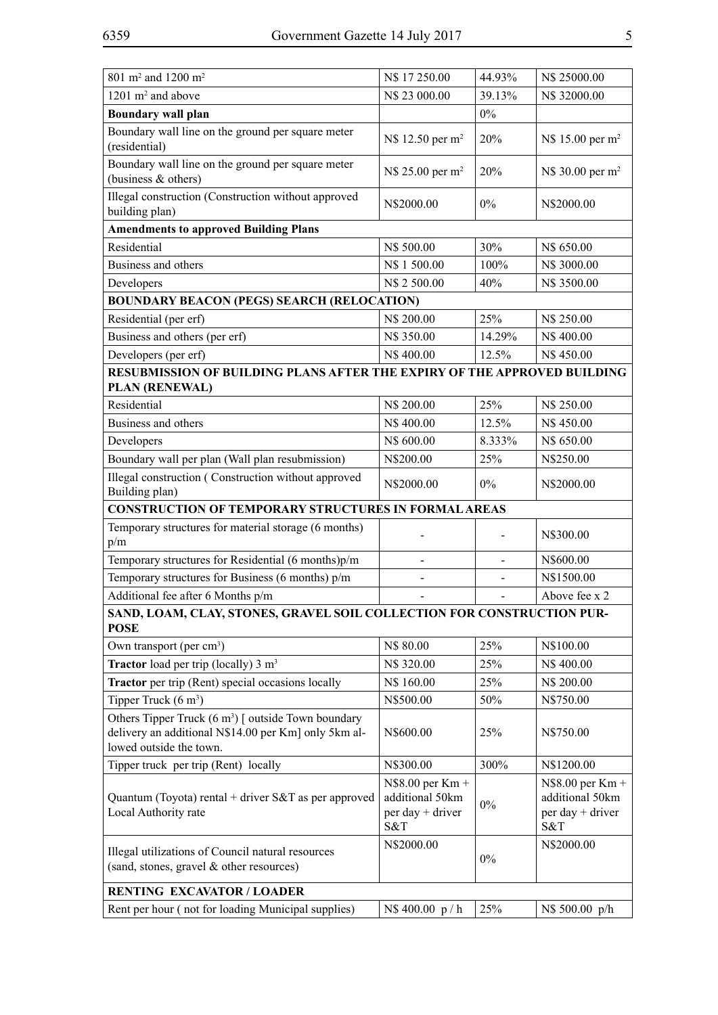| 801 m <sup>2</sup> and 1200 m <sup>2</sup>                                                                             | N\$ 17 250.00                                                                    | 44.93%         | N\$ 25000.00                                                                      |
|------------------------------------------------------------------------------------------------------------------------|----------------------------------------------------------------------------------|----------------|-----------------------------------------------------------------------------------|
| $1201 \text{ m}^2$ and above                                                                                           | N\$ 23 000.00                                                                    | 39.13%         | N\$ 32000.00                                                                      |
| <b>Boundary wall plan</b>                                                                                              |                                                                                  | $0\%$          |                                                                                   |
| Boundary wall line on the ground per square meter                                                                      |                                                                                  |                |                                                                                   |
| (residential)                                                                                                          | N\$ 12.50 per m <sup>2</sup>                                                     | 20%            | N\$ 15.00 per m <sup>2</sup>                                                      |
| Boundary wall line on the ground per square meter<br>(business & others)                                               | N\$ 25.00 per m <sup>2</sup>                                                     | 20%            | N\$ 30.00 per m <sup>2</sup>                                                      |
| Illegal construction (Construction without approved<br>building plan)                                                  | N\$2000.00                                                                       | $0\%$          | N\$2000.00                                                                        |
| <b>Amendments to approved Building Plans</b>                                                                           |                                                                                  |                |                                                                                   |
| Residential                                                                                                            | N\$ 500.00                                                                       | 30%            | N\$ 650.00                                                                        |
| Business and others                                                                                                    | N\$ 1 500.00                                                                     | 100%           | N\$ 3000.00                                                                       |
| Developers                                                                                                             | N\$ 2 500.00                                                                     | 40%            | N\$ 3500.00                                                                       |
| <b>BOUNDARY BEACON (PEGS) SEARCH (RELOCATION)</b>                                                                      |                                                                                  |                |                                                                                   |
| Residential (per erf)                                                                                                  | N\$ 200.00                                                                       | 25%            | N\$ 250.00                                                                        |
| Business and others (per erf)                                                                                          | N\$ 350.00                                                                       | 14.29%         | N\$400.00                                                                         |
| Developers (per erf)                                                                                                   | N\$400.00                                                                        | 12.5%          | N\$450.00                                                                         |
| RESUBMISSION OF BUILDING PLANS AFTER THE EXPIRY OF THE APPROVED BUILDING                                               |                                                                                  |                |                                                                                   |
| <b>PLAN (RENEWAL)</b>                                                                                                  |                                                                                  |                |                                                                                   |
| Residential                                                                                                            | N\$ 200.00                                                                       | 25%            | N\$ 250.00                                                                        |
| Business and others                                                                                                    | N\$400.00                                                                        | 12.5%          | N\$450.00                                                                         |
| Developers                                                                                                             | N\$ 600.00                                                                       | 8.333%         | N\$ 650.00                                                                        |
| Boundary wall per plan (Wall plan resubmission)                                                                        | N\$200.00                                                                        | 25%            | N\$250.00                                                                         |
| Illegal construction (Construction without approved<br>Building plan)                                                  | N\$2000.00                                                                       | $0\%$          | N\$2000.00                                                                        |
| <b>CONSTRUCTION OF TEMPORARY STRUCTURES IN FORMAL AREAS</b>                                                            |                                                                                  |                |                                                                                   |
| Temporary structures for material storage (6 months)                                                                   |                                                                                  |                |                                                                                   |
| p/m                                                                                                                    |                                                                                  |                | N\$300.00                                                                         |
|                                                                                                                        |                                                                                  |                |                                                                                   |
| Temporary structures for Residential (6 months)p/m                                                                     | $\sim$                                                                           | $\overline{a}$ | N\$600.00                                                                         |
| Temporary structures for Business (6 months) p/m                                                                       |                                                                                  |                | N\$1500.00                                                                        |
| Additional fee after 6 Months p/m                                                                                      |                                                                                  |                | Above fee x 2                                                                     |
| SAND, LOAM, CLAY, STONES, GRAVEL SOIL COLLECTION FOR CONSTRUCTION PUR-<br><b>POSE</b>                                  |                                                                                  |                |                                                                                   |
| Own transport (per cm <sup>3</sup> )                                                                                   | N\$ 80.00                                                                        | 25%            | N\$100.00                                                                         |
| <b>Tractor</b> load per trip (locally) $3 \text{ m}^3$                                                                 | N\$ 320.00                                                                       | 25%            | N\$400.00                                                                         |
| <b>Tractor</b> per trip (Rent) special occasions locally                                                               | N\$ 160.00                                                                       | 25%            | N\$ 200.00                                                                        |
| Tipper Truck $(6 \text{ m}^3)$                                                                                         | N\$500.00                                                                        | 50%            | N\$750.00                                                                         |
| Others Tipper Truck $(6 \text{ m}^3)$ [ outside Town boundary<br>delivery an additional N\$14.00 per Km] only 5km al-  | N\$600.00                                                                        | 25%            | N\$750.00                                                                         |
| lowed outside the town.                                                                                                |                                                                                  |                |                                                                                   |
| Tipper truck per trip (Rent) locally<br>Quantum (Toyota) rental + driver $S&T$ as per approved<br>Local Authority rate | N\$300.00<br>$N$8.00$ per $Km +$<br>additional 50km<br>$per day + driver$<br>S&T | 300%<br>$0\%$  | N\$1200.00<br>$N$8.00$ per $Km +$<br>additional 50km<br>$per day + driver$<br>S&T |
| Illegal utilizations of Council natural resources<br>(sand, stones, gravel & other resources)                          | N\$2000.00                                                                       | $0\%$          | N\$2000.00                                                                        |
| <b>RENTING EXCAVATOR / LOADER</b>                                                                                      |                                                                                  |                |                                                                                   |
| Rent per hour (not for loading Municipal supplies)                                                                     | N\$400.00 p/h                                                                    | 25%            | N\$ 500.00 p/h                                                                    |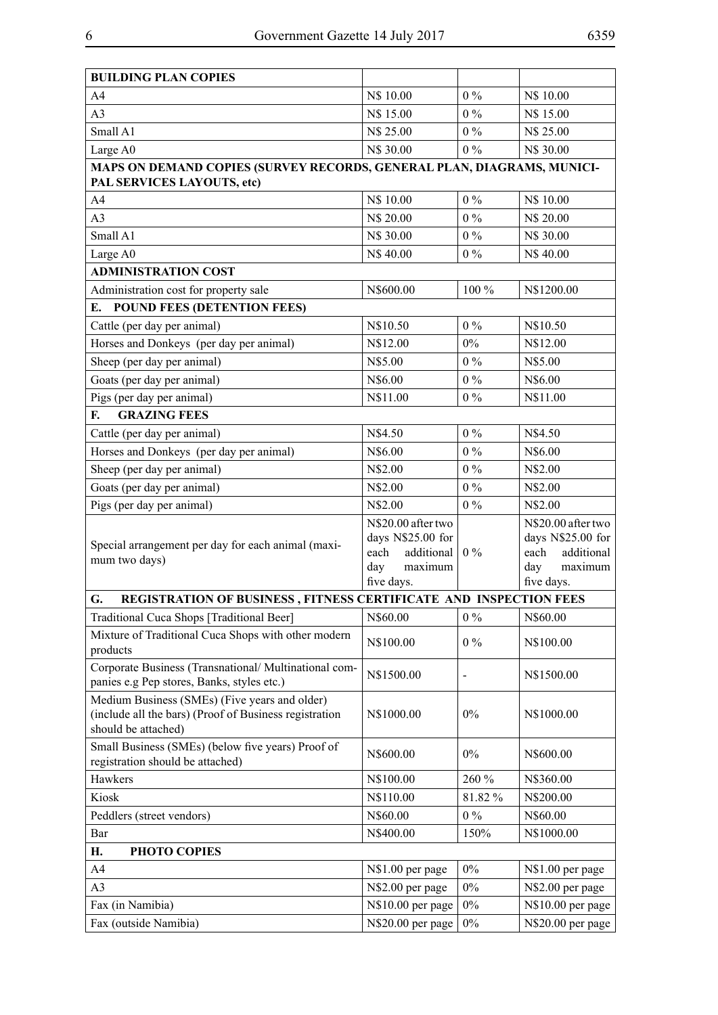| $0\%$<br>A <sub>4</sub><br>N\$ 10.00<br>N\$ 10.00<br>A3<br>N\$ 15.00<br>$0\%$<br>N\$ 15.00<br>Small A1<br>N\$ 25.00<br>$0\%$<br>N\$ 25.00<br>$0\%$<br>N\$ 30.00<br>N\$ 30.00<br>Large A0<br>MAPS ON DEMAND COPIES (SURVEY RECORDS, GENERAL PLAN, DIAGRAMS, MUNICI-<br>PAL SERVICES LAYOUTS, etc)<br>N\$ 10.00<br>$0\%$<br>N\$ 10.00<br>A4<br>A <sub>3</sub><br>$0\%$<br>N\$ 20.00<br>N\$ 20.00<br>Small A1<br>$0\%$<br>N\$ 30.00<br>N\$ 30.00<br>$0\%$<br>Large A0<br>N\$40.00<br>N\$40.00<br><b>ADMINISTRATION COST</b><br>Administration cost for property sale<br>N\$600.00<br>100 %<br>N\$1200.00<br><b>POUND FEES (DETENTION FEES)</b><br>Е.<br>N\$10.50<br>$0\%$<br>N\$10.50<br>Cattle (per day per animal)<br>Horses and Donkeys (per day per animal)<br>N\$12.00<br>$0\%$<br>N\$12.00<br>Sheep (per day per animal)<br>$0\%$<br>N\$5.00<br>N\$5.00<br>Goats (per day per animal)<br>$0\%$<br>N\$6.00<br>N\$6.00<br>Pigs (per day per animal)<br>$0\%$<br>N\$11.00<br>N\$11.00<br><b>GRAZING FEES</b><br>F.<br>N\$4.50<br>$0\%$<br>N\$4.50<br>Cattle (per day per animal)<br>Horses and Donkeys (per day per animal)<br>$0\%$<br>N\$6.00<br>N\$6.00<br>Sheep (per day per animal)<br>$0\%$<br>N\$2.00<br>N\$2.00<br>Goats (per day per animal)<br>$0\%$<br>N\$2.00<br>N\$2.00<br>Pigs (per day per animal)<br>$0\%$<br>N\$2.00<br>N\$2.00<br>N\$20.00 after two<br>N\$20.00 after two<br>days N\$25.00 for<br>days N\$25.00 for<br>Special arrangement per day for each animal (maxi-<br>additional<br>$0\%$<br>additional<br>each<br>each<br>mum two days)<br>day<br>day<br>maximum<br>maximum<br>five days.<br>five days.<br>G.<br>REGISTRATION OF BUSINESS, FITNESS CERTIFICATE AND INSPECTION FEES<br>Traditional Cuca Shops [Traditional Beer]<br>N\$60.00<br>$0\%$<br>N\$60.00<br>Mixture of Traditional Cuca Shops with other modern<br>$0\%$<br>N\$100.00<br>N\$100.00<br>products<br>Corporate Business (Transnational/Multinational com-<br>N\$1500.00<br>N\$1500.00<br>panies e.g Pep stores, Banks, styles etc.)<br>Medium Business (SMEs) (Five years and older)<br>(include all the bars) (Proof of Business registration<br>$0\%$<br>N\$1000.00<br>N\$1000.00<br>should be attached)<br>Small Business (SMEs) (below five years) Proof of<br>N\$600.00<br>$0\%$<br>N\$600.00<br>registration should be attached)<br>Hawkers<br>N\$100.00<br>260 %<br>N\$360.00<br>Kiosk<br>N\$110.00<br>81.82%<br>N\$200.00<br>N\$60.00<br>$0\%$<br>N\$60.00<br>Peddlers (street vendors)<br>Bar<br>N\$400.00<br>N\$1000.00<br>150%<br>PHOTO COPIES<br>Н.<br>A4<br>$0\%$<br>N\$1.00 per page<br>N\$1.00 per page<br>A <sub>3</sub><br>N\$2.00 per page<br>$0\%$<br>N\$2.00 per page<br>N\$10.00 per page<br>$0\%$<br>N\$10.00 per page<br>Fax (in Namibia)<br>Fax (outside Namibia)<br>N\$20.00 per page<br>$0\%$<br>N\$20.00 per page | <b>BUILDING PLAN COPIES</b> |  |  |  |
|----------------------------------------------------------------------------------------------------------------------------------------------------------------------------------------------------------------------------------------------------------------------------------------------------------------------------------------------------------------------------------------------------------------------------------------------------------------------------------------------------------------------------------------------------------------------------------------------------------------------------------------------------------------------------------------------------------------------------------------------------------------------------------------------------------------------------------------------------------------------------------------------------------------------------------------------------------------------------------------------------------------------------------------------------------------------------------------------------------------------------------------------------------------------------------------------------------------------------------------------------------------------------------------------------------------------------------------------------------------------------------------------------------------------------------------------------------------------------------------------------------------------------------------------------------------------------------------------------------------------------------------------------------------------------------------------------------------------------------------------------------------------------------------------------------------------------------------------------------------------------------------------------------------------------------------------------------------------------------------------------------------------------------------------------------------------------------------------------------------------------------------------------------------------------------------------------------------------------------------------------------------------------------------------------------------------------------------------------------------------------------------------------------------------------------------------------------------------------------------------------------------------------------------------------------------------------------------------------------------------------------------------------------------------------------------------------------------------------------------------------------------------------------------------------------------------------------------------|-----------------------------|--|--|--|
|                                                                                                                                                                                                                                                                                                                                                                                                                                                                                                                                                                                                                                                                                                                                                                                                                                                                                                                                                                                                                                                                                                                                                                                                                                                                                                                                                                                                                                                                                                                                                                                                                                                                                                                                                                                                                                                                                                                                                                                                                                                                                                                                                                                                                                                                                                                                                                                                                                                                                                                                                                                                                                                                                                                                                                                                                                              |                             |  |  |  |
|                                                                                                                                                                                                                                                                                                                                                                                                                                                                                                                                                                                                                                                                                                                                                                                                                                                                                                                                                                                                                                                                                                                                                                                                                                                                                                                                                                                                                                                                                                                                                                                                                                                                                                                                                                                                                                                                                                                                                                                                                                                                                                                                                                                                                                                                                                                                                                                                                                                                                                                                                                                                                                                                                                                                                                                                                                              |                             |  |  |  |
|                                                                                                                                                                                                                                                                                                                                                                                                                                                                                                                                                                                                                                                                                                                                                                                                                                                                                                                                                                                                                                                                                                                                                                                                                                                                                                                                                                                                                                                                                                                                                                                                                                                                                                                                                                                                                                                                                                                                                                                                                                                                                                                                                                                                                                                                                                                                                                                                                                                                                                                                                                                                                                                                                                                                                                                                                                              |                             |  |  |  |
|                                                                                                                                                                                                                                                                                                                                                                                                                                                                                                                                                                                                                                                                                                                                                                                                                                                                                                                                                                                                                                                                                                                                                                                                                                                                                                                                                                                                                                                                                                                                                                                                                                                                                                                                                                                                                                                                                                                                                                                                                                                                                                                                                                                                                                                                                                                                                                                                                                                                                                                                                                                                                                                                                                                                                                                                                                              |                             |  |  |  |
|                                                                                                                                                                                                                                                                                                                                                                                                                                                                                                                                                                                                                                                                                                                                                                                                                                                                                                                                                                                                                                                                                                                                                                                                                                                                                                                                                                                                                                                                                                                                                                                                                                                                                                                                                                                                                                                                                                                                                                                                                                                                                                                                                                                                                                                                                                                                                                                                                                                                                                                                                                                                                                                                                                                                                                                                                                              |                             |  |  |  |
|                                                                                                                                                                                                                                                                                                                                                                                                                                                                                                                                                                                                                                                                                                                                                                                                                                                                                                                                                                                                                                                                                                                                                                                                                                                                                                                                                                                                                                                                                                                                                                                                                                                                                                                                                                                                                                                                                                                                                                                                                                                                                                                                                                                                                                                                                                                                                                                                                                                                                                                                                                                                                                                                                                                                                                                                                                              |                             |  |  |  |
|                                                                                                                                                                                                                                                                                                                                                                                                                                                                                                                                                                                                                                                                                                                                                                                                                                                                                                                                                                                                                                                                                                                                                                                                                                                                                                                                                                                                                                                                                                                                                                                                                                                                                                                                                                                                                                                                                                                                                                                                                                                                                                                                                                                                                                                                                                                                                                                                                                                                                                                                                                                                                                                                                                                                                                                                                                              |                             |  |  |  |
|                                                                                                                                                                                                                                                                                                                                                                                                                                                                                                                                                                                                                                                                                                                                                                                                                                                                                                                                                                                                                                                                                                                                                                                                                                                                                                                                                                                                                                                                                                                                                                                                                                                                                                                                                                                                                                                                                                                                                                                                                                                                                                                                                                                                                                                                                                                                                                                                                                                                                                                                                                                                                                                                                                                                                                                                                                              |                             |  |  |  |
|                                                                                                                                                                                                                                                                                                                                                                                                                                                                                                                                                                                                                                                                                                                                                                                                                                                                                                                                                                                                                                                                                                                                                                                                                                                                                                                                                                                                                                                                                                                                                                                                                                                                                                                                                                                                                                                                                                                                                                                                                                                                                                                                                                                                                                                                                                                                                                                                                                                                                                                                                                                                                                                                                                                                                                                                                                              |                             |  |  |  |
|                                                                                                                                                                                                                                                                                                                                                                                                                                                                                                                                                                                                                                                                                                                                                                                                                                                                                                                                                                                                                                                                                                                                                                                                                                                                                                                                                                                                                                                                                                                                                                                                                                                                                                                                                                                                                                                                                                                                                                                                                                                                                                                                                                                                                                                                                                                                                                                                                                                                                                                                                                                                                                                                                                                                                                                                                                              |                             |  |  |  |
|                                                                                                                                                                                                                                                                                                                                                                                                                                                                                                                                                                                                                                                                                                                                                                                                                                                                                                                                                                                                                                                                                                                                                                                                                                                                                                                                                                                                                                                                                                                                                                                                                                                                                                                                                                                                                                                                                                                                                                                                                                                                                                                                                                                                                                                                                                                                                                                                                                                                                                                                                                                                                                                                                                                                                                                                                                              |                             |  |  |  |
|                                                                                                                                                                                                                                                                                                                                                                                                                                                                                                                                                                                                                                                                                                                                                                                                                                                                                                                                                                                                                                                                                                                                                                                                                                                                                                                                                                                                                                                                                                                                                                                                                                                                                                                                                                                                                                                                                                                                                                                                                                                                                                                                                                                                                                                                                                                                                                                                                                                                                                                                                                                                                                                                                                                                                                                                                                              |                             |  |  |  |
|                                                                                                                                                                                                                                                                                                                                                                                                                                                                                                                                                                                                                                                                                                                                                                                                                                                                                                                                                                                                                                                                                                                                                                                                                                                                                                                                                                                                                                                                                                                                                                                                                                                                                                                                                                                                                                                                                                                                                                                                                                                                                                                                                                                                                                                                                                                                                                                                                                                                                                                                                                                                                                                                                                                                                                                                                                              |                             |  |  |  |
|                                                                                                                                                                                                                                                                                                                                                                                                                                                                                                                                                                                                                                                                                                                                                                                                                                                                                                                                                                                                                                                                                                                                                                                                                                                                                                                                                                                                                                                                                                                                                                                                                                                                                                                                                                                                                                                                                                                                                                                                                                                                                                                                                                                                                                                                                                                                                                                                                                                                                                                                                                                                                                                                                                                                                                                                                                              |                             |  |  |  |
|                                                                                                                                                                                                                                                                                                                                                                                                                                                                                                                                                                                                                                                                                                                                                                                                                                                                                                                                                                                                                                                                                                                                                                                                                                                                                                                                                                                                                                                                                                                                                                                                                                                                                                                                                                                                                                                                                                                                                                                                                                                                                                                                                                                                                                                                                                                                                                                                                                                                                                                                                                                                                                                                                                                                                                                                                                              |                             |  |  |  |
|                                                                                                                                                                                                                                                                                                                                                                                                                                                                                                                                                                                                                                                                                                                                                                                                                                                                                                                                                                                                                                                                                                                                                                                                                                                                                                                                                                                                                                                                                                                                                                                                                                                                                                                                                                                                                                                                                                                                                                                                                                                                                                                                                                                                                                                                                                                                                                                                                                                                                                                                                                                                                                                                                                                                                                                                                                              |                             |  |  |  |
|                                                                                                                                                                                                                                                                                                                                                                                                                                                                                                                                                                                                                                                                                                                                                                                                                                                                                                                                                                                                                                                                                                                                                                                                                                                                                                                                                                                                                                                                                                                                                                                                                                                                                                                                                                                                                                                                                                                                                                                                                                                                                                                                                                                                                                                                                                                                                                                                                                                                                                                                                                                                                                                                                                                                                                                                                                              |                             |  |  |  |
|                                                                                                                                                                                                                                                                                                                                                                                                                                                                                                                                                                                                                                                                                                                                                                                                                                                                                                                                                                                                                                                                                                                                                                                                                                                                                                                                                                                                                                                                                                                                                                                                                                                                                                                                                                                                                                                                                                                                                                                                                                                                                                                                                                                                                                                                                                                                                                                                                                                                                                                                                                                                                                                                                                                                                                                                                                              |                             |  |  |  |
|                                                                                                                                                                                                                                                                                                                                                                                                                                                                                                                                                                                                                                                                                                                                                                                                                                                                                                                                                                                                                                                                                                                                                                                                                                                                                                                                                                                                                                                                                                                                                                                                                                                                                                                                                                                                                                                                                                                                                                                                                                                                                                                                                                                                                                                                                                                                                                                                                                                                                                                                                                                                                                                                                                                                                                                                                                              |                             |  |  |  |
|                                                                                                                                                                                                                                                                                                                                                                                                                                                                                                                                                                                                                                                                                                                                                                                                                                                                                                                                                                                                                                                                                                                                                                                                                                                                                                                                                                                                                                                                                                                                                                                                                                                                                                                                                                                                                                                                                                                                                                                                                                                                                                                                                                                                                                                                                                                                                                                                                                                                                                                                                                                                                                                                                                                                                                                                                                              |                             |  |  |  |
|                                                                                                                                                                                                                                                                                                                                                                                                                                                                                                                                                                                                                                                                                                                                                                                                                                                                                                                                                                                                                                                                                                                                                                                                                                                                                                                                                                                                                                                                                                                                                                                                                                                                                                                                                                                                                                                                                                                                                                                                                                                                                                                                                                                                                                                                                                                                                                                                                                                                                                                                                                                                                                                                                                                                                                                                                                              |                             |  |  |  |
|                                                                                                                                                                                                                                                                                                                                                                                                                                                                                                                                                                                                                                                                                                                                                                                                                                                                                                                                                                                                                                                                                                                                                                                                                                                                                                                                                                                                                                                                                                                                                                                                                                                                                                                                                                                                                                                                                                                                                                                                                                                                                                                                                                                                                                                                                                                                                                                                                                                                                                                                                                                                                                                                                                                                                                                                                                              |                             |  |  |  |
|                                                                                                                                                                                                                                                                                                                                                                                                                                                                                                                                                                                                                                                                                                                                                                                                                                                                                                                                                                                                                                                                                                                                                                                                                                                                                                                                                                                                                                                                                                                                                                                                                                                                                                                                                                                                                                                                                                                                                                                                                                                                                                                                                                                                                                                                                                                                                                                                                                                                                                                                                                                                                                                                                                                                                                                                                                              |                             |  |  |  |
|                                                                                                                                                                                                                                                                                                                                                                                                                                                                                                                                                                                                                                                                                                                                                                                                                                                                                                                                                                                                                                                                                                                                                                                                                                                                                                                                                                                                                                                                                                                                                                                                                                                                                                                                                                                                                                                                                                                                                                                                                                                                                                                                                                                                                                                                                                                                                                                                                                                                                                                                                                                                                                                                                                                                                                                                                                              |                             |  |  |  |
|                                                                                                                                                                                                                                                                                                                                                                                                                                                                                                                                                                                                                                                                                                                                                                                                                                                                                                                                                                                                                                                                                                                                                                                                                                                                                                                                                                                                                                                                                                                                                                                                                                                                                                                                                                                                                                                                                                                                                                                                                                                                                                                                                                                                                                                                                                                                                                                                                                                                                                                                                                                                                                                                                                                                                                                                                                              |                             |  |  |  |
|                                                                                                                                                                                                                                                                                                                                                                                                                                                                                                                                                                                                                                                                                                                                                                                                                                                                                                                                                                                                                                                                                                                                                                                                                                                                                                                                                                                                                                                                                                                                                                                                                                                                                                                                                                                                                                                                                                                                                                                                                                                                                                                                                                                                                                                                                                                                                                                                                                                                                                                                                                                                                                                                                                                                                                                                                                              |                             |  |  |  |
|                                                                                                                                                                                                                                                                                                                                                                                                                                                                                                                                                                                                                                                                                                                                                                                                                                                                                                                                                                                                                                                                                                                                                                                                                                                                                                                                                                                                                                                                                                                                                                                                                                                                                                                                                                                                                                                                                                                                                                                                                                                                                                                                                                                                                                                                                                                                                                                                                                                                                                                                                                                                                                                                                                                                                                                                                                              |                             |  |  |  |
|                                                                                                                                                                                                                                                                                                                                                                                                                                                                                                                                                                                                                                                                                                                                                                                                                                                                                                                                                                                                                                                                                                                                                                                                                                                                                                                                                                                                                                                                                                                                                                                                                                                                                                                                                                                                                                                                                                                                                                                                                                                                                                                                                                                                                                                                                                                                                                                                                                                                                                                                                                                                                                                                                                                                                                                                                                              |                             |  |  |  |
|                                                                                                                                                                                                                                                                                                                                                                                                                                                                                                                                                                                                                                                                                                                                                                                                                                                                                                                                                                                                                                                                                                                                                                                                                                                                                                                                                                                                                                                                                                                                                                                                                                                                                                                                                                                                                                                                                                                                                                                                                                                                                                                                                                                                                                                                                                                                                                                                                                                                                                                                                                                                                                                                                                                                                                                                                                              |                             |  |  |  |
|                                                                                                                                                                                                                                                                                                                                                                                                                                                                                                                                                                                                                                                                                                                                                                                                                                                                                                                                                                                                                                                                                                                                                                                                                                                                                                                                                                                                                                                                                                                                                                                                                                                                                                                                                                                                                                                                                                                                                                                                                                                                                                                                                                                                                                                                                                                                                                                                                                                                                                                                                                                                                                                                                                                                                                                                                                              |                             |  |  |  |
|                                                                                                                                                                                                                                                                                                                                                                                                                                                                                                                                                                                                                                                                                                                                                                                                                                                                                                                                                                                                                                                                                                                                                                                                                                                                                                                                                                                                                                                                                                                                                                                                                                                                                                                                                                                                                                                                                                                                                                                                                                                                                                                                                                                                                                                                                                                                                                                                                                                                                                                                                                                                                                                                                                                                                                                                                                              |                             |  |  |  |
|                                                                                                                                                                                                                                                                                                                                                                                                                                                                                                                                                                                                                                                                                                                                                                                                                                                                                                                                                                                                                                                                                                                                                                                                                                                                                                                                                                                                                                                                                                                                                                                                                                                                                                                                                                                                                                                                                                                                                                                                                                                                                                                                                                                                                                                                                                                                                                                                                                                                                                                                                                                                                                                                                                                                                                                                                                              |                             |  |  |  |
|                                                                                                                                                                                                                                                                                                                                                                                                                                                                                                                                                                                                                                                                                                                                                                                                                                                                                                                                                                                                                                                                                                                                                                                                                                                                                                                                                                                                                                                                                                                                                                                                                                                                                                                                                                                                                                                                                                                                                                                                                                                                                                                                                                                                                                                                                                                                                                                                                                                                                                                                                                                                                                                                                                                                                                                                                                              |                             |  |  |  |
|                                                                                                                                                                                                                                                                                                                                                                                                                                                                                                                                                                                                                                                                                                                                                                                                                                                                                                                                                                                                                                                                                                                                                                                                                                                                                                                                                                                                                                                                                                                                                                                                                                                                                                                                                                                                                                                                                                                                                                                                                                                                                                                                                                                                                                                                                                                                                                                                                                                                                                                                                                                                                                                                                                                                                                                                                                              |                             |  |  |  |
|                                                                                                                                                                                                                                                                                                                                                                                                                                                                                                                                                                                                                                                                                                                                                                                                                                                                                                                                                                                                                                                                                                                                                                                                                                                                                                                                                                                                                                                                                                                                                                                                                                                                                                                                                                                                                                                                                                                                                                                                                                                                                                                                                                                                                                                                                                                                                                                                                                                                                                                                                                                                                                                                                                                                                                                                                                              |                             |  |  |  |
|                                                                                                                                                                                                                                                                                                                                                                                                                                                                                                                                                                                                                                                                                                                                                                                                                                                                                                                                                                                                                                                                                                                                                                                                                                                                                                                                                                                                                                                                                                                                                                                                                                                                                                                                                                                                                                                                                                                                                                                                                                                                                                                                                                                                                                                                                                                                                                                                                                                                                                                                                                                                                                                                                                                                                                                                                                              |                             |  |  |  |
|                                                                                                                                                                                                                                                                                                                                                                                                                                                                                                                                                                                                                                                                                                                                                                                                                                                                                                                                                                                                                                                                                                                                                                                                                                                                                                                                                                                                                                                                                                                                                                                                                                                                                                                                                                                                                                                                                                                                                                                                                                                                                                                                                                                                                                                                                                                                                                                                                                                                                                                                                                                                                                                                                                                                                                                                                                              |                             |  |  |  |
|                                                                                                                                                                                                                                                                                                                                                                                                                                                                                                                                                                                                                                                                                                                                                                                                                                                                                                                                                                                                                                                                                                                                                                                                                                                                                                                                                                                                                                                                                                                                                                                                                                                                                                                                                                                                                                                                                                                                                                                                                                                                                                                                                                                                                                                                                                                                                                                                                                                                                                                                                                                                                                                                                                                                                                                                                                              |                             |  |  |  |
|                                                                                                                                                                                                                                                                                                                                                                                                                                                                                                                                                                                                                                                                                                                                                                                                                                                                                                                                                                                                                                                                                                                                                                                                                                                                                                                                                                                                                                                                                                                                                                                                                                                                                                                                                                                                                                                                                                                                                                                                                                                                                                                                                                                                                                                                                                                                                                                                                                                                                                                                                                                                                                                                                                                                                                                                                                              |                             |  |  |  |
|                                                                                                                                                                                                                                                                                                                                                                                                                                                                                                                                                                                                                                                                                                                                                                                                                                                                                                                                                                                                                                                                                                                                                                                                                                                                                                                                                                                                                                                                                                                                                                                                                                                                                                                                                                                                                                                                                                                                                                                                                                                                                                                                                                                                                                                                                                                                                                                                                                                                                                                                                                                                                                                                                                                                                                                                                                              |                             |  |  |  |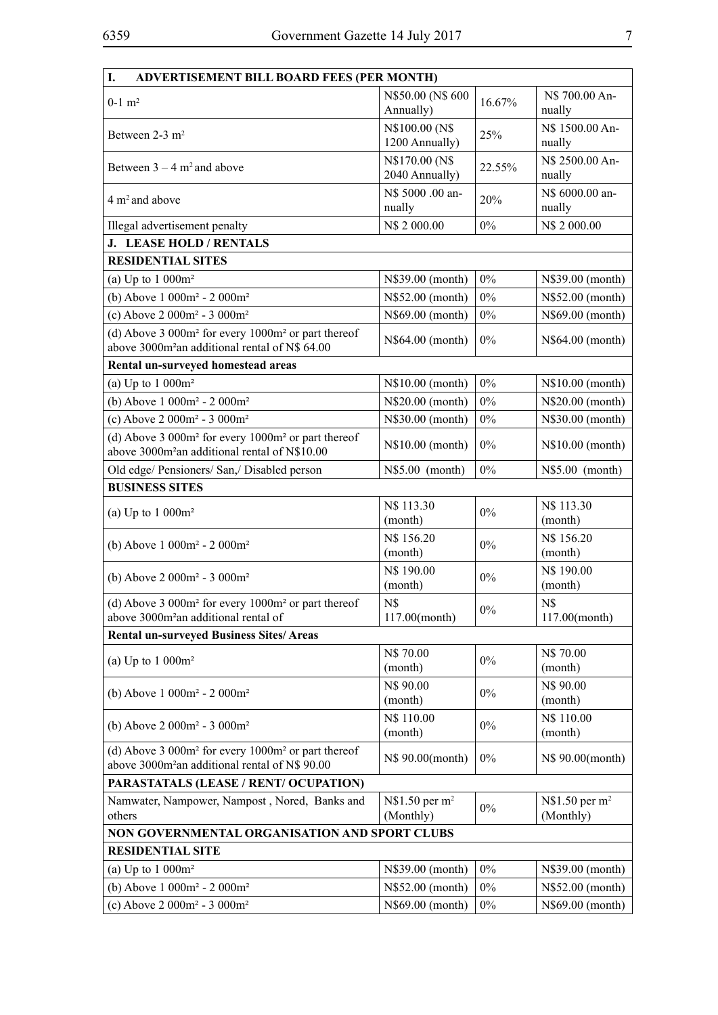| I.<br>ADVERTISEMENT BILL BOARD FEES (PER MONTH)                                                                        |                                          |        |                                          |
|------------------------------------------------------------------------------------------------------------------------|------------------------------------------|--------|------------------------------------------|
| $0-1$ m <sup>2</sup>                                                                                                   | N\$50.00 (N\$600<br>Annually)            | 16.67% | N\$ 700.00 An-<br>nually                 |
| Between 2-3 m <sup>2</sup>                                                                                             | N\$100.00 (N\$<br>1200 Annually)         | 25%    | N\$ 1500.00 An-<br>nually                |
| Between $3 - 4$ m <sup>2</sup> and above                                                                               | N\$170.00 (N\$<br>2040 Annually)         | 22.55% | N\$ 2500.00 An-<br>nually                |
| $4 m2$ and above                                                                                                       | N\$ 5000 .00 an-<br>nually               | 20%    | N\$ 6000.00 an-<br>nually                |
| Illegal advertisement penalty                                                                                          | N\$ 2 000.00                             | $0\%$  | N\$ 2 000.00                             |
| J. LEASE HOLD / RENTALS                                                                                                |                                          |        |                                          |
| <b>RESIDENTIAL SITES</b>                                                                                               |                                          |        |                                          |
| (a) Up to $1000m^2$                                                                                                    | N\$39.00 (month)                         | $0\%$  | N\$39.00 (month)                         |
| (b) Above $1000m^2 - 2000m^2$                                                                                          | N\$52.00 (month)                         | $0\%$  | N\$52.00 (month)                         |
| (c) Above $2000m^2 - 3000m^2$                                                                                          | N\$69.00 (month)                         | $0\%$  | N\$69.00 (month)                         |
| (d) Above 3 000 $m2$ for every 1000 $m2$ or part thereof<br>above 3000m <sup>2</sup> an additional rental of N\$ 64.00 | N\$64.00 (month)                         | $0\%$  | N\$64.00 (month)                         |
| Rental un-surveyed homestead areas                                                                                     |                                          |        |                                          |
| (a) Up to $1000m^2$                                                                                                    | N\$10.00 (month)                         | $0\%$  | N\$10.00 (month)                         |
| (b) Above $1000m^2 - 2000m^2$                                                                                          | N\$20.00 (month)                         | $0\%$  | N\$20.00 (month)                         |
| (c) Above $2000m^2 - 3000m^2$                                                                                          | N\$30.00 (month)                         | $0\%$  | N\$30.00 (month)                         |
| (d) Above $3000m^2$ for every $1000m^2$ or part thereof<br>above 3000m <sup>2</sup> an additional rental of N\$10.00   | N\$10.00 (month)                         | $0\%$  | N\$10.00 (month)                         |
| Old edge/ Pensioners/ San,/ Disabled person                                                                            | N\$5.00 (month)                          | $0\%$  | N\$5.00 (month)                          |
| <b>BUSINESS SITES</b>                                                                                                  |                                          |        |                                          |
| (a) Up to $1000m^2$                                                                                                    | N\$ 113.30<br>(month)                    | $0\%$  | N\$ 113.30<br>(month)                    |
| (b) Above $1000m^2 - 2000m^2$                                                                                          | N\$ 156.20<br>(month)                    | $0\%$  | N\$ 156.20<br>(month)                    |
| (b) Above $2000m^2 - 3000m^2$                                                                                          | N\$ 190.00<br>(month)                    | $0\%$  | N\$ 190.00<br>(month)                    |
| (d) Above 3 000 $m2$ for every 1000 $m2$ or part thereof<br>above 3000m <sup>2</sup> an additional rental of           | N\$<br>117.00(month)                     | $0\%$  | N\$<br>117.00(month)                     |
| <b>Rental un-surveyed Business Sites/Areas</b>                                                                         |                                          |        |                                          |
| (a) Up to $1000m^2$                                                                                                    | N\$ 70.00<br>(month)                     | $0\%$  | N\$70.00<br>(month)                      |
| (b) Above $1000m^2 - 2000m^2$                                                                                          | N\$ 90.00<br>(month)                     | $0\%$  | N\$ 90.00<br>(month)                     |
| (b) Above $2000m^2 - 3000m^2$                                                                                          | N\$ 110.00<br>(month)                    | $0\%$  | N\$ 110.00<br>(month)                    |
| (d) Above 3 000 $m2$ for every 1000 $m2$ or part thereof<br>above 3000m <sup>2</sup> an additional rental of N\$ 90.00 | N\$ 90.00(month)                         | $0\%$  | N\$ 90.00(month)                         |
| PARASTATALS (LEASE / RENT/ OCUPATION)                                                                                  |                                          |        |                                          |
| Namwater, Nampower, Nampost, Nored, Banks and<br>others                                                                | $N$1.50$ per m <sup>2</sup><br>(Monthly) | $0\%$  | $N$1.50$ per m <sup>2</sup><br>(Monthly) |
| NON GOVERNMENTAL ORGANISATION AND SPORT CLUBS                                                                          |                                          |        |                                          |
| <b>RESIDENTIAL SITE</b>                                                                                                |                                          |        |                                          |
| (a) Up to $1000m^2$                                                                                                    | N\$39.00 (month)                         | $0\%$  | N\$39.00 (month)                         |
| (b) Above $1000m^2 - 2000m^2$                                                                                          | N\$52.00 (month)                         | $0\%$  | N\$52.00 (month)                         |
| (c) Above $2000m^2 - 3000m^2$                                                                                          | N\$69.00 (month)                         | $0\%$  | N\$69.00 (month)                         |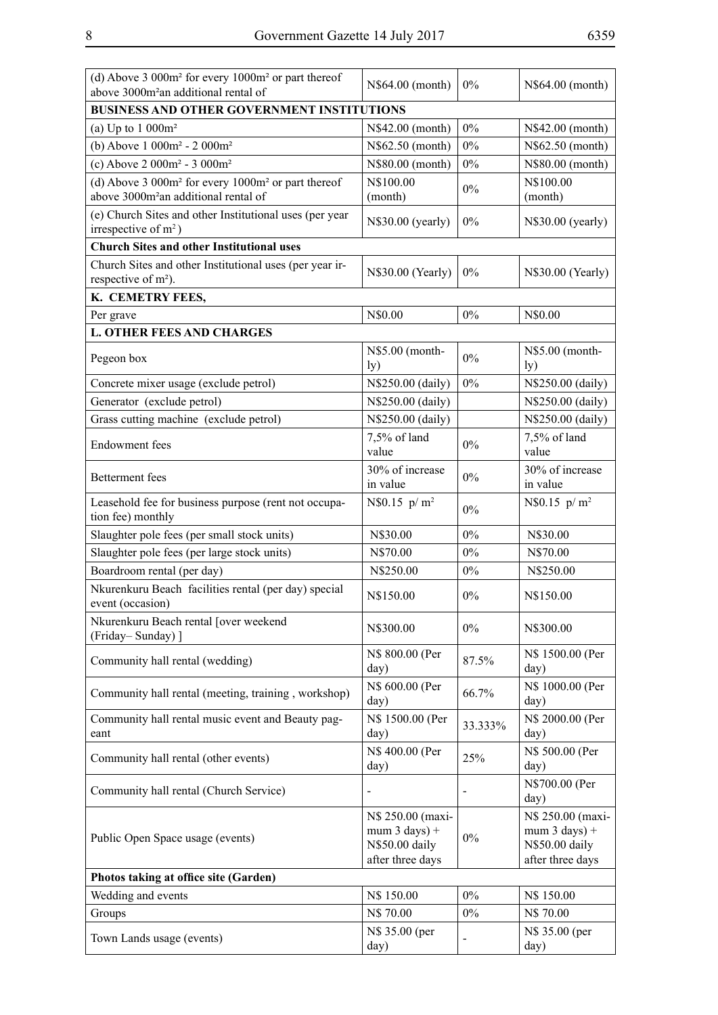| i | × |  |
|---|---|--|
|   |   |  |

| (d) Above $3000m^2$ for every $1000m^2$ or part thereof<br>above 3000m <sup>2</sup> an additional rental of                    | N\$64.00 (month)                            | $0\%$   | N\$64.00 (month)                  |
|--------------------------------------------------------------------------------------------------------------------------------|---------------------------------------------|---------|-----------------------------------|
| <b>BUSINESS AND OTHER GOVERNMENT INSTITUTIONS</b>                                                                              |                                             |         |                                   |
| (a) Up to $1000m^2$                                                                                                            | N\$42.00 (month)                            | $0\%$   | N\$42.00 (month)                  |
| (b) Above $1000m^2 - 2000m^2$                                                                                                  | N\$62.50 (month)                            | $0\%$   | N\$62.50 (month)                  |
| (c) Above $2000m^2 - 3000m^2$                                                                                                  | N\$80.00 (month)                            | $0\%$   | N\$80.00 (month)                  |
| (d) Above 3 000m <sup>2</sup> for every 1000m <sup>2</sup> or part thereof<br>above 3000m <sup>2</sup> an additional rental of | N\$100.00<br>(month)                        | $0\%$   | N\$100.00<br>(month)              |
| (e) Church Sites and other Institutional uses (per year<br>irrespective of $m2$ )                                              | N\$30.00 (yearly)                           | $0\%$   | N\$30.00 (yearly)                 |
| <b>Church Sites and other Institutional uses</b>                                                                               |                                             |         |                                   |
| Church Sites and other Institutional uses (per year ir-<br>respective of m <sup>2</sup> ).                                     | N\$30.00 (Yearly)                           | 0%      | N\$30.00 (Yearly)                 |
| K. CEMETRY FEES,                                                                                                               |                                             |         |                                   |
| Per grave                                                                                                                      | N\$0.00                                     | 0%      | N\$0.00                           |
| <b>L. OTHER FEES AND CHARGES</b>                                                                                               |                                             |         |                                   |
| Pegeon box                                                                                                                     | N\$5.00 (month-<br>$\mathbf{I}(\mathbf{y})$ | $0\%$   | N\$5.00 (month-<br>$\mathbf{y})$  |
| Concrete mixer usage (exclude petrol)                                                                                          | N\$250.00 (daily)                           | $0\%$   | N\$250.00 (daily)                 |
| Generator (exclude petrol)                                                                                                     | N\$250.00 (daily)                           |         | N\$250.00 (daily)                 |
| Grass cutting machine (exclude petrol)                                                                                         | N\$250.00 (daily)                           |         | N\$250.00 (daily)                 |
|                                                                                                                                | $7,5%$ of land                              |         | 7,5% of land                      |
| <b>Endowment</b> fees                                                                                                          | value                                       | $0\%$   | value                             |
| <b>Betterment</b> fees                                                                                                         | 30% of increase<br>in value                 | $0\%$   | 30% of increase<br>in value       |
| Leasehold fee for business purpose (rent not occupa-<br>tion fee) monthly                                                      | $N$0.15 p/m^2$                              | $0\%$   | N\$0.15 $p/m^2$                   |
| Slaughter pole fees (per small stock units)                                                                                    | N\$30.00                                    | $0\%$   | N\$30.00                          |
| Slaughter pole fees (per large stock units)                                                                                    | N\$70.00                                    | $0\%$   | N\$70.00                          |
| Boardroom rental (per day)                                                                                                     | N\$250.00                                   | $0\%$   | N\$250.00                         |
| Nkurenkuru Beach facilities rental (per day) special<br>event (occasion)                                                       | N\$150.00                                   | 0%      | N\$150.00                         |
| Nkurenkuru Beach rental [over weekend<br>(Friday-Sunday) ]                                                                     | N\$300.00                                   | $0\%$   | N\$300.00                         |
| Community hall rental (wedding)                                                                                                | N\$ 800.00 (Per<br>day)                     | 87.5%   | N\$ 1500.00 (Per<br>day)          |
| Community hall rental (meeting, training, workshop)                                                                            | N\$ 600.00 (Per<br>day)                     | 66.7%   | N\$ 1000.00 (Per<br>day)          |
| Community hall rental music event and Beauty pag-<br>eant                                                                      | N\$ 1500.00 (Per<br>day)                    | 33.333% | N\$ 2000.00 (Per<br>day)          |
| Community hall rental (other events)                                                                                           | N\$ 400.00 (Per<br>day)                     | 25%     | N\$ 500.00 (Per<br>day)           |
| Community hall rental (Church Service)                                                                                         | $\qquad \qquad \blacksquare$                |         | N\$700.00 (Per<br>day)            |
|                                                                                                                                | N\$ 250.00 (maxi-                           |         | N\$ 250.00 (maxi-                 |
| Public Open Space usage (events)                                                                                               | mum $3$ days) +<br>N\$50.00 daily           | $0\%$   | mum $3$ days) +<br>N\$50.00 daily |
|                                                                                                                                | after three days                            |         | after three days                  |
| Photos taking at office site (Garden)                                                                                          |                                             |         |                                   |
| Wedding and events                                                                                                             | N\$ 150.00                                  | $0\%$   | N\$ 150.00                        |
| Groups                                                                                                                         | N\$ 70.00                                   | $0\%$   | N\$70.00                          |
| Town Lands usage (events)                                                                                                      | N\$ 35.00 (per<br>day)                      |         | N\$ 35.00 (per<br>day)            |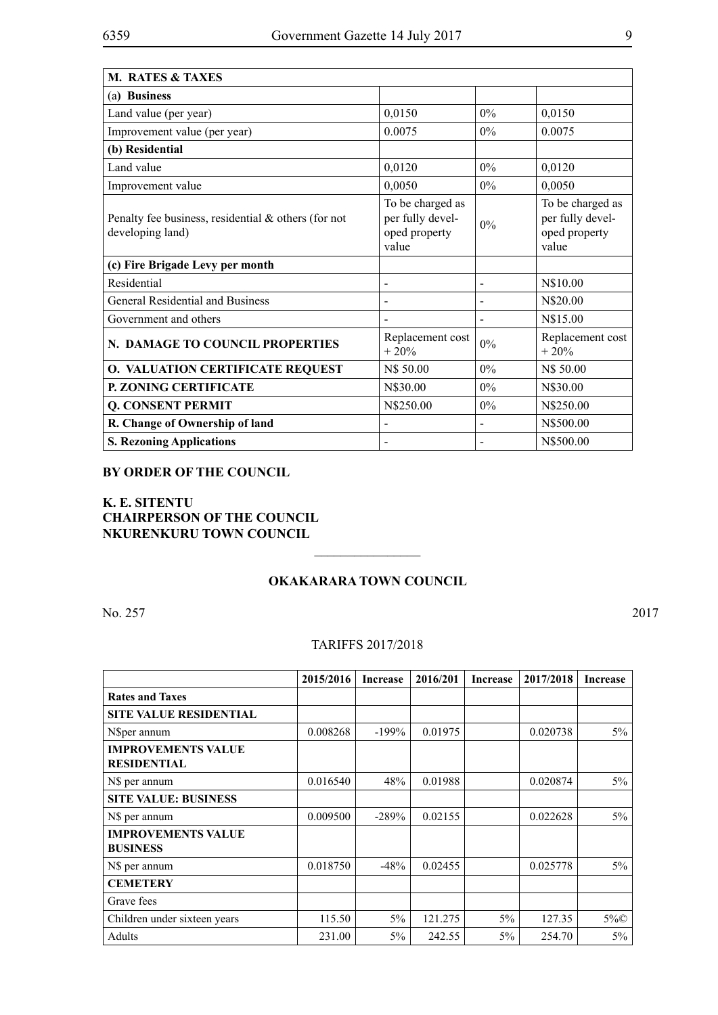| <b>M. RATES &amp; TAXES</b>                                                |                                                                |       |                                                                |
|----------------------------------------------------------------------------|----------------------------------------------------------------|-------|----------------------------------------------------------------|
| (a) Business                                                               |                                                                |       |                                                                |
| Land value (per year)                                                      | 0,0150                                                         | $0\%$ | 0,0150                                                         |
| Improvement value (per year)                                               | 0.0075                                                         | $0\%$ | 0.0075                                                         |
| (b) Residential                                                            |                                                                |       |                                                                |
| Land value                                                                 | 0,0120                                                         | $0\%$ | 0,0120                                                         |
| Improvement value                                                          | 0,0050                                                         | 0%    | 0,0050                                                         |
| Penalty fee business, residential $\&$ others (for not<br>developing land) | To be charged as<br>per fully devel-<br>oped property<br>value | 0%    | To be charged as<br>per fully devel-<br>oped property<br>value |
| (c) Fire Brigade Levy per month                                            |                                                                |       |                                                                |
| Residential                                                                |                                                                |       | N\$10.00                                                       |
| General Residential and Business                                           | $\overline{a}$                                                 |       | N\$20.00                                                       |
| Government and others                                                      |                                                                |       | N\$15.00                                                       |
| N. DAMAGE TO COUNCIL PROPERTIES                                            | Replacement cost<br>$+20%$                                     | $0\%$ | Replacement cost<br>$+20%$                                     |
| <b>O. VALUATION CERTIFICATE REQUEST</b>                                    | N\$ 50.00                                                      | $0\%$ | N\$ 50.00                                                      |
| P. ZONING CERTIFICATE                                                      | N\$30.00                                                       | $0\%$ | N\$30.00                                                       |
| Q. CONSENT PERMIT                                                          | N\$250.00                                                      | $0\%$ | N\$250.00                                                      |
| R. Change of Ownership of land                                             |                                                                |       | N\$500.00                                                      |
| <b>S. Rezoning Applications</b>                                            |                                                                |       | N\$500.00                                                      |

#### **BY ORDER OF THE COUNCIL**

**K. E. SITENTU CHAIRPERSON OF THE COUNCIL NKURENKURU TOWN COUNCIL**

#### **OKAKARARA TOWN COUNCIL**

 $\frac{1}{2}$ 

No. 257 2017

## TARIFFS 2017/2018

|                                                 | 2015/2016 | <b>Increase</b> | 2016/201 | <b>Increase</b> | 2017/2018 | <b>Increase</b> |
|-------------------------------------------------|-----------|-----------------|----------|-----------------|-----------|-----------------|
| <b>Rates and Taxes</b>                          |           |                 |          |                 |           |                 |
| <b>SITE VALUE RESIDENTIAL</b>                   |           |                 |          |                 |           |                 |
| N\$per annum                                    | 0.008268  | $-199%$         | 0.01975  |                 | 0.020738  | $5\%$           |
| <b>IMPROVEMENTS VALUE</b><br><b>RESIDENTIAL</b> |           |                 |          |                 |           |                 |
| N\$ per annum                                   | 0.016540  | 48%             | 0.01988  |                 | 0.020874  | $5\%$           |
| <b>SITE VALUE: BUSINESS</b>                     |           |                 |          |                 |           |                 |
| N\$ per annum                                   | 0.009500  | $-289%$         | 0.02155  |                 | 0.022628  | $5\%$           |
| <b>IMPROVEMENTS VALUE</b><br><b>BUSINESS</b>    |           |                 |          |                 |           |                 |
| N\$ per annum                                   | 0.018750  | $-48%$          | 0.02455  |                 | 0.025778  | $5\%$           |
| <b>CEMETERY</b>                                 |           |                 |          |                 |           |                 |
| Grave fees                                      |           |                 |          |                 |           |                 |
| Children under sixteen years                    | 115.50    | 5%              | 121.275  | 5%              | 127.35    | $5\%$           |
| Adults                                          | 231.00    | $5\%$           | 242.55   | $5\%$           | 254.70    | 5%              |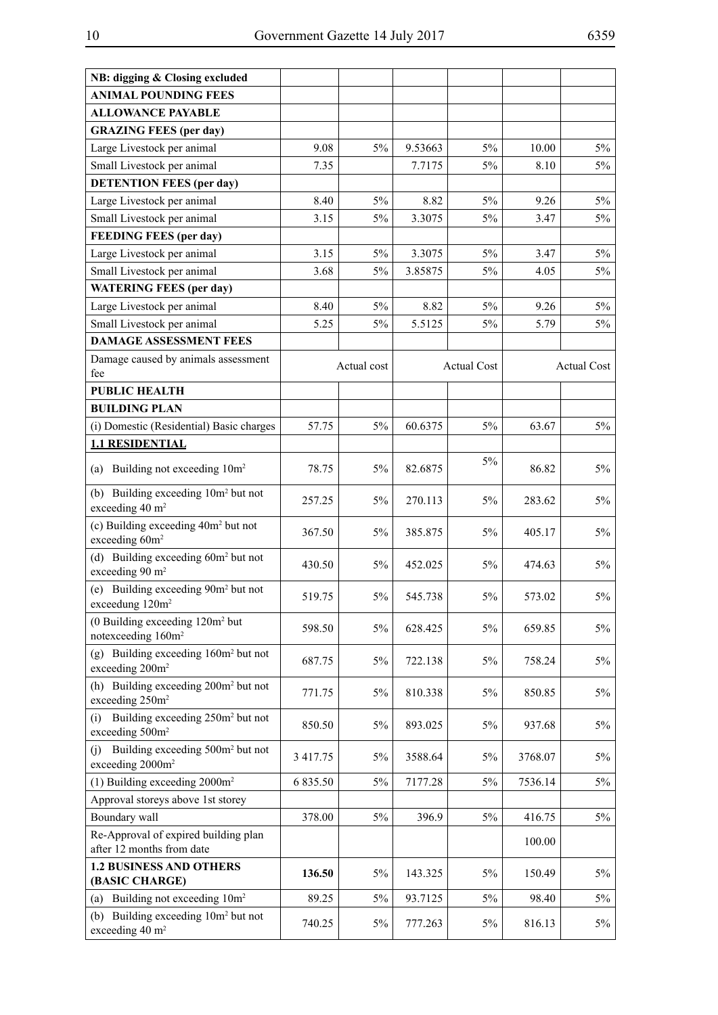| NB: digging & Closing excluded                                                      |          |             |         |                    |         |                    |
|-------------------------------------------------------------------------------------|----------|-------------|---------|--------------------|---------|--------------------|
| <b>ANIMAL POUNDING FEES</b>                                                         |          |             |         |                    |         |                    |
| <b>ALLOWANCE PAYABLE</b>                                                            |          |             |         |                    |         |                    |
| <b>GRAZING FEES (per day)</b>                                                       |          |             |         |                    |         |                    |
| Large Livestock per animal                                                          | 9.08     | 5%          | 9.53663 | $5\%$              | 10.00   | 5%                 |
| Small Livestock per animal                                                          | 7.35     |             | 7.7175  | $5\%$              | 8.10    | 5%                 |
| <b>DETENTION FEES (per day)</b>                                                     |          |             |         |                    |         |                    |
| Large Livestock per animal                                                          | 8.40     | 5%          | 8.82    | 5%                 | 9.26    | 5%                 |
| Small Livestock per animal                                                          | 3.15     | 5%          | 3.3075  | 5%                 | 3.47    | $5\%$              |
| <b>FEEDING FEES (per day)</b>                                                       |          |             |         |                    |         |                    |
| Large Livestock per animal                                                          | 3.15     | 5%          | 3.3075  | $5\%$              | 3.47    | 5%                 |
| Small Livestock per animal                                                          | 3.68     | 5%          | 3.85875 | 5%                 | 4.05    | 5%                 |
| <b>WATERING FEES (per day)</b>                                                      |          |             |         |                    |         |                    |
| Large Livestock per animal                                                          | 8.40     | 5%          | 8.82    | $5\%$              | 9.26    | 5%                 |
| Small Livestock per animal                                                          | 5.25     | 5%          | 5.5125  | 5%                 | 5.79    | 5%                 |
| <b>DAMAGE ASSESSMENT FEES</b>                                                       |          |             |         |                    |         |                    |
| Damage caused by animals assessment                                                 |          | Actual cost |         | <b>Actual Cost</b> |         | <b>Actual Cost</b> |
| fee                                                                                 |          |             |         |                    |         |                    |
| <b>PUBLIC HEALTH</b>                                                                |          |             |         |                    |         |                    |
| <b>BUILDING PLAN</b>                                                                |          |             |         |                    |         |                    |
| (i) Domestic (Residential) Basic charges                                            | 57.75    | $5\%$       | 60.6375 | 5%                 | 63.67   | 5%                 |
| <b>1.1 RESIDENTIAL</b>                                                              |          |             |         |                    |         |                    |
| (a) Building not exceeding 10m <sup>2</sup>                                         | 78.75    | $5\%$       | 82.6875 | 5%                 | 86.82   | $5\%$              |
| (b) Building exceeding 10m <sup>2</sup> but not<br>exceeding 40 m <sup>2</sup>      | 257.25   | $5\%$       | 270.113 | $5\%$              | 283.62  | $5\%$              |
| (c) Building exceeding 40m <sup>2</sup> but not<br>exceeding 60m <sup>2</sup>       | 367.50   | $5\%$       | 385.875 | 5%                 | 405.17  | 5%                 |
| (d) Building exceeding 60m <sup>2</sup> but not<br>exceeding 90 m <sup>2</sup>      | 430.50   | 5%          | 452.025 | 5%                 | 474.63  | 5%                 |
| (e) Building exceeding 90m <sup>2</sup> but not<br>exceedung 120m <sup>2</sup>      | 519.75   | 5%          | 545.738 | 5%                 | 573.02  | 5%                 |
| $(0$ Building exceeding $120m^2$ but<br>notexceeding 160m <sup>2</sup>              | 598.50   | $5\%$       | 628.425 | 5%                 | 659.85  | $5\%$              |
| (g) Building exceeding $160m^2$ but not<br>exceeding 200m <sup>2</sup>              | 687.75   | 5%          | 722.138 | 5%                 | 758.24  | 5%                 |
| (h) Building exceeding 200m <sup>2</sup> but not<br>exceeding 250m <sup>2</sup>     | 771.75   | 5%          | 810.338 | 5%                 | 850.85  | 5%                 |
| Building exceeding 250m <sup>2</sup> but not<br>(i)<br>exceeding 500m <sup>2</sup>  | 850.50   | 5%          | 893.025 | 5%                 | 937.68  | 5%                 |
| Building exceeding 500m <sup>2</sup> but not<br>(i)<br>exceeding 2000m <sup>2</sup> | 3 417.75 | 5%          | 3588.64 | 5%                 | 3768.07 | 5%                 |
| (1) Building exceeding $2000m^2$                                                    | 6 835.50 | $5\%$       | 7177.28 | 5%                 | 7536.14 | 5%                 |
| Approval storeys above 1st storey                                                   |          |             |         |                    |         |                    |
| Boundary wall                                                                       | 378.00   | 5%          | 396.9   | 5%                 | 416.75  | 5%                 |
| Re-Approval of expired building plan<br>after 12 months from date                   |          |             |         |                    | 100.00  |                    |
| <b>1.2 BUSINESS AND OTHERS</b>                                                      | 136.50   | 5%          | 143.325 | 5%                 | 150.49  | 5%                 |
| (BASIC CHARGE)                                                                      |          |             |         |                    |         |                    |
| (a) Building not exceeding 10m <sup>2</sup>                                         | 89.25    | 5%          | 93.7125 | 5%                 | 98.40   | 5%                 |
| (b) Building exceeding 10m <sup>2</sup> but not<br>exceeding $40 \text{ m}^2$       | 740.25   | 5%          | 777.263 | 5%                 | 816.13  | 5%                 |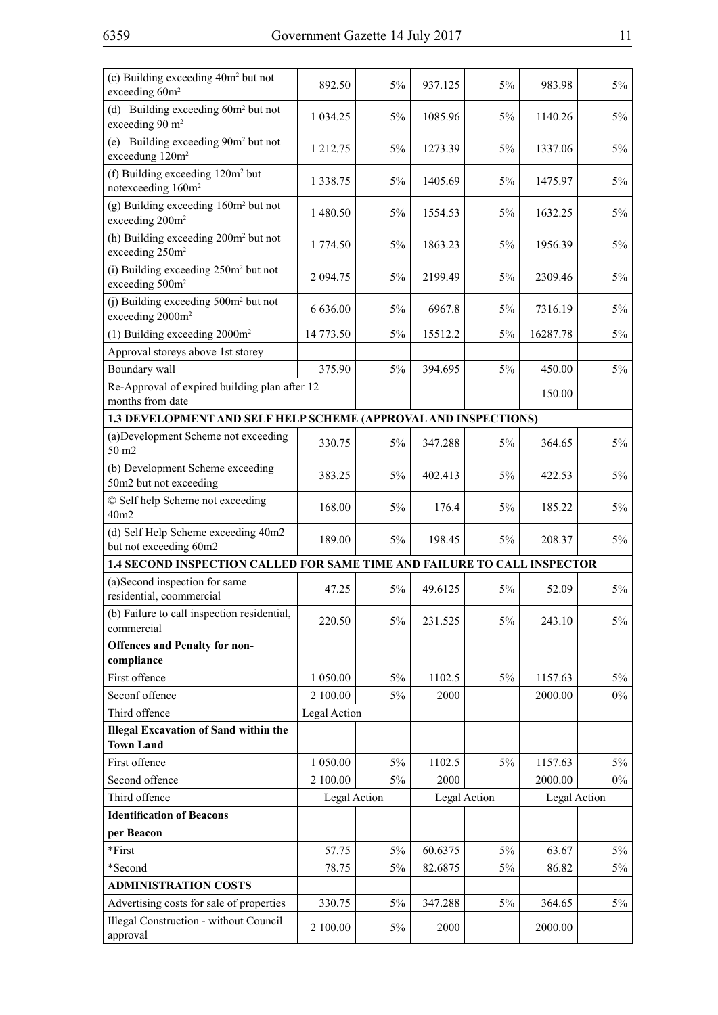| (c) Building exceeding 40m <sup>2</sup> but not<br>exceeding 60m <sup>2</sup>   | 892.50        | 5%          | 937.125 | 5%           | 983.98       | $5\%$ |  |  |
|---------------------------------------------------------------------------------|---------------|-------------|---------|--------------|--------------|-------|--|--|
| (d) Building exceeding $60m^2$ but not<br>exceeding 90 m <sup>2</sup>           | 1 0 34.25     | 5%          | 1085.96 | 5%           | 1140.26      | $5\%$ |  |  |
| (e) Building exceeding 90m <sup>2</sup> but not<br>exceedung 120m <sup>2</sup>  | 1 212.75      | 5%          | 1273.39 | 5%           | 1337.06      | 5%    |  |  |
| (f) Building exceeding 120m <sup>2</sup> but<br>notexceeding 160m <sup>2</sup>  | 1 3 3 8 . 7 5 | 5%          | 1405.69 | 5%           | 1475.97      | $5\%$ |  |  |
| $(g)$ Building exceeding $160m2$ but not<br>exceeding 200m <sup>2</sup>         | 1480.50       | 5%          | 1554.53 | 5%           | 1632.25      | 5%    |  |  |
| (h) Building exceeding 200m <sup>2</sup> but not<br>exceeding 250m <sup>2</sup> | 1 774.50      | 5%          | 1863.23 | 5%           | 1956.39      | $5\%$ |  |  |
| $(i)$ Building exceeding $250m2$ but not<br>exceeding 500m <sup>2</sup>         | 2 094.75      | 5%          | 2199.49 | 5%           | 2309.46      | $5\%$ |  |  |
| $(i)$ Building exceeding $500m2$ but not<br>exceeding 2000m <sup>2</sup>        | 6 636.00      | 5%          | 6967.8  | 5%           | 7316.19      | 5%    |  |  |
| $(1)$ Building exceeding 2000m <sup>2</sup>                                     | 14 773.50     | 5%          | 15512.2 | 5%           | 16287.78     | 5%    |  |  |
| Approval storeys above 1st storey                                               |               |             |         |              |              |       |  |  |
| Boundary wall                                                                   | 375.90        | 5%          | 394.695 | 5%           | 450.00       | 5%    |  |  |
| Re-Approval of expired building plan after 12<br>months from date               |               |             |         |              | 150.00       |       |  |  |
| 1.3 DEVELOPMENT AND SELF HELP SCHEME (APPROVAL AND INSPECTIONS)                 |               |             |         |              |              |       |  |  |
| (a) Development Scheme not exceeding<br>50 m2                                   | 330.75        | 5%          | 347.288 | 5%           | 364.65       | 5%    |  |  |
| (b) Development Scheme exceeding<br>50m2 but not exceeding                      | 383.25        | 5%          | 402.413 | 5%           | 422.53       | 5%    |  |  |
| © Self help Scheme not exceeding<br>40m2                                        | 168.00        | 5%          | 176.4   | 5%           | 185.22       | $5\%$ |  |  |
| (d) Self Help Scheme exceeding 40m2<br>but not exceeding 60m2                   | 189.00        | 5%          | 198.45  | 5%           | 208.37       | 5%    |  |  |
| 1.4 SECOND INSPECTION CALLED FOR SAME TIME AND FAILURE TO CALL INSPECTOR        |               |             |         |              |              |       |  |  |
| (a)Second inspection for same<br>residential, coommercial                       | 47.25         | $5\%$       | 49.6125 | 5%           | 52.09        | $5\%$ |  |  |
| (b) Failure to call inspection residential,<br>commercial                       | 220.50        | 5%          | 231.525 | 5%           | 243.10       | $5\%$ |  |  |
| <b>Offences and Penalty for non-</b>                                            |               |             |         |              |              |       |  |  |
| compliance                                                                      |               |             |         |              |              |       |  |  |
| First offence<br>Seconf offence                                                 | 1 050.00      | $5\%$<br>5% | 1102.5  | 5%           | 1157.63      | $5\%$ |  |  |
| Third offence                                                                   | 2 100.00      |             | 2000    |              | 2000.00      | $0\%$ |  |  |
| <b>Illegal Excavation of Sand within the</b>                                    | Legal Action  |             |         |              |              |       |  |  |
| <b>Town Land</b>                                                                |               |             |         |              |              |       |  |  |
| First offence                                                                   | 1 050.00      | 5%          | 1102.5  | 5%           | 1157.63      | $5\%$ |  |  |
| Second offence                                                                  | 2 100.00      | $5\%$       | 2000    |              | 2000.00      | $0\%$ |  |  |
| Third offence                                                                   | Legal Action  |             |         | Legal Action | Legal Action |       |  |  |
| <b>Identification of Beacons</b>                                                |               |             |         |              |              |       |  |  |
| per Beacon                                                                      |               |             |         |              |              |       |  |  |
| *First                                                                          | 57.75         | 5%          | 60.6375 | 5%           | 63.67        | $5\%$ |  |  |
| *Second                                                                         | 78.75         | $5\%$       | 82.6875 | 5%           | 86.82        | 5%    |  |  |
| <b>ADMINISTRATION COSTS</b>                                                     |               |             |         |              |              |       |  |  |
| Advertising costs for sale of properties                                        | 330.75        | 5%          | 347.288 | 5%           | 364.65       | $5\%$ |  |  |
| <b>Illegal Construction - without Council</b><br>approval                       | 2 100.00      | 5%          | 2000    |              | 2000.00      |       |  |  |
|                                                                                 |               |             |         |              |              |       |  |  |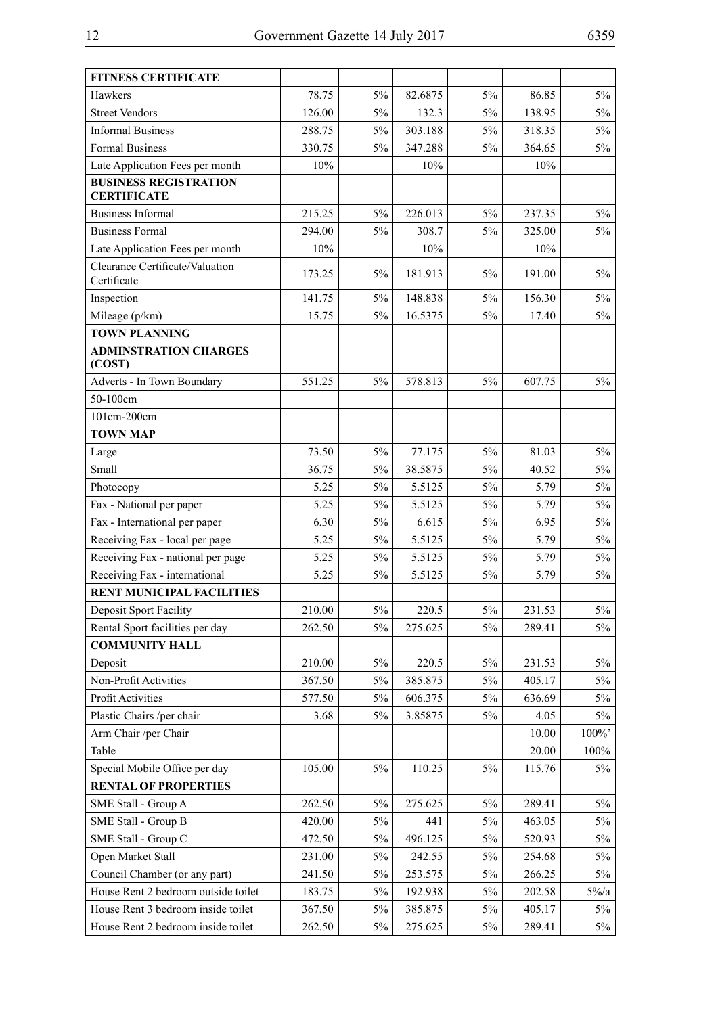| <b>FITNESS CERTIFICATE</b>                         |        |       |         |       |        |          |
|----------------------------------------------------|--------|-------|---------|-------|--------|----------|
| Hawkers                                            | 78.75  | 5%    | 82.6875 | $5\%$ | 86.85  | 5%       |
| <b>Street Vendors</b>                              | 126.00 | 5%    | 132.3   | $5\%$ | 138.95 | $5\%$    |
| <b>Informal Business</b>                           | 288.75 | 5%    | 303.188 | 5%    | 318.35 | 5%       |
| Formal Business                                    | 330.75 | 5%    | 347.288 | $5\%$ | 364.65 | $5\%$    |
| Late Application Fees per month                    | 10%    |       | 10%     |       | 10%    |          |
| <b>BUSINESS REGISTRATION</b><br><b>CERTIFICATE</b> |        |       |         |       |        |          |
| <b>Business Informal</b>                           | 215.25 | $5\%$ | 226.013 | 5%    | 237.35 | $5\%$    |
| <b>Business Formal</b>                             | 294.00 | 5%    | 308.7   | 5%    | 325.00 | $5\%$    |
| Late Application Fees per month                    | 10%    |       | 10%     |       | 10%    |          |
| Clearance Certificate/Valuation                    |        |       |         |       |        |          |
| Certificate                                        | 173.25 | 5%    | 181.913 | 5%    | 191.00 | 5%       |
| Inspection                                         | 141.75 | 5%    | 148.838 | $5\%$ | 156.30 | 5%       |
| Mileage (p/km)                                     | 15.75  | 5%    | 16.5375 | $5\%$ | 17.40  | $5\%$    |
| <b>TOWN PLANNING</b>                               |        |       |         |       |        |          |
| <b>ADMINSTRATION CHARGES</b><br>(COST)             |        |       |         |       |        |          |
| Adverts - In Town Boundary                         | 551.25 | 5%    | 578.813 | 5%    | 607.75 | 5%       |
| 50-100cm                                           |        |       |         |       |        |          |
| 101cm-200cm                                        |        |       |         |       |        |          |
| <b>TOWN MAP</b>                                    |        |       |         |       |        |          |
| Large                                              | 73.50  | 5%    | 77.175  | 5%    | 81.03  | $5\%$    |
| Small                                              | 36.75  | 5%    | 38.5875 | $5\%$ | 40.52  | $5\%$    |
| Photocopy                                          | 5.25   | 5%    | 5.5125  | $5\%$ | 5.79   | $5\%$    |
| Fax - National per paper                           | 5.25   | 5%    | 5.5125  | $5\%$ | 5.79   | 5%       |
| Fax - International per paper                      | 6.30   | 5%    | 6.615   | $5\%$ | 6.95   | 5%       |
| Receiving Fax - local per page                     | 5.25   | 5%    | 5.5125  | $5\%$ | 5.79   | $5\%$    |
| Receiving Fax - national per page                  | 5.25   | 5%    | 5.5125  | $5\%$ | 5.79   | $5\%$    |
| Receiving Fax - international                      | 5.25   | 5%    | 5.5125  | $5\%$ | 5.79   | $5\%$    |
| <b>RENT MUNICIPAL FACILITIES</b>                   |        |       |         |       |        |          |
| <b>Deposit Sport Facility</b>                      | 210.00 | $5\%$ | 220.5   | $5\%$ | 231.53 | $5\%$    |
| Rental Sport facilities per day                    | 262.50 | 5%    | 275.625 | $5\%$ | 289.41 | $5\%$    |
| <b>COMMUNITY HALL</b>                              |        |       |         |       |        |          |
| Deposit                                            | 210.00 | 5%    | 220.5   | 5%    | 231.53 | 5%       |
| Non-Profit Activities                              | 367.50 | 5%    | 385.875 | 5%    | 405.17 | $5\%$    |
| <b>Profit Activities</b>                           | 577.50 | 5%    | 606.375 | 5%    | 636.69 | $5\%$    |
| Plastic Chairs /per chair                          | 3.68   | $5\%$ | 3.85875 | $5\%$ | 4.05   | $5\%$    |
| Arm Chair /per Chair                               |        |       |         |       | 10.00  | $100\%$  |
| Table                                              |        |       |         |       | 20.00  | $100\%$  |
| Special Mobile Office per day                      | 105.00 | 5%    | 110.25  | 5%    | 115.76 | 5%       |
| <b>RENTAL OF PROPERTIES</b>                        |        |       |         |       |        |          |
| SME Stall - Group A                                | 262.50 | 5%    | 275.625 | 5%    | 289.41 | $5\%$    |
| SME Stall - Group B                                | 420.00 | $5\%$ | 441     | 5%    | 463.05 | 5%       |
| SME Stall - Group C                                | 472.50 | $5\%$ | 496.125 | 5%    | 520.93 | $5\%$    |
| Open Market Stall                                  | 231.00 | 5%    | 242.55  | 5%    | 254.68 | 5%       |
| Council Chamber (or any part)                      | 241.50 | 5%    | 253.575 | $5\%$ | 266.25 | $5\%$    |
| House Rent 2 bedroom outside toilet                | 183.75 | $5\%$ | 192.938 | 5%    | 202.58 | $5\%$ /a |
| House Rent 3 bedroom inside toilet                 | 367.50 | 5%    | 385.875 | 5%    | 405.17 | $5\%$    |
| House Rent 2 bedroom inside toilet                 | 262.50 | 5%    | 275.625 | 5%    | 289.41 | $5\%$    |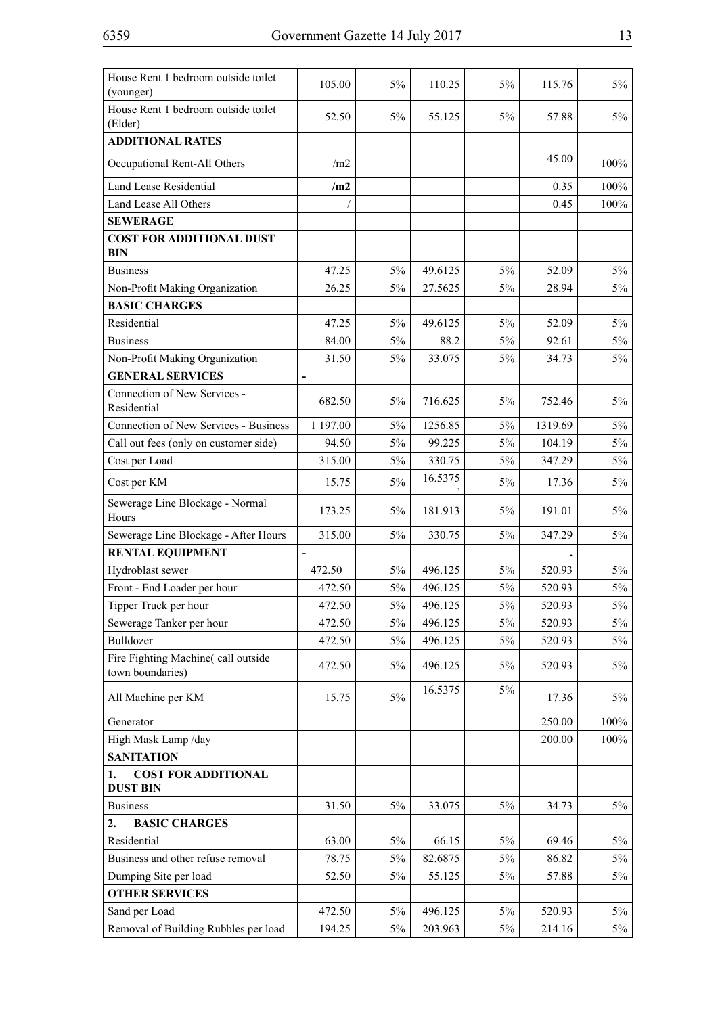| House Rent 1 bedroom outside toilet<br>(younger)       | 105.00                   | 5%    | 110.25  | 5%    | 115.76  | $5\%$   |
|--------------------------------------------------------|--------------------------|-------|---------|-------|---------|---------|
| House Rent 1 bedroom outside toilet<br>(Elder)         | 52.50                    | 5%    | 55.125  | 5%    | 57.88   | 5%      |
| <b>ADDITIONAL RATES</b>                                |                          |       |         |       |         |         |
| Occupational Rent-All Others                           | /m2                      |       |         |       | 45.00   | $100\%$ |
| <b>Land Lease Residential</b>                          | /m2                      |       |         |       | 0.35    | 100%    |
| Land Lease All Others                                  |                          |       |         |       | 0.45    | 100%    |
| <b>SEWERAGE</b>                                        |                          |       |         |       |         |         |
| <b>COST FOR ADDITIONAL DUST</b><br><b>BIN</b>          |                          |       |         |       |         |         |
| <b>Business</b>                                        | 47.25                    | 5%    | 49.6125 | $5\%$ | 52.09   | $5\%$   |
| Non-Profit Making Organization                         | 26.25                    | 5%    | 27.5625 | 5%    | 28.94   | $5\%$   |
| <b>BASIC CHARGES</b>                                   |                          |       |         |       |         |         |
| Residential                                            | 47.25                    | 5%    | 49.6125 | 5%    | 52.09   | 5%      |
| <b>Business</b>                                        | 84.00                    | 5%    | 88.2    | 5%    | 92.61   | $5\%$   |
| Non-Profit Making Organization                         | 31.50                    | 5%    | 33.075  | 5%    | 34.73   | 5%      |
| <b>GENERAL SERVICES</b>                                | $\blacksquare$           |       |         |       |         |         |
| Connection of New Services -<br>Residential            | 682.50                   | 5%    | 716.625 | 5%    | 752.46  | 5%      |
| Connection of New Services - Business                  | 1 197.00                 | 5%    | 1256.85 | 5%    | 1319.69 | $5\%$   |
| Call out fees (only on customer side)                  | 94.50                    | 5%    | 99.225  | 5%    | 104.19  | $5\%$   |
| Cost per Load                                          | 315.00                   | 5%    | 330.75  | 5%    | 347.29  | $5\%$   |
| Cost per KM                                            | 15.75                    | 5%    | 16.5375 | 5%    | 17.36   | $5\%$   |
| Sewerage Line Blockage - Normal<br>Hours               | 173.25                   | 5%    | 181.913 | 5%    | 191.01  | 5%      |
| Sewerage Line Blockage - After Hours                   | 315.00                   | 5%    | 330.75  | 5%    | 347.29  | 5%      |
| <b>RENTAL EQUIPMENT</b>                                | $\overline{\phantom{a}}$ |       |         |       |         |         |
| Hydroblast sewer                                       | 472.50                   | 5%    | 496.125 | 5%    | 520.93  | $5\%$   |
| Front - End Loader per hour                            | 472.50                   | 5%    | 496.125 | 5%    | 520.93  | $5\%$   |
| Tipper Truck per hour                                  | 472.50                   | $5\%$ | 496.125 | $5\%$ | 520.93  | $5\%$   |
| Sewerage Tanker per hour                               | 472.50                   | $5\%$ | 496.125 | 5%    | 520.93  | $5\%$   |
| Bulldozer                                              | 472.50                   | $5\%$ | 496.125 | $5\%$ | 520.93  | $5\%$   |
| Fire Fighting Machine(call outside<br>town boundaries) | 472.50                   | 5%    | 496.125 | 5%    | 520.93  | $5\%$   |
| All Machine per KM                                     | 15.75                    | $5\%$ | 16.5375 | 5%    | 17.36   | $5\%$   |
| Generator                                              |                          |       |         |       | 250.00  | 100%    |
| High Mask Lamp /day                                    |                          |       |         |       | 200.00  | 100%    |
| <b>SANITATION</b>                                      |                          |       |         |       |         |         |
| <b>COST FOR ADDITIONAL</b><br>1.<br><b>DUST BIN</b>    |                          |       |         |       |         |         |
| <b>Business</b>                                        | 31.50                    | $5\%$ | 33.075  | 5%    | 34.73   | $5\%$   |
| 2.<br><b>BASIC CHARGES</b>                             |                          |       |         |       |         |         |
| Residential                                            | 63.00                    | 5%    | 66.15   | 5%    | 69.46   | $5\%$   |
| Business and other refuse removal                      | 78.75                    | 5%    | 82.6875 | 5%    | 86.82   | 5%      |
| Dumping Site per load                                  | 52.50                    | 5%    | 55.125  | $5\%$ | 57.88   | 5%      |
| <b>OTHER SERVICES</b>                                  |                          |       |         |       |         |         |
| Sand per Load                                          | 472.50                   | 5%    | 496.125 | 5%    | 520.93  | $5\%$   |
| Removal of Building Rubbles per load                   | 194.25                   | 5%    | 203.963 | 5%    | 214.16  | $5\%$   |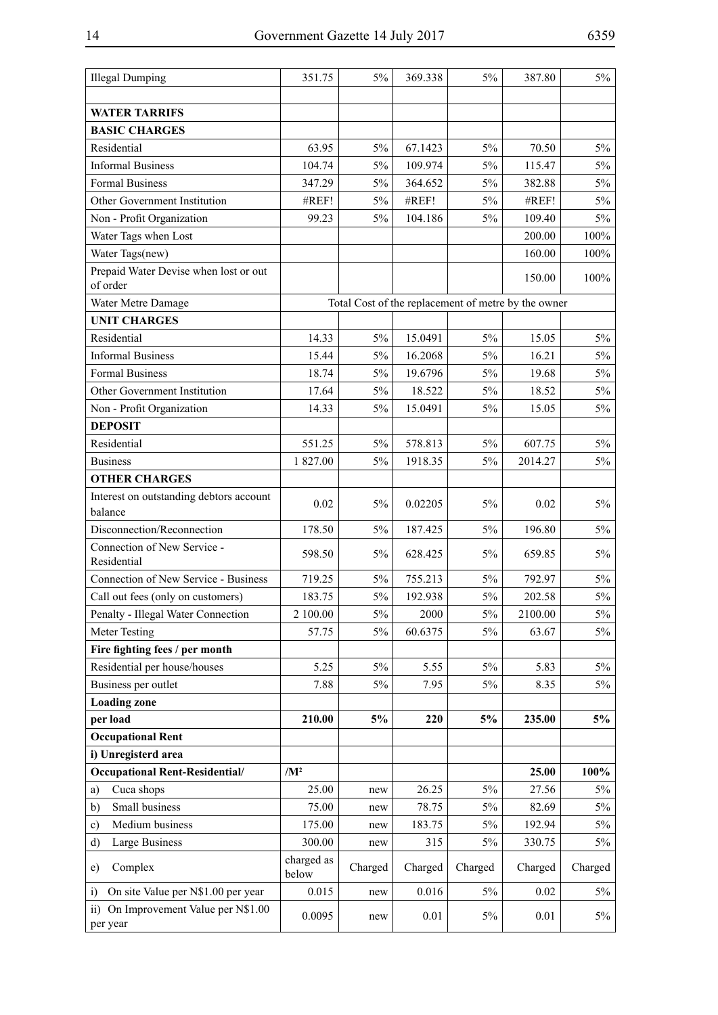| <b>Illegal Dumping</b>                                          | 351.75              | 5%      | 369.338 | 5%      | 387.80                                              | 5%      |
|-----------------------------------------------------------------|---------------------|---------|---------|---------|-----------------------------------------------------|---------|
|                                                                 |                     |         |         |         |                                                     |         |
| <b>WATER TARRIFS</b>                                            |                     |         |         |         |                                                     |         |
| <b>BASIC CHARGES</b>                                            |                     |         |         |         |                                                     |         |
| Residential                                                     | 63.95               | $5\%$   | 67.1423 | $5\%$   | 70.50                                               | 5%      |
| <b>Informal Business</b>                                        | 104.74              | 5%      | 109.974 | $5\%$   | 115.47                                              | $5\%$   |
| Formal Business                                                 | 347.29              | $5\%$   | 364.652 | $5\%$   | 382.88                                              | 5%      |
| Other Government Institution                                    | #REF!               | $5\%$   | #REF!   | 5%      | #REF!                                               | $5\%$   |
| Non - Profit Organization                                       | 99.23               | $5\%$   | 104.186 | $5\%$   | 109.40                                              | $5\%$   |
| Water Tags when Lost                                            |                     |         |         |         | 200.00                                              | 100%    |
| Water Tags(new)                                                 |                     |         |         |         | 160.00                                              | $100\%$ |
| Prepaid Water Devise when lost or out<br>of order               |                     |         |         |         | 150.00                                              | 100%    |
| Water Metre Damage                                              |                     |         |         |         | Total Cost of the replacement of metre by the owner |         |
| <b>UNIT CHARGES</b>                                             |                     |         |         |         |                                                     |         |
| Residential                                                     | 14.33               | 5%      | 15.0491 | $5\%$   | 15.05                                               | 5%      |
| <b>Informal Business</b>                                        | 15.44               | $5\%$   | 16.2068 | $5\%$   | 16.21                                               | $5\%$   |
| Formal Business                                                 | 18.74               | $5\%$   | 19.6796 | 5%      | 19.68                                               | 5%      |
| Other Government Institution                                    | 17.64               | $5\%$   | 18.522  | $5\%$   | 18.52                                               | $5\%$   |
| Non - Profit Organization                                       | 14.33               | 5%      | 15.0491 | $5\%$   | 15.05                                               | 5%      |
| <b>DEPOSIT</b>                                                  |                     |         |         |         |                                                     |         |
| Residential                                                     | 551.25              | $5\%$   | 578.813 | $5\%$   | 607.75                                              | $5\%$   |
| <b>Business</b>                                                 | 1827.00             | 5%      | 1918.35 | 5%      | 2014.27                                             | 5%      |
| <b>OTHER CHARGES</b>                                            |                     |         |         |         |                                                     |         |
| Interest on outstanding debtors account                         | 0.02                | 5%      | 0.02205 | 5%      | 0.02                                                | 5%      |
| balance                                                         |                     |         |         |         |                                                     |         |
| Disconnection/Reconnection                                      | 178.50              | $5\%$   | 187.425 | 5%      | 196.80                                              | 5%      |
| Connection of New Service -<br>Residential                      | 598.50              | 5%      | 628.425 | 5%      | 659.85                                              | $5\%$   |
| Connection of New Service - Business                            | 719.25              | $5\%$   | 755.213 | 5%      | 792.97                                              | 5%      |
| Call out fees (only on customers)                               | 183.75              | 5%      | 192.938 | 5%      | 202.58                                              | 5%      |
| Penalty - Illegal Water Connection                              | 2 100.00            | $5\%$   | 2000    | $5\%$   | 2100.00                                             | $5\%$   |
| Meter Testing                                                   | 57.75               | $5\%$   | 60.6375 | 5%      | 63.67                                               | $5\%$   |
| Fire fighting fees / per month                                  |                     |         |         |         |                                                     |         |
| Residential per house/houses                                    | 5.25                | $5\%$   | 5.55    | 5%      | 5.83                                                | 5%      |
| Business per outlet                                             | 7.88                | 5%      | 7.95    | 5%      | 8.35                                                | 5%      |
| <b>Loading zone</b>                                             |                     |         |         |         |                                                     |         |
| per load                                                        | 210.00              | 5%      | 220     | 5%      | 235.00                                              | 5%      |
| <b>Occupational Rent</b>                                        |                     |         |         |         |                                                     |         |
| i) Unregisterd area                                             |                     |         |         |         |                                                     |         |
| <b>Occupational Rent-Residential/</b>                           | $/M^2$              |         |         |         | 25.00                                               | 100%    |
| Cuca shops<br>a)                                                | 25.00               | new     | 26.25   | $5\%$   | 27.56                                               | 5%      |
| Small business<br>b)                                            | 75.00               | new     | 78.75   | 5%      | 82.69                                               | 5%      |
| Medium business<br>c)                                           | 175.00              | new     | 183.75  | $5\%$   | 192.94                                              | 5%      |
| Large Business<br>d)                                            | 300.00              | new     | 315     | 5%      | 330.75                                              | 5%      |
| Complex<br>e)                                                   | charged as<br>below | Charged | Charged | Charged | Charged                                             | Charged |
| On site Value per N\$1.00 per year<br>$\overline{1}$            | 0.015               | new     | 0.016   | 5%      | 0.02                                                | 5%      |
| On Improvement Value per N\$1.00<br>$\overline{11}$<br>per year | 0.0095              | new     | 0.01    | 5%      | 0.01                                                | 5%      |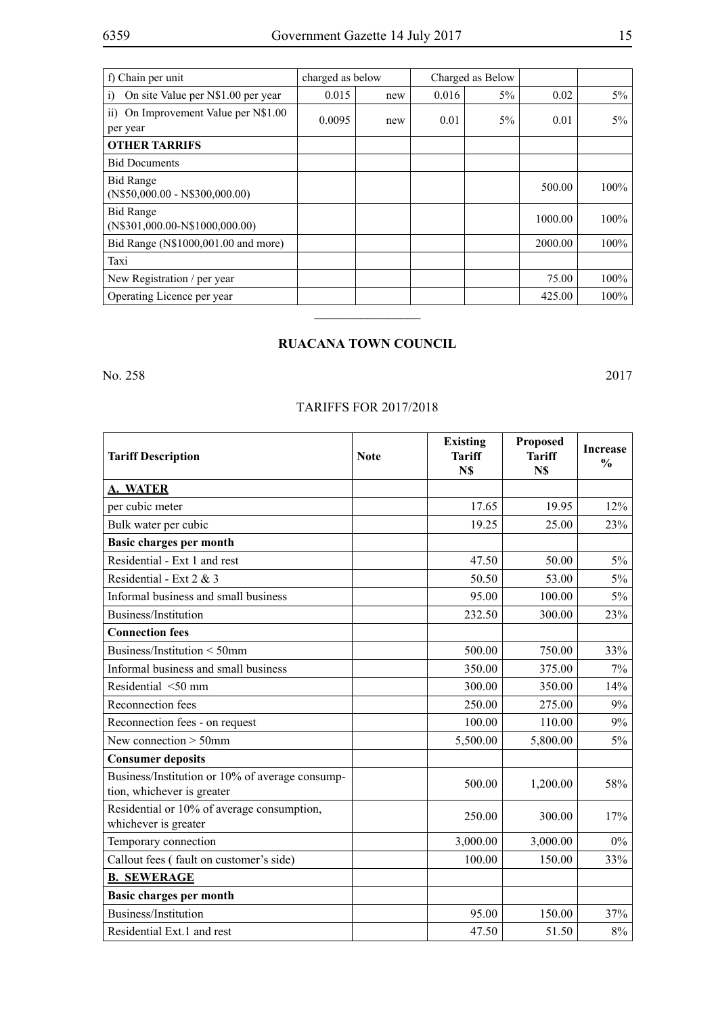| f) Chain per unit                                    | charged as below |     | Charged as Below |       |         |         |
|------------------------------------------------------|------------------|-----|------------------|-------|---------|---------|
| On site Value per N\$1.00 per year<br>$\overline{1}$ | 0.015            | new | 0.016            | $5\%$ | 0.02    | $5\%$   |
| On Improvement Value per N\$1.00<br>11)<br>per year  | 0.0095           | new | 0.01             | $5\%$ | 0.01    | $5\%$   |
| <b>OTHER TARRIFS</b>                                 |                  |     |                  |       |         |         |
| <b>Bid Documents</b>                                 |                  |     |                  |       |         |         |
| <b>Bid Range</b><br>$(N$50,000.00 - N$300,000.00)$   |                  |     |                  |       | 500.00  | 100%    |
| <b>Bid Range</b><br>$(N$301,000.00-N$1000,000.00)$   |                  |     |                  |       | 1000.00 | 100%    |
| Bid Range (N\$1000,001.00 and more)                  |                  |     |                  |       | 2000.00 | $100\%$ |
| Taxi                                                 |                  |     |                  |       |         |         |
| New Registration / per year                          |                  |     |                  |       | 75.00   | $100\%$ |
| Operating Licence per year                           |                  |     |                  |       | 425.00  | $100\%$ |
|                                                      |                  |     |                  |       |         |         |

## **RUACANA TOWN COUNCIL**

No. 258 2017

## TARIFFS FOR 2017/2018

| <b>Tariff Description</b>                                                     | <b>Note</b> | <b>Existing</b><br><b>Tariff</b><br>N\$ | Proposed<br><b>Tariff</b><br>N\$ | <b>Increase</b><br>$\frac{0}{0}$ |
|-------------------------------------------------------------------------------|-------------|-----------------------------------------|----------------------------------|----------------------------------|
| <b>A. WATER</b>                                                               |             |                                         |                                  |                                  |
| per cubic meter                                                               |             | 17.65                                   | 19.95                            | 12%                              |
| Bulk water per cubic                                                          |             | 19.25                                   | 25.00                            | 23%                              |
| <b>Basic charges per month</b>                                                |             |                                         |                                  |                                  |
| Residential - Ext 1 and rest                                                  |             | 47.50                                   | 50.00                            | $5\%$                            |
| Residential - Ext 2 & 3                                                       |             | 50.50                                   | 53.00                            | 5%                               |
| Informal business and small business                                          |             | 95.00                                   | 100.00                           | 5%                               |
| Business/Institution                                                          |             | 232.50                                  | 300.00                           | 23%                              |
| <b>Connection fees</b>                                                        |             |                                         |                                  |                                  |
| Business/Institution < 50mm                                                   |             | 500.00                                  | 750.00                           | 33%                              |
| Informal business and small business                                          |             | 350.00                                  | 375.00                           | $7\%$                            |
| Residential <50 mm                                                            |             | 300.00                                  | 350.00                           | 14%                              |
| Reconnection fees                                                             |             | 250.00                                  | 275.00                           | 9%                               |
| Reconnection fees - on request                                                |             | 100.00                                  | 110.00                           | 9%                               |
| New connection $>$ 50mm                                                       |             | 5,500.00                                | 5,800.00                         | $5\%$                            |
| <b>Consumer deposits</b>                                                      |             |                                         |                                  |                                  |
| Business/Institution or 10% of average consump-<br>tion, whichever is greater |             | 500.00                                  | 1,200.00                         | 58%                              |
| Residential or 10% of average consumption,<br>whichever is greater            |             | 250.00                                  | 300.00                           | 17%                              |
| Temporary connection                                                          |             | 3,000.00                                | 3,000.00                         | $0\%$                            |
| Callout fees (fault on customer's side)                                       |             | 100.00                                  | 150.00                           | 33%                              |
| <b>B. SEWERAGE</b>                                                            |             |                                         |                                  |                                  |
| <b>Basic charges per month</b>                                                |             |                                         |                                  |                                  |
| Business/Institution                                                          |             | 95.00                                   | 150.00                           | 37%                              |
| Residential Ext.1 and rest                                                    |             | 47.50                                   | 51.50                            | 8%                               |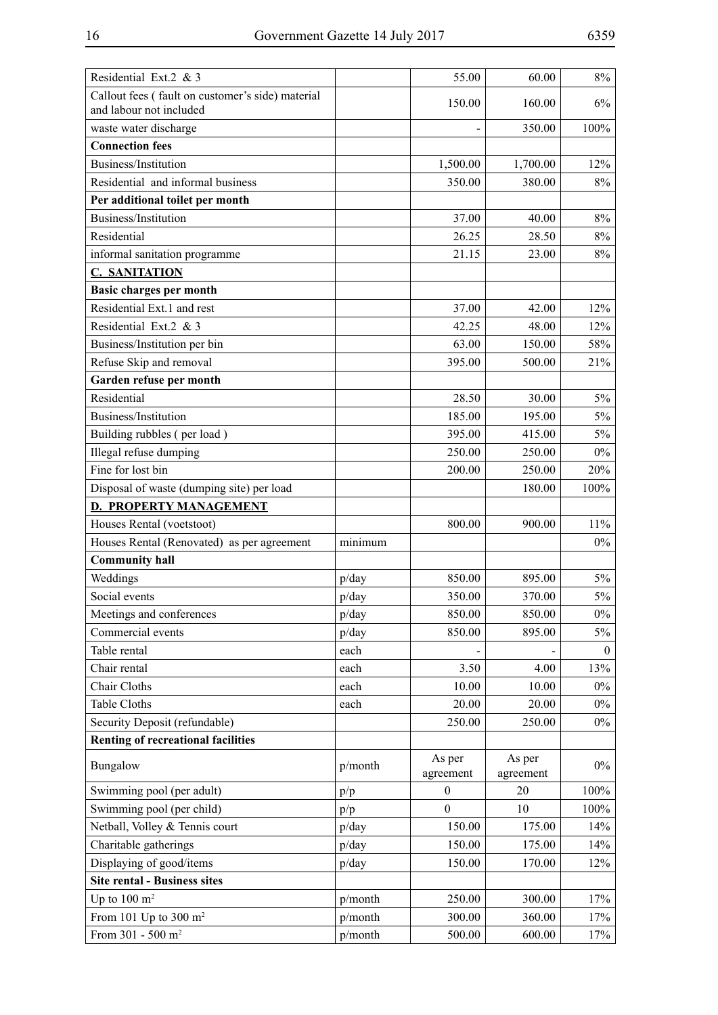| Residential Ext.2 & 3                                                       |         | 55.00               | 60.00               | $8\%$    |
|-----------------------------------------------------------------------------|---------|---------------------|---------------------|----------|
| Callout fees (fault on customer's side) material<br>and labour not included |         | 150.00              | 160.00              | 6%       |
| waste water discharge                                                       |         |                     | 350.00              | 100%     |
| <b>Connection fees</b>                                                      |         |                     |                     |          |
| Business/Institution                                                        |         | 1,500.00            | 1,700.00            | 12%      |
| Residential and informal business                                           |         | 350.00              | 380.00              | 8%       |
| Per additional toilet per month                                             |         |                     |                     |          |
| Business/Institution                                                        |         | 37.00               | 40.00               | 8%       |
| Residential                                                                 |         | 26.25               | 28.50               | 8%       |
| informal sanitation programme                                               |         | 21.15               | 23.00               | 8%       |
| <b>C. SANITATION</b>                                                        |         |                     |                     |          |
| Basic charges per month                                                     |         |                     |                     |          |
| Residential Ext.1 and rest                                                  |         | 37.00               | 42.00               | 12%      |
| Residential Ext.2 & 3                                                       |         | 42.25               | 48.00               | 12%      |
| Business/Institution per bin                                                |         | 63.00               | 150.00              | 58%      |
| Refuse Skip and removal                                                     |         | 395.00              | 500.00              | 21%      |
| Garden refuse per month                                                     |         |                     |                     |          |
| Residential                                                                 |         | 28.50               | 30.00               | $5\%$    |
| Business/Institution                                                        |         | 185.00              | 195.00              | $5\%$    |
| Building rubbles (per load)                                                 |         | 395.00              | 415.00              | $5\%$    |
| Illegal refuse dumping                                                      |         | 250.00              | 250.00              | $0\%$    |
| Fine for lost bin                                                           |         | 200.00              | 250.00              | 20%      |
| Disposal of waste (dumping site) per load                                   |         |                     | 180.00              | 100%     |
| <b>D. PROPERTY MANAGEMENT</b>                                               |         |                     |                     |          |
| Houses Rental (voetstoot)                                                   |         | 800.00              | 900.00              | $11\%$   |
| Houses Rental (Renovated) as per agreement                                  | minimum |                     |                     | $0\%$    |
| <b>Community hall</b>                                                       |         |                     |                     |          |
| Weddings                                                                    | p/day   | 850.00              | 895.00              | $5\%$    |
| Social events                                                               | p/day   | 350.00              | 370.00              | $5\%$    |
| Meetings and conferences                                                    | p/day   | 850.00              | 850.00              | $0\%$    |
| Commercial events                                                           | p/day   | 850.00              | 895.00              | $5\%$    |
| Table rental                                                                | each    |                     |                     | $\theta$ |
| Chair rental                                                                | each    | 3.50                | 4.00                | 13%      |
| Chair Cloths                                                                | each    | 10.00               | 10.00               | $0\%$    |
| Table Cloths                                                                | each    | 20.00               | 20.00               | $0\%$    |
| Security Deposit (refundable)                                               |         | 250.00              | 250.00              | $0\%$    |
| <b>Renting of recreational facilities</b>                                   |         |                     |                     |          |
| Bungalow                                                                    | p/month | As per<br>agreement | As per<br>agreement | $0\%$    |
| Swimming pool (per adult)                                                   | p/p     | $\boldsymbol{0}$    | 20                  | 100%     |
| Swimming pool (per child)                                                   | p/p     | $\overline{0}$      | 10                  | 100%     |
| Netball, Volley & Tennis court                                              | p/day   | 150.00              | 175.00              | 14%      |
| Charitable gatherings                                                       | p/day   | 150.00              | 175.00              | 14%      |
| Displaying of good/items                                                    | p/day   | 150.00              | 170.00              | 12%      |
| <b>Site rental - Business sites</b>                                         |         |                     |                     |          |
| Up to $100 \text{ m}^2$                                                     | p/month | 250.00              | 300.00              | 17%      |
| From 101 Up to 300 $m2$                                                     | p/month | 300.00              | 360.00              | 17%      |
| From $301 - 500$ m <sup>2</sup>                                             | p/month | 500.00              | 600.00              | 17%      |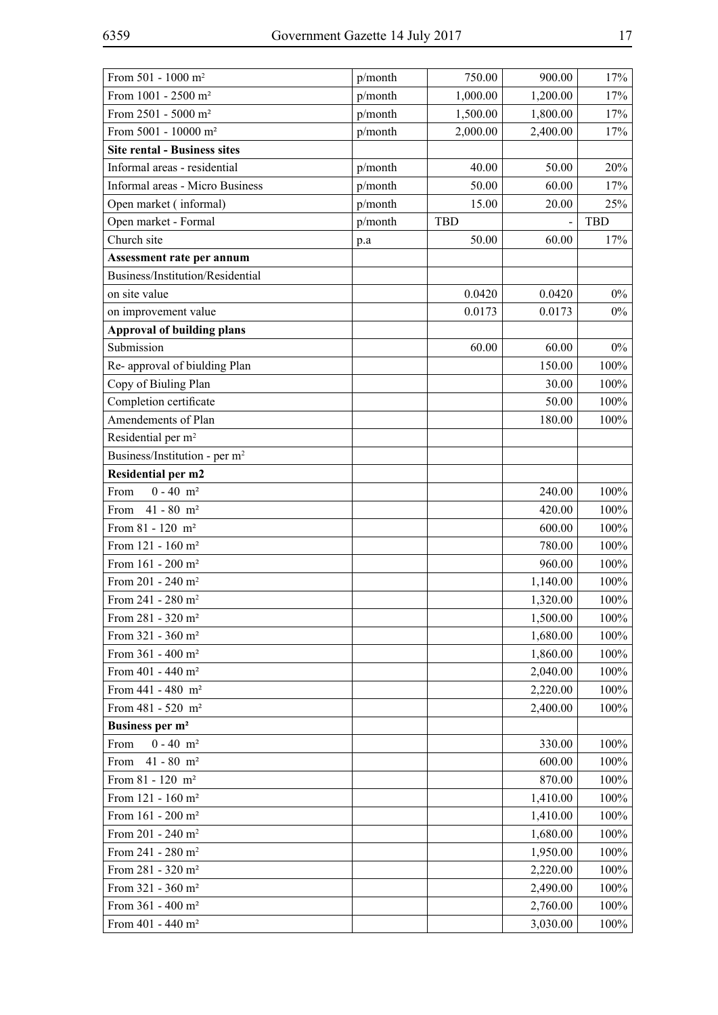| From 501 - 1000 m <sup>2</sup>            | p/month | 750.00     | 900.00   | 17%        |
|-------------------------------------------|---------|------------|----------|------------|
| From 1001 - 2500 m <sup>2</sup>           | p/month | 1,000.00   | 1,200.00 | 17%        |
| From 2501 - 5000 m <sup>2</sup>           | p/month | 1,500.00   | 1,800.00 | 17%        |
| From 5001 - 10000 m <sup>2</sup>          | p/month | 2,000.00   | 2,400.00 | 17%        |
| <b>Site rental - Business sites</b>       |         |            |          |            |
| Informal areas - residential              | p/month | 40.00      | 50.00    | 20%        |
| Informal areas - Micro Business           | p/month | 50.00      | 60.00    | 17%        |
| Open market (informal)                    | p/month | 15.00      | 20.00    | 25%        |
| Open market - Formal                      | p/month | <b>TBD</b> |          | <b>TBD</b> |
| Church site                               | p.a     | 50.00      | 60.00    | 17%        |
| Assessment rate per annum                 |         |            |          |            |
| Business/Institution/Residential          |         |            |          |            |
| on site value                             |         | 0.0420     | 0.0420   | $0\%$      |
| on improvement value                      |         | 0.0173     | 0.0173   | $0\%$      |
| <b>Approval of building plans</b>         |         |            |          |            |
| Submission                                |         | 60.00      | 60.00    | $0\%$      |
| Re-approval of biulding Plan              |         |            | 150.00   | 100%       |
| Copy of Biuling Plan                      |         |            | 30.00    | 100%       |
| Completion certificate                    |         |            | 50.00    | 100%       |
| Amendements of Plan                       |         |            | 180.00   | 100%       |
| Residential per m <sup>2</sup>            |         |            |          |            |
| Business/Institution - per m <sup>2</sup> |         |            |          |            |
| Residential per m2                        |         |            |          |            |
| $0 - 40$ m <sup>2</sup><br>From           |         |            | 240.00   | 100%       |
| From<br>$41 - 80$ m <sup>2</sup>          |         |            | 420.00   | 100%       |
| From $81 - 120$ m <sup>2</sup>            |         |            | 600.00   | 100%       |
| From 121 - 160 m <sup>2</sup>             |         |            | 780.00   | 100%       |
| From 161 - 200 m <sup>2</sup>             |         |            | 960.00   | 100%       |
| From 201 - 240 $m^2$                      |         |            | 1,140.00 | 100%       |
| From 241 - 280 m <sup>2</sup>             |         |            | 1,320.00 | 100%       |
| From 281 - 320 m <sup>2</sup>             |         |            | 1,500.00 | 100%       |
| From 321 - 360 m <sup>2</sup>             |         |            | 1,680.00 | 100%       |
| From 361 - 400 m <sup>2</sup>             |         |            | 1,860.00 | 100%       |
| From $401 - 440$ m <sup>2</sup>           |         |            | 2,040.00 | 100%       |
| From $441 - 480$ m <sup>2</sup>           |         |            | 2,220.00 | 100%       |
| From $481 - 520$ m <sup>2</sup>           |         |            | 2,400.00 | 100%       |
| Business per m <sup>2</sup>               |         |            |          |            |
| $0 - 40$ m <sup>2</sup><br>From           |         |            | 330.00   | 100%       |
| $41 - 80$ m <sup>2</sup><br>From          |         |            | 600.00   | 100%       |
| From $81 - 120$ m <sup>2</sup>            |         |            | 870.00   | 100%       |
| From 121 - 160 m <sup>2</sup>             |         |            | 1,410.00 | 100%       |
| From $161 - 200$ m <sup>2</sup>           |         |            | 1,410.00 | 100%       |
| From 201 - 240 m <sup>2</sup>             |         |            | 1,680.00 | 100%       |
| From $241 - 280$ m <sup>2</sup>           |         |            | 1,950.00 | 100%       |
| From 281 - 320 m <sup>2</sup>             |         |            | 2,220.00 | 100%       |
| From 321 - 360 m <sup>2</sup>             |         |            | 2,490.00 | 100%       |
| From $361 - 400$ m <sup>2</sup>           |         |            | 2,760.00 | 100%       |
| From 401 - 440 m <sup>2</sup>             |         |            | 3,030.00 | 100%       |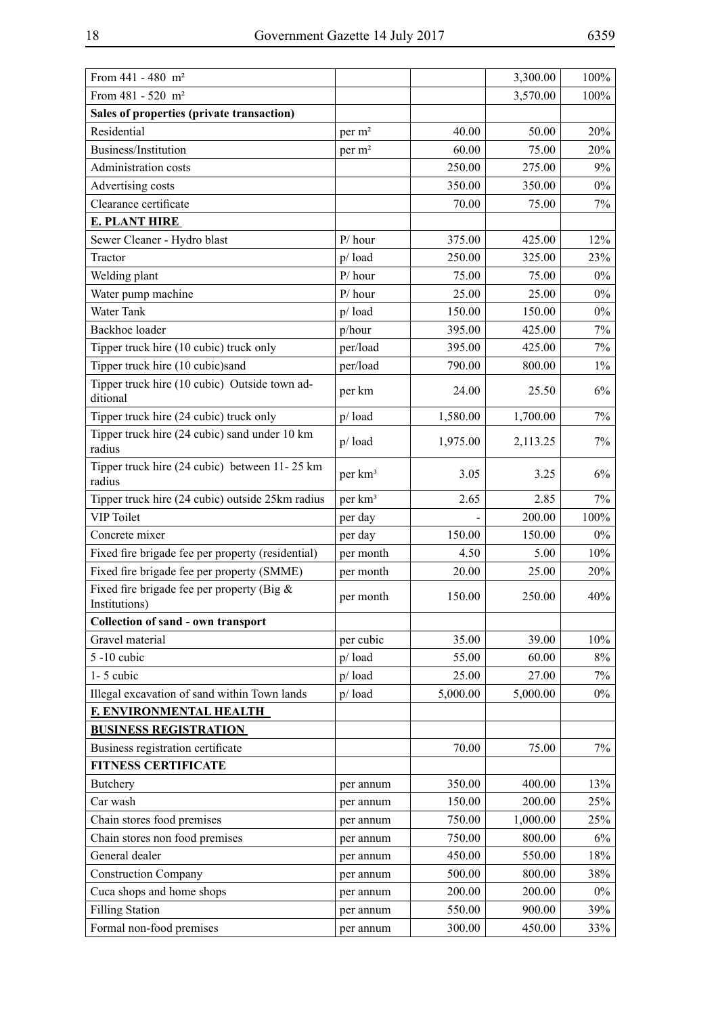| 100%<br>From $481 - 520$ m <sup>2</sup><br>3,570.00<br>Sales of properties (private transaction)<br>Residential<br>20%<br>per m <sup>2</sup><br>40.00<br>50.00<br>60.00<br>75.00<br>20%<br>Business/Institution<br>per m <sup>2</sup><br>9%<br>Administration costs<br>250.00<br>275.00<br>350.00<br>350.00<br>$0\%$<br>Advertising costs<br>Clearance certificate<br>75.00<br>7%<br>70.00<br><b>E. PLANT HIRE</b><br>Sewer Cleaner - Hydro blast<br>12%<br>$P/$ hour<br>375.00<br>425.00<br>Tractor<br>$p/$ load<br>250.00<br>325.00<br>23%<br>Welding plant<br>$P/$ hour<br>75.00<br>$0\%$<br>75.00<br>Water pump machine<br>$P/$ hour<br>25.00<br>25.00<br>$0\%$<br>Water Tank<br>150.00<br>$0\%$<br>$p/$ load<br>150.00 |
|-----------------------------------------------------------------------------------------------------------------------------------------------------------------------------------------------------------------------------------------------------------------------------------------------------------------------------------------------------------------------------------------------------------------------------------------------------------------------------------------------------------------------------------------------------------------------------------------------------------------------------------------------------------------------------------------------------------------------------|
|                                                                                                                                                                                                                                                                                                                                                                                                                                                                                                                                                                                                                                                                                                                             |
|                                                                                                                                                                                                                                                                                                                                                                                                                                                                                                                                                                                                                                                                                                                             |
|                                                                                                                                                                                                                                                                                                                                                                                                                                                                                                                                                                                                                                                                                                                             |
|                                                                                                                                                                                                                                                                                                                                                                                                                                                                                                                                                                                                                                                                                                                             |
|                                                                                                                                                                                                                                                                                                                                                                                                                                                                                                                                                                                                                                                                                                                             |
|                                                                                                                                                                                                                                                                                                                                                                                                                                                                                                                                                                                                                                                                                                                             |
|                                                                                                                                                                                                                                                                                                                                                                                                                                                                                                                                                                                                                                                                                                                             |
|                                                                                                                                                                                                                                                                                                                                                                                                                                                                                                                                                                                                                                                                                                                             |
|                                                                                                                                                                                                                                                                                                                                                                                                                                                                                                                                                                                                                                                                                                                             |
|                                                                                                                                                                                                                                                                                                                                                                                                                                                                                                                                                                                                                                                                                                                             |
|                                                                                                                                                                                                                                                                                                                                                                                                                                                                                                                                                                                                                                                                                                                             |
|                                                                                                                                                                                                                                                                                                                                                                                                                                                                                                                                                                                                                                                                                                                             |
|                                                                                                                                                                                                                                                                                                                                                                                                                                                                                                                                                                                                                                                                                                                             |
| Backhoe loader<br>p/hour<br>395.00<br>425.00<br>7%                                                                                                                                                                                                                                                                                                                                                                                                                                                                                                                                                                                                                                                                          |
| Tipper truck hire (10 cubic) truck only<br>per/load<br>395.00<br>7%<br>425.00                                                                                                                                                                                                                                                                                                                                                                                                                                                                                                                                                                                                                                               |
| Tipper truck hire (10 cubic)sand<br>per/load<br>$1\%$<br>790.00<br>800.00                                                                                                                                                                                                                                                                                                                                                                                                                                                                                                                                                                                                                                                   |
| Tipper truck hire (10 cubic) Outside town ad-                                                                                                                                                                                                                                                                                                                                                                                                                                                                                                                                                                                                                                                                               |
| $6\%$<br>per km<br>24.00<br>25.50<br>ditional                                                                                                                                                                                                                                                                                                                                                                                                                                                                                                                                                                                                                                                                               |
| Tipper truck hire (24 cubic) truck only<br>1,700.00<br>p/load<br>1,580.00<br>7%                                                                                                                                                                                                                                                                                                                                                                                                                                                                                                                                                                                                                                             |
| Tipper truck hire (24 cubic) sand under 10 km<br>7%<br>$p/$ load<br>1,975.00<br>2,113.25<br>radius                                                                                                                                                                                                                                                                                                                                                                                                                                                                                                                                                                                                                          |
| Tipper truck hire (24 cubic) between 11-25 km<br>6%<br>3.05<br>3.25<br>per km <sup>3</sup><br>radius                                                                                                                                                                                                                                                                                                                                                                                                                                                                                                                                                                                                                        |
| Tipper truck hire (24 cubic) outside 25km radius<br>per km <sup>3</sup><br>2.85<br>2.65<br>7%                                                                                                                                                                                                                                                                                                                                                                                                                                                                                                                                                                                                                               |
| <b>VIP</b> Toilet<br>200.00<br>100%<br>per day                                                                                                                                                                                                                                                                                                                                                                                                                                                                                                                                                                                                                                                                              |
| 150.00<br>$0\%$<br>Concrete mixer<br>per day<br>150.00                                                                                                                                                                                                                                                                                                                                                                                                                                                                                                                                                                                                                                                                      |
| 10%<br>Fixed fire brigade fee per property (residential)<br>per month<br>4.50<br>5.00                                                                                                                                                                                                                                                                                                                                                                                                                                                                                                                                                                                                                                       |
| Fixed fire brigade fee per property (SMME)<br>20.00<br>25.00<br>20%<br>per month                                                                                                                                                                                                                                                                                                                                                                                                                                                                                                                                                                                                                                            |
| Fixed fire brigade fee per property (Big $\&$<br>40%<br>150.00<br>250.00<br>per month<br>Institutions)                                                                                                                                                                                                                                                                                                                                                                                                                                                                                                                                                                                                                      |
| <b>Collection of sand - own transport</b>                                                                                                                                                                                                                                                                                                                                                                                                                                                                                                                                                                                                                                                                                   |
| Gravel material<br>per cubic<br>39.00<br>10%<br>35.00                                                                                                                                                                                                                                                                                                                                                                                                                                                                                                                                                                                                                                                                       |
| 5 -10 cubic<br>$p/$ load<br>55.00<br>60.00<br>$8\%$                                                                                                                                                                                                                                                                                                                                                                                                                                                                                                                                                                                                                                                                         |
| $1 - 5$ cubic<br>p/load<br>25.00<br>27.00<br>$7\%$                                                                                                                                                                                                                                                                                                                                                                                                                                                                                                                                                                                                                                                                          |
| Illegal excavation of sand within Town lands<br>5,000.00<br>$p/$ load<br>5,000.00<br>$0\%$                                                                                                                                                                                                                                                                                                                                                                                                                                                                                                                                                                                                                                  |
| <b>F. ENVIRONMENTAL HEALTH</b>                                                                                                                                                                                                                                                                                                                                                                                                                                                                                                                                                                                                                                                                                              |
| <b>BUSINESS REGISTRATION</b>                                                                                                                                                                                                                                                                                                                                                                                                                                                                                                                                                                                                                                                                                                |
| Business registration certificate<br>70.00<br>75.00<br>$7\%$                                                                                                                                                                                                                                                                                                                                                                                                                                                                                                                                                                                                                                                                |
| <b>FITNESS CERTIFICATE</b>                                                                                                                                                                                                                                                                                                                                                                                                                                                                                                                                                                                                                                                                                                  |
| Butchery<br>350.00<br>400.00<br>13%<br>per annum                                                                                                                                                                                                                                                                                                                                                                                                                                                                                                                                                                                                                                                                            |
| Car wash<br>200.00<br>150.00<br>25%<br>per annum                                                                                                                                                                                                                                                                                                                                                                                                                                                                                                                                                                                                                                                                            |
| Chain stores food premises<br>750.00<br>1,000.00<br>25%<br>per annum                                                                                                                                                                                                                                                                                                                                                                                                                                                                                                                                                                                                                                                        |
| Chain stores non food premises<br>750.00<br>800.00<br>$6\%$<br>per annum                                                                                                                                                                                                                                                                                                                                                                                                                                                                                                                                                                                                                                                    |
| General dealer<br>450.00<br>550.00<br>18%<br>per annum                                                                                                                                                                                                                                                                                                                                                                                                                                                                                                                                                                                                                                                                      |
| <b>Construction Company</b><br>500.00<br>800.00<br>38%<br>per annum                                                                                                                                                                                                                                                                                                                                                                                                                                                                                                                                                                                                                                                         |
| Cuca shops and home shops<br>200.00<br>200.00<br>$0\%$<br>per annum                                                                                                                                                                                                                                                                                                                                                                                                                                                                                                                                                                                                                                                         |
| <b>Filling Station</b><br>550.00<br>900.00<br>39%<br>per annum                                                                                                                                                                                                                                                                                                                                                                                                                                                                                                                                                                                                                                                              |
| Formal non-food premises<br>300.00<br>450.00<br>33%<br>per annum                                                                                                                                                                                                                                                                                                                                                                                                                                                                                                                                                                                                                                                            |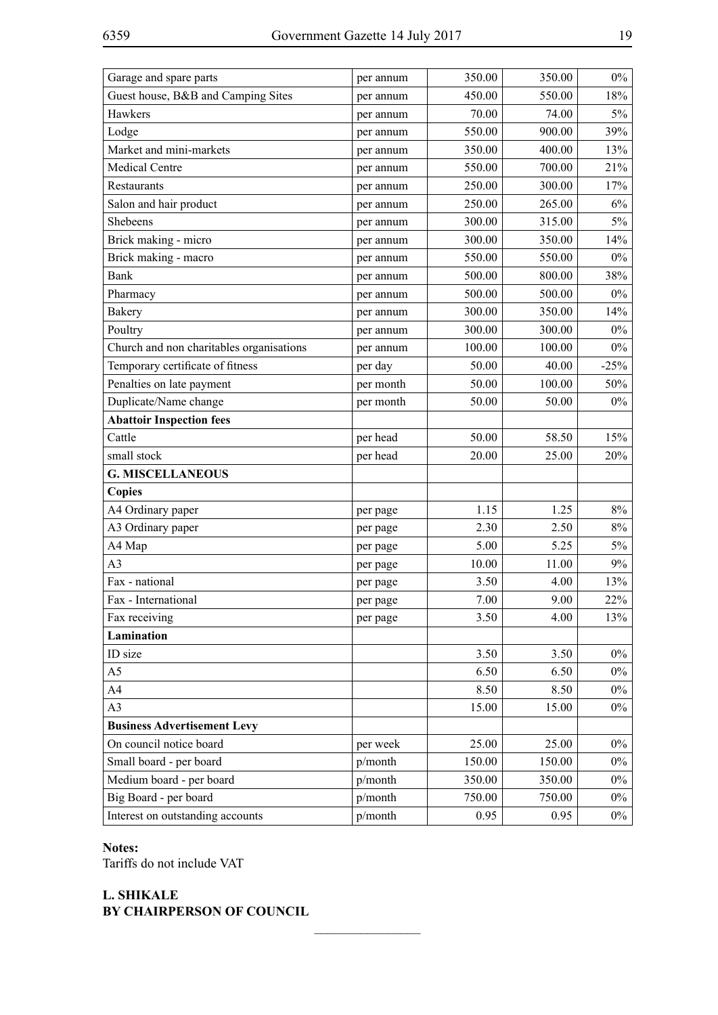| Garage and spare parts                   | per annum | 350.00 | 350.00 | $0\%$  |
|------------------------------------------|-----------|--------|--------|--------|
| Guest house, B&B and Camping Sites       | per annum | 450.00 | 550.00 | 18%    |
| Hawkers                                  | per annum | 70.00  | 74.00  | $5\%$  |
| Lodge                                    | per annum | 550.00 | 900.00 | 39%    |
| Market and mini-markets                  | per annum | 350.00 | 400.00 | 13%    |
| Medical Centre                           | per annum | 550.00 | 700.00 | 21%    |
| Restaurants                              | per annum | 250.00 | 300.00 | 17%    |
| Salon and hair product                   | per annum | 250.00 | 265.00 | 6%     |
| Shebeens                                 | per annum | 300.00 | 315.00 | 5%     |
| Brick making - micro                     | per annum | 300.00 | 350.00 | 14%    |
| Brick making - macro                     | per annum | 550.00 | 550.00 | $0\%$  |
| <b>Bank</b>                              | per annum | 500.00 | 800.00 | 38%    |
| Pharmacy                                 | per annum | 500.00 | 500.00 | $0\%$  |
| <b>Bakery</b>                            | per annum | 300.00 | 350.00 | 14%    |
| Poultry                                  | per annum | 300.00 | 300.00 | $0\%$  |
| Church and non charitables organisations | per annum | 100.00 | 100.00 | $0\%$  |
| Temporary certificate of fitness         | per day   | 50.00  | 40.00  | $-25%$ |
| Penalties on late payment                | per month | 50.00  | 100.00 | 50%    |
| Duplicate/Name change                    | per month | 50.00  | 50.00  | $0\%$  |
| <b>Abattoir Inspection fees</b>          |           |        |        |        |
| Cattle                                   | per head  | 50.00  | 58.50  | 15%    |
| small stock                              | per head  | 20.00  | 25.00  | 20%    |
| <b>G. MISCELLANEOUS</b>                  |           |        |        |        |
| <b>Copies</b>                            |           |        |        |        |
| A4 Ordinary paper                        | per page  | 1.15   | 1.25   | 8%     |
| A3 Ordinary paper                        | per page  | 2.30   | 2.50   | 8%     |
| A4 Map                                   | per page  | 5.00   | 5.25   | 5%     |
| A <sub>3</sub>                           | per page  | 10.00  | 11.00  | 9%     |
| Fax - national                           | per page  | 3.50   | 4.00   | 13%    |
| Fax - International                      | per page  | 7.00   | 9.00   | 22%    |
| Fax receiving                            | per page  | 3.50   | 4.00   | 13%    |
| Lamination                               |           |        |        |        |
| ID size                                  |           | 3.50   | 3.50   | $0\%$  |
| A <sub>5</sub>                           |           | 6.50   | 6.50   | $0\%$  |
| A4                                       |           | 8.50   | 8.50   | $0\%$  |
| A3                                       |           | 15.00  | 15.00  | $0\%$  |
| <b>Business Advertisement Levy</b>       |           |        |        |        |
| On council notice board                  | per week  | 25.00  | 25.00  | $0\%$  |
| Small board - per board                  | p/month   | 150.00 | 150.00 | $0\%$  |
| Medium board - per board                 | p/month   | 350.00 | 350.00 | $0\%$  |
| Big Board - per board                    | p/month   | 750.00 | 750.00 | $0\%$  |
| Interest on outstanding accounts         | p/month   | 0.95   | 0.95   | $0\%$  |

 $\frac{1}{2}$ 

### **Notes:**

Tariffs do not include VAT

## **L. SHIKALE BY CHAIRPERSON OF COUNCIL**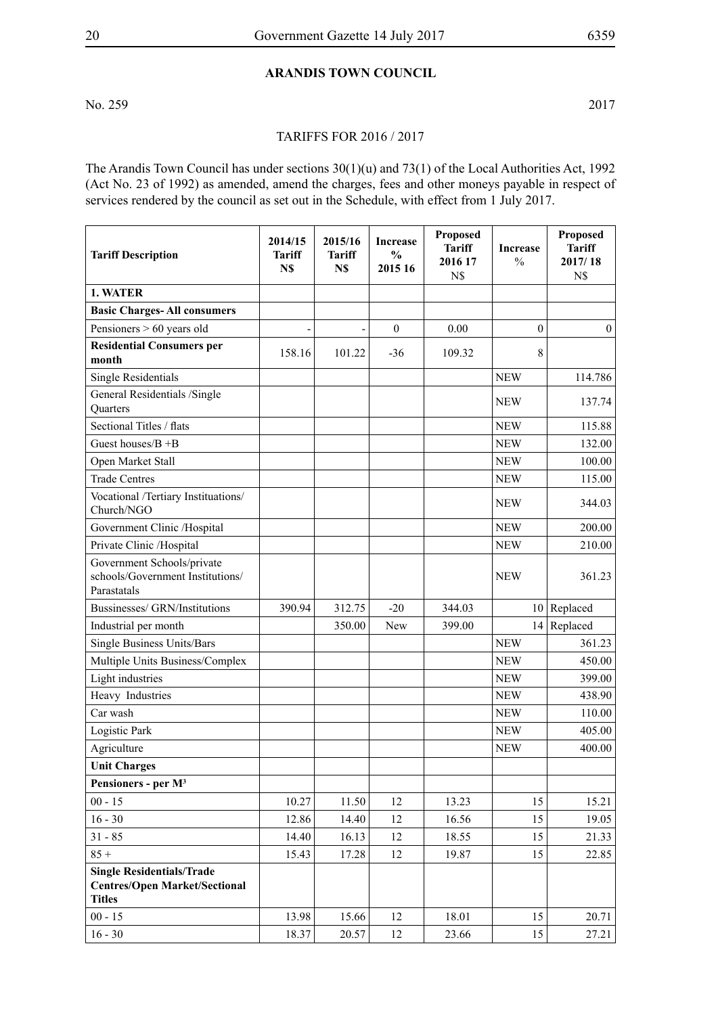## **Arandis Town Council**

No. 259 2017

#### Tariffs for 2016 / 2017

The Arandis Town Council has under sections 30(1)(u) and 73(1) of the Local Authorities Act, 1992 (Act No. 23 of 1992) as amended, amend the charges, fees and other moneys payable in respect of services rendered by the council as set out in the Schedule, with effect from 1 July 2017.

| <b>Tariff Description</b>                                                                 | 2014/15<br><b>Tariff</b><br>N\$ | 2015/16<br><b>Tariff</b><br>N\$ | <b>Increase</b><br>$\frac{0}{0}$<br>2015 16 | <b>Proposed</b><br><b>Tariff</b><br>2016 17<br>N\$ | <b>Increase</b><br>$\frac{0}{0}$ | Proposed<br><b>Tariff</b><br>2017/18<br>N\$ |
|-------------------------------------------------------------------------------------------|---------------------------------|---------------------------------|---------------------------------------------|----------------------------------------------------|----------------------------------|---------------------------------------------|
| 1. WATER                                                                                  |                                 |                                 |                                             |                                                    |                                  |                                             |
| <b>Basic Charges-All consumers</b>                                                        |                                 |                                 |                                             |                                                    |                                  |                                             |
| Pensioners $> 60$ years old                                                               | ٠                               | -                               | $\boldsymbol{0}$                            | 0.00                                               | $\theta$                         | $\boldsymbol{0}$                            |
| <b>Residential Consumers per</b><br>month                                                 | 158.16                          | 101.22                          | $-36$                                       | 109.32                                             | 8                                |                                             |
| <b>Single Residentials</b>                                                                |                                 |                                 |                                             |                                                    | <b>NEW</b>                       | 114.786                                     |
| General Residentials /Single<br>Quarters                                                  |                                 |                                 |                                             |                                                    | <b>NEW</b>                       | 137.74                                      |
| Sectional Titles / flats                                                                  |                                 |                                 |                                             |                                                    | <b>NEW</b>                       | 115.88                                      |
| Guest houses/ $B + B$                                                                     |                                 |                                 |                                             |                                                    | <b>NEW</b>                       | 132.00                                      |
| Open Market Stall                                                                         |                                 |                                 |                                             |                                                    | <b>NEW</b>                       | 100.00                                      |
| <b>Trade Centres</b>                                                                      |                                 |                                 |                                             |                                                    | <b>NEW</b>                       | 115.00                                      |
| Vocational /Tertiary Instituations/<br>Church/NGO                                         |                                 |                                 |                                             |                                                    | <b>NEW</b>                       | 344.03                                      |
| Government Clinic /Hospital                                                               |                                 |                                 |                                             |                                                    | <b>NEW</b>                       | 200.00                                      |
| Private Clinic /Hospital                                                                  |                                 |                                 |                                             |                                                    | <b>NEW</b>                       | 210.00                                      |
| Government Schools/private<br>schools/Government Institutions/<br>Parastatals             |                                 |                                 |                                             |                                                    | NEW                              | 361.23                                      |
| Bussinesses/ GRN/Institutions                                                             | 390.94                          | 312.75                          | $-20$                                       | 344.03                                             |                                  | $10$ Replaced                               |
| Industrial per month                                                                      |                                 | 350.00                          | New                                         | 399.00                                             | 14                               | Replaced                                    |
| <b>Single Business Units/Bars</b>                                                         |                                 |                                 |                                             |                                                    | <b>NEW</b>                       | 361.23                                      |
| Multiple Units Business/Complex                                                           |                                 |                                 |                                             |                                                    | <b>NEW</b>                       | 450.00                                      |
| Light industries                                                                          |                                 |                                 |                                             |                                                    | <b>NEW</b>                       | 399.00                                      |
| Heavy Industries                                                                          |                                 |                                 |                                             |                                                    | <b>NEW</b>                       | 438.90                                      |
| Car wash                                                                                  |                                 |                                 |                                             |                                                    | <b>NEW</b>                       | 110.00                                      |
| Logistic Park                                                                             |                                 |                                 |                                             |                                                    | <b>NEW</b>                       | 405.00                                      |
| Agriculture                                                                               |                                 |                                 |                                             |                                                    | <b>NEW</b>                       | 400.00                                      |
| <b>Unit Charges</b>                                                                       |                                 |                                 |                                             |                                                    |                                  |                                             |
| Pensioners - per M <sup>3</sup>                                                           |                                 |                                 |                                             |                                                    |                                  |                                             |
| $00 - 15$                                                                                 | 10.27                           | 11.50                           | 12                                          | 13.23                                              | 15                               | 15.21                                       |
| $16 - 30$                                                                                 | 12.86                           | 14.40                           | 12                                          | 16.56                                              | 15                               | 19.05                                       |
| $31 - 85$                                                                                 | 14.40                           | 16.13                           | 12                                          | 18.55                                              | 15                               | 21.33                                       |
| $85 +$                                                                                    | 15.43                           | 17.28                           | 12                                          | 19.87                                              | 15                               | 22.85                                       |
| <b>Single Residentials/Trade</b><br><b>Centres/Open Market/Sectional</b><br><b>Titles</b> |                                 |                                 |                                             |                                                    |                                  |                                             |
| $00 - 15$                                                                                 | 13.98                           | 15.66                           | 12                                          | 18.01                                              | 15                               | 20.71                                       |
| $16 - 30$                                                                                 | 18.37                           | 20.57                           | 12                                          | 23.66                                              | 15                               | 27.21                                       |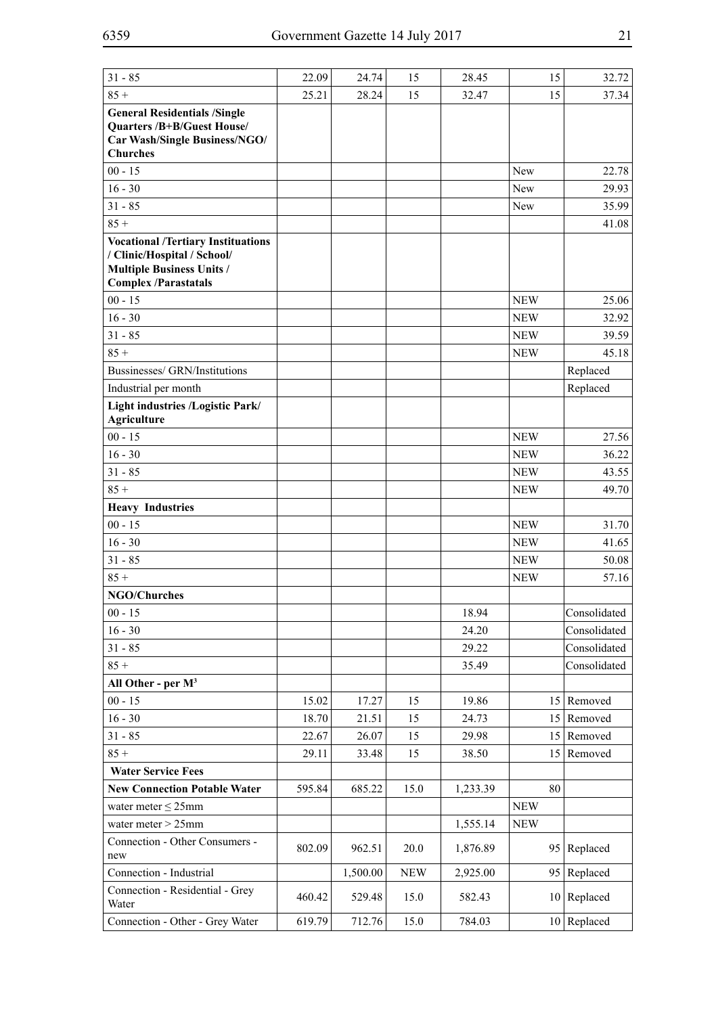| $31 - 85$                                                                                                                                   | 22.09  | 24.74    | 15         | 28.45    | 15              | 32.72         |
|---------------------------------------------------------------------------------------------------------------------------------------------|--------|----------|------------|----------|-----------------|---------------|
| $85 +$                                                                                                                                      | 25.21  | 28.24    | 15         | 32.47    | 15              | 37.34         |
| <b>General Residentials /Single</b><br><b>Quarters /B+B/Guest House/</b><br>Car Wash/Single Business/NGO/<br><b>Churches</b>                |        |          |            |          |                 |               |
| $00 - 15$                                                                                                                                   |        |          |            |          | New             | 22.78         |
| $16 - 30$                                                                                                                                   |        |          |            |          | New             | 29.93         |
| $31 - 85$                                                                                                                                   |        |          |            |          | New             | 35.99         |
| $85 +$                                                                                                                                      |        |          |            |          |                 | 41.08         |
| <b>Vocational /Tertiary Instituations</b><br>/ Clinic/Hospital / School/<br><b>Multiple Business Units /</b><br><b>Complex /Parastatals</b> |        |          |            |          |                 |               |
| $00 - 15$                                                                                                                                   |        |          |            |          | <b>NEW</b>      | 25.06         |
| $16 - 30$                                                                                                                                   |        |          |            |          | <b>NEW</b>      | 32.92         |
| $31 - 85$                                                                                                                                   |        |          |            |          | <b>NEW</b>      | 39.59         |
| $85 +$                                                                                                                                      |        |          |            |          | <b>NEW</b>      | 45.18         |
| Bussinesses/ GRN/Institutions                                                                                                               |        |          |            |          |                 | Replaced      |
| Industrial per month                                                                                                                        |        |          |            |          |                 | Replaced      |
| Light industries /Logistic Park/<br><b>Agriculture</b>                                                                                      |        |          |            |          |                 |               |
| $00 - 15$                                                                                                                                   |        |          |            |          | <b>NEW</b>      | 27.56         |
| $16 - 30$                                                                                                                                   |        |          |            |          | <b>NEW</b>      | 36.22         |
| $31 - 85$                                                                                                                                   |        |          |            |          | <b>NEW</b>      | 43.55         |
| $85 +$                                                                                                                                      |        |          |            |          | <b>NEW</b>      | 49.70         |
| <b>Heavy Industries</b>                                                                                                                     |        |          |            |          |                 |               |
| $00 - 15$                                                                                                                                   |        |          |            |          | <b>NEW</b>      | 31.70         |
| $16 - 30$                                                                                                                                   |        |          |            |          | <b>NEW</b>      | 41.65         |
| $31 - 85$                                                                                                                                   |        |          |            |          | <b>NEW</b>      | 50.08         |
| $85 +$                                                                                                                                      |        |          |            |          | <b>NEW</b>      | 57.16         |
| <b>NGO/Churches</b>                                                                                                                         |        |          |            |          |                 |               |
| $00 - 15$                                                                                                                                   |        |          |            | 18.94    |                 | Consolidated  |
| $16 - 30$                                                                                                                                   |        |          |            | 24.20    |                 | Consolidated  |
| $31 - 85$                                                                                                                                   |        |          |            | 29.22    |                 | Consolidated  |
| $85 +$                                                                                                                                      |        |          |            | 35.49    |                 | Consolidated  |
| All Other - per $M^3$                                                                                                                       |        |          |            |          |                 |               |
| $00 - 15$                                                                                                                                   | 15.02  | 17.27    | 15         | 19.86    |                 | 15 Removed    |
| $16 - 30$                                                                                                                                   | 18.70  | 21.51    | 15         | 24.73    | 15 <sup>1</sup> | Removed       |
| $31 - 85$                                                                                                                                   | 22.67  | 26.07    | 15         | 29.98    | 15 <sup>1</sup> | Removed       |
| $85 +$                                                                                                                                      | 29.11  | 33.48    | 15         | 38.50    | 15              | Removed       |
| <b>Water Service Fees</b>                                                                                                                   |        |          |            |          |                 |               |
| <b>New Connection Potable Water</b>                                                                                                         | 595.84 | 685.22   | 15.0       | 1,233.39 | 80              |               |
| water meter $\leq$ 25mm                                                                                                                     |        |          |            |          | <b>NEW</b>      |               |
| water meter $>$ 25mm                                                                                                                        |        |          |            | 1,555.14 | <b>NEW</b>      |               |
| Connection - Other Consumers -<br>new                                                                                                       | 802.09 | 962.51   | 20.0       | 1,876.89 |                 | 95 Replaced   |
| Connection - Industrial                                                                                                                     |        | 1,500.00 | <b>NEW</b> | 2,925.00 | 95              | Replaced      |
| Connection - Residential - Grey<br>Water                                                                                                    | 460.42 | 529.48   | 15.0       | 582.43   |                 | $10$ Replaced |
| Connection - Other - Grey Water                                                                                                             | 619.79 | 712.76   | 15.0       | 784.03   |                 | $10$ Replaced |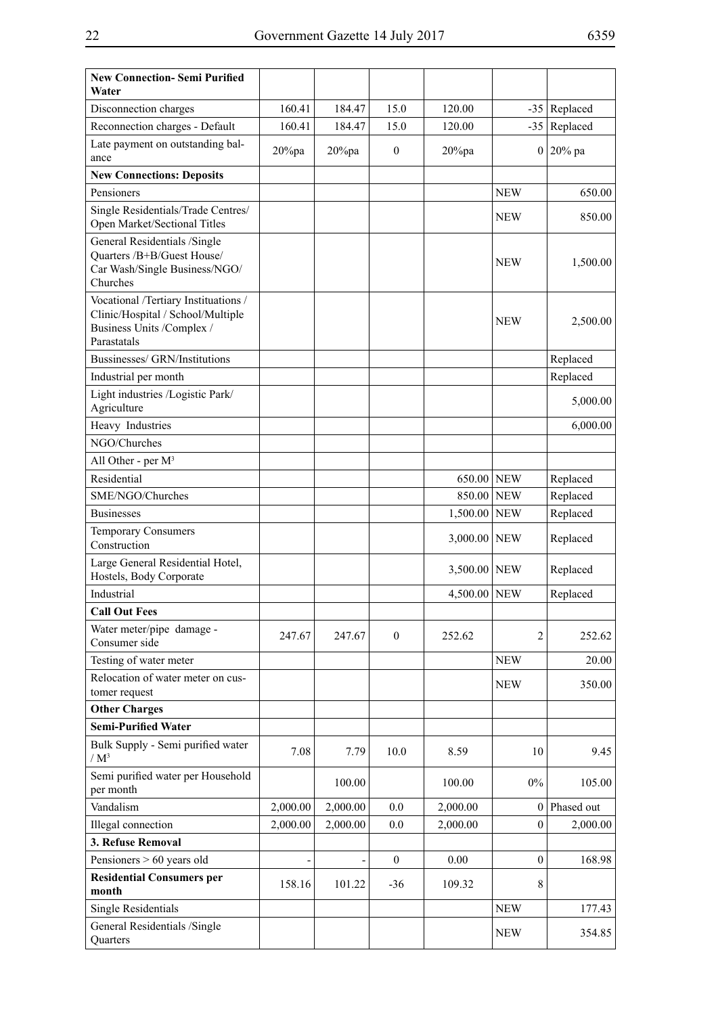| <b>New Connection-Semi Purified</b><br>Water                                                                          |           |           |                  |              |              |                |
|-----------------------------------------------------------------------------------------------------------------------|-----------|-----------|------------------|--------------|--------------|----------------|
| Disconnection charges                                                                                                 | 160.41    | 184.47    | 15.0             | 120.00       |              | $-35$ Replaced |
| Reconnection charges - Default                                                                                        | 160.41    | 184.47    | 15.0             | 120.00       | $-35$        | Replaced       |
| Late payment on outstanding bal-<br>ance                                                                              | $20\%$ pa | $20\%$ pa | $\mathbf{0}$     | $20\%$ pa    |              | $0 20\%$ pa    |
| <b>New Connections: Deposits</b>                                                                                      |           |           |                  |              |              |                |
| Pensioners                                                                                                            |           |           |                  |              | <b>NEW</b>   | 650.00         |
| Single Residentials/Trade Centres/<br>Open Market/Sectional Titles                                                    |           |           |                  |              | <b>NEW</b>   | 850.00         |
| General Residentials /Single<br>Quarters /B+B/Guest House/<br>Car Wash/Single Business/NGO/<br>Churches               |           |           |                  |              | <b>NEW</b>   | 1,500.00       |
| Vocational /Tertiary Instituations /<br>Clinic/Hospital / School/Multiple<br>Business Units /Complex /<br>Parastatals |           |           |                  |              | NEW          | 2,500.00       |
| Bussinesses/ GRN/Institutions                                                                                         |           |           |                  |              |              | Replaced       |
| Industrial per month                                                                                                  |           |           |                  |              |              | Replaced       |
| Light industries /Logistic Park/<br>Agriculture                                                                       |           |           |                  |              |              | 5,000.00       |
| Heavy Industries                                                                                                      |           |           |                  |              |              | 6,000.00       |
| NGO/Churches                                                                                                          |           |           |                  |              |              |                |
| All Other - per $M^3$                                                                                                 |           |           |                  |              |              |                |
| Residential                                                                                                           |           |           |                  | 650.00 NEW   |              | Replaced       |
| SME/NGO/Churches                                                                                                      |           |           |                  | 850.00 NEW   |              | Replaced       |
| <b>Businesses</b>                                                                                                     |           |           |                  | 1,500.00     | <b>NEW</b>   | Replaced       |
| <b>Temporary Consumers</b><br>Construction                                                                            |           |           |                  | 3,000.00 NEW |              | Replaced       |
| Large General Residential Hotel,<br>Hostels, Body Corporate                                                           |           |           |                  | 3,500.00 NEW |              | Replaced       |
| Industrial                                                                                                            |           |           |                  | 4,500.00     | <b>NEW</b>   | Replaced       |
| <b>Call Out Fees</b>                                                                                                  |           |           |                  |              |              |                |
| Water meter/pipe damage -<br>Consumer side                                                                            | 247.67    | 247.67    | $\mathbf{0}$     | 252.62       | 2            | 252.62         |
| Testing of water meter                                                                                                |           |           |                  |              | <b>NEW</b>   | 20.00          |
| Relocation of water meter on cus-<br>tomer request                                                                    |           |           |                  |              | <b>NEW</b>   | 350.00         |
| <b>Other Charges</b>                                                                                                  |           |           |                  |              |              |                |
| <b>Semi-Purified Water</b>                                                                                            |           |           |                  |              |              |                |
| Bulk Supply - Semi purified water<br>$/M^3$                                                                           | 7.08      | 7.79      | 10.0             | 8.59         | 10           | 9.45           |
| Semi purified water per Household<br>per month                                                                        |           | 100.00    |                  | 100.00       | $0\%$        | 105.00         |
| Vandalism                                                                                                             | 2,000.00  | 2,000.00  | 0.0              | 2,000.00     | $\bf{0}$     | Phased out     |
| Illegal connection                                                                                                    | 2,000.00  | 2,000.00  | 0.0              | 2,000.00     | $\mathbf{0}$ | 2,000.00       |
| 3. Refuse Removal                                                                                                     |           |           |                  |              |              |                |
| Pensioners $> 60$ years old                                                                                           |           |           | $\boldsymbol{0}$ | 0.00         | $\mathbf{0}$ | 168.98         |
| <b>Residential Consumers per</b><br>month                                                                             | 158.16    | 101.22    | $-36$            | 109.32       | 8            |                |
| <b>Single Residentials</b>                                                                                            |           |           |                  |              | <b>NEW</b>   | 177.43         |
| General Residentials /Single<br>Quarters                                                                              |           |           |                  |              | <b>NEW</b>   | 354.85         |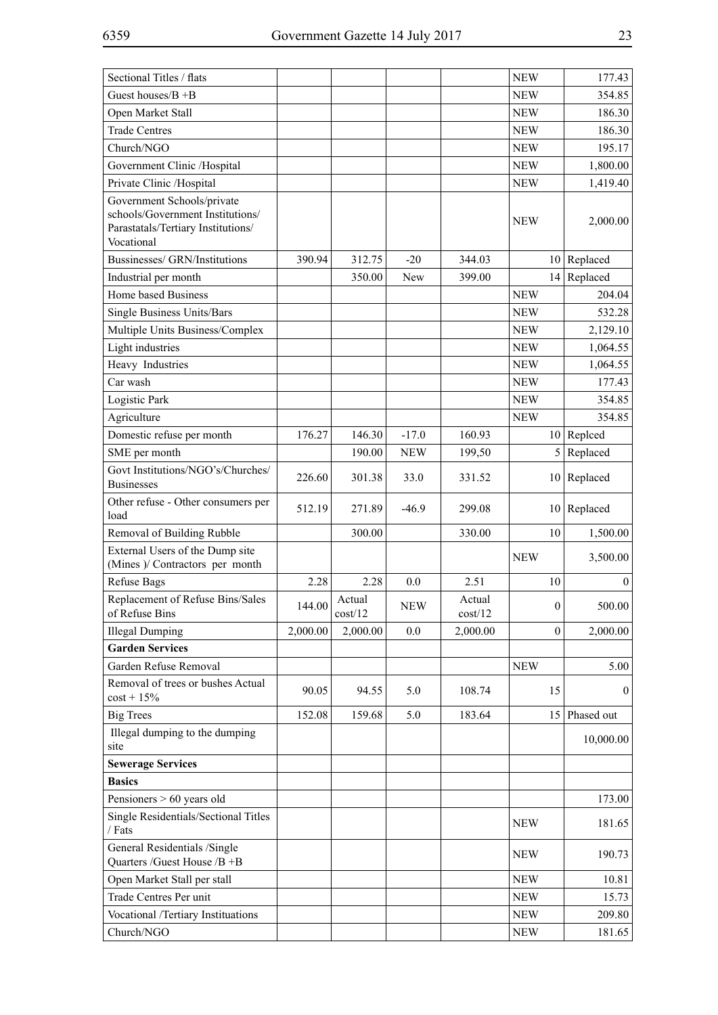| Sectional Titles / flats                                                                                           |          |                   |            |                   | <b>NEW</b>   | 177.43        |
|--------------------------------------------------------------------------------------------------------------------|----------|-------------------|------------|-------------------|--------------|---------------|
| Guest houses/ $B + B$                                                                                              |          |                   |            |                   | <b>NEW</b>   | 354.85        |
| Open Market Stall                                                                                                  |          |                   |            |                   | <b>NEW</b>   | 186.30        |
| <b>Trade Centres</b>                                                                                               |          |                   |            |                   | <b>NEW</b>   | 186.30        |
| Church/NGO                                                                                                         |          |                   |            |                   | <b>NEW</b>   | 195.17        |
| Government Clinic /Hospital                                                                                        |          |                   |            |                   | <b>NEW</b>   | 1,800.00      |
| Private Clinic /Hospital                                                                                           |          |                   |            |                   | <b>NEW</b>   | 1,419.40      |
| Government Schools/private<br>schools/Government Institutions/<br>Parastatals/Tertiary Institutions/<br>Vocational |          |                   |            |                   | <b>NEW</b>   | 2,000.00      |
| Bussinesses/ GRN/Institutions                                                                                      | 390.94   | 312.75            | $-20$      | 344.03            |              | $10$ Replaced |
| Industrial per month                                                                                               |          | 350.00            | New        | 399.00            | 14           | Replaced      |
| Home based Business                                                                                                |          |                   |            |                   | <b>NEW</b>   | 204.04        |
| Single Business Units/Bars                                                                                         |          |                   |            |                   | <b>NEW</b>   | 532.28        |
| Multiple Units Business/Complex                                                                                    |          |                   |            |                   | <b>NEW</b>   | 2,129.10      |
| Light industries                                                                                                   |          |                   |            |                   | <b>NEW</b>   | 1,064.55      |
| Heavy Industries                                                                                                   |          |                   |            |                   | <b>NEW</b>   | 1,064.55      |
| Car wash                                                                                                           |          |                   |            |                   | <b>NEW</b>   | 177.43        |
| Logistic Park                                                                                                      |          |                   |            |                   | <b>NEW</b>   | 354.85        |
| Agriculture                                                                                                        |          |                   |            |                   | <b>NEW</b>   | 354.85        |
| Domestic refuse per month                                                                                          | 176.27   | 146.30            | $-17.0$    | 160.93            |              | $10$ Repleed  |
| SME per month                                                                                                      |          | 190.00            | <b>NEW</b> | 199,50            |              | $5$ Replaced  |
| Govt Institutions/NGO's/Churches/<br><b>Businesses</b>                                                             | 226.60   | 301.38            | 33.0       | 331.52            |              | $10$ Replaced |
| Other refuse - Other consumers per<br>load                                                                         | 512.19   | 271.89            | $-46.9$    | 299.08            |              | $10$ Replaced |
| Removal of Building Rubble                                                                                         |          | 300.00            |            | 330.00            | 10           | 1,500.00      |
| External Users of the Dump site<br>(Mines )/ Contractors per month                                                 |          |                   |            |                   | <b>NEW</b>   | 3,500.00      |
| <b>Refuse Bags</b>                                                                                                 | 2.28     | 2.28              | 0.0        | 2.51              | 10           | $\mathbf{0}$  |
| Replacement of Refuse Bins/Sales<br>of Refuse Bins                                                                 | 144.00   | Actual<br>cost/12 | <b>NEW</b> | Actual<br>cost/12 | $\mathbf{0}$ | 500.00        |
| <b>Illegal Dumping</b>                                                                                             | 2,000.00 | 2,000.00          | 0.0        | 2,000.00          | $\mathbf{0}$ | 2,000.00      |
| <b>Garden Services</b>                                                                                             |          |                   |            |                   |              |               |
| Garden Refuse Removal                                                                                              |          |                   |            |                   | <b>NEW</b>   | 5.00          |
| Removal of trees or bushes Actual<br>$cost + 15%$                                                                  | 90.05    | 94.55             | 5.0        | 108.74            | 15           | $\mathbf{0}$  |
| <b>Big Trees</b>                                                                                                   | 152.08   | 159.68            | 5.0        | 183.64            |              | 15 Phased out |
| Illegal dumping to the dumping<br>site                                                                             |          |                   |            |                   |              | 10,000.00     |
| <b>Sewerage Services</b>                                                                                           |          |                   |            |                   |              |               |
| <b>Basics</b>                                                                                                      |          |                   |            |                   |              |               |
| Pensioners $> 60$ years old                                                                                        |          |                   |            |                   |              | 173.00        |
| Single Residentials/Sectional Titles<br>/ Fats                                                                     |          |                   |            |                   | <b>NEW</b>   | 181.65        |
| General Residentials /Single<br>Quarters /Guest House /B +B                                                        |          |                   |            |                   | NEW          | 190.73        |
| Open Market Stall per stall                                                                                        |          |                   |            |                   | <b>NEW</b>   | 10.81         |
| Trade Centres Per unit                                                                                             |          |                   |            |                   | <b>NEW</b>   | 15.73         |
| Vocational /Tertiary Instituations                                                                                 |          |                   |            |                   | <b>NEW</b>   | 209.80        |
| Church/NGO                                                                                                         |          |                   |            |                   | <b>NEW</b>   | 181.65        |

÷.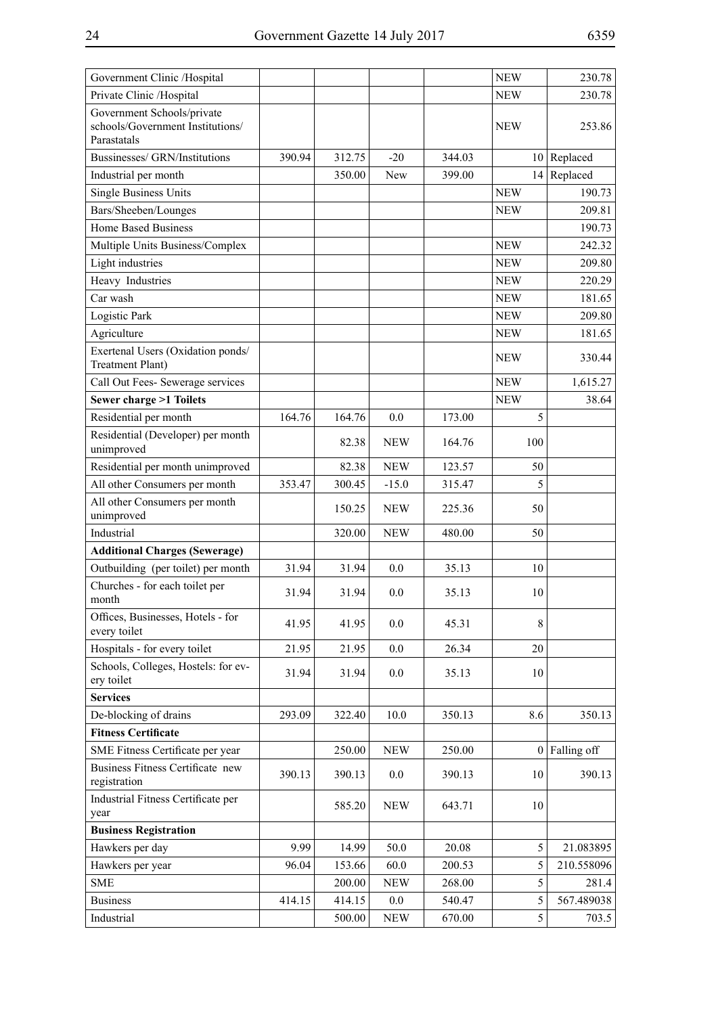| Government Clinic /Hospital                                                   |        |        |            |        | <b>NEW</b> | 230.78          |
|-------------------------------------------------------------------------------|--------|--------|------------|--------|------------|-----------------|
| Private Clinic /Hospital                                                      |        |        |            |        | <b>NEW</b> | 230.78          |
| Government Schools/private<br>schools/Government Institutions/<br>Parastatals |        |        |            |        | <b>NEW</b> | 253.86          |
| Bussinesses/ GRN/Institutions                                                 | 390.94 | 312.75 | $-20$      | 344.03 |            | $10$ Replaced   |
| Industrial per month                                                          |        | 350.00 | New        | 399.00 |            | $14$ Replaced   |
| <b>Single Business Units</b>                                                  |        |        |            |        | <b>NEW</b> | 190.73          |
| Bars/Sheeben/Lounges                                                          |        |        |            |        | <b>NEW</b> | 209.81          |
| <b>Home Based Business</b>                                                    |        |        |            |        |            | 190.73          |
| Multiple Units Business/Complex                                               |        |        |            |        | <b>NEW</b> | 242.32          |
| Light industries                                                              |        |        |            |        | <b>NEW</b> | 209.80          |
| Heavy Industries                                                              |        |        |            |        | <b>NEW</b> | 220.29          |
| Car wash                                                                      |        |        |            |        | <b>NEW</b> | 181.65          |
| Logistic Park                                                                 |        |        |            |        | <b>NEW</b> | 209.80          |
| Agriculture                                                                   |        |        |            |        | <b>NEW</b> | 181.65          |
| Exertenal Users (Oxidation ponds/                                             |        |        |            |        | NEW        | 330.44          |
| <b>Treatment Plant)</b>                                                       |        |        |            |        |            |                 |
| Call Out Fees- Sewerage services                                              |        |        |            |        | <b>NEW</b> | 1,615.27        |
| <b>Sewer charge &gt;1 Toilets</b>                                             |        |        |            |        | <b>NEW</b> | 38.64           |
| Residential per month                                                         | 164.76 | 164.76 | 0.0        | 173.00 | 5          |                 |
| Residential (Developer) per month<br>unimproved                               |        | 82.38  | <b>NEW</b> | 164.76 | 100        |                 |
| Residential per month unimproved                                              |        | 82.38  | <b>NEW</b> | 123.57 | 50         |                 |
| All other Consumers per month                                                 | 353.47 | 300.45 | $-15.0$    | 315.47 | 5          |                 |
| All other Consumers per month<br>unimproved                                   |        | 150.25 | <b>NEW</b> | 225.36 | 50         |                 |
| Industrial                                                                    |        | 320.00 | <b>NEW</b> | 480.00 | 50         |                 |
| <b>Additional Charges (Sewerage)</b>                                          |        |        |            |        |            |                 |
| Outbuilding (per toilet) per month                                            | 31.94  | 31.94  | 0.0        | 35.13  | 10         |                 |
| Churches - for each toilet per<br>month                                       | 31.94  | 31.94  | 0.0        | 35.13  | 10         |                 |
| Offices, Businesses, Hotels - for<br>every toilet                             | 41.95  | 41.95  | 0.0        | 45.31  | 8          |                 |
| Hospitals - for every toilet                                                  | 21.95  | 21.95  | 0.0        | 26.34  | 20         |                 |
| Schools, Colleges, Hostels: for ev-<br>ery toilet                             | 31.94  | 31.94  | 0.0        | 35.13  | 10         |                 |
| <b>Services</b>                                                               |        |        |            |        |            |                 |
| De-blocking of drains                                                         | 293.09 | 322.40 | 10.0       | 350.13 | 8.6        | 350.13          |
| <b>Fitness Certificate</b>                                                    |        |        |            |        |            |                 |
| SME Fitness Certificate per year                                              |        | 250.00 | <b>NEW</b> | 250.00 |            | $0$ Falling off |
| <b>Business Fitness Certificate new</b><br>registration                       | 390.13 | 390.13 | 0.0        | 390.13 | 10         | 390.13          |
| Industrial Fitness Certificate per<br>year                                    |        | 585.20 | <b>NEW</b> | 643.71 | 10         |                 |
| <b>Business Registration</b>                                                  |        |        |            |        |            |                 |
| Hawkers per day                                                               | 9.99   | 14.99  | 50.0       | 20.08  | 5          | 21.083895       |
| Hawkers per year                                                              | 96.04  | 153.66 | 60.0       | 200.53 | 5          | 210.558096      |
| <b>SME</b>                                                                    |        | 200.00 | <b>NEW</b> | 268.00 | 5          | 281.4           |
| <b>Business</b>                                                               | 414.15 | 414.15 | $0.0\,$    | 540.47 | 5          | 567.489038      |
| Industrial                                                                    |        | 500.00 | <b>NEW</b> | 670.00 | 5          | 703.5           |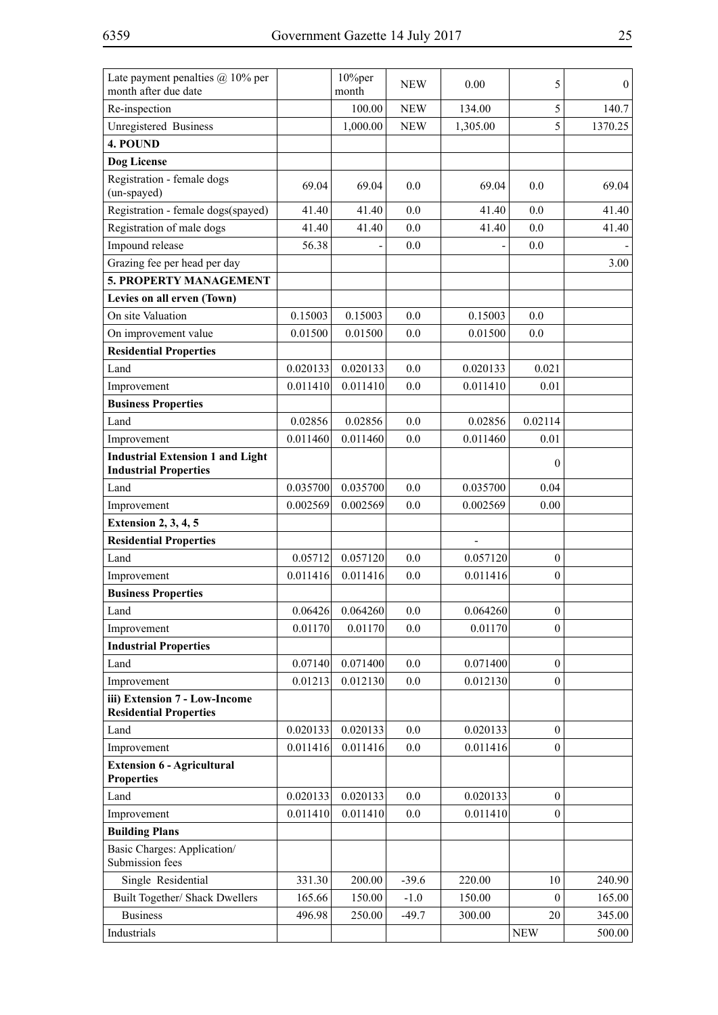| Late payment penalties $(a)$ 10% per<br>month after due date            |          | 10%per<br>month    | <b>NEW</b> | 0.00     | 5                | $\overline{0}$ |
|-------------------------------------------------------------------------|----------|--------------------|------------|----------|------------------|----------------|
| Re-inspection                                                           |          | 100.00             | <b>NEW</b> | 134.00   | 5                | 140.7          |
| Unregistered Business                                                   |          | 1,000.00           | <b>NEW</b> | 1,305.00 | 5                | 1370.25        |
| 4. POUND                                                                |          |                    |            |          |                  |                |
| Dog License                                                             |          |                    |            |          |                  |                |
| Registration - female dogs<br>(un-spayed)                               | 69.04    | 69.04              | 0.0        | 69.04    | 0.0              | 69.04          |
| Registration - female dogs(spayed)                                      | 41.40    | 41.40              | 0.0        | 41.40    | 0.0              | 41.40          |
| Registration of male dogs                                               | 41.40    | 41.40              | 0.0        | 41.40    | 0.0              | 41.40          |
| Impound release                                                         | 56.38    |                    | 0.0        |          | 0.0              |                |
| Grazing fee per head per day                                            |          |                    |            |          |                  | 3.00           |
| 5. PROPERTY MANAGEMENT                                                  |          |                    |            |          |                  |                |
| Levies on all erven (Town)                                              |          |                    |            |          |                  |                |
| On site Valuation                                                       | 0.15003  | 0.15003            | 0.0        | 0.15003  | 0.0              |                |
| On improvement value                                                    | 0.01500  | 0.01500            | 0.0        | 0.01500  | 0.0              |                |
| <b>Residential Properties</b>                                           |          |                    |            |          |                  |                |
| Land                                                                    | 0.020133 | 0.020133           | 0.0        | 0.020133 | 0.021            |                |
| Improvement                                                             | 0.011410 | 0.011410           | 0.0        | 0.011410 | 0.01             |                |
| <b>Business Properties</b>                                              |          |                    |            |          |                  |                |
| Land                                                                    | 0.02856  | 0.02856            | 0.0        | 0.02856  | 0.02114          |                |
| Improvement                                                             | 0.011460 | 0.011460           | 0.0        | 0.011460 | 0.01             |                |
| <b>Industrial Extension 1 and Light</b><br><b>Industrial Properties</b> |          |                    |            |          | $\theta$         |                |
| Land                                                                    | 0.035700 | 0.035700           | 0.0        | 0.035700 | 0.04             |                |
| Improvement                                                             | 0.002569 | 0.002569           | 0.0        | 0.002569 | 0.00             |                |
| <b>Extension 2, 3, 4, 5</b>                                             |          |                    |            |          |                  |                |
| <b>Residential Properties</b>                                           |          |                    |            |          |                  |                |
| Land                                                                    | 0.05712  | 0.057120           | 0.0        | 0.057120 | $\mathbf{0}$     |                |
| Improvement                                                             | 0.011416 | 0.011416           | 0.0        | 0.011416 | $\overline{0}$   |                |
| <b>Business Properties</b>                                              |          |                    |            |          |                  |                |
| Land                                                                    |          | $0.06426$ 0.064260 | 0.0        | 0.064260 | $\boldsymbol{0}$ |                |
| Improvement                                                             | 0.01170  | 0.01170            | 0.0        | 0.01170  | $\boldsymbol{0}$ |                |
| <b>Industrial Properties</b>                                            |          |                    |            |          |                  |                |
| Land                                                                    | 0.07140  | 0.071400           | 0.0        | 0.071400 | $\mathbf{0}$     |                |
| Improvement                                                             | 0.01213  | 0.012130           | 0.0        | 0.012130 | $\mathbf{0}$     |                |
| iii) Extension 7 - Low-Income<br><b>Residential Properties</b>          |          |                    |            |          |                  |                |
| Land                                                                    | 0.020133 | 0.020133           | 0.0        | 0.020133 | 0                |                |
| Improvement                                                             | 0.011416 | 0.011416           | 0.0        | 0.011416 | $\overline{0}$   |                |
| <b>Extension 6 - Agricultural</b><br><b>Properties</b>                  |          |                    |            |          |                  |                |
| Land                                                                    | 0.020133 | 0.020133           | 0.0        | 0.020133 | $\mathbf{0}$     |                |
| Improvement                                                             | 0.011410 | 0.011410           | 0.0        | 0.011410 | $\overline{0}$   |                |
| <b>Building Plans</b>                                                   |          |                    |            |          |                  |                |
| Basic Charges: Application/<br>Submission fees                          |          |                    |            |          |                  |                |
| Single Residential                                                      | 331.30   | 200.00             | $-39.6$    | 220.00   | 10               | 240.90         |
| Built Together/ Shack Dwellers                                          | 165.66   | 150.00             | $-1.0$     | 150.00   | $\theta$         | 165.00         |
| <b>Business</b>                                                         | 496.98   | 250.00             | $-49.7$    | 300.00   | 20               | 345.00         |
| Industrials                                                             |          |                    |            |          | <b>NEW</b>       | 500.00         |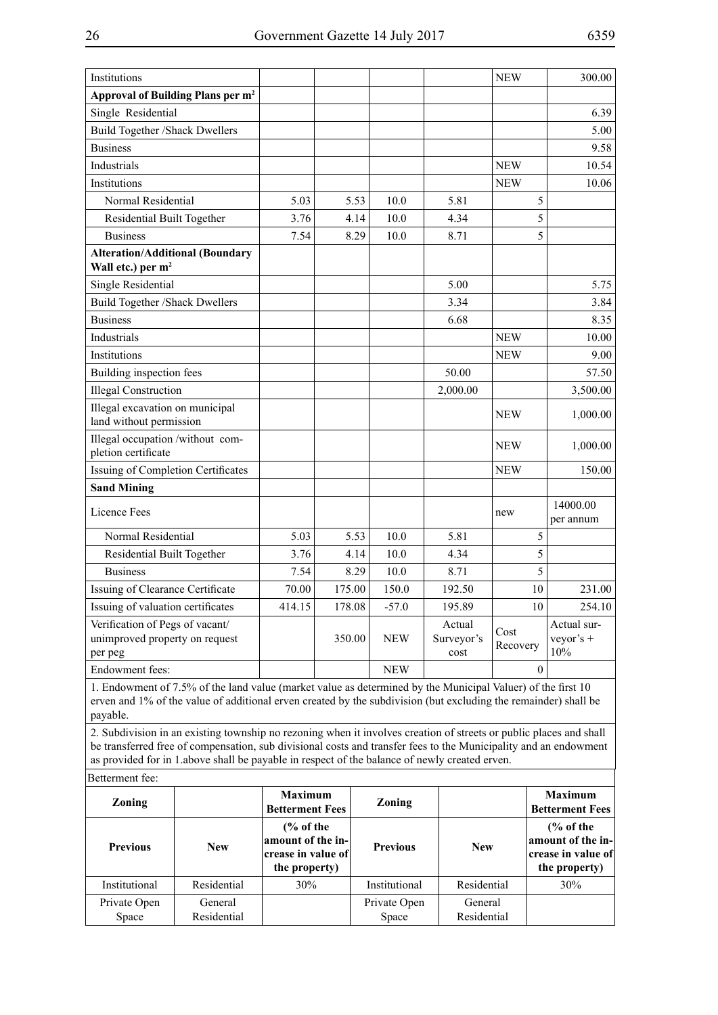| Institutions                                                                 |        |        |            |                              | <b>NEW</b>       | 300.00                            |
|------------------------------------------------------------------------------|--------|--------|------------|------------------------------|------------------|-----------------------------------|
| Approval of Building Plans per m <sup>2</sup>                                |        |        |            |                              |                  |                                   |
| Single Residential                                                           |        |        |            |                              |                  | 6.39                              |
| <b>Build Together /Shack Dwellers</b>                                        |        |        |            |                              |                  | 5.00                              |
| <b>Business</b>                                                              |        |        |            |                              |                  | 9.58                              |
| Industrials                                                                  |        |        |            |                              | <b>NEW</b>       | 10.54                             |
| Institutions                                                                 |        |        |            |                              | <b>NEW</b>       | 10.06                             |
| Normal Residential                                                           | 5.03   | 5.53   | 10.0       | 5.81                         | 5                |                                   |
| Residential Built Together                                                   | 3.76   | 4.14   | 10.0       | 4.34                         | 5                |                                   |
| <b>Business</b>                                                              | 7.54   | 8.29   | 10.0       | 8.71                         | 5                |                                   |
| <b>Alteration/Additional (Boundary</b><br>Wall etc.) per m <sup>2</sup>      |        |        |            |                              |                  |                                   |
| Single Residential                                                           |        |        |            | 5.00                         |                  | 5.75                              |
| <b>Build Together /Shack Dwellers</b>                                        |        |        |            | 3.34                         |                  | 3.84                              |
| <b>Business</b>                                                              |        |        |            | 6.68                         |                  | 8.35                              |
| Industrials                                                                  |        |        |            |                              | <b>NEW</b>       | 10.00                             |
| Institutions                                                                 |        |        |            |                              | <b>NEW</b>       | 9.00                              |
| Building inspection fees                                                     |        |        |            | 50.00                        |                  | 57.50                             |
| <b>Illegal Construction</b>                                                  |        |        |            | 2,000.00                     |                  | 3,500.00                          |
| Illegal excavation on municipal<br>land without permission                   |        |        |            |                              | <b>NEW</b>       | 1,000.00                          |
| Illegal occupation /without com-<br>pletion certificate                      |        |        |            |                              | <b>NEW</b>       | 1,000.00                          |
| Issuing of Completion Certificates                                           |        |        |            |                              | <b>NEW</b>       | 150.00                            |
| <b>Sand Mining</b>                                                           |        |        |            |                              |                  |                                   |
| Licence Fees                                                                 |        |        |            |                              | new              | 14000.00<br>per annum             |
| Normal Residential                                                           | 5.03   | 5.53   | 10.0       | 5.81                         | 5                |                                   |
| Residential Built Together                                                   | 3.76   | 4.14   | 10.0       | 4.34                         | 5                |                                   |
| <b>Business</b>                                                              | 7.54   | 8.29   | 10.0       | 8.71                         | 5                |                                   |
| Issuing of Clearance Certificate                                             | 70.00  | 175.00 | 150.0      | 192.50                       | 10               | 231.00                            |
| Issuing of valuation certificates                                            | 414.15 | 178.08 | $-57.0$    | 195.89                       | 10               | 254.10                            |
| Verification of Pegs of vacant/<br>unimproved property on request<br>per peg |        | 350.00 | <b>NEW</b> | Actual<br>Surveyor's<br>cost | Cost<br>Recovery | Actual sur-<br>veyor's $+$<br>10% |
| Endowment fees:                                                              |        |        | <b>NEW</b> |                              | $\theta$         |                                   |

1. Endowment of 7.5% of the land value (market value as determined by the Municipal Valuer) of the first 10 erven and 1% of the value of additional erven created by the subdivision (but excluding the remainder) shall be payable.

2. Subdivision in an existing township no rezoning when it involves creation of streets or public places and shall be transferred free of compensation, sub divisional costs and transfer fees to the Municipality and an endowment as provided for in 1.above shall be payable in respect of the balance of newly created erven.

| Betterment fee: |  |
|-----------------|--|
|                 |  |

| <b>Zoning</b>         |                        | <b>Maximum</b><br><b>Betterment Fees</b>                                           | <b>Zoning</b>         |                        | <b>Maximum</b><br><b>Betterment Fees</b>                                           |
|-----------------------|------------------------|------------------------------------------------------------------------------------|-----------------------|------------------------|------------------------------------------------------------------------------------|
| <b>Previous</b>       | <b>New</b>             | $\frac{6}{6}$ of the<br>amount of the in-<br> crease in value of <br>the property) | <b>Previous</b>       | <b>New</b>             | $\frac{6}{6}$ of the<br>amount of the in-<br> crease in value of <br>the property) |
| Institutional         | Residential            | 30%                                                                                | Institutional         | Residential            | 30%                                                                                |
| Private Open<br>Space | General<br>Residential |                                                                                    | Private Open<br>Space | General<br>Residential |                                                                                    |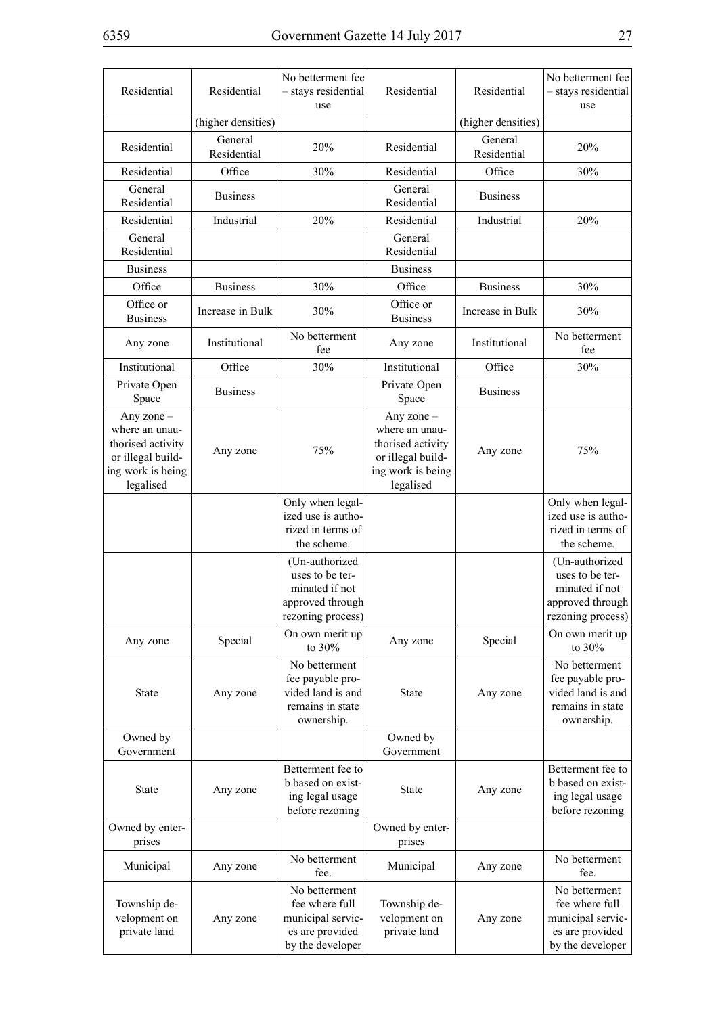| Residential                                                                                                | Residential            | No betterment fee<br>- stays residential<br>use                                              | Residential                                                                                              | Residential            | No betterment fee<br>- stays residential<br>use                                              |
|------------------------------------------------------------------------------------------------------------|------------------------|----------------------------------------------------------------------------------------------|----------------------------------------------------------------------------------------------------------|------------------------|----------------------------------------------------------------------------------------------|
|                                                                                                            | (higher densities)     |                                                                                              |                                                                                                          | (higher densities)     |                                                                                              |
| Residential                                                                                                | General<br>Residential | 20%                                                                                          | Residential                                                                                              | General<br>Residential | 20%                                                                                          |
| Residential                                                                                                | Office                 | 30%                                                                                          | Residential                                                                                              | Office                 | 30%                                                                                          |
| General<br>Residential                                                                                     | <b>Business</b>        |                                                                                              | General<br>Residential                                                                                   | <b>Business</b>        |                                                                                              |
| Residential                                                                                                | Industrial             | 20%                                                                                          | Residential                                                                                              | Industrial             | 20%                                                                                          |
| General<br>Residential                                                                                     |                        |                                                                                              | General<br>Residential                                                                                   |                        |                                                                                              |
| <b>Business</b>                                                                                            |                        |                                                                                              | <b>Business</b>                                                                                          |                        |                                                                                              |
| Office                                                                                                     | <b>Business</b>        | 30%                                                                                          | Office                                                                                                   | <b>Business</b>        | 30%                                                                                          |
| Office or<br><b>Business</b>                                                                               | Increase in Bulk       | 30%                                                                                          | Office or<br><b>Business</b>                                                                             | Increase in Bulk       | 30%                                                                                          |
| Any zone                                                                                                   | Institutional          | No betterment<br>fee                                                                         | Any zone                                                                                                 | Institutional          | No betterment<br>fee                                                                         |
| Institutional                                                                                              | Office                 | 30%                                                                                          | Institutional                                                                                            | Office                 | 30%                                                                                          |
| Private Open<br>Space                                                                                      | <b>Business</b>        |                                                                                              | Private Open<br>Space                                                                                    | <b>Business</b>        |                                                                                              |
| Any zone $-$<br>where an unau-<br>thorised activity<br>or illegal build-<br>ing work is being<br>legalised | Any zone               | 75%                                                                                          | Any zone -<br>where an unau-<br>thorised activity<br>or illegal build-<br>ing work is being<br>legalised | Any zone               | 75%                                                                                          |
|                                                                                                            |                        | Only when legal-<br>ized use is autho-<br>rized in terms of<br>the scheme.                   |                                                                                                          |                        | Only when legal-<br>ized use is autho-<br>rized in terms of<br>the scheme.                   |
|                                                                                                            |                        | (Un-authorized<br>uses to be ter-<br>minated if not<br>approved through<br>rezoning process) |                                                                                                          |                        | (Un-authorized<br>uses to be ter-<br>minated if not<br>approved through<br>rezoning process) |
| Any zone                                                                                                   | Special                | On own merit up<br>to 30%                                                                    | Any zone                                                                                                 | Special                | On own merit up<br>to $30\%$                                                                 |
| <b>State</b>                                                                                               | Any zone               | No betterment<br>fee payable pro-<br>vided land is and<br>remains in state<br>ownership.     | State                                                                                                    | Any zone               | No betterment<br>fee payable pro-<br>vided land is and<br>remains in state<br>ownership.     |
| Owned by<br>Government                                                                                     |                        |                                                                                              | Owned by<br>Government                                                                                   |                        |                                                                                              |
| State                                                                                                      | Any zone               | Betterment fee to<br>b based on exist-<br>ing legal usage<br>before rezoning                 | State                                                                                                    | Any zone               | Betterment fee to<br>b based on exist-<br>ing legal usage<br>before rezoning                 |
| Owned by enter-<br>prises                                                                                  |                        |                                                                                              | Owned by enter-<br>prises                                                                                |                        |                                                                                              |
| Municipal                                                                                                  | Any zone               | No betterment<br>fee.                                                                        | Municipal                                                                                                | Any zone               | No betterment<br>fee.                                                                        |
| Township de-<br>velopment on<br>private land                                                               | Any zone               | No betterment<br>fee where full<br>municipal servic-<br>es are provided<br>by the developer  | Township de-<br>velopment on<br>private land                                                             | Any zone               | No betterment<br>fee where full<br>municipal servic-<br>es are provided<br>by the developer  |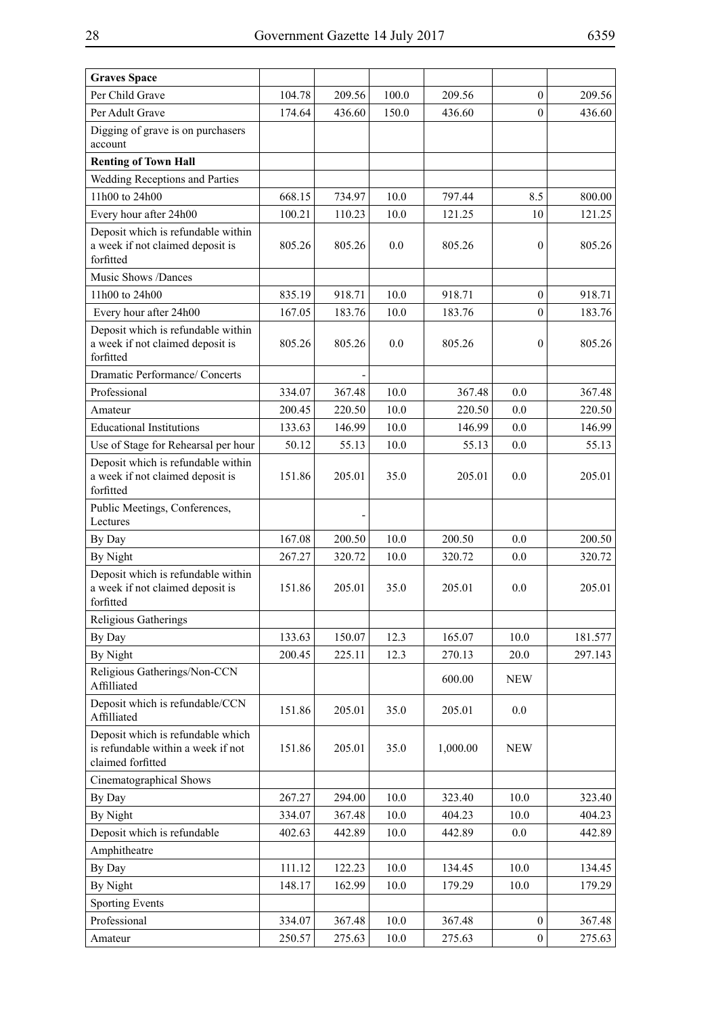| <b>Graves Space</b>                                                                          |        |        |          |          |                  |         |
|----------------------------------------------------------------------------------------------|--------|--------|----------|----------|------------------|---------|
| Per Child Grave                                                                              | 104.78 | 209.56 | 100.0    | 209.56   | $\theta$         | 209.56  |
| Per Adult Grave                                                                              | 174.64 | 436.60 | 150.0    | 436.60   | $\mathbf{0}$     | 436.60  |
| Digging of grave is on purchasers<br>account                                                 |        |        |          |          |                  |         |
| <b>Renting of Town Hall</b>                                                                  |        |        |          |          |                  |         |
| Wedding Receptions and Parties                                                               |        |        |          |          |                  |         |
| 11h00 to 24h00                                                                               | 668.15 | 734.97 | 10.0     | 797.44   | 8.5              | 800.00  |
| Every hour after 24h00                                                                       | 100.21 | 110.23 | 10.0     | 121.25   | 10               | 121.25  |
| Deposit which is refundable within<br>a week if not claimed deposit is<br>forfitted          | 805.26 | 805.26 | 0.0      | 805.26   | $\mathbf{0}$     | 805.26  |
| Music Shows /Dances                                                                          |        |        |          |          |                  |         |
| 11h00 to 24h00                                                                               | 835.19 | 918.71 | 10.0     | 918.71   | $\mathbf{0}$     | 918.71  |
| Every hour after 24h00                                                                       | 167.05 | 183.76 | 10.0     | 183.76   | $\boldsymbol{0}$ | 183.76  |
| Deposit which is refundable within<br>a week if not claimed deposit is<br>forfitted          | 805.26 | 805.26 | 0.0      | 805.26   | $\mathbf{0}$     | 805.26  |
| Dramatic Performance/ Concerts                                                               |        |        |          |          |                  |         |
| Professional                                                                                 | 334.07 | 367.48 | 10.0     | 367.48   | 0.0              | 367.48  |
| Amateur                                                                                      | 200.45 | 220.50 | 10.0     | 220.50   | 0.0              | 220.50  |
| <b>Educational Institutions</b>                                                              | 133.63 | 146.99 | 10.0     | 146.99   | 0.0              | 146.99  |
| Use of Stage for Rehearsal per hour                                                          | 50.12  | 55.13  | 10.0     | 55.13    | 0.0              | 55.13   |
| Deposit which is refundable within<br>a week if not claimed deposit is<br>forfitted          | 151.86 | 205.01 | 35.0     | 205.01   | 0.0              | 205.01  |
| Public Meetings, Conferences,<br>Lectures                                                    |        |        |          |          |                  |         |
| By Day                                                                                       | 167.08 | 200.50 | 10.0     | 200.50   | 0.0              | 200.50  |
| By Night                                                                                     | 267.27 | 320.72 | 10.0     | 320.72   | 0.0              | 320.72  |
| Deposit which is refundable within<br>a week if not claimed deposit is<br>forfitted          | 151.86 | 205.01 | 35.0     | 205.01   | 0.0              | 205.01  |
| Religious Gatherings                                                                         |        |        |          |          |                  |         |
| By Day                                                                                       | 133.63 | 150.07 | 12.3     | 165.07   | 10.0             | 181.577 |
| By Night                                                                                     | 200.45 | 225.11 | 12.3     | 270.13   | 20.0             | 297.143 |
| Religious Gatherings/Non-CCN<br>Affilliated                                                  |        |        |          | 600.00   | <b>NEW</b>       |         |
| Deposit which is refundable/CCN<br>Affilliated                                               | 151.86 | 205.01 | 35.0     | 205.01   | 0.0              |         |
| Deposit which is refundable which<br>is refundable within a week if not<br>claimed forfitted | 151.86 | 205.01 | 35.0     | 1,000.00 | <b>NEW</b>       |         |
| Cinematographical Shows                                                                      |        |        |          |          |                  |         |
| By Day                                                                                       | 267.27 | 294.00 | 10.0     | 323.40   | 10.0             | 323.40  |
| By Night                                                                                     | 334.07 | 367.48 | 10.0     | 404.23   | 10.0             | 404.23  |
| Deposit which is refundable                                                                  | 402.63 | 442.89 | 10.0     | 442.89   | 0.0              | 442.89  |
| Amphitheatre                                                                                 |        |        |          |          |                  |         |
| By Day                                                                                       | 111.12 | 122.23 | 10.0     | 134.45   | 10.0             | 134.45  |
| By Night                                                                                     | 148.17 | 162.99 | 10.0     | 179.29   | 10.0             | 179.29  |
| <b>Sporting Events</b>                                                                       |        |        |          |          |                  |         |
| Professional                                                                                 | 334.07 | 367.48 | 10.0     | 367.48   | $\boldsymbol{0}$ | 367.48  |
| Amateur                                                                                      | 250.57 | 275.63 | $10.0\,$ | 275.63   | $\boldsymbol{0}$ | 275.63  |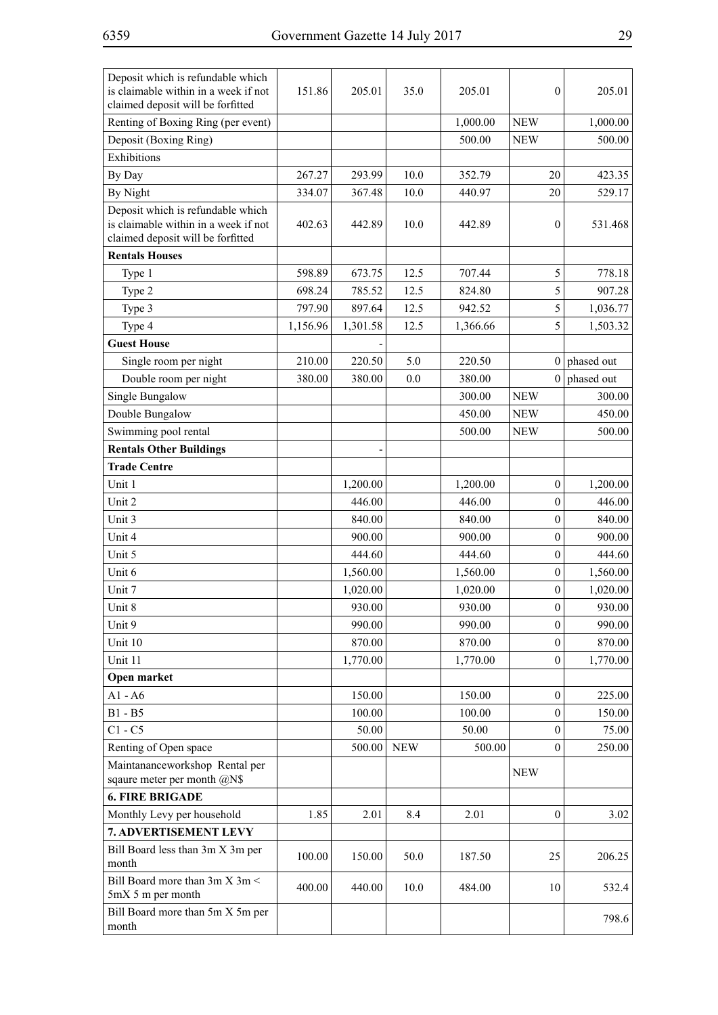| Deposit which is refundable which<br>is claimable within in a week if not<br>claimed deposit will be forfitted | 151.86   | 205.01   | 35.0       | 205.01   | $\boldsymbol{0}$ | 205.01         |
|----------------------------------------------------------------------------------------------------------------|----------|----------|------------|----------|------------------|----------------|
| Renting of Boxing Ring (per event)                                                                             |          |          |            | 1,000.00 | <b>NEW</b>       | 1,000.00       |
| Deposit (Boxing Ring)                                                                                          |          |          |            | 500.00   | <b>NEW</b>       | 500.00         |
| Exhibitions                                                                                                    |          |          |            |          |                  |                |
| By Day                                                                                                         | 267.27   | 293.99   | 10.0       | 352.79   | 20               | 423.35         |
| By Night                                                                                                       | 334.07   | 367.48   | 10.0       | 440.97   | 20               | 529.17         |
| Deposit which is refundable which                                                                              |          |          |            |          |                  |                |
| is claimable within in a week if not<br>claimed deposit will be forfitted                                      | 402.63   | 442.89   | 10.0       | 442.89   | $\mathbf{0}$     | 531.468        |
| <b>Rentals Houses</b>                                                                                          |          |          |            |          |                  |                |
| Type 1                                                                                                         | 598.89   | 673.75   | 12.5       | 707.44   | 5                | 778.18         |
| Type 2                                                                                                         | 698.24   | 785.52   | 12.5       | 824.80   | $\mathfrak s$    | 907.28         |
| Type 3                                                                                                         | 797.90   | 897.64   | 12.5       | 942.52   | 5                | 1,036.77       |
| Type 4                                                                                                         | 1,156.96 | 1,301.58 | 12.5       | 1,366.66 | 5                | 1,503.32       |
| <b>Guest House</b>                                                                                             |          |          |            |          |                  |                |
| Single room per night                                                                                          | 210.00   | 220.50   | 5.0        | 220.50   |                  | $0$ phased out |
| Double room per night                                                                                          | 380.00   | 380.00   | 0.0        | 380.00   |                  | $0$ phased out |
| Single Bungalow                                                                                                |          |          |            | 300.00   | <b>NEW</b>       | 300.00         |
| Double Bungalow                                                                                                |          |          |            | 450.00   | <b>NEW</b>       | 450.00         |
| Swimming pool rental                                                                                           |          |          |            | 500.00   | <b>NEW</b>       | 500.00         |
| <b>Rentals Other Buildings</b>                                                                                 |          |          |            |          |                  |                |
| <b>Trade Centre</b>                                                                                            |          |          |            |          |                  |                |
| Unit 1                                                                                                         |          | 1,200.00 |            | 1,200.00 | $\boldsymbol{0}$ | 1,200.00       |
| Unit 2                                                                                                         |          | 446.00   |            | 446.00   | $\mathbf{0}$     | 446.00         |
| Unit 3                                                                                                         |          | 840.00   |            | 840.00   | $\boldsymbol{0}$ | 840.00         |
| Unit 4                                                                                                         |          | 900.00   |            | 900.00   | $\boldsymbol{0}$ | 900.00         |
| Unit 5                                                                                                         |          | 444.60   |            | 444.60   | $\boldsymbol{0}$ | 444.60         |
| Unit 6                                                                                                         |          | 1,560.00 |            | 1,560.00 | $\mathbf{0}$     | 1,560.00       |
| Unit 7                                                                                                         |          | 1,020.00 |            | 1,020.00 | $\boldsymbol{0}$ | 1,020.00       |
| Unit 8                                                                                                         |          | 930.00   |            | 930.00   | $\boldsymbol{0}$ | 930.00         |
| Unit 9                                                                                                         |          | 990.00   |            | 990.00   | $\mathbf{0}$     | 990.00         |
| Unit 10                                                                                                        |          | 870.00   |            | 870.00   | $\overline{0}$   | 870.00         |
| Unit 11                                                                                                        |          | 1,770.00 |            | 1,770.00 | $\boldsymbol{0}$ | 1,770.00       |
| Open market                                                                                                    |          |          |            |          |                  |                |
| $A1 - A6$                                                                                                      |          | 150.00   |            | 150.00   | $\mathbf{0}$     | 225.00         |
| $B1 - B5$                                                                                                      |          | 100.00   |            | 100.00   | $\mathbf{0}$     | 150.00         |
| $C1 - C5$                                                                                                      |          | 50.00    |            | 50.00    | $\mathbf{0}$     | 75.00          |
| Renting of Open space                                                                                          |          | 500.00   | <b>NEW</b> | 500.00   | $\mathbf{0}$     | 250.00         |
| Maintananceworkshop Rental per                                                                                 |          |          |            |          |                  |                |
| sqaure meter per month @N\$                                                                                    |          |          |            |          | <b>NEW</b>       |                |
| <b>6. FIRE BRIGADE</b>                                                                                         |          |          |            |          |                  |                |
| Monthly Levy per household                                                                                     | 1.85     | 2.01     | 8.4        | 2.01     | $\boldsymbol{0}$ | 3.02           |
| 7. ADVERTISEMENT LEVY                                                                                          |          |          |            |          |                  |                |
| Bill Board less than 3m X 3m per<br>month                                                                      | 100.00   | 150.00   | 50.0       | 187.50   | 25               | 206.25         |
| Bill Board more than 3m X 3m <<br>5mX 5 m per month                                                            | 400.00   | 440.00   | 10.0       | 484.00   | 10               | 532.4          |
| Bill Board more than 5m X 5m per<br>month                                                                      |          |          |            |          |                  | 798.6          |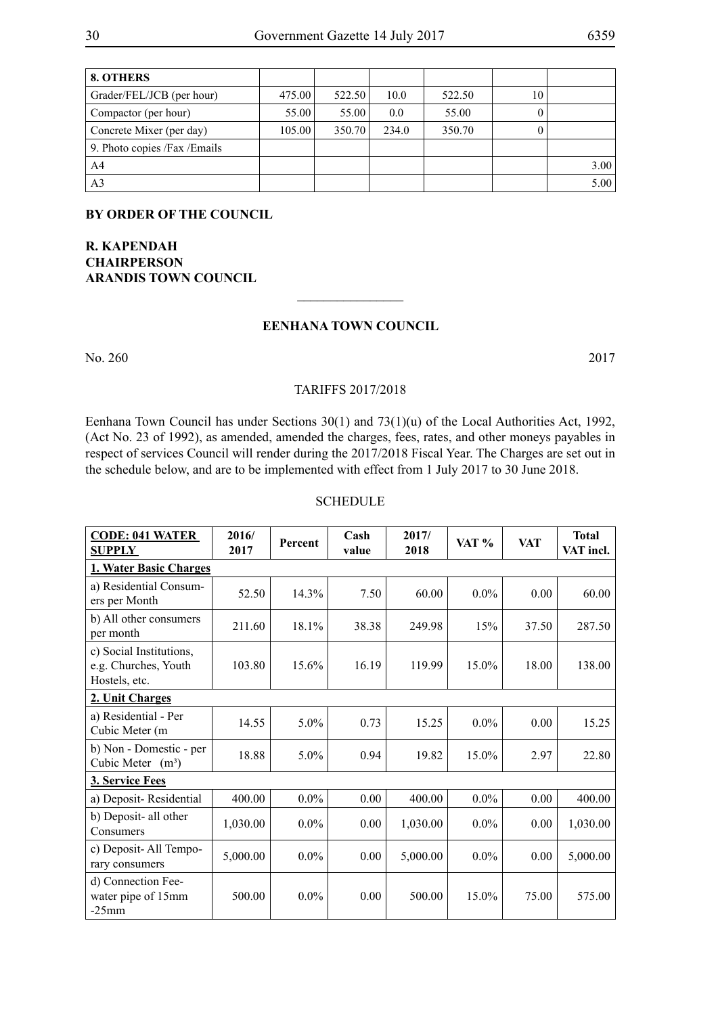| 8. OTHERS                      |        |        |       |        |    |      |
|--------------------------------|--------|--------|-------|--------|----|------|
| Grader/FEL/JCB (per hour)      | 475.00 | 522.50 | 10.0  | 522.50 | 10 |      |
| Compactor (per hour)           | 55.00  | 55.00  | 0.0   | 55.00  | O  |      |
| Concrete Mixer (per day)       | 105.00 | 350.70 | 234.0 | 350.70 |    |      |
| 9. Photo copies / Fax / Emails |        |        |       |        |    |      |
| A <sup>4</sup>                 |        |        |       |        |    | 3.00 |
| A <sub>3</sub>                 |        |        |       |        |    | 5.00 |

**By order of the Council**

**R. Kapendah Chairperson Arandis Town Council**

#### **Eenhana Town Council**

 $\frac{1}{2}$ 

No. 260 2017

#### tariffs 2017/2018

Eenhana Town Council has under Sections 30(1) and 73(1)(u) of the Local Authorities Act, 1992, (Act No. 23 of 1992), as amended, amended the charges, fees, rates, and other moneys payables in respect of services Council will render during the 2017/2018 Fiscal Year. The Charges are set out in the schedule below, and are to be implemented with effect from 1 July 2017 to 30 June 2018.

#### **SCHEDULE**

| <b>CODE: 041 WATER</b><br><b>SUPPLY</b>                          | 2016/<br>2017                 | Percent | $\bf Cash$<br>value | 2017/<br>2018 | VAT %   | <b>VAT</b> | <b>Total</b><br>VAT incl. |  |  |
|------------------------------------------------------------------|-------------------------------|---------|---------------------|---------------|---------|------------|---------------------------|--|--|
|                                                                  | <b>1. Water Basic Charges</b> |         |                     |               |         |            |                           |  |  |
| a) Residential Consum-<br>ers per Month                          | 52.50                         | 14.3%   | 7.50                | 60.00         | $0.0\%$ | 0.00       | 60.00                     |  |  |
| b) All other consumers<br>per month                              | 211.60                        | 18.1%   | 38.38               | 249.98        | 15%     | 37.50      | 287.50                    |  |  |
| c) Social Institutions,<br>e.g. Churches, Youth<br>Hostels, etc. | 103.80                        | 15.6%   | 16.19               | 119.99        | 15.0%   | 18.00      | 138.00                    |  |  |
| 2. Unit Charges                                                  |                               |         |                     |               |         |            |                           |  |  |
| a) Residential - Per<br>Cubic Meter (m                           | 14.55                         | 5.0%    | 0.73                | 15.25         | $0.0\%$ | 0.00       | 15.25                     |  |  |
| b) Non - Domestic - per<br>Cubic Meter $(m^3)$                   | 18.88                         | 5.0%    | 0.94                | 19.82         | 15.0%   | 2.97       | 22.80                     |  |  |
| 3. Service Fees                                                  |                               |         |                     |               |         |            |                           |  |  |
| a) Deposit-Residential                                           | 400.00                        | $0.0\%$ | 0.00                | 400.00        | $0.0\%$ | 0.00       | 400.00                    |  |  |
| b) Deposit- all other<br>Consumers                               | 1,030.00                      | $0.0\%$ | 0.00                | 1,030.00      | $0.0\%$ | 0.00       | 1,030.00                  |  |  |
| c) Deposit-All Tempo-<br>rary consumers                          | 5,000.00                      | $0.0\%$ | 0.00                | 5,000.00      | $0.0\%$ | 0.00       | 5,000.00                  |  |  |
| d) Connection Fee-<br>water pipe of 15mm<br>$-25$ mm             | 500.00                        | $0.0\%$ | 0.00                | 500.00        | 15.0%   | 75.00      | 575.00                    |  |  |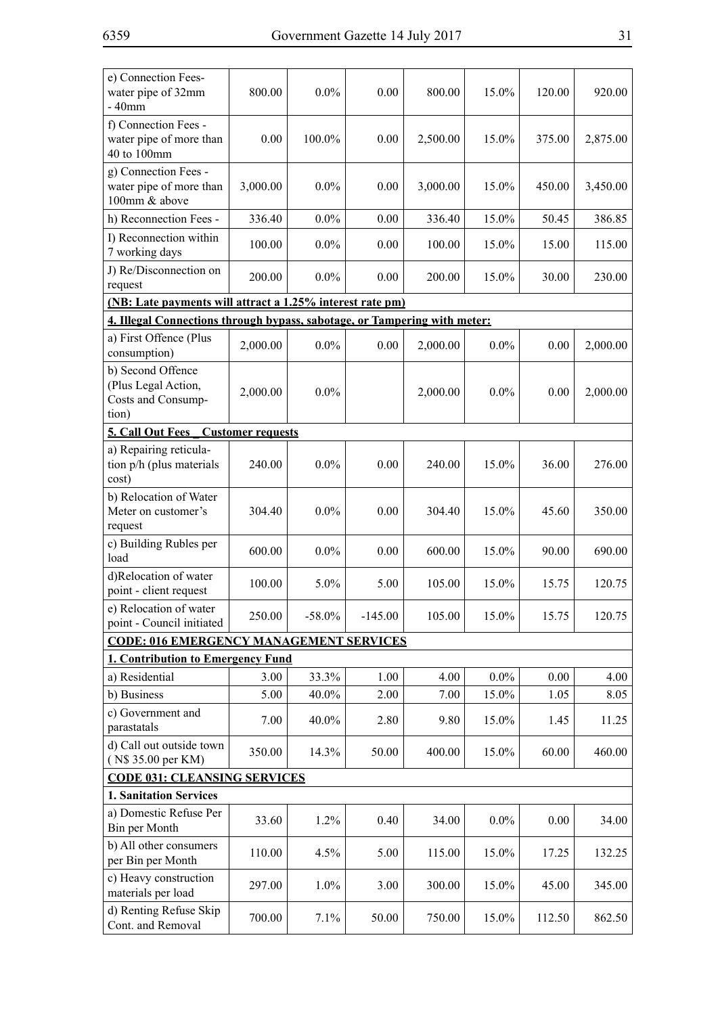| e) Connection Fees-<br>water pipe of 32mm<br>$-40$ mm                     | 800.00   | $0.0\%$   | 0.00      | 800.00   | 15.0%   | 120.00 | 920.00   |  |
|---------------------------------------------------------------------------|----------|-----------|-----------|----------|---------|--------|----------|--|
| f) Connection Fees -<br>water pipe of more than<br>40 to 100mm            | 0.00     | 100.0%    | 0.00      | 2,500.00 | 15.0%   | 375.00 | 2,875.00 |  |
| g) Connection Fees -<br>water pipe of more than<br>100mm & above          | 3,000.00 | $0.0\%$   | 0.00      | 3,000.00 | 15.0%   | 450.00 | 3,450.00 |  |
| h) Reconnection Fees -                                                    | 336.40   | $0.0\%$   | 0.00      | 336.40   | 15.0%   | 50.45  | 386.85   |  |
| I) Reconnection within<br>7 working days                                  | 100.00   | $0.0\%$   | 0.00      | 100.00   | 15.0%   | 15.00  | 115.00   |  |
| J) Re/Disconnection on<br>request                                         | 200.00   | $0.0\%$   | 0.00      | 200.00   | 15.0%   | 30.00  | 230.00   |  |
| (NB: Late payments will attract a 1.25% interest rate pm)                 |          |           |           |          |         |        |          |  |
| 4. Illegal Connections through bypass, sabotage, or Tampering with meter: |          |           |           |          |         |        |          |  |
| a) First Offence (Plus<br>consumption)                                    | 2,000.00 | $0.0\%$   | 0.00      | 2,000.00 | $0.0\%$ | 0.00   | 2,000.00 |  |
| b) Second Offence<br>(Plus Legal Action,<br>Costs and Consump-<br>tion)   | 2,000.00 | $0.0\%$   |           | 2,000.00 | $0.0\%$ | 0.00   | 2,000.00 |  |
| <b>5. Call Out Fees</b> Customer requests                                 |          |           |           |          |         |        |          |  |
| a) Repairing reticula-<br>tion p/h (plus materials<br>cost)               | 240.00   | $0.0\%$   | 0.00      | 240.00   | 15.0%   | 36.00  | 276.00   |  |
| b) Relocation of Water<br>Meter on customer's<br>request                  | 304.40   | $0.0\%$   | 0.00      | 304.40   | 15.0%   | 45.60  | 350.00   |  |
| c) Building Rubles per<br>load                                            | 600.00   | $0.0\%$   | 0.00      | 600.00   | 15.0%   | 90.00  | 690.00   |  |
| d)Relocation of water<br>point - client request                           | 100.00   | 5.0%      | 5.00      | 105.00   | 15.0%   | 15.75  | 120.75   |  |
| e) Relocation of water<br>point - Council initiated                       | 250.00   | $-58.0\%$ | $-145.00$ | 105.00   | 15.0%   | 15.75  | 120.75   |  |
| <b>CODE: 016 EMERGENCY MANAGEMENT SERVICES</b>                            |          |           |           |          |         |        |          |  |
| 1. Contribution to Emergency Fund                                         |          |           |           |          |         |        |          |  |
| a) Residential                                                            | 3.00     | 33.3%     | 1.00      | 4.00     | $0.0\%$ | 0.00   | 4.00     |  |
| b) Business                                                               | 5.00     | 40.0%     | 2.00      | 7.00     | 15.0%   | 1.05   | 8.05     |  |
| c) Government and<br>parastatals                                          | 7.00     | 40.0%     | 2.80      | 9.80     | 15.0%   | 1.45   | 11.25    |  |
| d) Call out outside town<br>(N\$ 35.00 per KM)                            | 350.00   | 14.3%     | 50.00     | 400.00   | 15.0%   | 60.00  | 460.00   |  |
| <b>CODE 031: CLEANSING SERVICES</b>                                       |          |           |           |          |         |        |          |  |
| <b>1. Sanitation Services</b>                                             |          |           |           |          |         |        |          |  |
| a) Domestic Refuse Per<br>Bin per Month                                   | 33.60    | 1.2%      | 0.40      | 34.00    | $0.0\%$ | 0.00   | 34.00    |  |
| b) All other consumers<br>per Bin per Month                               | 110.00   | 4.5%      | 5.00      | 115.00   | 15.0%   | 17.25  | 132.25   |  |
| c) Heavy construction<br>materials per load                               | 297.00   | 1.0%      | 3.00      | 300.00   | 15.0%   | 45.00  | 345.00   |  |
| d) Renting Refuse Skip<br>Cont. and Removal                               | 700.00   | 7.1%      | 50.00     | 750.00   | 15.0%   | 112.50 | 862.50   |  |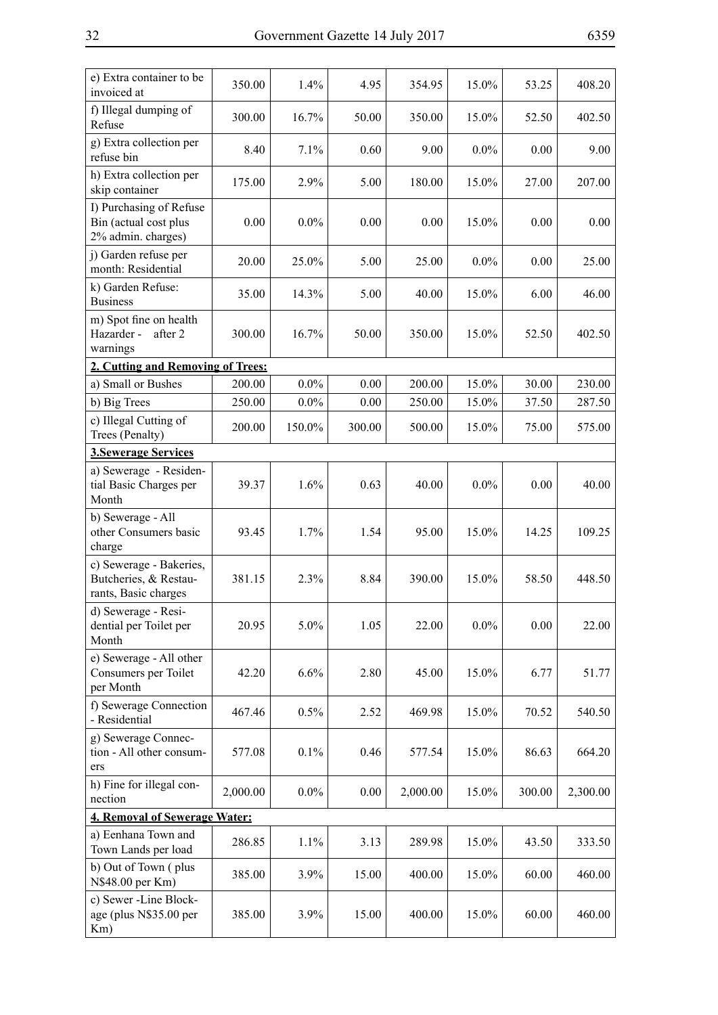| e) Extra container to be<br>invoiced at                                  | 350.00   | 1.4%    | 4.95   | 354.95   | 15.0%   | 53.25  | 408.20   |
|--------------------------------------------------------------------------|----------|---------|--------|----------|---------|--------|----------|
| f) Illegal dumping of<br>Refuse                                          | 300.00   | 16.7%   | 50.00  | 350.00   | 15.0%   | 52.50  | 402.50   |
| g) Extra collection per<br>refuse bin                                    | 8.40     | 7.1%    | 0.60   | 9.00     | $0.0\%$ | 0.00   | 9.00     |
| h) Extra collection per<br>skip container                                | 175.00   | 2.9%    | 5.00   | 180.00   | 15.0%   | 27.00  | 207.00   |
| I) Purchasing of Refuse<br>Bin (actual cost plus<br>2% admin. charges)   | 0.00     | $0.0\%$ | 0.00   | 0.00     | 15.0%   | 0.00   | 0.00     |
| j) Garden refuse per<br>month: Residential                               | 20.00    | 25.0%   | 5.00   | 25.00    | $0.0\%$ | 0.00   | 25.00    |
| k) Garden Refuse:<br><b>Business</b>                                     | 35.00    | 14.3%   | 5.00   | 40.00    | 15.0%   | 6.00   | 46.00    |
| m) Spot fine on health<br>Hazarder -<br>after 2<br>warnings              | 300.00   | 16.7%   | 50.00  | 350.00   | 15.0%   | 52.50  | 402.50   |
| 2. Cutting and Removing of Trees:                                        |          |         |        |          |         |        |          |
| a) Small or Bushes                                                       | 200.00   | $0.0\%$ | 0.00   | 200.00   | 15.0%   | 30.00  | 230.00   |
| b) Big Trees                                                             | 250.00   | $0.0\%$ | 0.00   | 250.00   | 15.0%   | 37.50  | 287.50   |
| c) Illegal Cutting of<br>Trees (Penalty)                                 | 200.00   | 150.0%  | 300.00 | 500.00   | 15.0%   | 75.00  | 575.00   |
| <b>3. Sewerage Services</b>                                              |          |         |        |          |         |        |          |
| a) Sewerage - Residen-<br>tial Basic Charges per<br>Month                | 39.37    | 1.6%    | 0.63   | 40.00    | $0.0\%$ | 0.00   | 40.00    |
| b) Sewerage - All<br>other Consumers basic<br>charge                     | 93.45    | 1.7%    | 1.54   | 95.00    | 15.0%   | 14.25  | 109.25   |
| c) Sewerage - Bakeries,<br>Butcheries, & Restau-<br>rants, Basic charges | 381.15   | 2.3%    | 8.84   | 390.00   | 15.0%   | 58.50  | 448.50   |
| d) Sewerage - Resi-<br>dential per Toilet per<br>Month                   | 20.95    | 5.0%    | 1.05   | 22.00    | $0.0\%$ | 0.00   | 22.00    |
| e) Sewerage - All other<br>Consumers per Toilet<br>per Month             | 42.20    | 6.6%    | 2.80   | 45.00    | 15.0%   | 6.77   | 51.77    |
| f) Sewerage Connection<br>- Residential                                  | 467.46   | 0.5%    | 2.52   | 469.98   | 15.0%   | 70.52  | 540.50   |
| g) Sewerage Connec-<br>tion - All other consum-<br>ers                   | 577.08   | 0.1%    | 0.46   | 577.54   | 15.0%   | 86.63  | 664.20   |
| h) Fine for illegal con-<br>nection                                      | 2,000.00 | $0.0\%$ | 0.00   | 2,000.00 | 15.0%   | 300.00 | 2,300.00 |
| <b>4. Removal of Sewerage Water:</b>                                     |          |         |        |          |         |        |          |
| a) Eenhana Town and<br>Town Lands per load                               | 286.85   | 1.1%    | 3.13   | 289.98   | 15.0%   | 43.50  | 333.50   |
| b) Out of Town (plus<br>N\$48.00 per Km)                                 | 385.00   | 3.9%    | 15.00  | 400.00   | 15.0%   | 60.00  | 460.00   |
| c) Sewer -Line Block-<br>age (plus N\$35.00 per<br>Km)                   | 385.00   | 3.9%    | 15.00  | 400.00   | 15.0%   | 60.00  | 460.00   |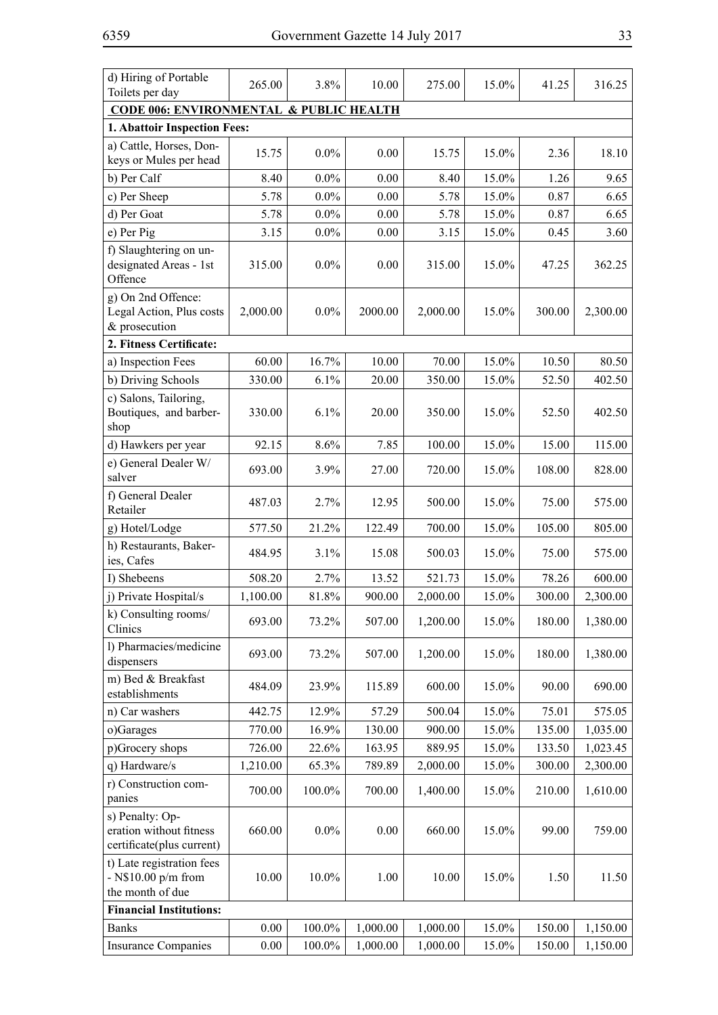| d) Hiring of Portable                                                   | 265.00   | 3.8%      | 10.00    | 275.00   | 15.0% | 41.25  | 316.25   |
|-------------------------------------------------------------------------|----------|-----------|----------|----------|-------|--------|----------|
| Toilets per day                                                         |          |           |          |          |       |        |          |
| <b>CODE 006: ENVIRONMENTAL &amp; PUBLIC HEALTH</b>                      |          |           |          |          |       |        |          |
| 1. Abattoir Inspection Fees:                                            |          |           |          |          |       |        |          |
| a) Cattle, Horses, Don-<br>keys or Mules per head                       | 15.75    | $0.0\%$   | 0.00     | 15.75    | 15.0% | 2.36   | 18.10    |
| b) Per Calf                                                             | 8.40     | $0.0\%$   | 0.00     | 8.40     | 15.0% | 1.26   | 9.65     |
| c) Per Sheep                                                            | 5.78     | $0.0\%$   | 0.00     | 5.78     | 15.0% | 0.87   | 6.65     |
| d) Per Goat                                                             | 5.78     | $0.0\%$   | 0.00     | 5.78     | 15.0% | 0.87   | 6.65     |
| e) Per Pig                                                              | 3.15     | $0.0\%$   | 0.00     | 3.15     | 15.0% | 0.45   | 3.60     |
| f) Slaughtering on un-<br>designated Areas - 1st<br>Offence             | 315.00   | $0.0\%$   | 0.00     | 315.00   | 15.0% | 47.25  | 362.25   |
| g) On 2nd Offence:<br>Legal Action, Plus costs<br>& prosecution         | 2,000.00 | $0.0\%$   | 2000.00  | 2,000.00 | 15.0% | 300.00 | 2,300.00 |
| 2. Fitness Certificate:                                                 |          |           |          |          |       |        |          |
| a) Inspection Fees                                                      | 60.00    | 16.7%     | 10.00    | 70.00    | 15.0% | 10.50  | 80.50    |
| b) Driving Schools                                                      | 330.00   | 6.1%      | 20.00    | 350.00   | 15.0% | 52.50  | 402.50   |
| c) Salons, Tailoring,<br>Boutiques, and barber-<br>shop                 | 330.00   | 6.1%      | 20.00    | 350.00   | 15.0% | 52.50  | 402.50   |
| d) Hawkers per year                                                     | 92.15    | 8.6%      | 7.85     | 100.00   | 15.0% | 15.00  | 115.00   |
| e) General Dealer W/<br>salver                                          | 693.00   | 3.9%      | 27.00    | 720.00   | 15.0% | 108.00 | 828.00   |
| f) General Dealer<br>Retailer                                           | 487.03   | 2.7%      | 12.95    | 500.00   | 15.0% | 75.00  | 575.00   |
| g) Hotel/Lodge                                                          | 577.50   | 21.2%     | 122.49   | 700.00   | 15.0% | 105.00 | 805.00   |
| h) Restaurants, Baker-<br>ies, Cafes                                    | 484.95   | 3.1%      | 15.08    | 500.03   | 15.0% | 75.00  | 575.00   |
| I) Shebeens                                                             | 508.20   | 2.7%      | 13.52    | 521.73   | 15.0% | 78.26  | 600.00   |
| j) Private Hospital/s                                                   | 1,100.00 | 81.8%     | 900.00   | 2,000.00 | 15.0% | 300.00 | 2,300.00 |
| k) Consulting rooms/<br>Clinics                                         | 693.00   | 73.2%     | 507.00   | 1,200.00 | 15.0% | 180.00 | 1,380.00 |
| l) Pharmacies/medicine<br>dispensers                                    | 693.00   | 73.2%     | 507.00   | 1,200.00 | 15.0% | 180.00 | 1,380.00 |
| m) Bed & Breakfast<br>establishments                                    | 484.09   | 23.9%     | 115.89   | 600.00   | 15.0% | 90.00  | 690.00   |
| n) Car washers                                                          | 442.75   | 12.9%     | 57.29    | 500.04   | 15.0% | 75.01  | 575.05   |
| o)Garages                                                               | 770.00   | 16.9%     | 130.00   | 900.00   | 15.0% | 135.00 | 1,035.00 |
| p)Grocery shops                                                         | 726.00   | 22.6%     | 163.95   | 889.95   | 15.0% | 133.50 | 1,023.45 |
| q) Hardware/s                                                           | 1,210.00 | 65.3%     | 789.89   | 2,000.00 | 15.0% | 300.00 | 2,300.00 |
| r) Construction com-<br>panies                                          | 700.00   | 100.0%    | 700.00   | 1,400.00 | 15.0% | 210.00 | 1,610.00 |
| s) Penalty: Op-<br>eration without fitness<br>certificate(plus current) | 660.00   | $0.0\%$   | 0.00     | 660.00   | 15.0% | 99.00  | 759.00   |
| t) Late registration fees<br>$-$ N\$10.00 p/m from<br>the month of due  | 10.00    | 10.0%     | 1.00     | 10.00    | 15.0% | 1.50   | 11.50    |
| <b>Financial Institutions:</b>                                          |          |           |          |          |       |        |          |
| <b>Banks</b>                                                            | 0.00     | 100.0%    | 1,000.00 | 1,000.00 | 15.0% | 150.00 | 1,150.00 |
| <b>Insurance Companies</b>                                              | 0.00     | $100.0\%$ | 1,000.00 | 1,000.00 | 15.0% | 150.00 | 1,150.00 |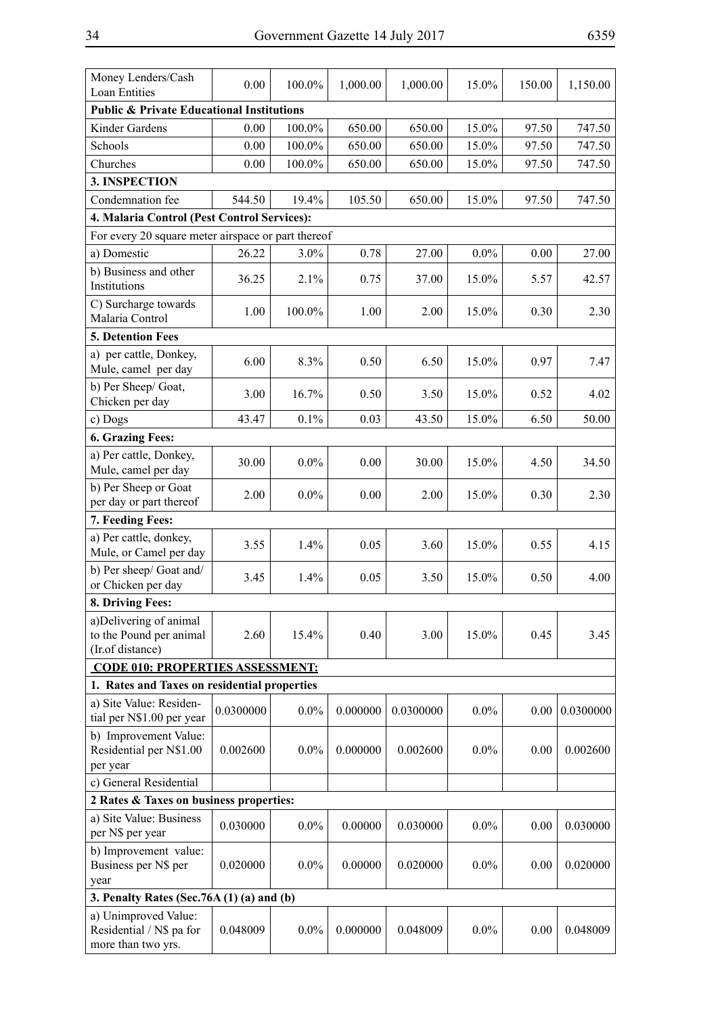| Money Lenders/Cash<br><b>Loan Entities</b>                             | 0.00      | 100.0%    | 1,000.00 | 1,000.00  | 15.0%   | 150.00 | 1,150.00  |
|------------------------------------------------------------------------|-----------|-----------|----------|-----------|---------|--------|-----------|
| <b>Public &amp; Private Educational Institutions</b>                   |           |           |          |           |         |        |           |
| Kinder Gardens                                                         | 0.00      | $100.0\%$ | 650.00   | 650.00    | 15.0%   | 97.50  | 747.50    |
| Schools                                                                | 0.00      | 100.0%    | 650.00   | 650.00    | 15.0%   | 97.50  | 747.50    |
| Churches                                                               | 0.00      | 100.0%    | 650.00   | 650.00    | 15.0%   | 97.50  | 747.50    |
| 3. INSPECTION                                                          |           |           |          |           |         |        |           |
| Condemnation fee                                                       | 544.50    | 19.4%     | 105.50   | 650.00    | 15.0%   | 97.50  | 747.50    |
| 4. Malaria Control (Pest Control Services):                            |           |           |          |           |         |        |           |
| For every 20 square meter airspace or part thereof                     |           |           |          |           |         |        |           |
| a) Domestic                                                            | 26.22     | 3.0%      | 0.78     | 27.00     | $0.0\%$ | 0.00   | 27.00     |
| b) Business and other<br>Institutions                                  | 36.25     | 2.1%      | 0.75     | 37.00     | 15.0%   | 5.57   | 42.57     |
| C) Surcharge towards<br>Malaria Control                                | 1.00      | 100.0%    | 1.00     | 2.00      | 15.0%   | 0.30   | 2.30      |
| <b>5. Detention Fees</b>                                               |           |           |          |           |         |        |           |
| a) per cattle, Donkey,<br>Mule, camel per day                          | 6.00      | 8.3%      | 0.50     | 6.50      | 15.0%   | 0.97   | 7.47      |
| b) Per Sheep/ Goat,<br>Chicken per day                                 | 3.00      | 16.7%     | 0.50     | 3.50      | 15.0%   | 0.52   | 4.02      |
| c) Dogs                                                                | 43.47     | 0.1%      | 0.03     | 43.50     | 15.0%   | 6.50   | 50.00     |
| 6. Grazing Fees:                                                       |           |           |          |           |         |        |           |
| a) Per cattle, Donkey,<br>Mule, camel per day                          | 30.00     | $0.0\%$   | 0.00     | 30.00     | 15.0%   | 4.50   | 34.50     |
| b) Per Sheep or Goat<br>per day or part thereof                        | 2.00      | $0.0\%$   | 0.00     | 2.00      | 15.0%   | 0.30   | 2.30      |
| 7. Feeding Fees:                                                       |           |           |          |           |         |        |           |
| a) Per cattle, donkey,<br>Mule, or Camel per day                       | 3.55      | 1.4%      | 0.05     | 3.60      | 15.0%   | 0.55   | 4.15      |
| b) Per sheep/ Goat and/<br>or Chicken per day                          | 3.45      | 1.4%      | 0.05     | 3.50      | 15.0%   | 0.50   | 4.00      |
| 8. Driving Fees:                                                       |           |           |          |           |         |        |           |
| a)Delivering of animal<br>to the Pound per animal<br>(Ir.of distance)  | 2.60      | 15.4%     | 0.40     | 3.00      | 15.0%   | 0.45   | 3.45      |
| <b>CODE 010: PROPERTIES ASSESSMENT:</b>                                |           |           |          |           |         |        |           |
| 1. Rates and Taxes on residential properties                           |           |           |          |           |         |        |           |
| a) Site Value: Residen-<br>tial per N\$1.00 per year                   | 0.0300000 | $0.0\%$   | 0.000000 | 0.0300000 | $0.0\%$ | 0.00   | 0.0300000 |
| b) Improvement Value:<br>Residential per N\$1.00<br>per year           | 0.002600  | $0.0\%$   | 0.000000 | 0.002600  | $0.0\%$ | 0.00   | 0.002600  |
| c) General Residential                                                 |           |           |          |           |         |        |           |
| 2 Rates & Taxes on business properties:                                |           |           |          |           |         |        |           |
| a) Site Value: Business<br>per N\$ per year                            | 0.030000  | $0.0\%$   | 0.00000  | 0.030000  | $0.0\%$ | 0.00   | 0.030000  |
| b) Improvement value:<br>Business per N\$ per<br>year                  | 0.020000  | $0.0\%$   | 0.00000  | 0.020000  | $0.0\%$ | 0.00   | 0.020000  |
| 3. Penalty Rates (Sec. 76A $(1)$ $(a)$ and $(b)$                       |           |           |          |           |         |        |           |
| a) Unimproved Value:<br>Residential / N\$ pa for<br>more than two yrs. | 0.048009  | $0.0\%$   | 0.000000 | 0.048009  | $0.0\%$ | 0.00   | 0.048009  |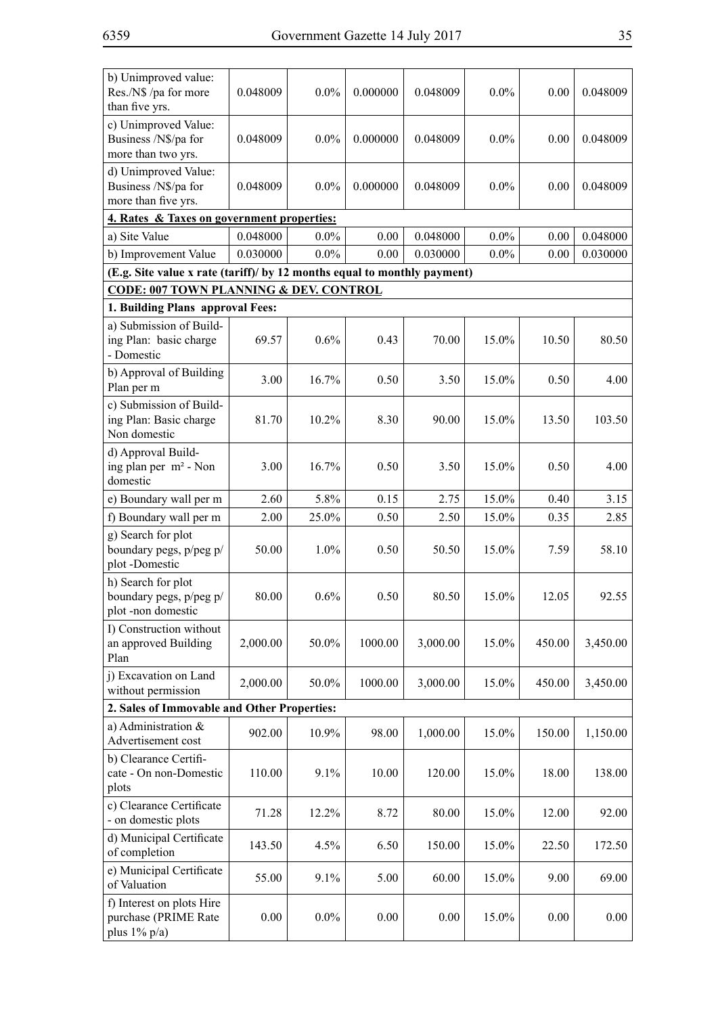| b) Unimproved value:<br>Res./N\$ /pa for more<br>than five yrs.          | 0.048009 | 0.0%    | 0.000000 | 0.048009 | $0.0\%$ | 0.00   | 0.048009 |  |  |  |
|--------------------------------------------------------------------------|----------|---------|----------|----------|---------|--------|----------|--|--|--|
| c) Unimproved Value:<br>Business /N\$/pa for<br>more than two yrs.       | 0.048009 | 0.0%    | 0.000000 | 0.048009 | $0.0\%$ | 0.00   | 0.048009 |  |  |  |
| d) Unimproved Value:<br>Business /N\$/pa for<br>more than five yrs.      | 0.048009 | 0.0%    | 0.000000 | 0.048009 | 0.0%    | 0.00   | 0.048009 |  |  |  |
| 4. Rates & Taxes on government properties:                               |          |         |          |          |         |        |          |  |  |  |
| a) Site Value                                                            | 0.048000 | $0.0\%$ | 0.00     | 0.048000 | $0.0\%$ | 0.00   | 0.048000 |  |  |  |
| b) Improvement Value                                                     | 0.030000 | $0.0\%$ | 0.00     | 0.030000 | $0.0\%$ | 0.00   | 0.030000 |  |  |  |
| (E.g. Site value x rate (tariff)/ by 12 months equal to monthly payment) |          |         |          |          |         |        |          |  |  |  |
| <b>CODE: 007 TOWN PLANNING &amp; DEV. CONTROL</b>                        |          |         |          |          |         |        |          |  |  |  |
| 1. Building Plans approval Fees:                                         |          |         |          |          |         |        |          |  |  |  |
| a) Submission of Build-<br>ing Plan: basic charge<br>- Domestic          | 69.57    | 0.6%    | 0.43     | 70.00    | 15.0%   | 10.50  | 80.50    |  |  |  |
| b) Approval of Building<br>Plan per m                                    | 3.00     | 16.7%   | 0.50     | 3.50     | 15.0%   | 0.50   | 4.00     |  |  |  |
| c) Submission of Build-<br>ing Plan: Basic charge<br>Non domestic        | 81.70    | 10.2%   | 8.30     | 90.00    | 15.0%   | 13.50  | 103.50   |  |  |  |
| d) Approval Build-<br>ing plan per m <sup>2</sup> - Non<br>domestic      | 3.00     | 16.7%   | 0.50     | 3.50     | 15.0%   | 0.50   | 4.00     |  |  |  |
| e) Boundary wall per m                                                   | 2.60     | 5.8%    | 0.15     | 2.75     | 15.0%   | 0.40   | 3.15     |  |  |  |
| f) Boundary wall per m                                                   | 2.00     | 25.0%   | 0.50     | 2.50     | 15.0%   | 0.35   | 2.85     |  |  |  |
| g) Search for plot<br>boundary pegs, p/peg p/<br>plot-Domestic           | 50.00    | 1.0%    | 0.50     | 50.50    | 15.0%   | 7.59   | 58.10    |  |  |  |
| h) Search for plot<br>boundary pegs, p/peg p/<br>plot-non domestic       | 80.00    | 0.6%    | 0.50     | 80.50    | 15.0%   | 12.05  | 92.55    |  |  |  |
| I) Construction without<br>an approved Building<br>Plan                  | 2,000.00 | 50.0%   | 1000.00  | 3,000.00 | 15.0%   | 450.00 | 3,450.00 |  |  |  |
| j) Excavation on Land<br>without permission                              | 2,000.00 | 50.0%   | 1000.00  | 3,000.00 | 15.0%   | 450.00 | 3,450.00 |  |  |  |
| 2. Sales of Immovable and Other Properties:                              |          |         |          |          |         |        |          |  |  |  |
| a) Administration &<br>Advertisement cost                                | 902.00   | 10.9%   | 98.00    | 1,000.00 | 15.0%   | 150.00 | 1,150.00 |  |  |  |
| b) Clearance Certifi-<br>cate - On non-Domestic<br>plots                 | 110.00   | 9.1%    | 10.00    | 120.00   | 15.0%   | 18.00  | 138.00   |  |  |  |
| c) Clearance Certificate<br>- on domestic plots                          | 71.28    | 12.2%   | 8.72     | 80.00    | 15.0%   | 12.00  | 92.00    |  |  |  |
| d) Municipal Certificate<br>of completion                                | 143.50   | 4.5%    | 6.50     | 150.00   | 15.0%   | 22.50  | 172.50   |  |  |  |
| e) Municipal Certificate<br>of Valuation                                 | 55.00    | 9.1%    | 5.00     | 60.00    | 15.0%   | 9.00   | 69.00    |  |  |  |
| f) Interest on plots Hire<br>purchase (PRIME Rate<br>plus $1\%$ p/a)     | 0.00     | $0.0\%$ | 0.00     | 0.00     | 15.0%   | 0.00   | 0.00     |  |  |  |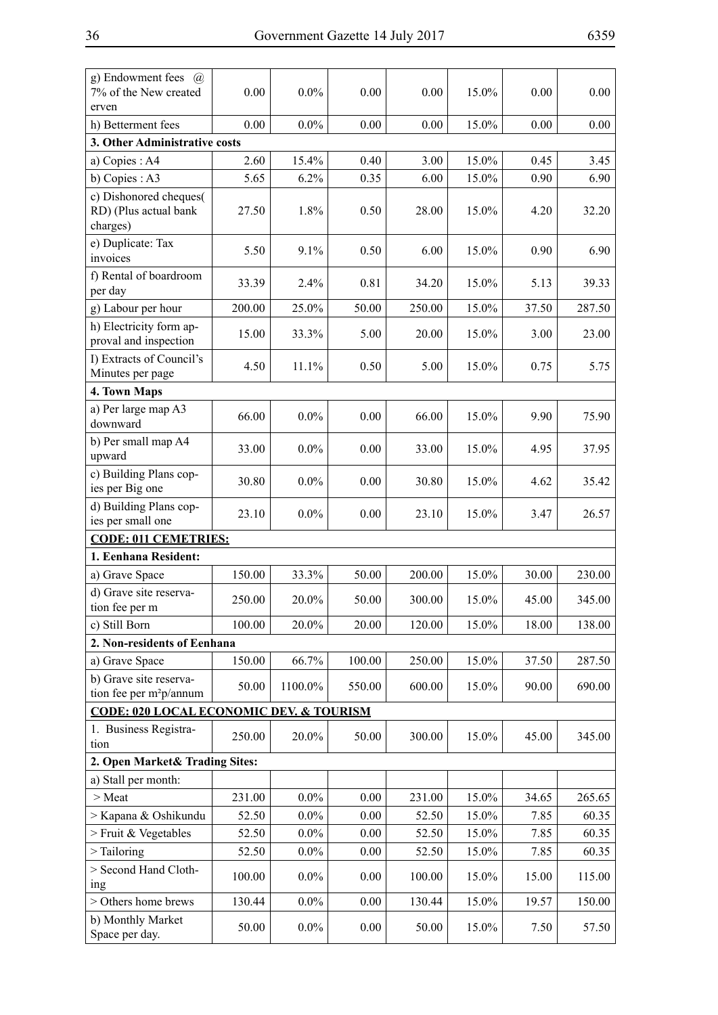| g) Endowment fees $(a)$<br>7% of the New created              | 0.00     | $0.0\%$    | 0.00     | 0.00   | 15.0% | 0.00     | 0.00   |
|---------------------------------------------------------------|----------|------------|----------|--------|-------|----------|--------|
| erven<br>h) Betterment fees                                   | $0.00\,$ | $0.0\%$    | $0.00\,$ | 0.00   | 15.0% | $0.00\,$ | 0.00   |
| 3. Other Administrative costs                                 |          |            |          |        |       |          |        |
| a) Copies: A4                                                 | 2.60     | 15.4%      | 0.40     | 3.00   | 15.0% | 0.45     | 3.45   |
| b) Copies: A3                                                 | 5.65     | 6.2%       | 0.35     | 6.00   | 15.0% | 0.90     | 6.90   |
| c) Dishonored cheques(                                        |          |            |          |        |       |          |        |
| RD) (Plus actual bank<br>charges)                             | 27.50    | 1.8%       | 0.50     | 28.00  | 15.0% | 4.20     | 32.20  |
| e) Duplicate: Tax<br>invoices                                 | 5.50     | 9.1%       | 0.50     | 6.00   | 15.0% | 0.90     | 6.90   |
| f) Rental of boardroom<br>per day                             | 33.39    | 2.4%       | 0.81     | 34.20  | 15.0% | 5.13     | 39.33  |
| g) Labour per hour                                            | 200.00   | 25.0%      | 50.00    | 250.00 | 15.0% | 37.50    | 287.50 |
| h) Electricity form ap-<br>proval and inspection              | 15.00    | 33.3%      | 5.00     | 20.00  | 15.0% | 3.00     | 23.00  |
| I) Extracts of Council's<br>Minutes per page                  | 4.50     | 11.1%      | 0.50     | 5.00   | 15.0% | 0.75     | 5.75   |
| 4. Town Maps                                                  |          |            |          |        |       |          |        |
| a) Per large map A3<br>downward                               | 66.00    | $0.0\%$    | 0.00     | 66.00  | 15.0% | 9.90     | 75.90  |
| b) Per small map A4<br>upward                                 | 33.00    | $0.0\%$    | 0.00     | 33.00  | 15.0% | 4.95     | 37.95  |
| c) Building Plans cop-<br>ies per Big one                     | 30.80    | $0.0\%$    | 0.00     | 30.80  | 15.0% | 4.62     | 35.42  |
| d) Building Plans cop-<br>ies per small one                   | 23.10    | $0.0\%$    | 0.00     | 23.10  | 15.0% | 3.47     | 26.57  |
| <b>CODE: 011 CEMETRIES:</b>                                   |          |            |          |        |       |          |        |
| 1. Eenhana Resident:                                          |          |            |          |        |       |          |        |
| a) Grave Space                                                | 150.00   | 33.3%      | 50.00    | 200.00 | 15.0% | 30.00    | 230.00 |
| d) Grave site reserva-<br>tion fee per m                      | 250.00   | 20.0%      | 50.00    | 300.00 | 15.0% | 45.00    | 345.00 |
| c) Still Born                                                 | 100.00   | 20.0%      | 20.00    | 120.00 | 15.0% | 18.00    | 138.00 |
| 2. Non-residents of Eenhana                                   |          |            |          |        |       |          |        |
| a) Grave Space                                                | 150.00   | 66.7%      | 100.00   | 250.00 | 15.0% | 37.50    | 287.50 |
| b) Grave site reserva-<br>tion fee per m <sup>2</sup> p/annum | 50.00    | $1100.0\%$ | 550.00   | 600.00 | 15.0% | 90.00    | 690.00 |
| <b>CODE: 020 LOCAL ECONOMIC DEV. &amp; TOURISM</b>            |          |            |          |        |       |          |        |
| 1. Business Registra-<br>tion                                 | 250.00   | 20.0%      | 50.00    | 300.00 | 15.0% | 45.00    | 345.00 |
| 2. Open Market& Trading Sites:                                |          |            |          |        |       |          |        |
| a) Stall per month:                                           |          |            |          |        |       |          |        |
| > Meat                                                        | 231.00   | $0.0\%$    | 0.00     | 231.00 | 15.0% | 34.65    | 265.65 |
| > Kapana & Oshikundu                                          | 52.50    | $0.0\%$    | 0.00     | 52.50  | 15.0% | 7.85     | 60.35  |
| > Fruit & Vegetables                                          | 52.50    | $0.0\%$    | 0.00     | 52.50  | 15.0% | 7.85     | 60.35  |
| $>$ Tailoring                                                 | 52.50    | $0.0\%$    | 0.00     | 52.50  | 15.0% | 7.85     | 60.35  |
| > Second Hand Cloth-<br>ing                                   | 100.00   | $0.0\%$    | 0.00     | 100.00 | 15.0% | 15.00    | 115.00 |
| > Others home brews                                           | 130.44   | $0.0\%$    | 0.00     | 130.44 | 15.0% | 19.57    | 150.00 |
| b) Monthly Market<br>Space per day.                           | 50.00    | $0.0\%$    | 0.00     | 50.00  | 15.0% | 7.50     | 57.50  |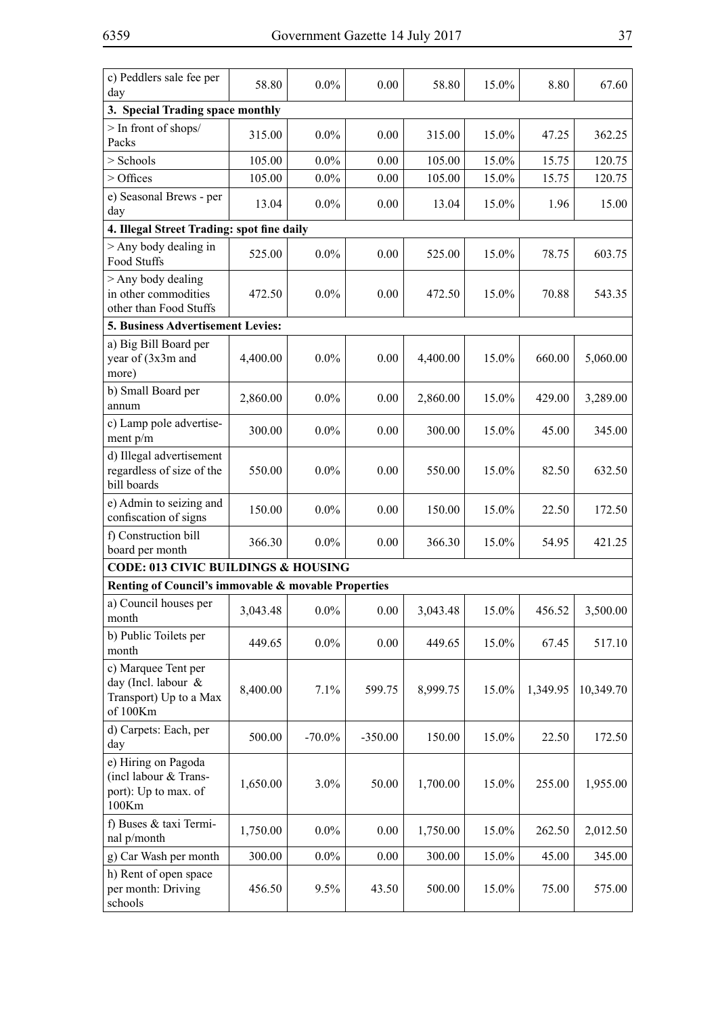| c) Peddlers sale fee per<br>day                                                  | 58.80    | $0.0\%$   | 0.00      | 58.80    | 15.0% | 8.80     | 67.60     |
|----------------------------------------------------------------------------------|----------|-----------|-----------|----------|-------|----------|-----------|
| 3. Special Trading space monthly                                                 |          |           |           |          |       |          |           |
| > In front of shops/<br>Packs                                                    | 315.00   | $0.0\%$   | 0.00      | 315.00   | 15.0% | 47.25    | 362.25    |
| > Schools                                                                        | 105.00   | 0.0%      | 0.00      | 105.00   | 15.0% | 15.75    | 120.75    |
| > Offices                                                                        | 105.00   | $0.0\%$   | 0.00      | 105.00   | 15.0% | 15.75    | 120.75    |
| e) Seasonal Brews - per<br>day                                                   | 13.04    | 0.0%      | 0.00      | 13.04    | 15.0% | 1.96     | 15.00     |
| 4. Illegal Street Trading: spot fine daily                                       |          |           |           |          |       |          |           |
| $>$ Any body dealing in<br>Food Stuffs                                           | 525.00   | $0.0\%$   | 0.00      | 525.00   | 15.0% | 78.75    | 603.75    |
| $>$ Any body dealing<br>in other commodities<br>other than Food Stuffs           | 472.50   | $0.0\%$   | 0.00      | 472.50   | 15.0% | 70.88    | 543.35    |
| 5. Business Advertisement Levies:                                                |          |           |           |          |       |          |           |
| a) Big Bill Board per<br>year of (3x3m and<br>more)                              | 4,400.00 | 0.0%      | 0.00      | 4,400.00 | 15.0% | 660.00   | 5,060.00  |
| b) Small Board per<br>annum                                                      | 2,860.00 | 0.0%      | 0.00      | 2,860.00 | 15.0% | 429.00   | 3,289.00  |
| c) Lamp pole advertise-<br>ment p/m                                              | 300.00   | 0.0%      | 0.00      | 300.00   | 15.0% | 45.00    | 345.00    |
| d) Illegal advertisement<br>regardless of size of the<br>bill boards             | 550.00   | 0.0%      | 0.00      | 550.00   | 15.0% | 82.50    | 632.50    |
| e) Admin to seizing and<br>confiscation of signs                                 | 150.00   | 0.0%      | 0.00      | 150.00   | 15.0% | 22.50    | 172.50    |
| f) Construction bill<br>board per month                                          | 366.30   | $0.0\%$   | 0.00      | 366.30   | 15.0% | 54.95    | 421.25    |
| <b>CODE: 013 CIVIC BUILDINGS &amp; HOUSING</b>                                   |          |           |           |          |       |          |           |
| Renting of Council's immovable & movable Properties                              |          |           |           |          |       |          |           |
| a) Council houses per<br>month                                                   | 3,043.48 | $0.0\%$   | 0.00      | 3,043.48 | 15.0% | 456.52   | 3,500.00  |
| b) Public Toilets per<br>month                                                   | 449.65   | $0.0\%$   | 0.00      | 449.65   | 15.0% | 67.45    | 517.10    |
| c) Marquee Tent per<br>day (Incl. labour &<br>Transport) Up to a Max<br>of 100Km | 8,400.00 | 7.1%      | 599.75    | 8,999.75 | 15.0% | 1,349.95 | 10,349.70 |
| d) Carpets: Each, per<br>day                                                     | 500.00   | $-70.0\%$ | $-350.00$ | 150.00   | 15.0% | 22.50    | 172.50    |
| e) Hiring on Pagoda<br>(incl labour & Trans-<br>port): Up to max. of<br>100Km    | 1,650.00 | 3.0%      | 50.00     | 1,700.00 | 15.0% | 255.00   | 1,955.00  |
| f) Buses & taxi Termi-<br>nal p/month                                            | 1,750.00 | $0.0\%$   | 0.00      | 1,750.00 | 15.0% | 262.50   | 2,012.50  |
| g) Car Wash per month                                                            | 300.00   | $0.0\%$   | 0.00      | 300.00   | 15.0% | 45.00    | 345.00    |
| h) Rent of open space<br>per month: Driving<br>schools                           | 456.50   | 9.5%      | 43.50     | 500.00   | 15.0% | 75.00    | 575.00    |
|                                                                                  |          |           |           |          |       |          |           |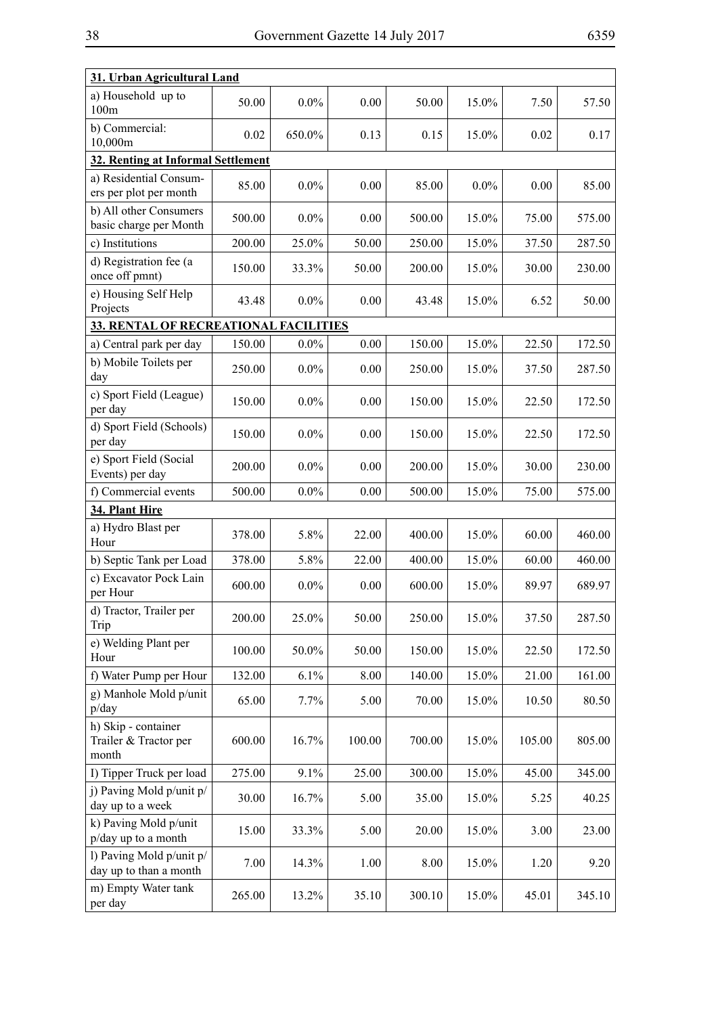|--|

| 31. Urban Agricultural Land                           |        |         |        |        |         |        |        |
|-------------------------------------------------------|--------|---------|--------|--------|---------|--------|--------|
| a) Household up to<br>100m                            | 50.00  | $0.0\%$ | 0.00   | 50.00  | 15.0%   | 7.50   | 57.50  |
| b) Commercial:<br>10,000m                             | 0.02   | 650.0%  | 0.13   | 0.15   | 15.0%   | 0.02   | 0.17   |
| 32. Renting at Informal Settlement                    |        |         |        |        |         |        |        |
| a) Residential Consum-<br>ers per plot per month      | 85.00  | $0.0\%$ | 0.00   | 85.00  | $0.0\%$ | 0.00   | 85.00  |
| b) All other Consumers<br>basic charge per Month      | 500.00 | $0.0\%$ | 0.00   | 500.00 | 15.0%   | 75.00  | 575.00 |
| c) Institutions                                       | 200.00 | 25.0%   | 50.00  | 250.00 | 15.0%   | 37.50  | 287.50 |
| d) Registration fee (a<br>once off pmnt)              | 150.00 | 33.3%   | 50.00  | 200.00 | 15.0%   | 30.00  | 230.00 |
| e) Housing Self Help<br>Projects                      | 43.48  | $0.0\%$ | 0.00   | 43.48  | 15.0%   | 6.52   | 50.00  |
| <b>33. RENTAL OF RECREATIONAL FACILITIES</b>          |        |         |        |        |         |        |        |
| a) Central park per day                               | 150.00 | $0.0\%$ | 0.00   | 150.00 | 15.0%   | 22.50  | 172.50 |
| b) Mobile Toilets per<br>day                          | 250.00 | $0.0\%$ | 0.00   | 250.00 | 15.0%   | 37.50  | 287.50 |
| c) Sport Field (League)<br>per day                    | 150.00 | $0.0\%$ | 0.00   | 150.00 | 15.0%   | 22.50  | 172.50 |
| d) Sport Field (Schools)<br>per day                   | 150.00 | $0.0\%$ | 0.00   | 150.00 | 15.0%   | 22.50  | 172.50 |
| e) Sport Field (Social<br>Events) per day             | 200.00 | $0.0\%$ | 0.00   | 200.00 | 15.0%   | 30.00  | 230.00 |
| f) Commercial events                                  | 500.00 | $0.0\%$ | 0.00   | 500.00 | 15.0%   | 75.00  | 575.00 |
| 34. Plant Hire                                        |        |         |        |        |         |        |        |
| a) Hydro Blast per<br>Hour                            | 378.00 | 5.8%    | 22.00  | 400.00 | 15.0%   | 60.00  | 460.00 |
| b) Septic Tank per Load                               | 378.00 | 5.8%    | 22.00  | 400.00 | 15.0%   | 60.00  | 460.00 |
| c) Excavator Pock Lain<br>per Hour                    | 600.00 | $0.0\%$ | 0.00   | 600.00 | 15.0%   | 89.97  | 689.97 |
| d) Tractor, Trailer per<br>Trip                       | 200.00 | 25.0%   | 50.00  | 250.00 | 15.0%   | 37.50  | 287.50 |
| e) Welding Plant per<br>Hour                          | 100.00 | 50.0%   | 50.00  | 150.00 | 15.0%   | 22.50  | 172.50 |
| f) Water Pump per Hour                                | 132.00 | 6.1%    | 8.00   | 140.00 | 15.0%   | 21.00  | 161.00 |
| g) Manhole Mold p/unit<br>p/day                       | 65.00  | 7.7%    | 5.00   | 70.00  | 15.0%   | 10.50  | 80.50  |
| h) Skip - container<br>Trailer & Tractor per<br>month | 600.00 | 16.7%   | 100.00 | 700.00 | 15.0%   | 105.00 | 805.00 |
| I) Tipper Truck per load                              | 275.00 | 9.1%    | 25.00  | 300.00 | 15.0%   | 45.00  | 345.00 |
| j) Paving Mold p/unit p/<br>day up to a week          | 30.00  | 16.7%   | 5.00   | 35.00  | 15.0%   | 5.25   | 40.25  |
| k) Paving Mold p/unit<br>p/day up to a month          | 15.00  | 33.3%   | 5.00   | 20.00  | 15.0%   | 3.00   | 23.00  |
| l) Paving Mold p/unit p/<br>day up to than a month    | 7.00   | 14.3%   | 1.00   | 8.00   | 15.0%   | 1.20   | 9.20   |
| m) Empty Water tank<br>per day                        | 265.00 | 13.2%   | 35.10  | 300.10 | 15.0%   | 45.01  | 345.10 |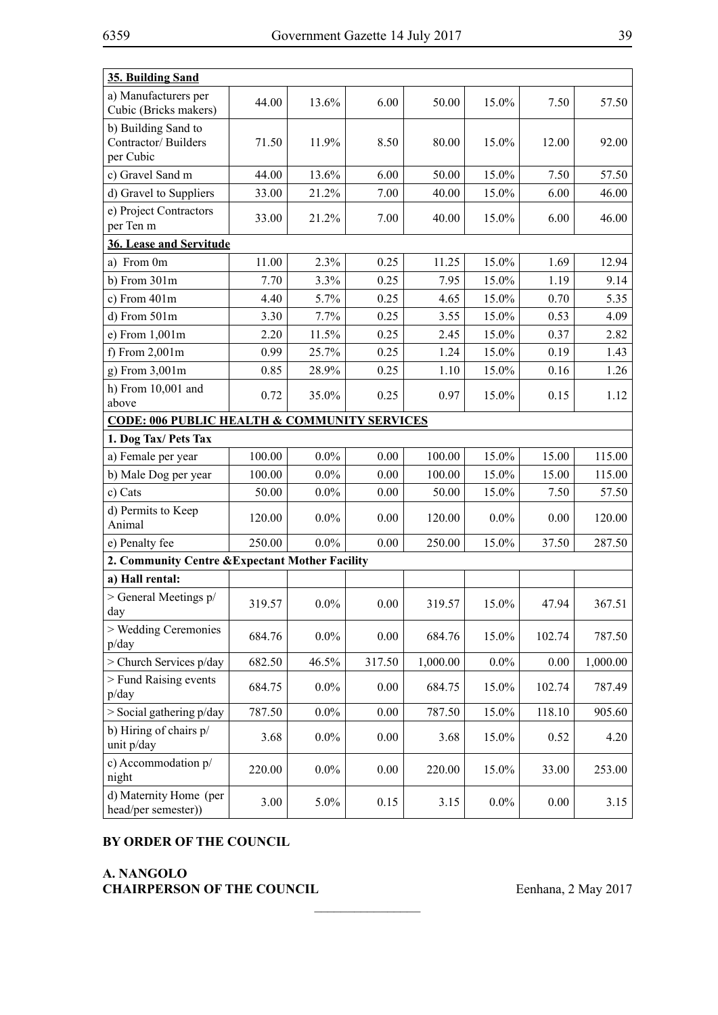| 35. Building Sand                                       |                         |         |        |          |         |        |          |
|---------------------------------------------------------|-------------------------|---------|--------|----------|---------|--------|----------|
| a) Manufacturers per<br>Cubic (Bricks makers)           | 44.00                   | 13.6%   | 6.00   | 50.00    | 15.0%   | 7.50   | 57.50    |
| b) Building Sand to<br>Contractor/Builders<br>per Cubic | 71.50                   | 11.9%   | 8.50   | 80.00    | 15.0%   | 12.00  | 92.00    |
| c) Gravel Sand m                                        | 44.00                   | 13.6%   | 6.00   | 50.00    | 15.0%   | 7.50   | 57.50    |
| d) Gravel to Suppliers                                  | 33.00                   | 21.2%   | 7.00   | 40.00    | 15.0%   | 6.00   | 46.00    |
| e) Project Contractors<br>per Ten m                     | 33.00                   | 21.2%   | 7.00   | 40.00    | 15.0%   | 6.00   | 46.00    |
|                                                         | 36. Lease and Servitude |         |        |          |         |        |          |
| a) From 0m                                              | 11.00                   | 2.3%    | 0.25   | 11.25    | 15.0%   | 1.69   | 12.94    |
| $b)$ From $301m$                                        | 7.70                    | 3.3%    | 0.25   | 7.95     | 15.0%   | 1.19   | 9.14     |
| c) From $401m$                                          | 4.40                    | 5.7%    | 0.25   | 4.65     | 15.0%   | 0.70   | 5.35     |
| d) From 501m                                            | 3.30                    | 7.7%    | 0.25   | 3.55     | 15.0%   | 0.53   | 4.09     |
| e) From 1,001m                                          | 2.20                    | 11.5%   | 0.25   | 2.45     | 15.0%   | 0.37   | 2.82     |
| f) From $2,001m$                                        | 0.99                    | 25.7%   | 0.25   | 1.24     | 15.0%   | 0.19   | 1.43     |
| g) From 3,001m                                          | 0.85                    | 28.9%   | 0.25   | 1.10     | 15.0%   | 0.16   | 1.26     |
| h) From 10,001 and<br>above                             | 0.72                    | 35.0%   | 0.25   | 0.97     | 15.0%   | 0.15   | 1.12     |
| <b>CODE: 006 PUBLIC HEALTH &amp; COMMUNITY SERVICES</b> |                         |         |        |          |         |        |          |
| 1. Dog Tax/ Pets Tax                                    |                         |         |        |          |         |        |          |
| a) Female per year                                      | 100.00                  | $0.0\%$ | 0.00   | 100.00   | 15.0%   | 15.00  | 115.00   |
| b) Male Dog per year                                    | 100.00                  | $0.0\%$ | 0.00   | 100.00   | 15.0%   | 15.00  | 115.00   |
| c) Cats                                                 | 50.00                   | $0.0\%$ | 0.00   | 50.00    | 15.0%   | 7.50   | 57.50    |
| d) Permits to Keep<br>Animal                            | 120.00                  | $0.0\%$ | 0.00   | 120.00   | $0.0\%$ | 0.00   | 120.00   |
| e) Penalty fee                                          | 250.00                  | $0.0\%$ | 0.00   | 250.00   | 15.0%   | 37.50  | 287.50   |
| 2. Community Centre & Expectant Mother Facility         |                         |         |        |          |         |        |          |
| a) Hall rental:                                         |                         |         |        |          |         |        |          |
| > General Meetings p/<br>day                            | 319.57                  | $0.0\%$ | 0.00   | 319.57   | 15.0%   | 47.94  | 367.51   |
| > Wedding Ceremonies<br>p/day                           | 684.76                  | $0.0\%$ | 0.00   | 684.76   | 15.0%   | 102.74 | 787.50   |
| > Church Services p/day                                 | 682.50                  | 46.5%   | 317.50 | 1,000.00 | $0.0\%$ | 0.00   | 1,000.00 |
| > Fund Raising events<br>p/day                          | 684.75                  | $0.0\%$ | 0.00   | 684.75   | 15.0%   | 102.74 | 787.49   |
| $>$ Social gathering $p/day$                            | 787.50                  | $0.0\%$ | 0.00   | 787.50   | 15.0%   | 118.10 | 905.60   |
| b) Hiring of chairs p/<br>unit p/day                    | 3.68                    | $0.0\%$ | 0.00   | 3.68     | 15.0%   | 0.52   | 4.20     |
| c) Accommodation p/<br>night                            | 220.00                  | $0.0\%$ | 0.00   | 220.00   | 15.0%   | 33.00  | 253.00   |
| d) Maternity Home (per<br>head/per semester))           | 3.00                    | 5.0%    | 0.15   | 3.15     | $0.0\%$ | 0.00   | 3.15     |

 $\frac{1}{2}$ 

# **BY ORDER OF THE COUNCIL**

# **A. NANGOLO CHAIRPERSON OF THE COUNCIL** Eenhana, 2 May 2017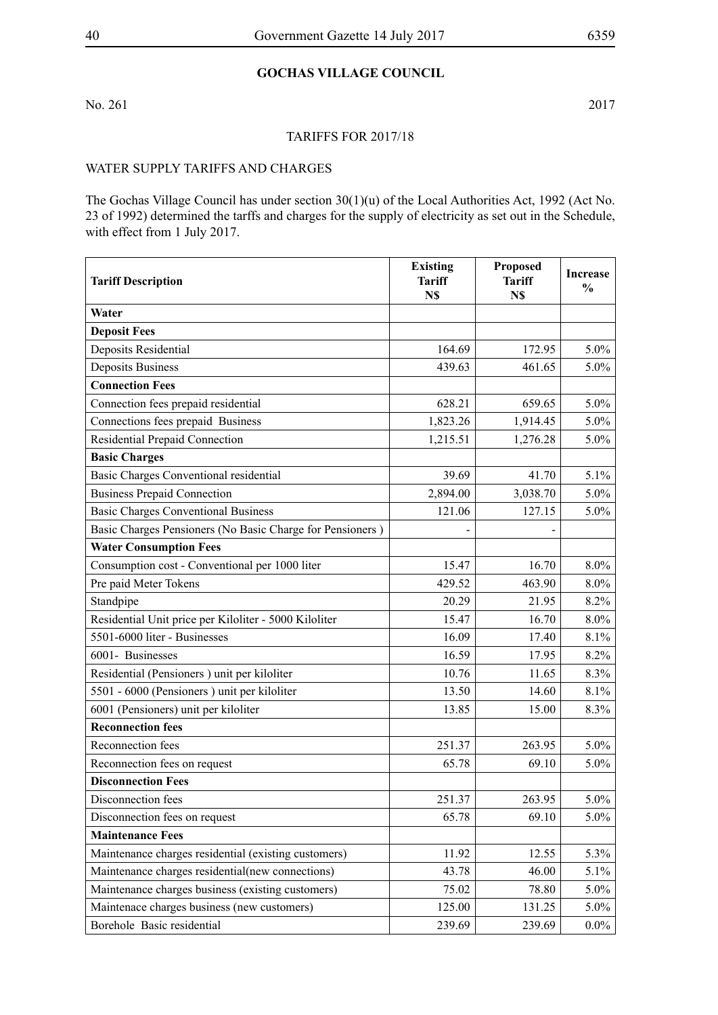# **Gochas Village Council**

No. 261 2017

#### Tariffs for 2017/18

### WATER SUPPLY TARIFFS AND CHARGES

The Gochas Village Council has under section 30(1)(u) of the Local Authorities Act, 1992 (Act No. 23 of 1992) determined the tarffs and charges for the supply of electricity as set out in the Schedule, with effect from 1 July 2017.

| <b>Tariff Description</b>                                 | <b>Existing</b><br><b>Tariff</b><br>N\$ | <b>Proposed</b><br><b>Tariff</b><br>N\$ | <b>Increase</b><br>$\frac{0}{0}$ |
|-----------------------------------------------------------|-----------------------------------------|-----------------------------------------|----------------------------------|
| Water                                                     |                                         |                                         |                                  |
| <b>Deposit Fees</b>                                       |                                         |                                         |                                  |
| Deposits Residential                                      | 164.69                                  | 172.95                                  | $5.0\%$                          |
| <b>Deposits Business</b>                                  | 439.63                                  | 461.65                                  | $5.0\%$                          |
| <b>Connection Fees</b>                                    |                                         |                                         |                                  |
| Connection fees prepaid residential                       | 628.21                                  | 659.65                                  | $5.0\%$                          |
| Connections fees prepaid Business                         | 1,823.26                                | 1,914.45                                | $5.0\%$                          |
| Residential Prepaid Connection                            | 1,215.51                                | 1,276.28                                | $5.0\%$                          |
| <b>Basic Charges</b>                                      |                                         |                                         |                                  |
| Basic Charges Conventional residential                    | 39.69                                   | 41.70                                   | 5.1%                             |
| <b>Business Prepaid Connection</b>                        | 2,894.00                                | 3,038.70                                | $5.0\%$                          |
| <b>Basic Charges Conventional Business</b>                | 121.06                                  | 127.15                                  | $5.0\%$                          |
| Basic Charges Pensioners (No Basic Charge for Pensioners) |                                         |                                         |                                  |
| <b>Water Consumption Fees</b>                             |                                         |                                         |                                  |
| Consumption cost - Conventional per 1000 liter            | 15.47                                   | 16.70                                   | $8.0\%$                          |
| Pre paid Meter Tokens                                     | 429.52                                  | 463.90                                  | $8.0\%$                          |
| Standpipe                                                 | 20.29                                   | 21.95                                   | 8.2%                             |
| Residential Unit price per Kiloliter - 5000 Kiloliter     | 15.47                                   | 16.70                                   | $8.0\%$                          |
| 5501-6000 liter - Businesses                              | 16.09                                   | 17.40                                   | 8.1%                             |
| 6001- Businesses                                          | 16.59                                   | 17.95                                   | 8.2%                             |
| Residential (Pensioners) unit per kiloliter               | 10.76                                   | 11.65                                   | 8.3%                             |
| 5501 - 6000 (Pensioners) unit per kiloliter               | 13.50                                   | 14.60                                   | 8.1%                             |
| 6001 (Pensioners) unit per kiloliter                      | 13.85                                   | 15.00                                   | 8.3%                             |
| <b>Reconnection fees</b>                                  |                                         |                                         |                                  |
| Reconnection fees                                         | 251.37                                  | 263.95                                  | $5.0\%$                          |
| Reconnection fees on request                              | 65.78                                   | 69.10                                   | $5.0\%$                          |
| <b>Disconnection Fees</b>                                 |                                         |                                         |                                  |
| Disconnection fees                                        | 251.37                                  | 263.95                                  | $5.0\%$                          |
| Disconnection fees on request                             | 65.78                                   | 69.10                                   | $5.0\%$                          |
| <b>Maintenance Fees</b>                                   |                                         |                                         |                                  |
| Maintenance charges residential (existing customers)      | 11.92                                   | 12.55                                   | 5.3%                             |
| Maintenance charges residential(new connections)          | 43.78                                   | 46.00                                   | 5.1%                             |
| Maintenance charges business (existing customers)         | 75.02                                   | 78.80                                   | $5.0\%$                          |
| Maintenace charges business (new customers)               | 125.00                                  | 131.25                                  | $5.0\%$                          |
| Borehole Basic residential                                | 239.69                                  | 239.69                                  | $0.0\%$                          |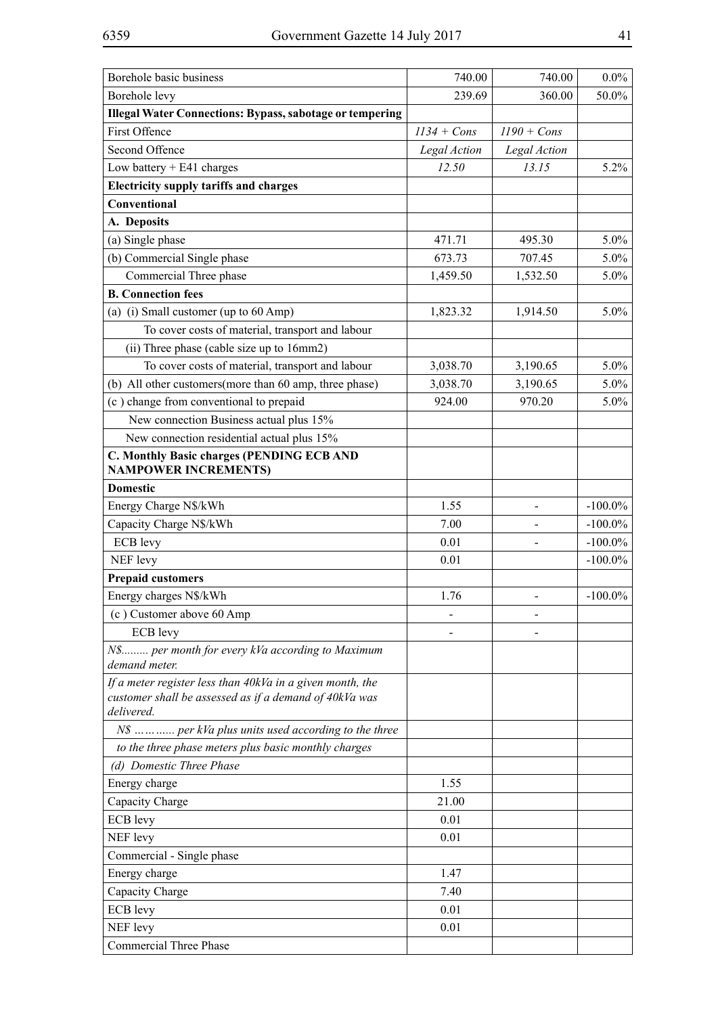| Borehole basic business                                              | 740.00        | 740.00         | $0.0\%$    |
|----------------------------------------------------------------------|---------------|----------------|------------|
| Borehole levy                                                        | 239.69        | 360.00         | 50.0%      |
| <b>Illegal Water Connections: Bypass, sabotage or tempering</b>      |               |                |            |
| <b>First Offence</b>                                                 | $1134 + Cons$ | $1190 + Cons$  |            |
| Second Offence                                                       | Legal Action  | Legal Action   |            |
| Low battery $+ E41$ charges                                          | 12.50         | 13.15          | 5.2%       |
| <b>Electricity supply tariffs and charges</b>                        |               |                |            |
| Conventional                                                         |               |                |            |
| A. Deposits                                                          |               |                |            |
| (a) Single phase                                                     | 471.71        | 495.30         | $5.0\%$    |
| (b) Commercial Single phase                                          | 673.73        | 707.45         | $5.0\%$    |
| Commercial Three phase                                               | 1,459.50      | 1,532.50       | $5.0\%$    |
| <b>B. Connection fees</b>                                            |               |                |            |
| (a) (i) Small customer (up to 60 Amp)                                | 1,823.32      | 1,914.50       | $5.0\%$    |
| To cover costs of material, transport and labour                     |               |                |            |
| (ii) Three phase (cable size up to 16mm2)                            |               |                |            |
| To cover costs of material, transport and labour                     | 3,038.70      | 3,190.65       | $5.0\%$    |
| (b) All other customers (more than 60 amp, three phase)              | 3,038.70      | 3,190.65       | $5.0\%$    |
| (c) change from conventional to prepaid                              | 924.00        | 970.20         | 5.0%       |
| New connection Business actual plus 15%                              |               |                |            |
| New connection residential actual plus 15%                           |               |                |            |
| C. Monthly Basic charges (PENDING ECB AND                            |               |                |            |
| <b>NAMPOWER INCREMENTS)</b>                                          |               |                |            |
| <b>Domestic</b>                                                      |               |                |            |
| Energy Charge N\$/kWh                                                | 1.55          |                | $-100.0\%$ |
| Capacity Charge N\$/kWh                                              | 7.00          |                | $-100.0\%$ |
| <b>ECB</b> levy                                                      | 0.01          |                | $-100.0\%$ |
| NEF levy                                                             | 0.01          |                | $-100.0\%$ |
| <b>Prepaid customers</b>                                             |               |                |            |
| Energy charges N\$/kWh                                               | 1.76          | $\blacksquare$ | $-100.0\%$ |
| (c) Customer above 60 Amp                                            |               |                |            |
| ECB levy                                                             |               |                |            |
| N\$ per month for every kVa according to Maximum                     |               |                |            |
| demand meter.                                                        |               |                |            |
| If a meter register less than 40kVa in a given month, the            |               |                |            |
| customer shall be assessed as if a demand of 40kVa was<br>delivered. |               |                |            |
| N\$  per kVa plus units used according to the three                  |               |                |            |
| to the three phase meters plus basic monthly charges                 |               |                |            |
| (d) Domestic Three Phase                                             |               |                |            |
| Energy charge                                                        | 1.55          |                |            |
| Capacity Charge                                                      | 21.00         |                |            |
| <b>ECB</b> levy                                                      | 0.01          |                |            |
| NEF levy                                                             | 0.01          |                |            |
| Commercial - Single phase                                            |               |                |            |
| Energy charge                                                        | 1.47          |                |            |
| Capacity Charge                                                      | 7.40          |                |            |
| ECB levy                                                             | 0.01          |                |            |
| NEF levy                                                             | 0.01          |                |            |
| <b>Commercial Three Phase</b>                                        |               |                |            |
|                                                                      |               |                |            |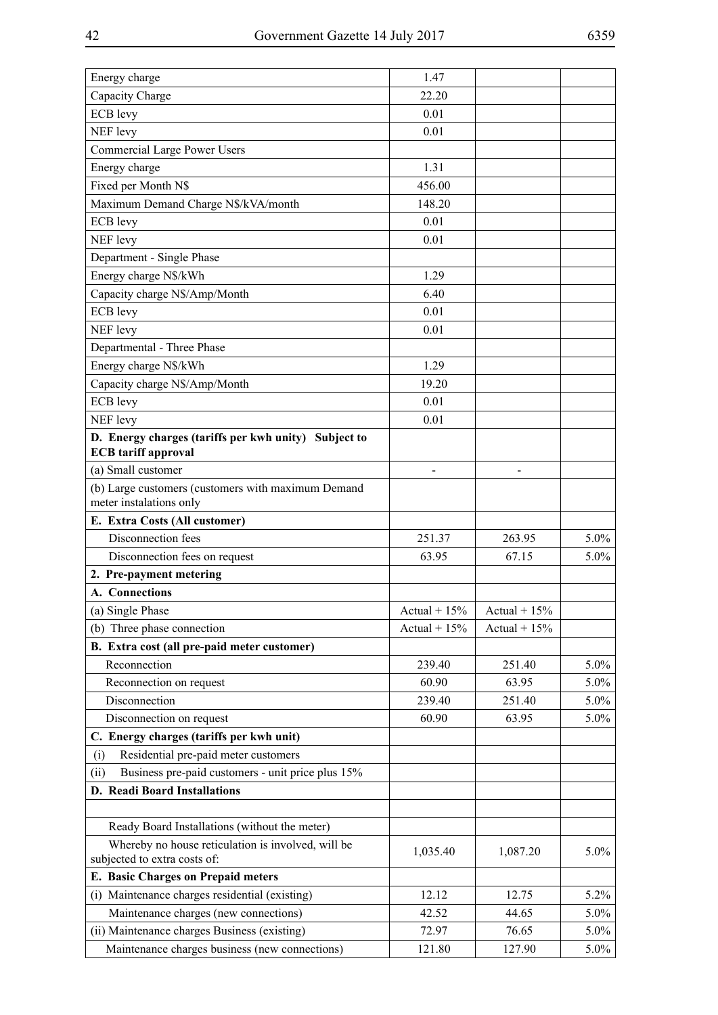| Energy charge                                                                      | 1.47           |                |         |
|------------------------------------------------------------------------------------|----------------|----------------|---------|
| Capacity Charge                                                                    | 22.20          |                |         |
| ECB levy                                                                           | 0.01           |                |         |
| NEF levy                                                                           | 0.01           |                |         |
| <b>Commercial Large Power Users</b>                                                |                |                |         |
| Energy charge                                                                      | 1.31           |                |         |
| Fixed per Month N\$                                                                | 456.00         |                |         |
| Maximum Demand Charge N\$/kVA/month                                                | 148.20         |                |         |
| ECB levy                                                                           | 0.01           |                |         |
| NEF levy                                                                           | 0.01           |                |         |
| Department - Single Phase                                                          |                |                |         |
| Energy charge N\$/kWh                                                              | 1.29           |                |         |
| Capacity charge N\$/Amp/Month                                                      | 6.40           |                |         |
| <b>ECB</b> levy                                                                    | 0.01           |                |         |
| NEF levy                                                                           | 0.01           |                |         |
| Departmental - Three Phase                                                         |                |                |         |
| Energy charge N\$/kWh                                                              | 1.29           |                |         |
| Capacity charge N\$/Amp/Month                                                      | 19.20          |                |         |
| ECB levy                                                                           | 0.01           |                |         |
| NEF levy                                                                           | 0.01           |                |         |
|                                                                                    |                |                |         |
| D. Energy charges (tariffs per kwh unity) Subject to<br><b>ECB</b> tariff approval |                |                |         |
| (a) Small customer                                                                 |                |                |         |
| (b) Large customers (customers with maximum Demand<br>meter instalations only      |                |                |         |
| E. Extra Costs (All customer)                                                      |                |                |         |
| Disconnection fees                                                                 | 251.37         | 263.95         | 5.0%    |
| Disconnection fees on request                                                      | 63.95          | 67.15          | $5.0\%$ |
| 2. Pre-payment metering                                                            |                |                |         |
| A. Connections                                                                     |                |                |         |
| (a) Single Phase                                                                   | Actual + $15%$ | Actual + $15%$ |         |
| (b) Three phase connection                                                         | Actual + $15%$ | Actual + $15%$ |         |
| B. Extra cost (all pre-paid meter customer)                                        |                |                |         |
| Reconnection                                                                       | 239.40         | 251.40         | $5.0\%$ |
| Reconnection on request                                                            | 60.90          | 63.95          | $5.0\%$ |
| Disconnection                                                                      | 239.40         | 251.40         | $5.0\%$ |
| Disconnection on request                                                           | 60.90          | 63.95          | 5.0%    |
| C. Energy charges (tariffs per kwh unit)                                           |                |                |         |
| Residential pre-paid meter customers<br>(i)                                        |                |                |         |
| Business pre-paid customers - unit price plus 15%<br>(ii)                          |                |                |         |
| D. Readi Board Installations                                                       |                |                |         |
|                                                                                    |                |                |         |
| Ready Board Installations (without the meter)                                      |                |                |         |
| Whereby no house reticulation is involved, will be                                 | 1,035.40       | 1,087.20       | 5.0%    |
| subjected to extra costs of:                                                       |                |                |         |
| E. Basic Charges on Prepaid meters                                                 |                |                |         |
| (i) Maintenance charges residential (existing)                                     | 12.12          | 12.75          | 5.2%    |
| Maintenance charges (new connections)                                              | 42.52          | 44.65          | 5.0%    |
| (ii) Maintenance charges Business (existing)                                       | 72.97          | 76.65          | $5.0\%$ |
| Maintenance charges business (new connections)                                     | 121.80         | 127.90         | $5.0\%$ |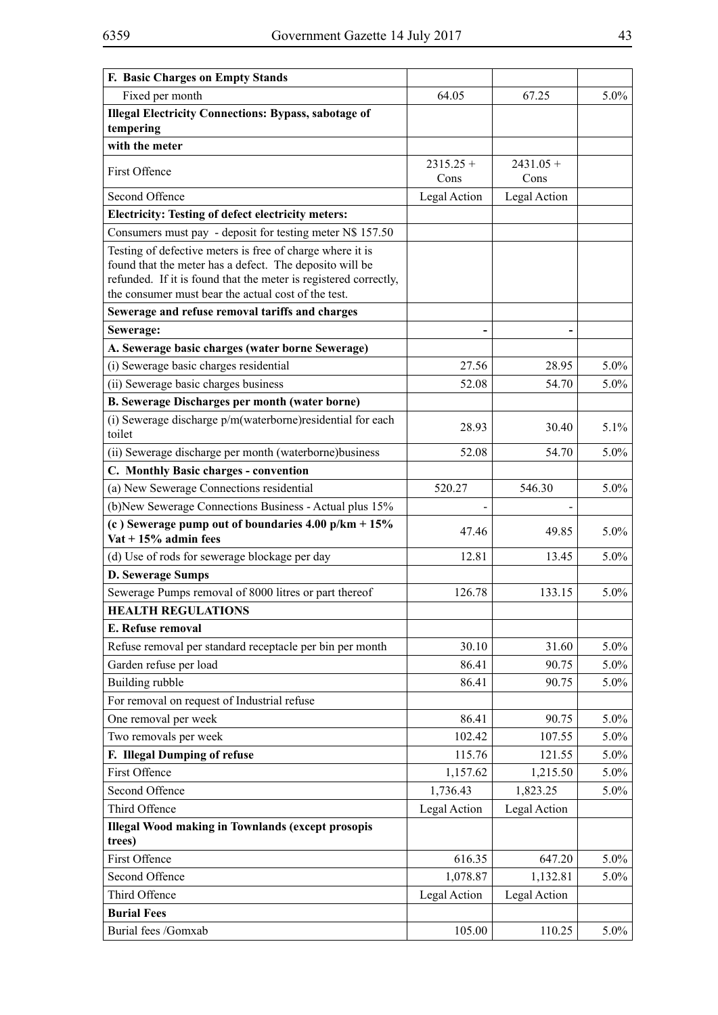| F. Basic Charges on Empty Stands                                                                                     |                     |                     |         |
|----------------------------------------------------------------------------------------------------------------------|---------------------|---------------------|---------|
| Fixed per month                                                                                                      | 64.05               | 67.25               | 5.0%    |
| <b>Illegal Electricity Connections: Bypass, sabotage of</b><br>tempering                                             |                     |                     |         |
| with the meter                                                                                                       |                     |                     |         |
| First Offence                                                                                                        | $2315.25 +$<br>Cons | $2431.05 +$<br>Cons |         |
| Second Offence                                                                                                       | Legal Action        | Legal Action        |         |
| <b>Electricity: Testing of defect electricity meters:</b>                                                            |                     |                     |         |
| Consumers must pay - deposit for testing meter N\$ 157.50                                                            |                     |                     |         |
| Testing of defective meters is free of charge where it is<br>found that the meter has a defect. The deposito will be |                     |                     |         |
| refunded. If it is found that the meter is registered correctly,                                                     |                     |                     |         |
| the consumer must bear the actual cost of the test.                                                                  |                     |                     |         |
| Sewerage and refuse removal tariffs and charges                                                                      |                     |                     |         |
| Sewerage:                                                                                                            |                     |                     |         |
| A. Sewerage basic charges (water borne Sewerage)                                                                     |                     |                     |         |
| (i) Sewerage basic charges residential                                                                               | 27.56               | 28.95               | $5.0\%$ |
| (ii) Sewerage basic charges business                                                                                 | 52.08               | 54.70               | 5.0%    |
| <b>B. Sewerage Discharges per month (water borne)</b>                                                                |                     |                     |         |
| (i) Sewerage discharge p/m(waterborne) residential for each<br>toilet                                                | 28.93               | 30.40               | 5.1%    |
| (ii) Sewerage discharge per month (waterborne) business                                                              | 52.08               | 54.70               | 5.0%    |
| C. Monthly Basic charges - convention                                                                                |                     |                     |         |
| (a) New Sewerage Connections residential                                                                             | 520.27              | 546.30              | 5.0%    |
| (b) New Sewerage Connections Business - Actual plus 15%                                                              |                     |                     |         |
| (c) Sewerage pump out of boundaries $4.00 \text{ p/km} + 15\%$<br>Vat + $15%$ admin fees                             | 47.46               | 49.85               | 5.0%    |
| (d) Use of rods for sewerage blockage per day                                                                        | 12.81               | 13.45               | 5.0%    |
| D. Sewerage Sumps                                                                                                    |                     |                     |         |
| Sewerage Pumps removal of 8000 litres or part thereof                                                                | 126.78              | 133.15              | 5.0%    |
| <b>HEALTH REGULATIONS</b>                                                                                            |                     |                     |         |
| E. Refuse removal                                                                                                    |                     |                     |         |
| Refuse removal per standard receptacle per bin per month                                                             | 30.10               | 31.60               | $5.0\%$ |
| Garden refuse per load                                                                                               | 86.41               | 90.75               | $5.0\%$ |
| Building rubble                                                                                                      | 86.41               | 90.75               | $5.0\%$ |
| For removal on request of Industrial refuse                                                                          |                     |                     |         |
| One removal per week                                                                                                 | 86.41               | 90.75               | $5.0\%$ |
| Two removals per week                                                                                                | 102.42              | 107.55              | $5.0\%$ |
| F. Illegal Dumping of refuse                                                                                         | 115.76              | 121.55              | $5.0\%$ |
| First Offence                                                                                                        | 1,157.62            | 1,215.50            | 5.0%    |
| Second Offence                                                                                                       | 1,736.43            | 1,823.25            | $5.0\%$ |
| Third Offence                                                                                                        | Legal Action        | Legal Action        |         |
| <b>Illegal Wood making in Townlands (except prosopis</b><br>trees)                                                   |                     |                     |         |
| First Offence                                                                                                        | 616.35              | 647.20              | $5.0\%$ |
| Second Offence                                                                                                       | 1,078.87            | 1,132.81            | $5.0\%$ |
| Third Offence                                                                                                        | Legal Action        | Legal Action        |         |
| <b>Burial Fees</b>                                                                                                   |                     |                     |         |
| Burial fees /Gomxab                                                                                                  | 105.00              | 110.25              | $5.0\%$ |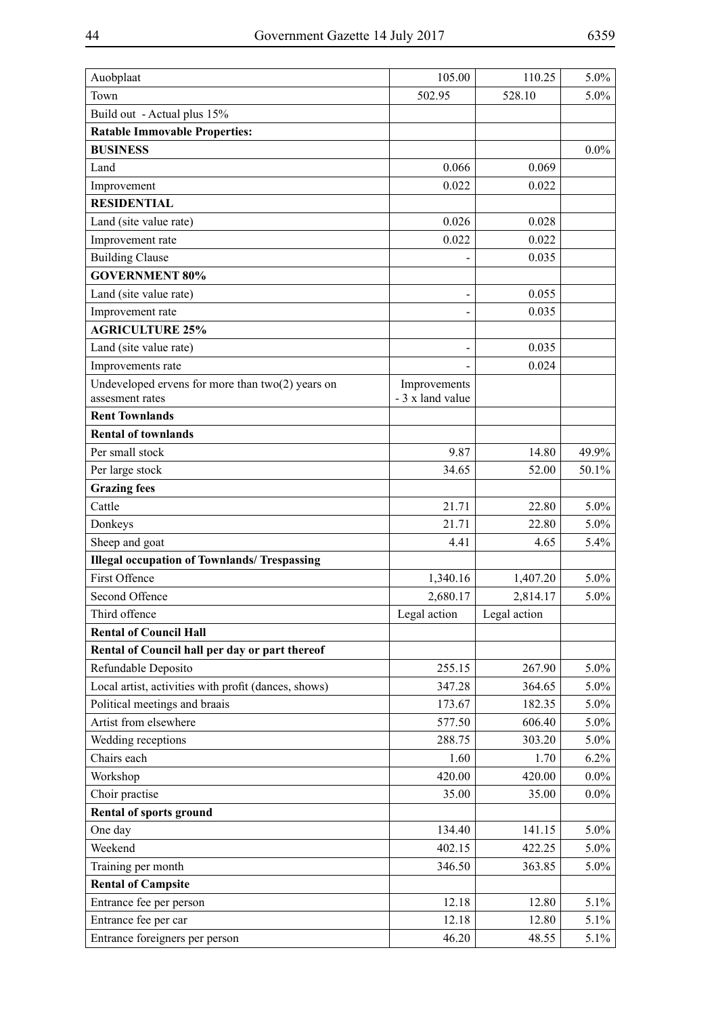| Auobplaat                                            | 105.00           | 110.25       | 5.0%    |
|------------------------------------------------------|------------------|--------------|---------|
| Town                                                 | 502.95           | 528.10       | 5.0%    |
| Build out - Actual plus 15%                          |                  |              |         |
| <b>Ratable Immovable Properties:</b>                 |                  |              |         |
| <b>BUSINESS</b>                                      |                  |              | $0.0\%$ |
| Land                                                 | 0.066            | 0.069        |         |
| Improvement                                          | 0.022            | 0.022        |         |
| <b>RESIDENTIAL</b>                                   |                  |              |         |
| Land (site value rate)                               | 0.026            | 0.028        |         |
| Improvement rate                                     | 0.022            | 0.022        |         |
| <b>Building Clause</b>                               |                  | 0.035        |         |
| <b>GOVERNMENT 80%</b>                                |                  |              |         |
| Land (site value rate)                               |                  | 0.055        |         |
| Improvement rate                                     |                  | 0.035        |         |
| <b>AGRICULTURE 25%</b>                               |                  |              |         |
| Land (site value rate)                               |                  | 0.035        |         |
| Improvements rate                                    |                  | 0.024        |         |
| Undeveloped ervens for more than $two(2)$ years on   | Improvements     |              |         |
| assesment rates                                      | - 3 x land value |              |         |
| <b>Rent Townlands</b>                                |                  |              |         |
| <b>Rental of townlands</b>                           |                  |              |         |
| Per small stock                                      | 9.87             | 14.80        | 49.9%   |
| Per large stock                                      | 34.65            | 52.00        | 50.1%   |
| <b>Grazing fees</b>                                  |                  |              |         |
| Cattle                                               | 21.71            | 22.80        | 5.0%    |
| Donkeys                                              | 21.71            | 22.80        | $5.0\%$ |
| Sheep and goat                                       | 4.41             | 4.65         | 5.4%    |
| <b>Illegal occupation of Townlands/ Trespassing</b>  |                  |              |         |
| <b>First Offence</b>                                 | 1,340.16         | 1,407.20     | 5.0%    |
| Second Offence                                       | 2,680.17         | 2,814.17     | 5.0%    |
| Third offence                                        | Legal action     | Legal action |         |
| <b>Rental of Council Hall</b>                        |                  |              |         |
| Rental of Council hall per day or part thereof       |                  |              |         |
| Refundable Deposito                                  | 255.15           | 267.90       | $5.0\%$ |
| Local artist, activities with profit (dances, shows) | 347.28           | 364.65       | $5.0\%$ |
| Political meetings and braais                        | 173.67           | 182.35       | $5.0\%$ |
| Artist from elsewhere                                | 577.50           | 606.40       | $5.0\%$ |
| Wedding receptions                                   | 288.75           | 303.20       | $5.0\%$ |
| Chairs each                                          | 1.60             | 1.70         | 6.2%    |
| Workshop                                             | 420.00           | 420.00       | $0.0\%$ |
| Choir practise                                       | 35.00            | 35.00        | $0.0\%$ |
| <b>Rental of sports ground</b>                       |                  |              |         |
| One day                                              | 134.40           | 141.15       | $5.0\%$ |
| Weekend                                              | 402.15           | 422.25       | $5.0\%$ |
| Training per month                                   | 346.50           | 363.85       | $5.0\%$ |
| <b>Rental of Campsite</b>                            |                  |              |         |
| Entrance fee per person                              | 12.18            | 12.80        | 5.1%    |
| Entrance fee per car                                 | 12.18            | 12.80        | 5.1%    |
| Entrance foreigners per person                       | 46.20            | 48.55        | 5.1%    |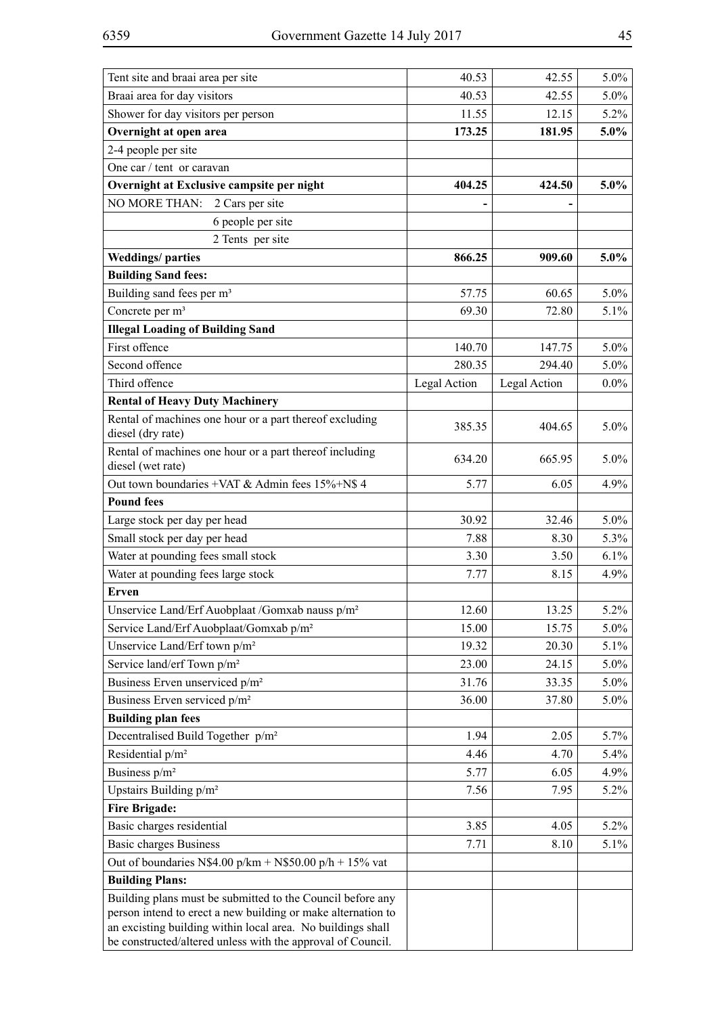| Tent site and braai area per site                                                                                                                                                         | 40.53        | 42.55        | 5.0%    |
|-------------------------------------------------------------------------------------------------------------------------------------------------------------------------------------------|--------------|--------------|---------|
| Braai area for day visitors                                                                                                                                                               | 40.53        | 42.55        | 5.0%    |
| Shower for day visitors per person                                                                                                                                                        | 11.55        | 12.15        | 5.2%    |
| Overnight at open area                                                                                                                                                                    | 173.25       | 181.95       | 5.0%    |
| 2-4 people per site                                                                                                                                                                       |              |              |         |
| One car / tent or caravan                                                                                                                                                                 |              |              |         |
| Overnight at Exclusive campsite per night                                                                                                                                                 | 404.25       | 424.50       | 5.0%    |
| NO MORE THAN: 2 Cars per site                                                                                                                                                             |              |              |         |
| 6 people per site                                                                                                                                                                         |              |              |         |
| 2 Tents per site                                                                                                                                                                          |              |              |         |
| <b>Weddings/parties</b>                                                                                                                                                                   | 866.25       | 909.60       | 5.0%    |
| <b>Building Sand fees:</b>                                                                                                                                                                |              |              |         |
| Building sand fees per m <sup>3</sup>                                                                                                                                                     | 57.75        | 60.65        | $5.0\%$ |
| Concrete per m <sup>3</sup>                                                                                                                                                               | 69.30        | 72.80        | 5.1%    |
| <b>Illegal Loading of Building Sand</b>                                                                                                                                                   |              |              |         |
| First offence                                                                                                                                                                             | 140.70       | 147.75       | $5.0\%$ |
| Second offence                                                                                                                                                                            | 280.35       | 294.40       | $5.0\%$ |
| Third offence                                                                                                                                                                             | Legal Action | Legal Action | $0.0\%$ |
| <b>Rental of Heavy Duty Machinery</b>                                                                                                                                                     |              |              |         |
| Rental of machines one hour or a part thereof excluding<br>diesel (dry rate)                                                                                                              | 385.35       | 404.65       | 5.0%    |
| Rental of machines one hour or a part thereof including<br>diesel (wet rate)                                                                                                              | 634.20       | 665.95       | 5.0%    |
| Out town boundaries +VAT & Admin fees 15%+N\$ 4                                                                                                                                           | 5.77         | 6.05         | 4.9%    |
| <b>Pound fees</b>                                                                                                                                                                         |              |              |         |
| Large stock per day per head                                                                                                                                                              | 30.92        | 32.46        | 5.0%    |
| Small stock per day per head                                                                                                                                                              | 7.88         | 8.30         | 5.3%    |
| Water at pounding fees small stock                                                                                                                                                        | 3.30         | 3.50         | 6.1%    |
| Water at pounding fees large stock                                                                                                                                                        | 7.77         | 8.15         | 4.9%    |
| Erven                                                                                                                                                                                     |              |              |         |
| Unservice Land/Erf Auobplaat /Gomxab nauss p/m <sup>2</sup>                                                                                                                               | 12.60        | 13.25        | 5.2%    |
| Service Land/Erf Auobplaat/Gomxab p/m <sup>2</sup>                                                                                                                                        | 15.00        | 15.75        | 5.0%    |
| Unservice Land/Erf town p/m <sup>2</sup>                                                                                                                                                  | 19.32        | 20.30        | 5.1%    |
| Service land/erf Town p/m <sup>2</sup>                                                                                                                                                    | 23.00        | 24.15        | 5.0%    |
| Business Erven unserviced p/m <sup>2</sup>                                                                                                                                                | 31.76        | 33.35        | 5.0%    |
| Business Erven serviced p/m <sup>2</sup>                                                                                                                                                  | 36.00        | 37.80        | 5.0%    |
| <b>Building plan fees</b>                                                                                                                                                                 |              |              |         |
| Decentralised Build Together p/m <sup>2</sup>                                                                                                                                             | 1.94         | 2.05         | 5.7%    |
| Residential p/m <sup>2</sup>                                                                                                                                                              | 4.46         | 4.70         | 5.4%    |
| Business p/m <sup>2</sup>                                                                                                                                                                 | 5.77         | 6.05         | 4.9%    |
| Upstairs Building p/m <sup>2</sup>                                                                                                                                                        | 7.56         | 7.95         | $5.2\%$ |
| <b>Fire Brigade:</b>                                                                                                                                                                      |              |              |         |
| Basic charges residential                                                                                                                                                                 | 3.85         | 4.05         | $5.2\%$ |
| <b>Basic charges Business</b>                                                                                                                                                             | 7.71         | 8.10         | 5.1%    |
| Out of boundaries N\$4.00 p/km + N\$50.00 p/h + 15% vat                                                                                                                                   |              |              |         |
| <b>Building Plans:</b>                                                                                                                                                                    |              |              |         |
| Building plans must be submitted to the Council before any<br>person intend to erect a new building or make alternation to<br>an excisting building within local area. No buildings shall |              |              |         |
| be constructed/altered unless with the approval of Council.                                                                                                                               |              |              |         |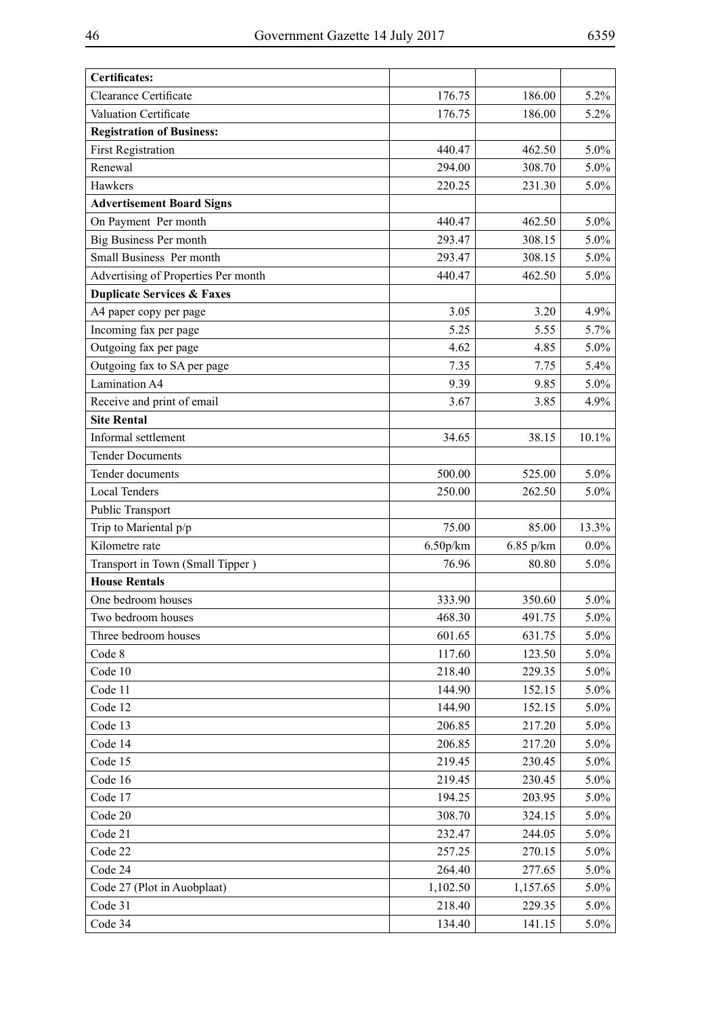| <b>Certificates:</b>                  |          |           |         |
|---------------------------------------|----------|-----------|---------|
| <b>Clearance Certificate</b>          | 176.75   | 186.00    | $5.2\%$ |
| Valuation Certificate                 | 176.75   | 186.00    | 5.2%    |
| <b>Registration of Business:</b>      |          |           |         |
| <b>First Registration</b>             | 440.47   | 462.50    | $5.0\%$ |
| Renewal                               | 294.00   | 308.70    | $5.0\%$ |
| Hawkers                               | 220.25   | 231.30    | $5.0\%$ |
| <b>Advertisement Board Signs</b>      |          |           |         |
| On Payment Per month                  | 440.47   | 462.50    | $5.0\%$ |
| <b>Big Business Per month</b>         | 293.47   | 308.15    | $5.0\%$ |
| Small Business Per month              | 293.47   | 308.15    | $5.0\%$ |
| Advertising of Properties Per month   | 440.47   | 462.50    | $5.0\%$ |
| <b>Duplicate Services &amp; Faxes</b> |          |           |         |
| A4 paper copy per page                | 3.05     | 3.20      | 4.9%    |
| Incoming fax per page                 | 5.25     | 5.55      | 5.7%    |
| Outgoing fax per page                 | 4.62     | 4.85      | $5.0\%$ |
| Outgoing fax to SA per page           | 7.35     | 7.75      | 5.4%    |
| Lamination A4                         | 9.39     | 9.85      | $5.0\%$ |
| Receive and print of email            | 3.67     | 3.85      | 4.9%    |
| <b>Site Rental</b>                    |          |           |         |
| Informal settlement                   | 34.65    | 38.15     | 10.1%   |
| <b>Tender Documents</b>               |          |           |         |
| Tender documents                      | 500.00   | 525.00    | $5.0\%$ |
| <b>Local Tenders</b>                  | 250.00   | 262.50    | $5.0\%$ |
| Public Transport                      |          |           |         |
| Trip to Mariental p/p                 | 75.00    | 85.00     | 13.3%   |
| Kilometre rate                        | 6.50p/km | 6.85 p/km | $0.0\%$ |
| Transport in Town (Small Tipper)      | 76.96    | 80.80     | $5.0\%$ |
| <b>House Rentals</b>                  |          |           |         |
| One bedroom houses                    | 333.90   | 350.60    | $5.0\%$ |
| Two bedroom houses                    | 468.30   | 491.75    | $5.0\%$ |
| Three bedroom houses                  | 601.65   | 631.75    | $5.0\%$ |
| Code 8                                | 117.60   | 123.50    | $5.0\%$ |
| Code 10                               | 218.40   | 229.35    | $5.0\%$ |
| Code 11                               | 144.90   | 152.15    | 5.0%    |
| Code 12                               | 144.90   | 152.15    | $5.0\%$ |
| Code 13                               | 206.85   | 217.20    | 5.0%    |
| Code 14                               | 206.85   | 217.20    | $5.0\%$ |
| Code 15                               | 219.45   | 230.45    | 5.0%    |
| Code 16                               | 219.45   | 230.45    | $5.0\%$ |
| Code 17                               | 194.25   | 203.95    | $5.0\%$ |
| Code 20                               | 308.70   | 324.15    | $5.0\%$ |
| Code 21                               | 232.47   | 244.05    | 5.0%    |
| Code 22                               | 257.25   | 270.15    | $5.0\%$ |
| Code 24                               | 264.40   | 277.65    | $5.0\%$ |
| Code 27 (Plot in Auobplaat)           | 1,102.50 | 1,157.65  | $5.0\%$ |
| Code 31                               | 218.40   | 229.35    | $5.0\%$ |
| Code 34                               | 134.40   | 141.15    | $5.0\%$ |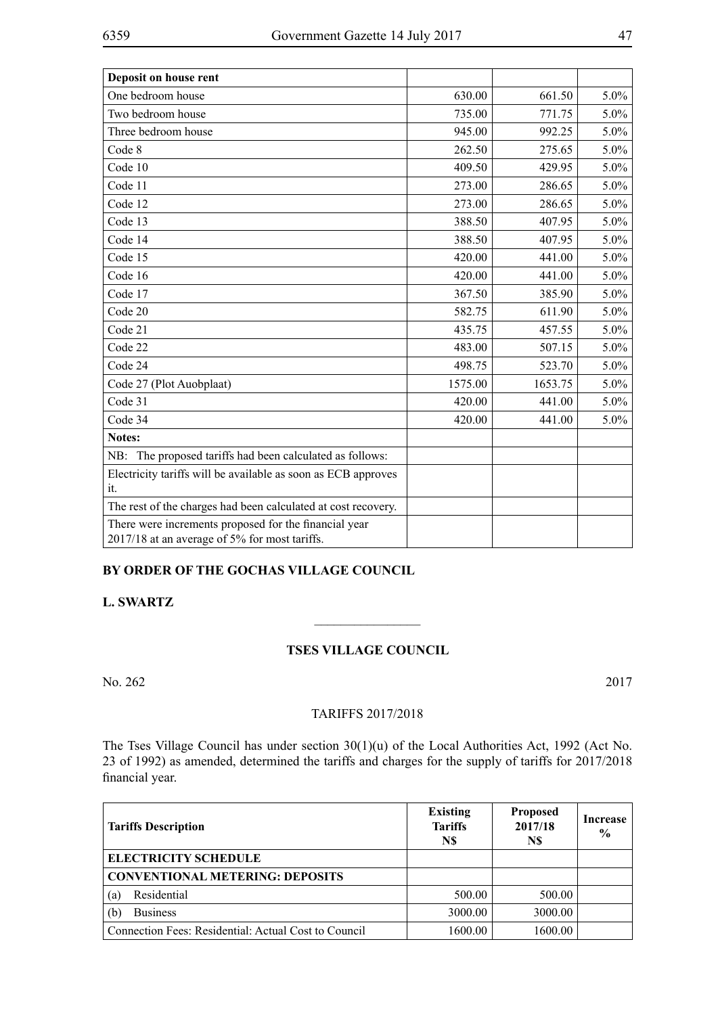| Deposit on house rent                                         |         |         |         |
|---------------------------------------------------------------|---------|---------|---------|
| One bedroom house                                             | 630.00  | 661.50  | $5.0\%$ |
| Two bedroom house                                             | 735.00  | 771.75  | $5.0\%$ |
| Three bedroom house                                           | 945.00  | 992.25  | $5.0\%$ |
| Code 8                                                        | 262.50  | 275.65  | 5.0%    |
| Code 10                                                       | 409.50  | 429.95  | 5.0%    |
| Code 11                                                       | 273.00  | 286.65  | 5.0%    |
| Code 12                                                       | 273.00  | 286.65  | 5.0%    |
| Code 13                                                       | 388.50  | 407.95  | 5.0%    |
| Code 14                                                       | 388.50  | 407.95  | 5.0%    |
| Code 15                                                       | 420.00  | 441.00  | 5.0%    |
| Code 16                                                       | 420.00  | 441.00  | 5.0%    |
| Code 17                                                       | 367.50  | 385.90  | 5.0%    |
| Code 20                                                       | 582.75  | 611.90  | 5.0%    |
| Code 21                                                       | 435.75  | 457.55  | 5.0%    |
| Code 22                                                       | 483.00  | 507.15  | 5.0%    |
| Code 24                                                       | 498.75  | 523.70  | 5.0%    |
| Code 27 (Plot Auobplaat)                                      | 1575.00 | 1653.75 | 5.0%    |
| Code 31                                                       | 420.00  | 441.00  | 5.0%    |
| Code 34                                                       | 420.00  | 441.00  | 5.0%    |
| Notes:                                                        |         |         |         |
| The proposed tariffs had been calculated as follows:<br>NB:   |         |         |         |
| Electricity tariffs will be available as soon as ECB approves |         |         |         |
| it.                                                           |         |         |         |
| The rest of the charges had been calculated at cost recovery. |         |         |         |
| There were increments proposed for the financial year         |         |         |         |
| 2017/18 at an average of 5% for most tariffs.                 |         |         |         |

# **BY ORDER OF THE GOCHAS VILLAGE COUNCIL**

# **L. SWARTZ**

## **TSES VILLAGE COUNCIL**

 $\frac{1}{2}$ 

No. 262 2017

### TARIFFS 2017/2018

The Tses Village Council has under section 30(1)(u) of the Local Authorities Act, 1992 (Act No. 23 of 1992) as amended, determined the tariffs and charges for the supply of tariffs for 2017/2018 financial year.

| <b>Tariffs Description</b>                           | <b>Existing</b><br><b>Tariffs</b><br>N\$ | <b>Proposed</b><br>2017/18<br>N\$ | Increase<br>$\frac{6}{9}$ |
|------------------------------------------------------|------------------------------------------|-----------------------------------|---------------------------|
| <b>ELECTRICITY SCHEDULE</b>                          |                                          |                                   |                           |
| <b>CONVENTIONAL METERING: DEPOSITS</b>               |                                          |                                   |                           |
| Residential<br>(a)                                   | 500.00                                   | 500.00                            |                           |
| <b>Business</b><br>(b)                               | 3000.00                                  | 3000.00                           |                           |
| Connection Fees: Residential: Actual Cost to Council | 1600.00                                  | 1600.00                           |                           |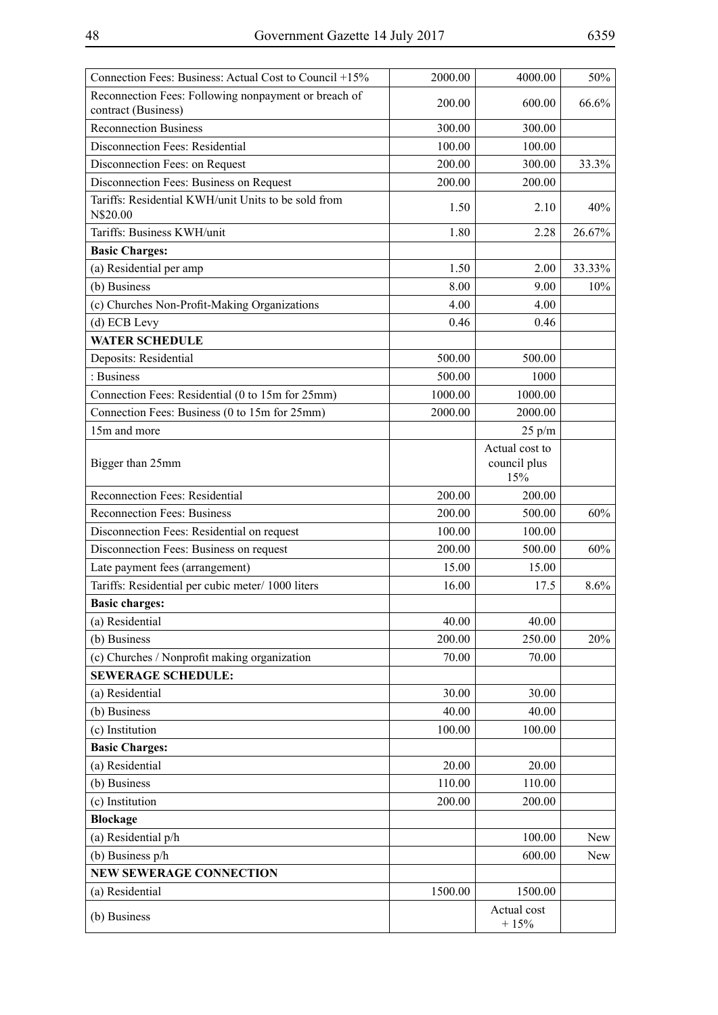| Connection Fees: Business: Actual Cost to Council +15%                      | 2000.00 | 4000.00                               | 50%    |
|-----------------------------------------------------------------------------|---------|---------------------------------------|--------|
| Reconnection Fees: Following nonpayment or breach of<br>contract (Business) | 200.00  | 600.00                                | 66.6%  |
| <b>Reconnection Business</b>                                                | 300.00  | 300.00                                |        |
| Disconnection Fees: Residential                                             | 100.00  | 100.00                                |        |
| Disconnection Fees: on Request                                              | 200.00  | 300.00                                | 33.3%  |
| Disconnection Fees: Business on Request                                     | 200.00  | 200.00                                |        |
| Tariffs: Residential KWH/unit Units to be sold from<br>N\$20.00             | 1.50    | 2.10                                  | 40%    |
| Tariffs: Business KWH/unit                                                  | 1.80    | 2.28                                  | 26.67% |
| <b>Basic Charges:</b>                                                       |         |                                       |        |
| (a) Residential per amp                                                     | 1.50    | 2.00                                  | 33.33% |
| (b) Business                                                                | 8.00    | 9.00                                  | 10%    |
| (c) Churches Non-Profit-Making Organizations                                | 4.00    | 4.00                                  |        |
| (d) ECB Levy                                                                | 0.46    | 0.46                                  |        |
| <b>WATER SCHEDULE</b>                                                       |         |                                       |        |
| Deposits: Residential                                                       | 500.00  | 500.00                                |        |
| : Business                                                                  | 500.00  | 1000                                  |        |
| Connection Fees: Residential (0 to 15m for 25mm)                            | 1000.00 | 1000.00                               |        |
| Connection Fees: Business (0 to 15m for 25mm)                               | 2000.00 | 2000.00                               |        |
| 15m and more                                                                |         | 25 p/m                                |        |
| Bigger than 25mm                                                            |         | Actual cost to<br>council plus<br>15% |        |
| Reconnection Fees: Residential                                              | 200.00  | 200.00                                |        |
| <b>Reconnection Fees: Business</b>                                          | 200.00  | 500.00                                | 60%    |
| Disconnection Fees: Residential on request                                  | 100.00  | 100.00                                |        |
| Disconnection Fees: Business on request                                     | 200.00  | 500.00                                | 60%    |
| Late payment fees (arrangement)                                             | 15.00   | 15.00                                 |        |
| Tariffs: Residential per cubic meter/ 1000 liters                           | 16.00   | 17.5                                  | 8.6%   |
| <b>Basic charges:</b>                                                       |         |                                       |        |
| (a) Residential                                                             | 40.00   | 40.00                                 |        |
| (b) Business                                                                | 200.00  | 250.00                                | 20%    |
| (c) Churches / Nonprofit making organization                                | 70.00   | 70.00                                 |        |
| <b>SEWERAGE SCHEDULE:</b>                                                   |         |                                       |        |
| (a) Residential                                                             | 30.00   | 30.00                                 |        |
| (b) Business                                                                | 40.00   | 40.00                                 |        |
| (c) Institution                                                             | 100.00  | 100.00                                |        |
| <b>Basic Charges:</b>                                                       |         |                                       |        |
| (a) Residential                                                             | 20.00   | 20.00                                 |        |
| (b) Business                                                                | 110.00  | 110.00                                |        |
| (c) Institution                                                             | 200.00  | 200.00                                |        |
| <b>Blockage</b>                                                             |         |                                       |        |
| (a) Residential p/h                                                         |         | 100.00                                | New    |
| (b) Business p/h                                                            |         | 600.00                                | New    |
| <b>NEW SEWERAGE CONNECTION</b>                                              |         |                                       |        |
| (a) Residential                                                             | 1500.00 | 1500.00                               |        |
| (b) Business                                                                |         | Actual cost<br>$+15%$                 |        |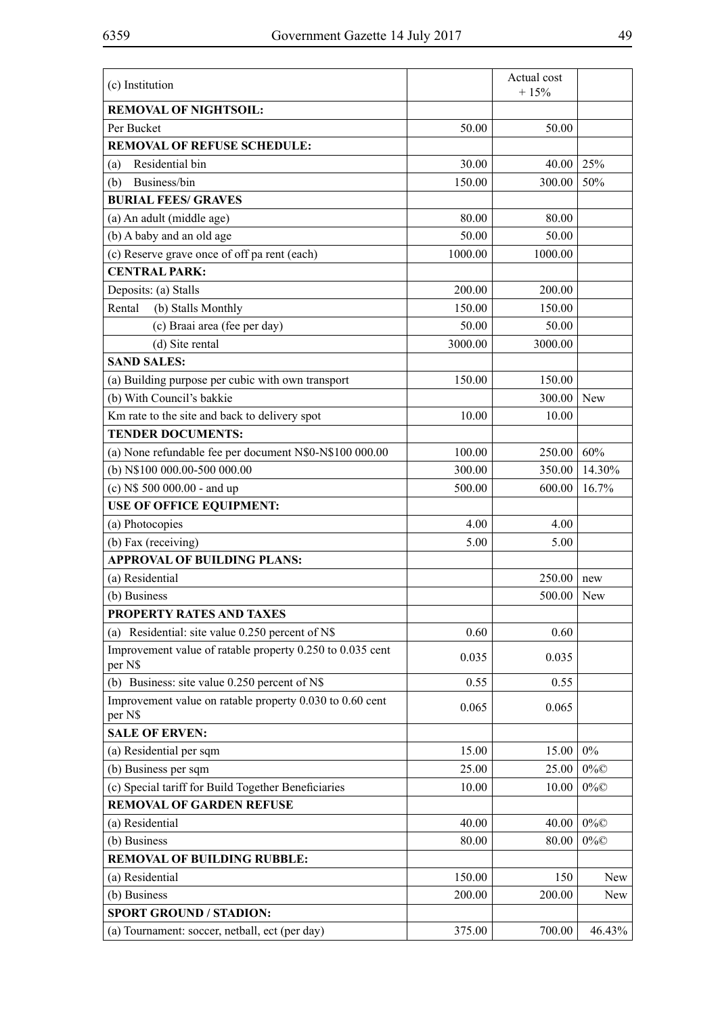| (c) Institution                                                      |         | Actual cost<br>$+15%$ |        |
|----------------------------------------------------------------------|---------|-----------------------|--------|
| <b>REMOVAL OF NIGHTSOIL:</b>                                         |         |                       |        |
| Per Bucket                                                           | 50.00   | 50.00                 |        |
| <b>REMOVAL OF REFUSE SCHEDULE:</b>                                   |         |                       |        |
| Residential bin<br>(a)                                               | 30.00   | 40.00                 | 25%    |
| Business/bin<br>(b)                                                  | 150.00  | 300.00                | 50%    |
| <b>BURIAL FEES/ GRAVES</b>                                           |         |                       |        |
| (a) An adult (middle age)                                            | 80.00   | 80.00                 |        |
| (b) A baby and an old age                                            | 50.00   | 50.00                 |        |
| (c) Reserve grave once of off pa rent (each)                         | 1000.00 | 1000.00               |        |
| <b>CENTRAL PARK:</b>                                                 |         |                       |        |
| Deposits: (a) Stalls                                                 | 200.00  | 200.00                |        |
| Rental<br>(b) Stalls Monthly                                         | 150.00  | 150.00                |        |
| (c) Braai area (fee per day)                                         | 50.00   | 50.00                 |        |
| (d) Site rental                                                      | 3000.00 | 3000.00               |        |
| <b>SAND SALES:</b>                                                   |         |                       |        |
| (a) Building purpose per cubic with own transport                    | 150.00  | 150.00                |        |
| (b) With Council's bakkie                                            |         | 300.00                | New    |
| Km rate to the site and back to delivery spot                        | 10.00   | 10.00                 |        |
| <b>TENDER DOCUMENTS:</b>                                             |         |                       |        |
| (a) None refundable fee per document N\$0-N\$100 000.00              | 100.00  | 250.00                | 60%    |
| (b) N\$100 000.00-500 000.00                                         | 300.00  | 350.00                | 14.30% |
| (c) N\$ 500 000.00 - and up                                          | 500.00  | 600.00                | 16.7%  |
| <b>USE OF OFFICE EQUIPMENT:</b>                                      |         |                       |        |
| (a) Photocopies                                                      | 4.00    | 4.00                  |        |
| (b) Fax (receiving)                                                  | 5.00    | 5.00                  |        |
| <b>APPROVAL OF BUILDING PLANS:</b>                                   |         |                       |        |
| (a) Residential                                                      |         | 250.00                | new    |
| (b) Business                                                         |         | 500.00                | New    |
| PROPERTY RATES AND TAXES                                             |         |                       |        |
| (a) Residential: site value $0.250$ percent of N\$                   | 0.60    | 0.60                  |        |
| Improvement value of ratable property 0.250 to 0.035 cent<br>per N\$ | 0.035   | 0.035                 |        |
| (b) Business: site value 0.250 percent of N\$                        | 0.55    | 0.55                  |        |
| Improvement value on ratable property 0.030 to 0.60 cent<br>per N\$  | 0.065   | 0.065                 |        |
| <b>SALE OF ERVEN:</b>                                                |         |                       |        |
| (a) Residential per sqm                                              | 15.00   | 15.00                 | $0\%$  |
| (b) Business per sqm                                                 | 25.00   | 25.00                 | $0\%$  |
| (c) Special tariff for Build Together Beneficiaries                  | 10.00   | 10.00                 | $0\%$  |
| <b>REMOVAL OF GARDEN REFUSE</b>                                      |         |                       |        |
| (a) Residential                                                      | 40.00   | 40.00                 | $0\%$  |
| (b) Business                                                         | 80.00   | 80.00                 | $0\%$  |
| <b>REMOVAL OF BUILDING RUBBLE:</b>                                   |         |                       |        |
| (a) Residential                                                      | 150.00  | 150                   | New    |
| (b) Business                                                         | 200.00  | 200.00                | New    |
| <b>SPORT GROUND / STADION:</b>                                       |         |                       |        |
| (a) Tournament: soccer, netball, ect (per day)                       | 375.00  | 700.00                | 46.43% |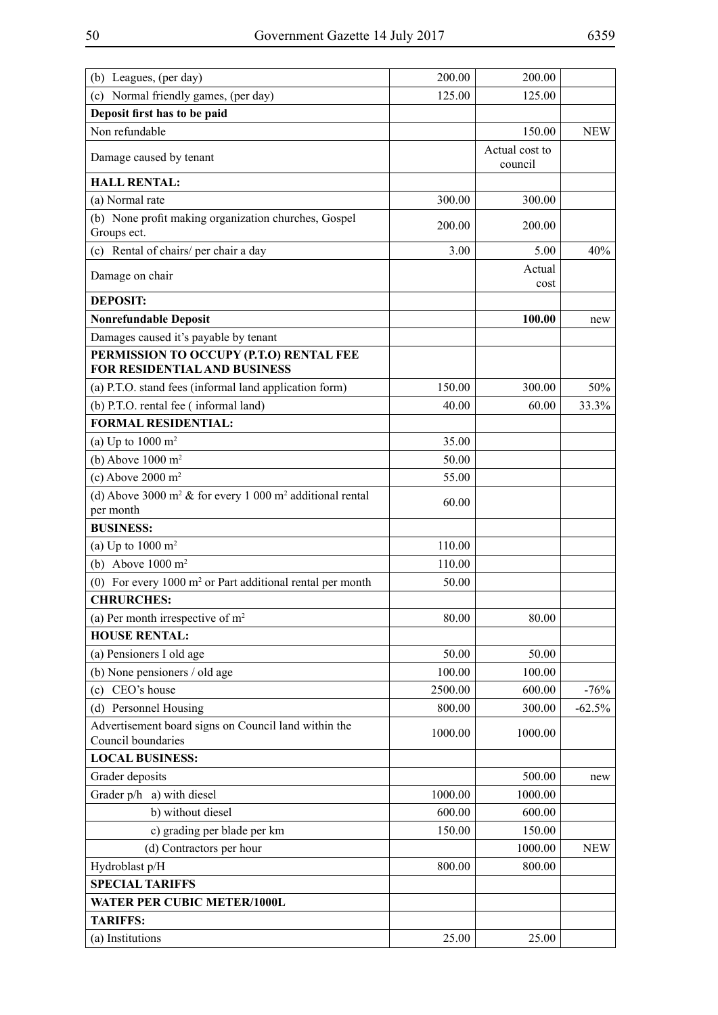| (b) Leagues, (per day)                                                                           | 200.00  | 200.00                    |            |
|--------------------------------------------------------------------------------------------------|---------|---------------------------|------------|
| (c) Normal friendly games, (per day)                                                             | 125.00  | 125.00                    |            |
| Deposit first has to be paid                                                                     |         |                           |            |
| Non refundable                                                                                   |         | 150.00                    | <b>NEW</b> |
| Damage caused by tenant                                                                          |         | Actual cost to<br>council |            |
| <b>HALL RENTAL:</b>                                                                              |         |                           |            |
| (a) Normal rate                                                                                  | 300.00  | 300.00                    |            |
| (b) None profit making organization churches, Gospel<br>Groups ect.                              | 200.00  | 200.00                    |            |
| (c) Rental of chairs/ per chair a day                                                            | 3.00    | 5.00                      | 40%        |
| Damage on chair                                                                                  |         | Actual<br>cost            |            |
| <b>DEPOSIT:</b>                                                                                  |         |                           |            |
| <b>Nonrefundable Deposit</b>                                                                     |         | 100.00                    | new        |
| Damages caused it's payable by tenant                                                            |         |                           |            |
| PERMISSION TO OCCUPY (P.T.O) RENTAL FEE                                                          |         |                           |            |
| <b>FOR RESIDENTIAL AND BUSINESS</b>                                                              |         |                           |            |
| (a) P.T.O. stand fees (informal land application form)                                           | 150.00  | 300.00                    | 50%        |
| (b) P.T.O. rental fee (informal land)                                                            | 40.00   | 60.00                     | 33.3%      |
| <b>FORMAL RESIDENTIAL:</b>                                                                       |         |                           |            |
| (a) Up to $1000 \text{ m}^2$                                                                     | 35.00   |                           |            |
| (b) Above $1000 \text{ m}^2$                                                                     | 50.00   |                           |            |
| (c) Above $2000 \text{ m}^2$                                                                     | 55.00   |                           |            |
| (d) Above 3000 m <sup>2</sup> $\&$ for every 1 000 m <sup>2</sup> additional rental<br>per month | 60.00   |                           |            |
| <b>BUSINESS:</b>                                                                                 |         |                           |            |
| (a) Up to $1000 \text{ m}^2$                                                                     | 110.00  |                           |            |
| (b) Above $1000 \text{ m}^2$                                                                     | 110.00  |                           |            |
| (0) For every $1000 \text{ m}^2$ or Part additional rental per month                             | 50.00   |                           |            |
| <b>CHRURCHES:</b>                                                                                |         |                           |            |
| (a) Per month irrespective of $m2$                                                               | 80.00   | 80.00                     |            |
| <b>HOUSE RENTAL:</b>                                                                             |         |                           |            |
| (a) Pensioners I old age                                                                         | 50.00   | 50.00                     |            |
| (b) None pensioners / old age                                                                    | 100.00  | 100.00                    |            |
| CEO's house<br>(c)                                                                               | 2500.00 | 600.00                    | $-76%$     |
| (d) Personnel Housing                                                                            | 800.00  | 300.00                    | $-62.5%$   |
| Advertisement board signs on Council land within the                                             | 1000.00 | 1000.00                   |            |
| Council boundaries                                                                               |         |                           |            |
| <b>LOCAL BUSINESS:</b>                                                                           |         |                           |            |
| Grader deposits                                                                                  |         | 500.00                    | new        |
| Grader p/h a) with diesel                                                                        | 1000.00 | 1000.00                   |            |
| b) without diesel                                                                                | 600.00  | 600.00                    |            |
| c) grading per blade per km                                                                      | 150.00  | 150.00                    |            |
| (d) Contractors per hour                                                                         |         | 1000.00                   | <b>NEW</b> |
| Hydroblast p/H                                                                                   | 800.00  | 800.00                    |            |
| <b>SPECIAL TARIFFS</b>                                                                           |         |                           |            |
| <b>WATER PER CUBIC METER/1000L</b>                                                               |         |                           |            |
| <b>TARIFFS:</b>                                                                                  |         |                           |            |
| (a) Institutions                                                                                 | 25.00   | 25.00                     |            |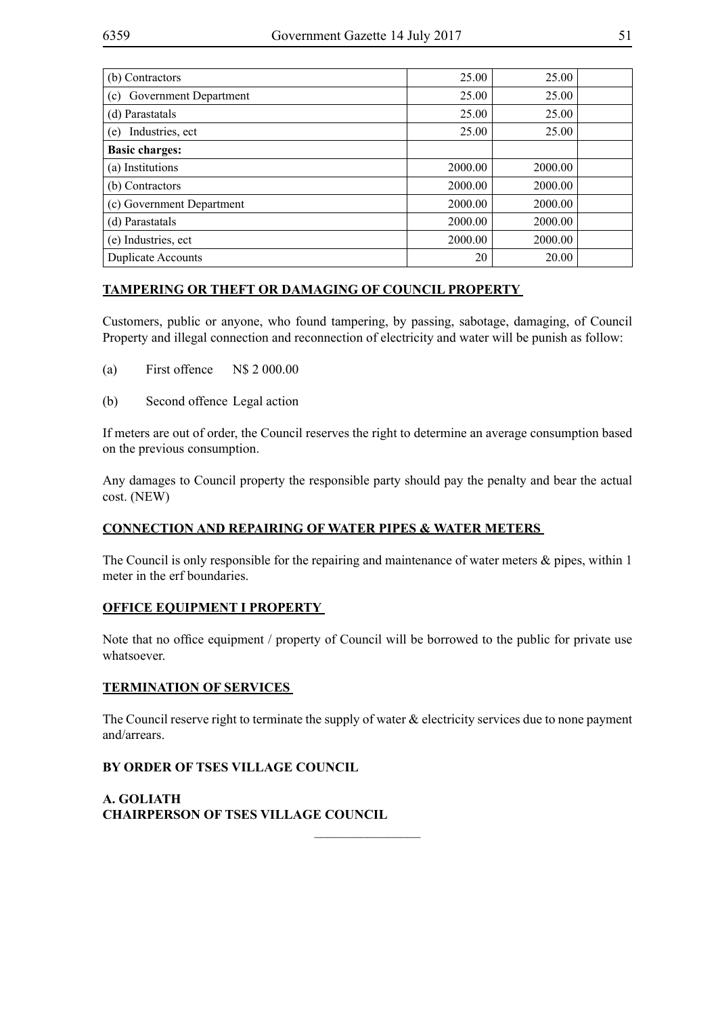| (b) Contractors              | 25.00   | 25.00   |  |
|------------------------------|---------|---------|--|
| Government Department<br>(c) | 25.00   | 25.00   |  |
| (d) Parastatals              | 25.00   | 25.00   |  |
| Industries, ect<br>(e)       | 25.00   | 25.00   |  |
| <b>Basic charges:</b>        |         |         |  |
| (a) Institutions             | 2000.00 | 2000.00 |  |
| (b) Contractors              | 2000.00 | 2000.00 |  |
| (c) Government Department    | 2000.00 | 2000.00 |  |
| (d) Parastatals              | 2000.00 | 2000.00 |  |
| (e) Industries, ect          | 2000.00 | 2000.00 |  |
| <b>Duplicate Accounts</b>    | 20      | 20.00   |  |

## **TAMPERING OR THEFT OR DAMAGING OF COUNCIL PROPERTY**

Customers, public or anyone, who found tampering, by passing, sabotage, damaging, of Council Property and illegal connection and reconnection of electricity and water will be punish as follow:

- (a) First offence N\$ 2 000.00
- (b) Second offence Legal action

If meters are out of order, the Council reserves the right to determine an average consumption based on the previous consumption.

Any damages to Council property the responsible party should pay the penalty and bear the actual cost. (NEW)

## **CONNECTION AND REPAIRING OF WATER PIPES & WATER METERS**

The Council is only responsible for the repairing and maintenance of water meters  $\&$  pipes, within 1 meter in the erf boundaries.

## **OFFICE EQUIPMENT I PROPERTY**

Note that no office equipment / property of Council will be borrowed to the public for private use whatsoever.

### **TERMINATION OF SERVICES**

The Council reserve right to terminate the supply of water  $\&$  electricity services due to none payment and/arrears.

 $\frac{1}{2}$ 

### **BY ORDER OF TSES VILLAGE COUNCIL**

**A. GOLIATH CHAIRPERSON OF TSES VILLAGE COUNCIL**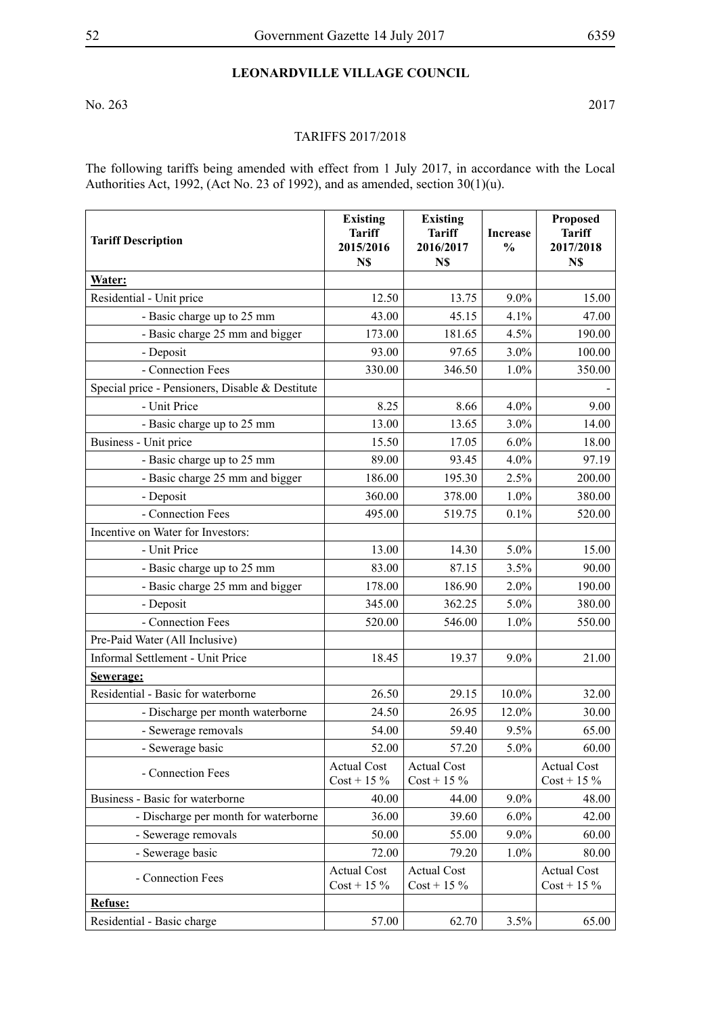# **Leonardville Village Council**

No. 263 2017

#### TARIFFS 2017/2018

The following tariffs being amended with effect from 1 July 2017, in accordance with the Local Authorities Act, 1992, (Act No. 23 of 1992), and as amended, section  $30(1)(u)$ .

| <b>Tariff Description</b>                       | <b>Existing</b><br><b>Tariff</b><br>2015/2016<br>N\$ | <b>Existing</b><br><b>Tariff</b><br>2016/2017<br>N\$ | <b>Increase</b><br>$\frac{0}{0}$ | <b>Proposed</b><br><b>Tariff</b><br>2017/2018<br>N\$ |
|-------------------------------------------------|------------------------------------------------------|------------------------------------------------------|----------------------------------|------------------------------------------------------|
| Water:                                          |                                                      |                                                      |                                  |                                                      |
| Residential - Unit price                        | 12.50                                                | 13.75                                                | 9.0%                             | 15.00                                                |
| - Basic charge up to 25 mm                      | 43.00                                                | 45.15                                                | 4.1%                             | 47.00                                                |
| - Basic charge 25 mm and bigger                 | 173.00                                               | 181.65                                               | 4.5%                             | 190.00                                               |
| - Deposit                                       | 93.00                                                | 97.65                                                | 3.0%                             | 100.00                                               |
| - Connection Fees                               | 330.00                                               | 346.50                                               | 1.0%                             | 350.00                                               |
| Special price - Pensioners, Disable & Destitute |                                                      |                                                      |                                  |                                                      |
| - Unit Price                                    | 8.25                                                 | 8.66                                                 | 4.0%                             | 9.00                                                 |
| - Basic charge up to 25 mm                      | 13.00                                                | 13.65                                                | 3.0%                             | 14.00                                                |
| Business - Unit price                           | 15.50                                                | 17.05                                                | 6.0%                             | 18.00                                                |
| - Basic charge up to 25 mm                      | 89.00                                                | 93.45                                                | 4.0%                             | 97.19                                                |
| - Basic charge 25 mm and bigger                 | 186.00                                               | 195.30                                               | 2.5%                             | 200.00                                               |
| - Deposit                                       | 360.00                                               | 378.00                                               | 1.0%                             | 380.00                                               |
| - Connection Fees                               | 495.00                                               | 519.75                                               | 0.1%                             | 520.00                                               |
| Incentive on Water for Investors:               |                                                      |                                                      |                                  |                                                      |
| - Unit Price                                    | 13.00                                                | 14.30                                                | 5.0%                             | 15.00                                                |
| - Basic charge up to 25 mm                      | 83.00                                                | 87.15                                                | 3.5%                             | 90.00                                                |
| - Basic charge 25 mm and bigger                 | 178.00                                               | 186.90                                               | 2.0%                             | 190.00                                               |
| - Deposit                                       | 345.00                                               | 362.25                                               | 5.0%                             | 380.00                                               |
| - Connection Fees                               | 520.00                                               | 546.00                                               | 1.0%                             | 550.00                                               |
| Pre-Paid Water (All Inclusive)                  |                                                      |                                                      |                                  |                                                      |
| Informal Settlement - Unit Price                | 18.45                                                | 19.37                                                | 9.0%                             | 21.00                                                |
| Sewerage:                                       |                                                      |                                                      |                                  |                                                      |
| Residential - Basic for waterborne              | 26.50                                                | 29.15                                                | 10.0%                            | 32.00                                                |
| - Discharge per month waterborne                | 24.50                                                | 26.95                                                | 12.0%                            | 30.00                                                |
| - Sewerage removals                             | 54.00                                                | 59.40                                                | 9.5%                             | 65.00                                                |
| - Sewerage basic                                | 52.00                                                | 57.20                                                | 5.0%                             | 60.00                                                |
| - Connection Fees                               | <b>Actual Cost</b><br>$Cost + 15\%$                  | <b>Actual Cost</b><br>$Cost + 15\%$                  |                                  | <b>Actual Cost</b><br>$Cost + 15\%$                  |
| Business - Basic for waterborne                 | 40.00                                                | 44.00                                                | $9.0\%$                          | 48.00                                                |
| - Discharge per month for waterborne            | 36.00                                                | 39.60                                                | 6.0%                             | 42.00                                                |
| - Sewerage removals                             | 50.00                                                | 55.00                                                | $9.0\%$                          | 60.00                                                |
| - Sewerage basic                                | 72.00                                                | 79.20                                                | 1.0%                             | 80.00                                                |
| - Connection Fees                               | <b>Actual Cost</b><br>$Cost + 15\%$                  | <b>Actual Cost</b><br>$Cost + 15\%$                  |                                  | <b>Actual Cost</b><br>$Cost + 15\%$                  |
| <b>Refuse:</b>                                  |                                                      |                                                      |                                  |                                                      |
| Residential - Basic charge                      | 57.00                                                | 62.70                                                | 3.5%                             | 65.00                                                |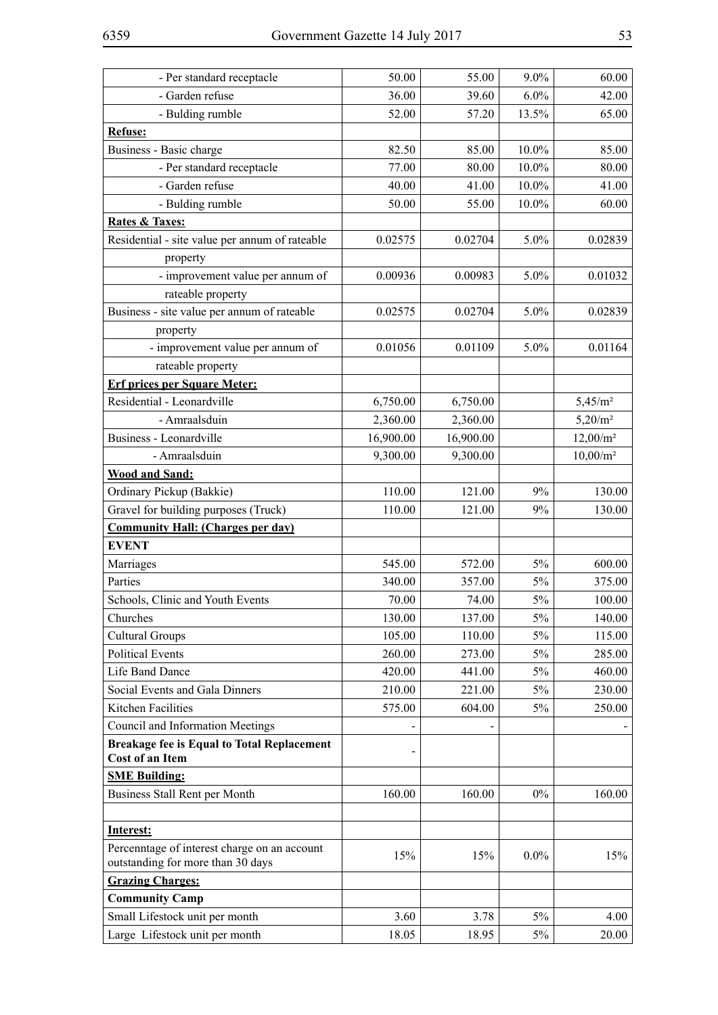| - Per standard receptacle                                                         | 50.00     | 55.00     | 9.0%    | 60.00               |
|-----------------------------------------------------------------------------------|-----------|-----------|---------|---------------------|
| - Garden refuse                                                                   | 36.00     | 39.60     | 6.0%    | 42.00               |
| - Bulding rumble                                                                  | 52.00     | 57.20     | 13.5%   | 65.00               |
| Refuse:                                                                           |           |           |         |                     |
| Business - Basic charge                                                           | 82.50     | 85.00     | 10.0%   | 85.00               |
| - Per standard receptacle                                                         | 77.00     | 80.00     | 10.0%   | 80.00               |
| - Garden refuse                                                                   | 40.00     | 41.00     | 10.0%   | 41.00               |
| - Bulding rumble                                                                  | 50.00     | 55.00     | 10.0%   | 60.00               |
| <b>Rates &amp; Taxes:</b>                                                         |           |           |         |                     |
| Residential - site value per annum of rateable                                    | 0.02575   | 0.02704   | 5.0%    | 0.02839             |
| property                                                                          |           |           |         |                     |
| - improvement value per annum of                                                  | 0.00936   | 0.00983   | 5.0%    | 0.01032             |
| rateable property                                                                 |           |           |         |                     |
| Business - site value per annum of rateable                                       | 0.02575   | 0.02704   | 5.0%    | 0.02839             |
| property                                                                          |           |           |         |                     |
| - improvement value per annum of                                                  | 0.01056   | 0.01109   | 5.0%    | 0.01164             |
| rateable property                                                                 |           |           |         |                     |
| <b>Erf prices per Square Meter:</b>                                               |           |           |         |                     |
| Residential - Leonardville                                                        | 6,750.00  | 6,750.00  |         | 5,45/m <sup>2</sup> |
| - Amraalsduin                                                                     | 2,360.00  | 2,360.00  |         | $5,20/m^2$          |
| Business - Leonardville                                                           | 16,900.00 | 16,900.00 |         | $12,00/m^2$         |
| - Amraalsduin                                                                     | 9,300.00  | 9,300.00  |         | $10,00/m^2$         |
| <b>Wood and Sand:</b>                                                             |           |           |         |                     |
| Ordinary Pickup (Bakkie)                                                          | 110.00    | 121.00    | 9%      | 130.00              |
| Gravel for building purposes (Truck)                                              | 110.00    | 121.00    | 9%      | 130.00              |
| <b>Community Hall: (Charges per day)</b>                                          |           |           |         |                     |
| <b>EVENT</b>                                                                      |           |           |         |                     |
| Marriages                                                                         | 545.00    | 572.00    | 5%      | 600.00              |
| Parties                                                                           | 340.00    | 357.00    | 5%      | 375.00              |
| Schools, Clinic and Youth Events                                                  | 70.00     | 74.00     | 5%      | 100.00              |
| Churches                                                                          | 130.00    | 137.00    | 5%      | 140.00              |
| <b>Cultural Groups</b>                                                            | 105.00    | 110.00    | 5%      | 115.00              |
| <b>Political Events</b>                                                           | 260.00    | 273.00    | 5%      | 285.00              |
| Life Band Dance                                                                   | 420.00    | 441.00    | $5\%$   | 460.00              |
| Social Events and Gala Dinners                                                    | 210.00    | 221.00    | 5%      | 230.00              |
| <b>Kitchen Facilities</b>                                                         | 575.00    | 604.00    | $5\%$   | 250.00              |
| Council and Information Meetings                                                  |           |           |         |                     |
| <b>Breakage fee is Equal to Total Replacement</b><br>Cost of an Item              |           |           |         |                     |
| <b>SME Building:</b>                                                              |           |           |         |                     |
| Business Stall Rent per Month                                                     | 160.00    | 160.00    | $0\%$   | 160.00              |
| Interest:                                                                         |           |           |         |                     |
| Percenntage of interest charge on an account<br>outstanding for more than 30 days | 15%       | 15%       | $0.0\%$ | 15%                 |
| <b>Grazing Charges:</b>                                                           |           |           |         |                     |
| <b>Community Camp</b>                                                             |           |           |         |                     |
| Small Lifestock unit per month                                                    | 3.60      | 3.78      | $5\%$   | 4.00                |
| Large Lifestock unit per month                                                    | 18.05     | 18.95     | 5%      | 20.00               |
|                                                                                   |           |           |         |                     |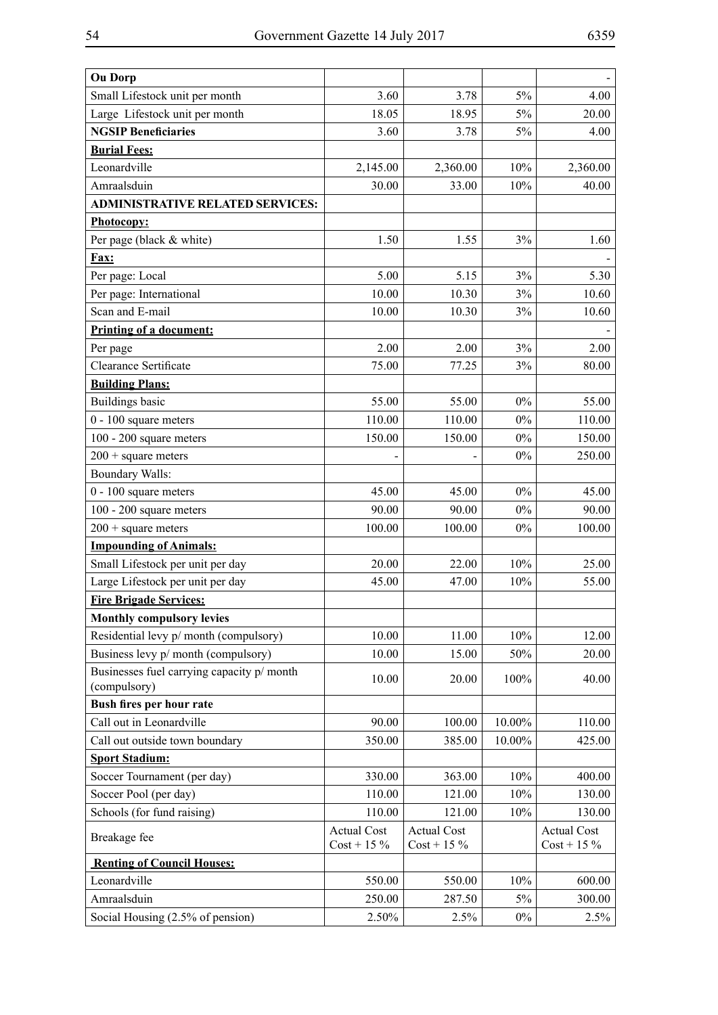| <b>Ou Dorp</b>                             |                    |                    |        |                    |
|--------------------------------------------|--------------------|--------------------|--------|--------------------|
| Small Lifestock unit per month             | 3.60               | 3.78               | 5%     | 4.00               |
| Large Lifestock unit per month             | 18.05              | 18.95              | 5%     | 20.00              |
| <b>NGSIP Beneficiaries</b>                 | 3.60               | 3.78               | 5%     | 4.00               |
| <b>Burial Fees:</b>                        |                    |                    |        |                    |
| Leonardville                               | 2,145.00           | 2,360.00           | 10%    | 2,360.00           |
| Amraalsduin                                | 30.00              | 33.00              | 10%    | 40.00              |
| <b>ADMINISTRATIVE RELATED SERVICES:</b>    |                    |                    |        |                    |
| <b>Photocopy:</b>                          |                    |                    |        |                    |
| Per page (black & white)                   | 1.50               | 1.55               | 3%     | 1.60               |
| Fax:                                       |                    |                    |        |                    |
| Per page: Local                            | 5.00               | 5.15               | 3%     | 5.30               |
| Per page: International                    | 10.00              | 10.30              | 3%     | 10.60              |
| Scan and E-mail                            | 10.00              | 10.30              | 3%     | 10.60              |
| Printing of a document:                    |                    |                    |        |                    |
| Per page                                   | 2.00               | 2.00               | 3%     | 2.00               |
| <b>Clearance Sertificate</b>               | 75.00              | 77.25              | 3%     | 80.00              |
| <b>Building Plans:</b>                     |                    |                    |        |                    |
| <b>Buildings basic</b>                     | 55.00              | 55.00              | $0\%$  | 55.00              |
| $0 - 100$ square meters                    | 110.00             | 110.00             | $0\%$  | 110.00             |
| 100 - 200 square meters                    | 150.00             | 150.00             | $0\%$  | 150.00             |
| $200 + square$ meters                      |                    |                    | $0\%$  | 250.00             |
| <b>Boundary Walls:</b>                     |                    |                    |        |                    |
| 0 - 100 square meters                      | 45.00              | 45.00              | $0\%$  | 45.00              |
| 100 - 200 square meters                    | 90.00              | 90.00              | 0%     | 90.00              |
| $200 + square$ meters                      | 100.00             | 100.00             | $0\%$  | 100.00             |
| <b>Impounding of Animals:</b>              |                    |                    |        |                    |
| Small Lifestock per unit per day           | 20.00              | 22.00              | 10%    | 25.00              |
| Large Lifestock per unit per day           | 45.00              | 47.00              | 10%    | 55.00              |
| <b>Fire Brigade Services:</b>              |                    |                    |        |                    |
| <b>Monthly compulsory levies</b>           |                    |                    |        |                    |
| Residential levy p/ month (compulsory)     | 10.00              | 11.00              | 10%    | 12.00              |
| Business levy p/ month (compulsory)        | 10.00              | 15.00              | 50%    | 20.00              |
| Businesses fuel carrying capacity p/ month | 10.00              | 20.00              | 100%   | 40.00              |
| (compulsory)<br>Bush fires per hour rate   |                    |                    |        |                    |
| Call out in Leonardville                   | 90.00              | 100.00             | 10.00% | 110.00             |
| Call out outside town boundary             | 350.00             | 385.00             | 10.00% | 425.00             |
| <b>Sport Stadium:</b>                      |                    |                    |        |                    |
| Soccer Tournament (per day)                | 330.00             | 363.00             | 10%    | 400.00             |
| Soccer Pool (per day)                      | 110.00             | 121.00             | 10%    | 130.00             |
| Schools (for fund raising)                 | 110.00             | 121.00             | $10\%$ | 130.00             |
|                                            | <b>Actual Cost</b> | <b>Actual Cost</b> |        | <b>Actual Cost</b> |
| Breakage fee                               | $Cost + 15\%$      | $Cost + 15\%$      |        | $Cost + 15\%$      |
| <b>Renting of Council Houses:</b>          |                    |                    |        |                    |
| Leonardville                               | 550.00             | 550.00             | 10%    | 600.00             |
| Amraalsduin                                | 250.00             | 287.50             | 5%     | 300.00             |
| Social Housing (2.5% of pension)           | 2.50%              | 2.5%               | $0\%$  | 2.5%               |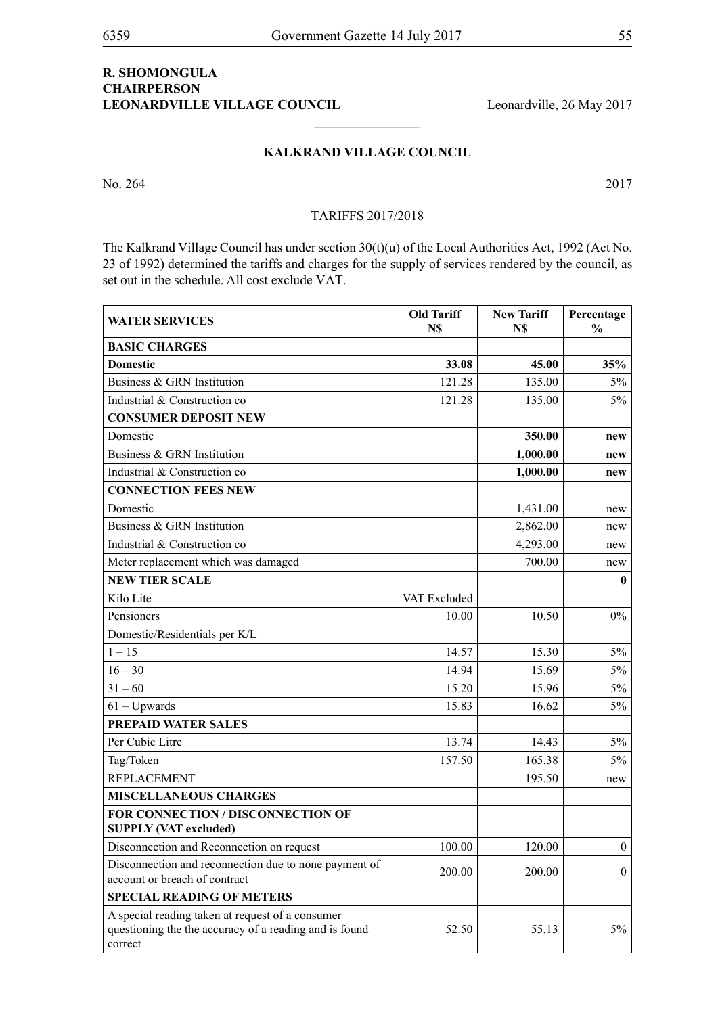## **R. SHOMONGULA CHAIRPERSON** LEONARDVILLE VILLAGE COUNCIL Leonardville, 26 May 2017

#### **Kalkrand Village Council**

 $\frac{1}{2}$ 

No. 264 2017

#### TARIFFS 2017/2018

The Kalkrand Village Council has under section 30(t)(u) of the Local Authorities Act, 1992 (Act No. 23 of 1992) determined the tariffs and charges for the supply of services rendered by the council, as set out in the schedule. All cost exclude VAT.

| <b>WATER SERVICES</b>                                                                                                 | <b>Old Tariff</b><br>N\$ | <b>New Tariff</b><br>N\$ | Percentage<br>$\frac{0}{0}$ |
|-----------------------------------------------------------------------------------------------------------------------|--------------------------|--------------------------|-----------------------------|
| <b>BASIC CHARGES</b>                                                                                                  |                          |                          |                             |
| <b>Domestic</b>                                                                                                       | 33.08                    | 45.00                    | 35%                         |
| Business & GRN Institution                                                                                            | 121.28                   | 135.00                   | $5\%$                       |
| Industrial & Construction co                                                                                          | 121.28                   | 135.00                   | $5\%$                       |
| <b>CONSUMER DEPOSIT NEW</b>                                                                                           |                          |                          |                             |
| Domestic                                                                                                              |                          | 350.00                   | new                         |
| Business & GRN Institution                                                                                            |                          | 1,000.00                 | new                         |
| Industrial & Construction co                                                                                          |                          | 1,000.00                 | new                         |
| <b>CONNECTION FEES NEW</b>                                                                                            |                          |                          |                             |
| Domestic                                                                                                              |                          | 1,431.00                 | new                         |
| Business & GRN Institution                                                                                            |                          | 2,862.00                 | new                         |
| Industrial & Construction co                                                                                          |                          | 4,293.00                 | new                         |
| Meter replacement which was damaged                                                                                   |                          | 700.00                   | new                         |
| <b>NEW TIER SCALE</b>                                                                                                 |                          |                          | $\bf{0}$                    |
| Kilo Lite                                                                                                             | VAT Excluded             |                          |                             |
| Pensioners                                                                                                            | 10.00                    | 10.50                    | $0\%$                       |
| Domestic/Residentials per K/L                                                                                         |                          |                          |                             |
| $1 - 15$                                                                                                              | 14.57                    | 15.30                    | $5\%$                       |
| $16 - 30$                                                                                                             | 14.94                    | 15.69                    | $5\%$                       |
| $31 - 60$                                                                                                             | 15.20                    | 15.96                    | $5\%$                       |
| $61 - Upwards$                                                                                                        | 15.83                    | 16.62                    | $5\%$                       |
| <b>PREPAID WATER SALES</b>                                                                                            |                          |                          |                             |
| Per Cubic Litre                                                                                                       | 13.74                    | 14.43                    | $5\%$                       |
| Tag/Token                                                                                                             | 157.50                   | 165.38                   | $5\%$                       |
| <b>REPLACEMENT</b>                                                                                                    |                          | 195.50                   | new                         |
| <b>MISCELLANEOUS CHARGES</b>                                                                                          |                          |                          |                             |
| <b>FOR CONNECTION / DISCONNECTION OF</b><br><b>SUPPLY (VAT excluded)</b>                                              |                          |                          |                             |
| Disconnection and Reconnection on request                                                                             | 100.00                   | 120.00                   | $\overline{0}$              |
| Disconnection and reconnection due to none payment of<br>account or breach of contract                                | 200.00                   | 200.00                   | $\overline{0}$              |
| <b>SPECIAL READING OF METERS</b>                                                                                      |                          |                          |                             |
| A special reading taken at request of a consumer<br>questioning the the accuracy of a reading and is found<br>correct | 52.50                    | 55.13                    | 5%                          |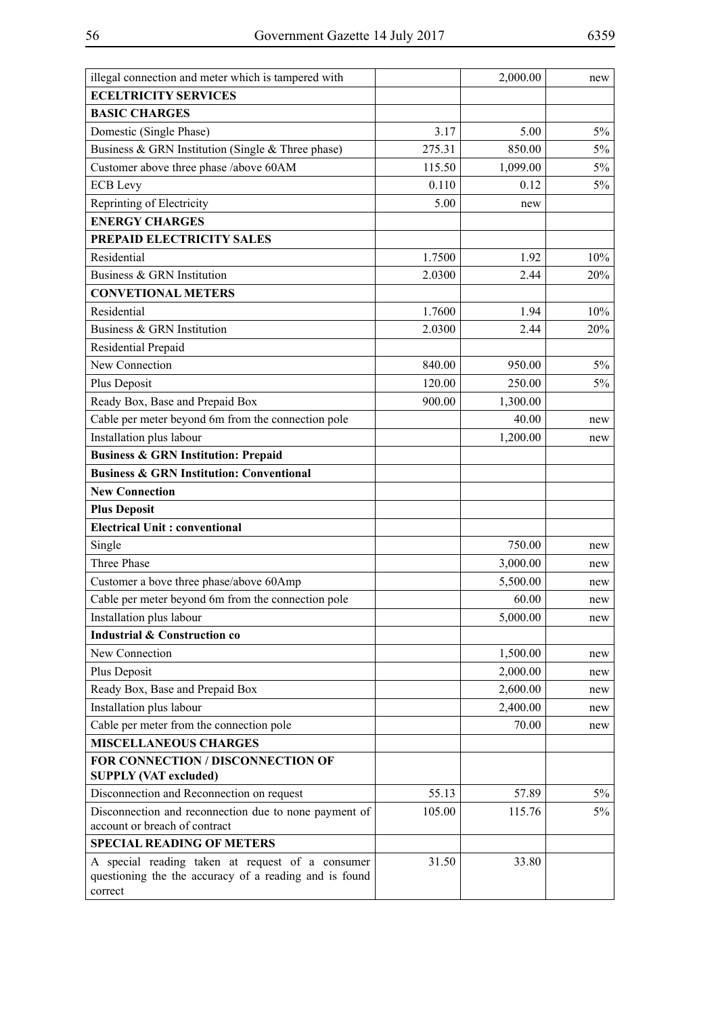|--|--|--|--|

| illegal connection and meter which is tampered with                                                                   |        | 2,000.00 | new   |
|-----------------------------------------------------------------------------------------------------------------------|--------|----------|-------|
| <b>ECELTRICITY SERVICES</b>                                                                                           |        |          |       |
| <b>BASIC CHARGES</b>                                                                                                  |        |          |       |
| Domestic (Single Phase)                                                                                               | 3.17   | 5.00     | 5%    |
| Business & GRN Institution (Single & Three phase)                                                                     | 275.31 | 850.00   | 5%    |
| Customer above three phase /above 60AM                                                                                | 115.50 | 1,099.00 | $5\%$ |
| <b>ECB</b> Levy                                                                                                       | 0.110  | 0.12     | 5%    |
| Reprinting of Electricity                                                                                             | 5.00   | new      |       |
| <b>ENERGY CHARGES</b>                                                                                                 |        |          |       |
| PREPAID ELECTRICITY SALES                                                                                             |        |          |       |
| Residential                                                                                                           | 1.7500 | 1.92     | 10%   |
| Business & GRN Institution                                                                                            | 2.0300 | 2.44     | 20%   |
| <b>CONVETIONAL METERS</b>                                                                                             |        |          |       |
| Residential                                                                                                           | 1.7600 | 1.94     | 10%   |
| Business & GRN Institution                                                                                            | 2.0300 | 2.44     | 20%   |
| Residential Prepaid                                                                                                   |        |          |       |
| New Connection                                                                                                        | 840.00 | 950.00   | $5\%$ |
| Plus Deposit                                                                                                          | 120.00 | 250.00   | 5%    |
| Ready Box, Base and Prepaid Box                                                                                       | 900.00 | 1,300.00 |       |
| Cable per meter beyond 6m from the connection pole                                                                    |        | 40.00    | new   |
| Installation plus labour                                                                                              |        | 1,200.00 | new   |
| <b>Business &amp; GRN Institution: Prepaid</b>                                                                        |        |          |       |
| <b>Business &amp; GRN Institution: Conventional</b>                                                                   |        |          |       |
| <b>New Connection</b>                                                                                                 |        |          |       |
| <b>Plus Deposit</b>                                                                                                   |        |          |       |
| <b>Electrical Unit: conventional</b>                                                                                  |        |          |       |
| Single                                                                                                                |        | 750.00   | new   |
| Three Phase                                                                                                           |        | 3,000.00 | new   |
| Customer a bove three phase/above 60Amp                                                                               |        | 5,500.00 | new   |
| Cable per meter beyond 6m from the connection pole                                                                    |        | 60.00    | new   |
| Installation plus labour                                                                                              |        | 5,000.00 | new   |
| <b>Industrial &amp; Construction co</b>                                                                               |        |          |       |
| New Connection                                                                                                        |        | 1,500.00 | new   |
| Plus Deposit                                                                                                          |        | 2,000.00 | new   |
| Ready Box, Base and Prepaid Box                                                                                       |        | 2,600.00 | new   |
| Installation plus labour                                                                                              |        | 2,400.00 | new   |
| Cable per meter from the connection pole                                                                              |        | 70.00    | new   |
| <b>MISCELLANEOUS CHARGES</b>                                                                                          |        |          |       |
| FOR CONNECTION / DISCONNECTION OF                                                                                     |        |          |       |
| <b>SUPPLY (VAT excluded)</b>                                                                                          |        |          |       |
| Disconnection and Reconnection on request                                                                             | 55.13  | 57.89    | $5\%$ |
| Disconnection and reconnection due to none payment of<br>account or breach of contract                                | 105.00 | 115.76   | $5\%$ |
| <b>SPECIAL READING OF METERS</b>                                                                                      |        |          |       |
| A special reading taken at request of a consumer<br>questioning the the accuracy of a reading and is found<br>correct | 31.50  | 33.80    |       |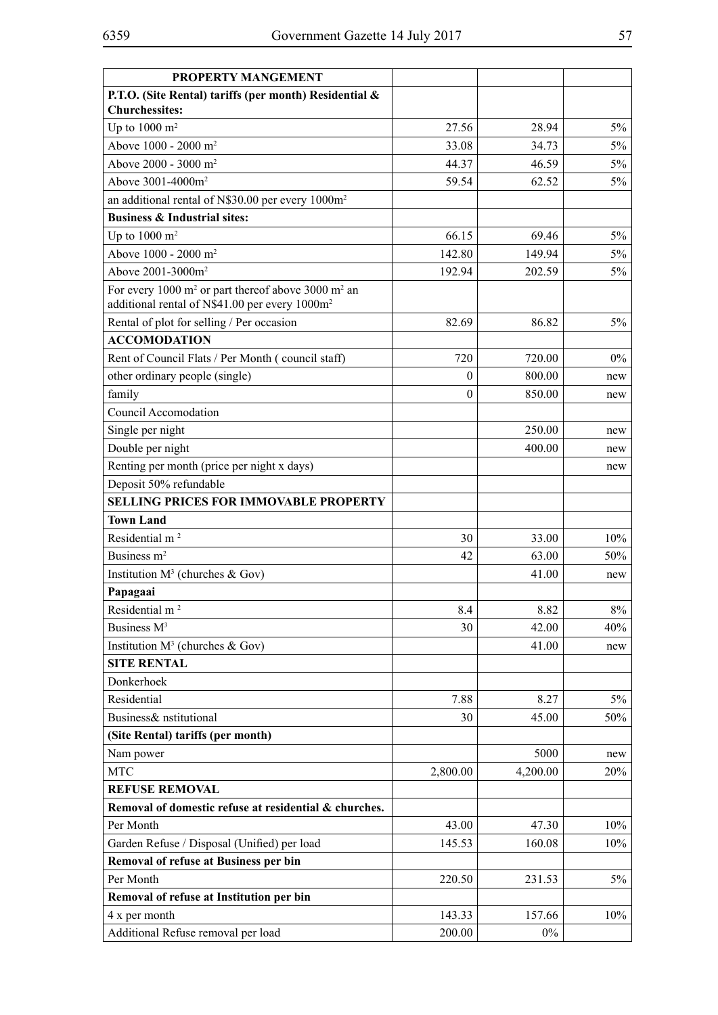| <b>PROPERTY MANGEMENT</b>                                                                                                                |          |          |       |
|------------------------------------------------------------------------------------------------------------------------------------------|----------|----------|-------|
| P.T.O. (Site Rental) tariffs (per month) Residential &<br><b>Churchessites:</b>                                                          |          |          |       |
| Up to $1000 \text{ m}^2$                                                                                                                 | 27.56    | 28.94    | $5\%$ |
| Above 1000 - 2000 m <sup>2</sup>                                                                                                         | 33.08    | 34.73    | 5%    |
| Above 2000 - 3000 m <sup>2</sup>                                                                                                         | 44.37    | 46.59    | 5%    |
| Above 3001-4000m <sup>2</sup>                                                                                                            | 59.54    | 62.52    | 5%    |
| an additional rental of N\$30.00 per every 1000m <sup>2</sup>                                                                            |          |          |       |
| <b>Business &amp; Industrial sites:</b>                                                                                                  |          |          |       |
| Up to $1000 \text{ m}^2$                                                                                                                 | 66.15    | 69.46    | $5\%$ |
| Above 1000 - 2000 m <sup>2</sup>                                                                                                         | 142.80   | 149.94   | $5\%$ |
| Above 2001-3000m <sup>2</sup>                                                                                                            | 192.94   | 202.59   | 5%    |
| For every 1000 m <sup>2</sup> or part thereof above 3000 m <sup>2</sup> an<br>additional rental of N\$41.00 per every 1000m <sup>2</sup> |          |          |       |
| Rental of plot for selling / Per occasion                                                                                                | 82.69    | 86.82    | $5\%$ |
| <b>ACCOMODATION</b>                                                                                                                      |          |          |       |
| Rent of Council Flats / Per Month (council staff)                                                                                        | 720      | 720.00   | $0\%$ |
| other ordinary people (single)                                                                                                           | $\theta$ | 800.00   | new   |
| family                                                                                                                                   | $\theta$ | 850.00   | new   |
| Council Accomodation                                                                                                                     |          |          |       |
| Single per night                                                                                                                         |          | 250.00   | new   |
| Double per night                                                                                                                         |          | 400.00   | new   |
| Renting per month (price per night x days)                                                                                               |          |          | new   |
| Deposit 50% refundable                                                                                                                   |          |          |       |
| <b>SELLING PRICES FOR IMMOVABLE PROPERTY</b>                                                                                             |          |          |       |
| <b>Town Land</b>                                                                                                                         |          |          |       |
| Residential m <sup>2</sup>                                                                                                               | 30       | 33.00    | 10%   |
| Business m <sup>2</sup>                                                                                                                  | 42       | 63.00    | 50%   |
| Institution $M^3$ (churches & Gov)                                                                                                       |          | 41.00    | new   |
| Papagaai                                                                                                                                 |          |          |       |
| Residential m <sup>2</sup>                                                                                                               | 8.4      | 8.82     | $8\%$ |
| Business M <sup>3</sup>                                                                                                                  | 30       | 42.00    | 40%   |
| Institution $M^3$ (churches & Gov)                                                                                                       |          | 41.00    | new   |
| <b>SITE RENTAL</b>                                                                                                                       |          |          |       |
| Donkerhoek                                                                                                                               |          |          |       |
| Residential                                                                                                                              | 7.88     | 8.27     | $5\%$ |
| Business& nstitutional                                                                                                                   | 30       | 45.00    | 50%   |
| (Site Rental) tariffs (per month)                                                                                                        |          |          |       |
| Nam power                                                                                                                                |          | 5000     | new   |
| <b>MTC</b>                                                                                                                               | 2,800.00 | 4,200.00 | 20%   |
| <b>REFUSE REMOVAL</b>                                                                                                                    |          |          |       |
| Removal of domestic refuse at residential & churches.                                                                                    |          |          |       |
| Per Month                                                                                                                                | 43.00    | 47.30    | 10%   |
| Garden Refuse / Disposal (Unified) per load                                                                                              | 145.53   | 160.08   | 10%   |
| Removal of refuse at Business per bin                                                                                                    |          |          |       |
| Per Month                                                                                                                                | 220.50   | 231.53   | 5%    |
| Removal of refuse at Institution per bin                                                                                                 |          |          |       |
| 4 x per month                                                                                                                            | 143.33   | 157.66   | 10%   |
| Additional Refuse removal per load                                                                                                       | 200.00   | $0\%$    |       |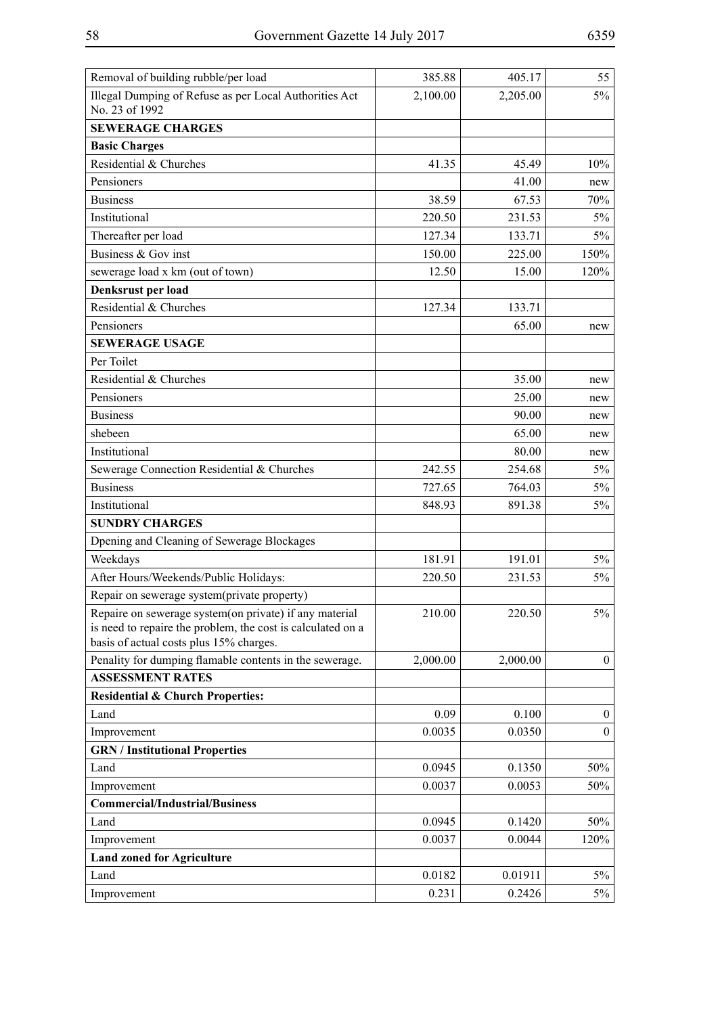| Removal of building rubble/per load                                                                                                                              | 385.88   | 405.17   | 55               |
|------------------------------------------------------------------------------------------------------------------------------------------------------------------|----------|----------|------------------|
| Illegal Dumping of Refuse as per Local Authorities Act<br>No. 23 of 1992                                                                                         | 2,100.00 | 2,205.00 | 5%               |
| <b>SEWERAGE CHARGES</b>                                                                                                                                          |          |          |                  |
| <b>Basic Charges</b>                                                                                                                                             |          |          |                  |
| Residential & Churches                                                                                                                                           | 41.35    | 45.49    | 10%              |
| Pensioners                                                                                                                                                       |          | 41.00    | new              |
| <b>Business</b>                                                                                                                                                  | 38.59    | 67.53    | 70%              |
| Institutional                                                                                                                                                    | 220.50   | 231.53   | 5%               |
| Thereafter per load                                                                                                                                              | 127.34   | 133.71   | $5\%$            |
| Business & Gov inst                                                                                                                                              | 150.00   | 225.00   | 150%             |
| sewerage load x km (out of town)                                                                                                                                 | 12.50    | 15.00    | 120%             |
| Denksrust per load                                                                                                                                               |          |          |                  |
| Residential & Churches                                                                                                                                           | 127.34   | 133.71   |                  |
| Pensioners                                                                                                                                                       |          | 65.00    | new              |
| <b>SEWERAGE USAGE</b>                                                                                                                                            |          |          |                  |
| Per Toilet                                                                                                                                                       |          |          |                  |
| Residential & Churches                                                                                                                                           |          | 35.00    | new              |
| Pensioners                                                                                                                                                       |          | 25.00    | new              |
| <b>Business</b>                                                                                                                                                  |          | 90.00    | new              |
| shebeen                                                                                                                                                          |          | 65.00    | new              |
| Institutional                                                                                                                                                    |          | 80.00    | new              |
| Sewerage Connection Residential & Churches                                                                                                                       | 242.55   | 254.68   | 5%               |
| <b>Business</b>                                                                                                                                                  | 727.65   | 764.03   | $5\%$            |
| Institutional                                                                                                                                                    | 848.93   | 891.38   | 5%               |
| <b>SUNDRY CHARGES</b>                                                                                                                                            |          |          |                  |
| Dpening and Cleaning of Sewerage Blockages                                                                                                                       |          |          |                  |
| Weekdays                                                                                                                                                         | 181.91   | 191.01   | $5\%$            |
| After Hours/Weekends/Public Holidays:                                                                                                                            | 220.50   | 231.53   | 5%               |
| Repair on sewerage system(private property)                                                                                                                      |          |          |                  |
| Repaire on sewerage system(on private) if any material<br>is need to repaire the problem, the cost is calculated on a<br>basis of actual costs plus 15% charges. | 210.00   | 220.50   | $5\%$            |
| Penality for dumping flamable contents in the sewerage.                                                                                                          | 2,000.00 | 2,000.00 | $\mathbf{0}$     |
| <b>ASSESSMENT RATES</b>                                                                                                                                          |          |          |                  |
| <b>Residential &amp; Church Properties:</b>                                                                                                                      |          |          |                  |
| Land                                                                                                                                                             | 0.09     | 0.100    | $\boldsymbol{0}$ |
| Improvement                                                                                                                                                      | 0.0035   | 0.0350   | $\boldsymbol{0}$ |
| <b>GRN</b> / Institutional Properties                                                                                                                            |          |          |                  |
| Land                                                                                                                                                             | 0.0945   | 0.1350   | 50%              |
| Improvement                                                                                                                                                      | 0.0037   | 0.0053   | 50%              |
| <b>Commercial/Industrial/Business</b>                                                                                                                            |          |          |                  |
| Land                                                                                                                                                             | 0.0945   | 0.1420   | 50%              |
| Improvement                                                                                                                                                      | 0.0037   | 0.0044   | 120%             |
| <b>Land zoned for Agriculture</b>                                                                                                                                |          |          |                  |
| Land                                                                                                                                                             | 0.0182   | 0.01911  | $5\%$            |
| Improvement                                                                                                                                                      | 0.231    | 0.2426   | $5\%$            |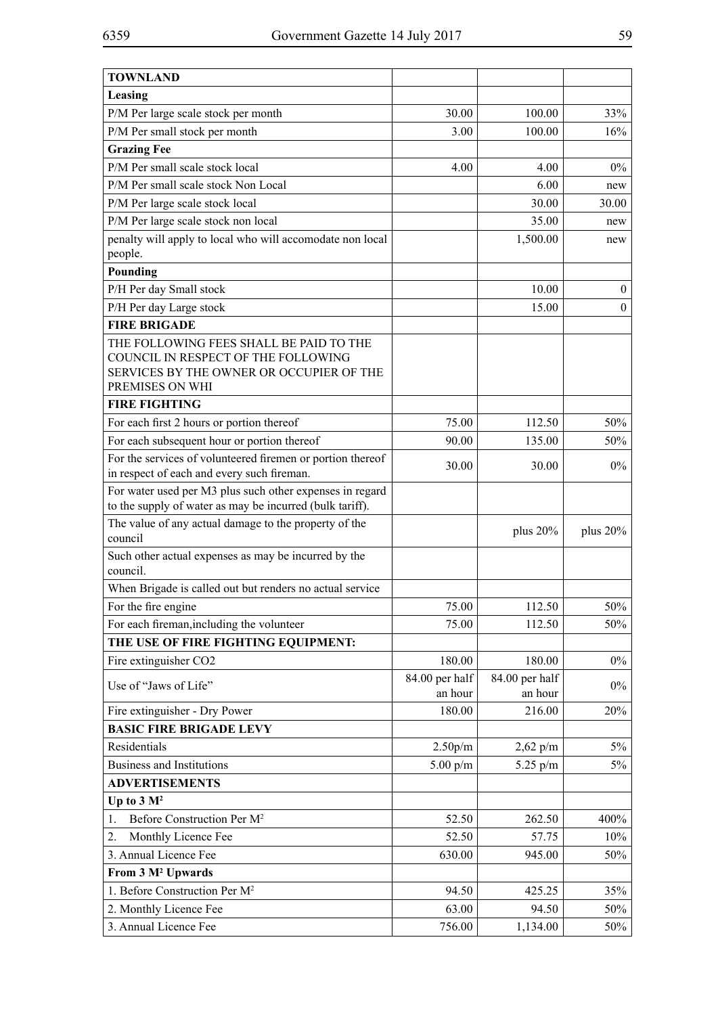| <b>TOWNLAND</b>                                                                                                      |                      |                   |                  |
|----------------------------------------------------------------------------------------------------------------------|----------------------|-------------------|------------------|
| Leasing                                                                                                              |                      |                   |                  |
| P/M Per large scale stock per month                                                                                  | 30.00                | 100.00            | 33%              |
| P/M Per small stock per month                                                                                        | 3.00                 | 100.00            | 16%              |
| <b>Grazing Fee</b>                                                                                                   |                      |                   |                  |
| P/M Per small scale stock local                                                                                      | 4.00                 | 4.00              | $0\%$            |
| P/M Per small scale stock Non Local                                                                                  |                      | 6.00              | new              |
| P/M Per large scale stock local                                                                                      |                      | 30.00             | 30.00            |
| P/M Per large scale stock non local                                                                                  |                      | 35.00             | new              |
| penalty will apply to local who will accomodate non local                                                            |                      | 1,500.00          | new              |
| people.                                                                                                              |                      |                   |                  |
| Pounding                                                                                                             |                      |                   |                  |
| P/H Per day Small stock                                                                                              |                      | 10.00             | $\boldsymbol{0}$ |
| P/H Per day Large stock                                                                                              |                      | 15.00             | $\boldsymbol{0}$ |
| <b>FIRE BRIGADE</b>                                                                                                  |                      |                   |                  |
| THE FOLLOWING FEES SHALL BE PAID TO THE                                                                              |                      |                   |                  |
| COUNCIL IN RESPECT OF THE FOLLOWING<br>SERVICES BY THE OWNER OR OCCUPIER OF THE                                      |                      |                   |                  |
| PREMISES ON WHI                                                                                                      |                      |                   |                  |
| <b>FIRE FIGHTING</b>                                                                                                 |                      |                   |                  |
| For each first 2 hours or portion thereof                                                                            | 75.00                | 112.50            | 50%              |
| For each subsequent hour or portion thereof                                                                          | 90.00                | 135.00            | 50%              |
| For the services of volunteered firemen or portion thereof                                                           | 30.00                | 30.00             | $0\%$            |
| in respect of each and every such fireman.                                                                           |                      |                   |                  |
| For water used per M3 plus such other expenses in regard<br>to the supply of water as may be incurred (bulk tariff). |                      |                   |                  |
| The value of any actual damage to the property of the<br>council                                                     |                      | plus $20%$        | plus $20%$       |
| Such other actual expenses as may be incurred by the<br>council.                                                     |                      |                   |                  |
| When Brigade is called out but renders no actual service                                                             |                      |                   |                  |
| For the fire engine                                                                                                  | 75.00                | 112.50            | 50%              |
| For each fireman, including the volunteer                                                                            | 75.00                | 112.50            | 50%              |
| THE USE OF FIRE FIGHTING EQUIPMENT:                                                                                  |                      |                   |                  |
| Fire extinguisher CO2                                                                                                | 180.00               | 180.00            | $0\%$            |
| Use of "Jaws of Life"                                                                                                | 84.00 per half       | 84.00 per half    | $0\%$            |
|                                                                                                                      | an hour<br>180.00    | an hour<br>216.00 | 20%              |
| Fire extinguisher - Dry Power<br><b>BASIC FIRE BRIGADE LEVY</b>                                                      |                      |                   |                  |
| Residentials                                                                                                         | 2.50 <sub>p</sub> /m | $2,62$ p/m        | 5%               |
| <b>Business and Institutions</b>                                                                                     | $5.00$ p/m           | 5.25 $p/m$        | 5%               |
| <b>ADVERTISEMENTS</b>                                                                                                |                      |                   |                  |
| Up to $3 \text{ M}^2$                                                                                                |                      |                   |                  |
| Before Construction Per M <sup>2</sup><br>1.                                                                         | 52.50                | 262.50            | 400%             |
| Monthly Licence Fee<br>2.                                                                                            | 52.50                | 57.75             | 10%              |
| 3. Annual Licence Fee                                                                                                | 630.00               | 945.00            | 50%              |
| From 3 M <sup>2</sup> Upwards                                                                                        |                      |                   |                  |
| 1. Before Construction Per M <sup>2</sup>                                                                            | 94.50                | 425.25            | 35%              |
| 2. Monthly Licence Fee                                                                                               | 63.00                | 94.50             | 50%              |
| 3. Annual Licence Fee                                                                                                | 756.00               | 1,134.00          | 50%              |
|                                                                                                                      |                      |                   |                  |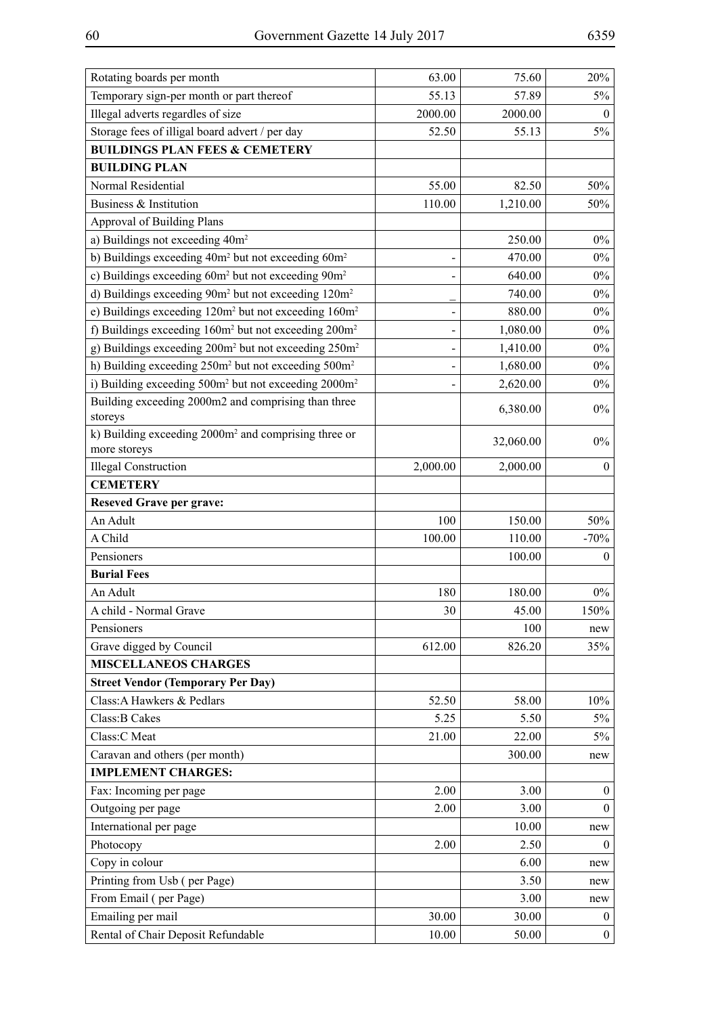| Rotating boards per month                                                        | 63.00    | 75.60     | 20%              |
|----------------------------------------------------------------------------------|----------|-----------|------------------|
| Temporary sign-per month or part thereof                                         | 55.13    | 57.89     | 5%               |
| Illegal adverts regardles of size                                                | 2000.00  | 2000.00   | $\mathbf{0}$     |
| Storage fees of illigal board advert / per day                                   | 52.50    | 55.13     | 5%               |
| <b>BUILDINGS PLAN FEES &amp; CEMETERY</b>                                        |          |           |                  |
| <b>BUILDING PLAN</b>                                                             |          |           |                  |
| Normal Residential                                                               | 55.00    | 82.50     | 50%              |
| Business & Institution                                                           | 110.00   | 1,210.00  | 50%              |
| <b>Approval of Building Plans</b>                                                |          |           |                  |
| a) Buildings not exceeding 40m <sup>2</sup>                                      |          | 250.00    | $0\%$            |
| b) Buildings exceeding 40m <sup>2</sup> but not exceeding 60m <sup>2</sup>       |          | 470.00    | $0\%$            |
| c) Buildings exceeding 60m <sup>2</sup> but not exceeding 90m <sup>2</sup>       |          | 640.00    | $0\%$            |
| d) Buildings exceeding 90m <sup>2</sup> but not exceeding 120m <sup>2</sup>      |          | 740.00    | $0\%$            |
| e) Buildings exceeding 120m <sup>2</sup> but not exceeding 160m <sup>2</sup>     |          | 880.00    | $0\%$            |
| f) Buildings exceeding 160m <sup>2</sup> but not exceeding 200m <sup>2</sup>     |          | 1,080.00  | $0\%$            |
| g) Buildings exceeding 200m <sup>2</sup> but not exceeding 250m <sup>2</sup>     |          | 1,410.00  | $0\%$            |
| h) Building exceeding 250m <sup>2</sup> but not exceeding 500m <sup>2</sup>      |          | 1,680.00  | $0\%$            |
| i) Building exceeding 500m <sup>2</sup> but not exceeding 2000m <sup>2</sup>     |          | 2,620.00  | $0\%$            |
| Building exceeding 2000m2 and comprising than three<br>storeys                   |          | 6,380.00  | $0\%$            |
| k) Building exceeding 2000m <sup>2</sup> and comprising three or<br>more storeys |          | 32,060.00 | $0\%$            |
| <b>Illegal Construction</b>                                                      | 2,000.00 | 2,000.00  | $\boldsymbol{0}$ |
| <b>CEMETERY</b>                                                                  |          |           |                  |
| <b>Reseved Grave per grave:</b>                                                  |          |           |                  |
| An Adult                                                                         | 100      | 150.00    | 50%              |
| A Child                                                                          | 100.00   | 110.00    | $-70%$           |
| Pensioners                                                                       |          | 100.00    | $\boldsymbol{0}$ |
| <b>Burial Fees</b>                                                               |          |           |                  |
| An Adult                                                                         | 180      | 180.00    | $0\%$            |
| A child - Normal Grave                                                           | 30       | 45.00     | 150%             |
| Pensioners                                                                       |          | 100       | new              |
| Grave digged by Council                                                          | 612.00   | 826.20    | 35%              |
| <b>MISCELLANEOS CHARGES</b>                                                      |          |           |                  |
| <b>Street Vendor (Temporary Per Day)</b>                                         |          |           |                  |
| Class: A Hawkers & Pedlars                                                       | 52.50    | 58.00     | 10%              |
| Class: B Cakes                                                                   | 5.25     | 5.50      | $5\%$            |
| Class:C Meat                                                                     | 21.00    | 22.00     | 5%               |
| Caravan and others (per month)                                                   |          | 300.00    | new              |
| <b>IMPLEMENT CHARGES:</b>                                                        |          |           |                  |
| Fax: Incoming per page                                                           | 2.00     | 3.00      | $\boldsymbol{0}$ |
| Outgoing per page                                                                | 2.00     | 3.00      | $\theta$         |
| International per page                                                           |          | 10.00     | new              |
| Photocopy                                                                        | 2.00     | 2.50      | $\theta$         |
| Copy in colour                                                                   |          | 6.00      | new              |
| Printing from Usb (per Page)                                                     |          | 3.50      | new              |
| From Email (per Page)                                                            |          | 3.00      | new              |
| Emailing per mail                                                                | 30.00    | 30.00     | $\boldsymbol{0}$ |
| Rental of Chair Deposit Refundable                                               | 10.00    | 50.00     | $\boldsymbol{0}$ |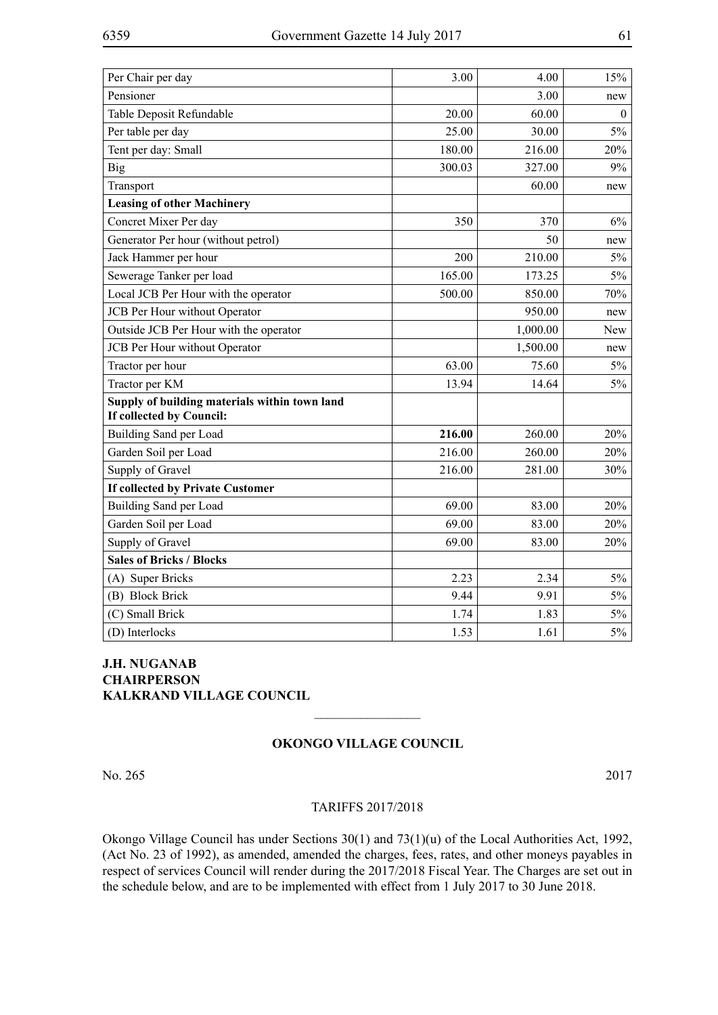| Per Chair per day                             | 3.00   | 4.00     | 15%      |
|-----------------------------------------------|--------|----------|----------|
| Pensioner                                     |        | 3.00     | new      |
| Table Deposit Refundable                      | 20.00  | 60.00    | $\theta$ |
| Per table per day                             | 25.00  | 30.00    | 5%       |
| Tent per day: Small                           | 180.00 | 216.00   | 20%      |
| <b>Big</b>                                    | 300.03 | 327.00   | 9%       |
| Transport                                     |        | 60.00    | new      |
| <b>Leasing of other Machinery</b>             |        |          |          |
| Concret Mixer Per day                         | 350    | 370      | 6%       |
| Generator Per hour (without petrol)           |        | 50       | new      |
| Jack Hammer per hour                          | 200    | 210.00   | 5%       |
| Sewerage Tanker per load                      | 165.00 | 173.25   | $5\%$    |
| Local JCB Per Hour with the operator          | 500.00 | 850.00   | 70%      |
| JCB Per Hour without Operator                 |        | 950.00   | new      |
| Outside JCB Per Hour with the operator        |        | 1,000.00 | New      |
| JCB Per Hour without Operator                 |        | 1,500.00 | new      |
| Tractor per hour                              | 63.00  | 75.60    | 5%       |
| Tractor per KM                                | 13.94  | 14.64    | $5\%$    |
| Supply of building materials within town land |        |          |          |
| If collected by Council:                      |        |          |          |
| Building Sand per Load                        | 216.00 | 260.00   | 20%      |
| Garden Soil per Load                          | 216.00 | 260.00   | 20%      |
| Supply of Gravel                              | 216.00 | 281.00   | 30%      |
| If collected by Private Customer              |        |          |          |
| Building Sand per Load                        | 69.00  | 83.00    | 20%      |
| Garden Soil per Load                          | 69.00  | 83.00    | 20%      |
| Supply of Gravel                              | 69.00  | 83.00    | 20%      |
| <b>Sales of Bricks / Blocks</b>               |        |          |          |
| (A) Super Bricks                              | 2.23   | 2.34     | $5\%$    |
| (B) Block Brick                               | 9.44   | 9.91     | $5\%$    |
| (C) Small Brick                               | 1.74   | 1.83     | $5\%$    |
| (D) Interlocks                                | 1.53   | 1.61     | $5\%$    |

# **J.H. NUGANAB CHAIRPERSON KALKRAND VILLAGE COUNCIL**

## **Okongo Village Council**

 $\frac{1}{2}$ 

No. 265 2017

### Tariffs 2017/2018

Okongo Village Council has under Sections 30(1) and 73(1)(u) of the Local Authorities Act, 1992, (Act No. 23 of 1992), as amended, amended the charges, fees, rates, and other moneys payables in respect of services Council will render during the 2017/2018 Fiscal Year. The Charges are set out in the schedule below, and are to be implemented with effect from 1 July 2017 to 30 June 2018.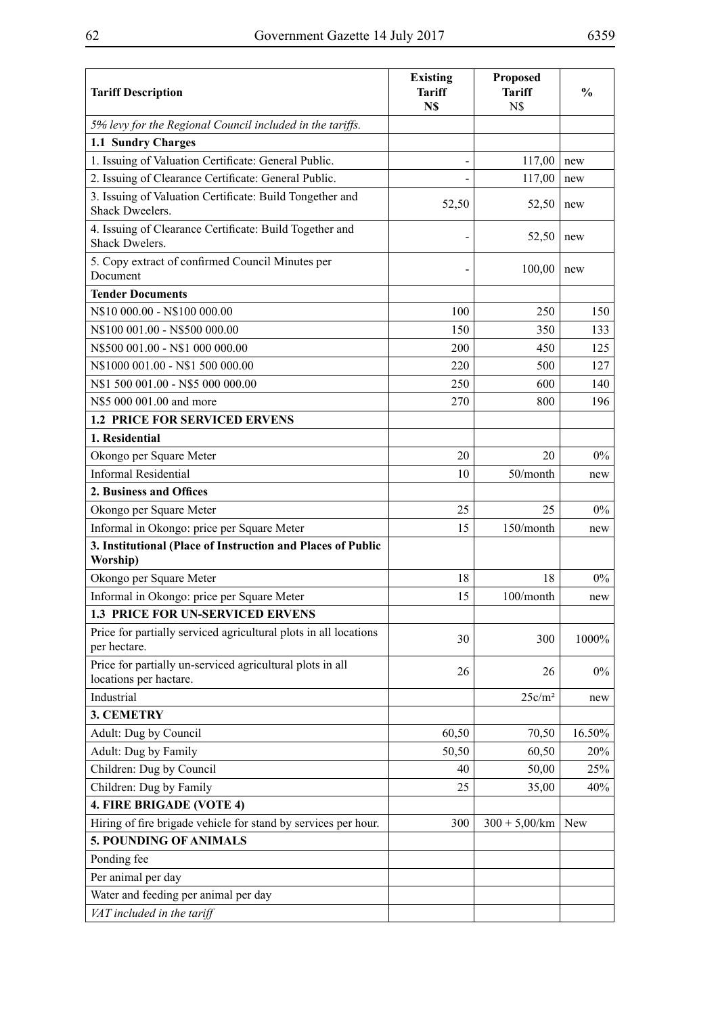| <b>Tariff Description</b>                                                           | <b>Existing</b><br><b>Tariff</b><br>N\$ | <b>Proposed</b><br><b>Tariff</b><br>N\$ | $\frac{0}{0}$ |
|-------------------------------------------------------------------------------------|-----------------------------------------|-----------------------------------------|---------------|
| 5% levy for the Regional Council included in the tariffs.                           |                                         |                                         |               |
| 1.1 Sundry Charges                                                                  |                                         |                                         |               |
| 1. Issuing of Valuation Certificate: General Public.                                |                                         | 117,00                                  | new           |
| 2. Issuing of Clearance Certificate: General Public.                                |                                         | 117,00                                  | new           |
| 3. Issuing of Valuation Certificate: Build Tongether and<br><b>Shack Dweelers.</b>  | 52,50                                   | 52,50                                   | new           |
| 4. Issuing of Clearance Certificate: Build Together and<br>Shack Dwelers.           |                                         | 52,50                                   | new           |
| 5. Copy extract of confirmed Council Minutes per<br>Document                        |                                         | 100,00                                  | new           |
| <b>Tender Documents</b>                                                             |                                         |                                         |               |
| N\$10 000.00 - N\$100 000.00                                                        | 100                                     | 250                                     | 150           |
| N\$100 001.00 - N\$500 000.00                                                       | 150                                     | 350                                     | 133           |
| N\$500 001.00 - N\$1 000 000.00                                                     | 200                                     | 450                                     | 125           |
| N\$1000 001.00 - N\$1 500 000.00                                                    | 220                                     | 500                                     | 127           |
| N\$1 500 001.00 - N\$5 000 000.00                                                   | 250                                     | 600                                     | 140           |
| N\$5 000 001.00 and more                                                            | 270                                     | 800                                     | 196           |
| <b>1.2 PRICE FOR SERVICED ERVENS</b>                                                |                                         |                                         |               |
| 1. Residential                                                                      |                                         |                                         |               |
| Okongo per Square Meter                                                             | 20                                      | 20                                      | $0\%$         |
| <b>Informal Residential</b>                                                         | 10                                      | 50/month                                | new           |
| 2. Business and Offices                                                             |                                         |                                         |               |
| Okongo per Square Meter                                                             | 25                                      | 25                                      | $0\%$         |
| Informal in Okongo: price per Square Meter                                          | 15                                      | 150/month                               | new           |
| 3. Institutional (Place of Instruction and Places of Public<br>Worship)             |                                         |                                         |               |
| Okongo per Square Meter                                                             | 18                                      | 18                                      | $0\%$         |
| Informal in Okongo: price per Square Meter                                          | 15                                      | 100/month                               | new           |
| <b>1.3 PRICE FOR UN-SERVICED ERVENS</b>                                             |                                         |                                         |               |
| Price for partially serviced agricultural plots in all locations<br>per hectare.    | 30                                      | 300                                     | 1000%         |
| Price for partially un-serviced agricultural plots in all<br>locations per hactare. | 26                                      | 26                                      | $0\%$         |
| Industrial                                                                          |                                         | 25c/m <sup>2</sup>                      | new           |
| <b>3. CEMETRY</b>                                                                   |                                         |                                         |               |
| Adult: Dug by Council                                                               | 60,50                                   | 70,50                                   | 16.50%        |
| Adult: Dug by Family                                                                | 50,50                                   | 60,50                                   | 20%           |
| Children: Dug by Council                                                            | 40                                      | 50,00                                   | 25%           |
| Children: Dug by Family                                                             | 25                                      | 35,00                                   | 40%           |
| 4. FIRE BRIGADE (VOTE 4)                                                            |                                         |                                         |               |
| Hiring of fire brigade vehicle for stand by services per hour.                      | 300                                     | $300 + 5,00/km$                         | <b>New</b>    |
| 5. POUNDING OF ANIMALS                                                              |                                         |                                         |               |
| Ponding fee                                                                         |                                         |                                         |               |
| Per animal per day                                                                  |                                         |                                         |               |
| Water and feeding per animal per day                                                |                                         |                                         |               |
| VAT included in the tariff                                                          |                                         |                                         |               |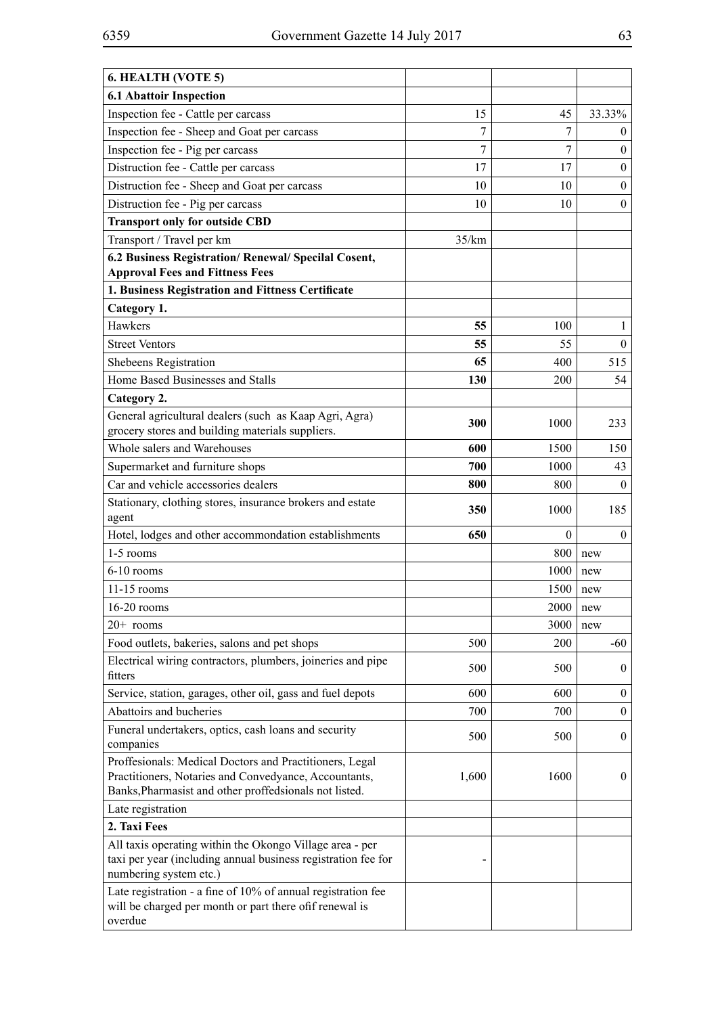| 6. HEALTH (VOTE 5)                                                                                                                                                         |                |              |                  |
|----------------------------------------------------------------------------------------------------------------------------------------------------------------------------|----------------|--------------|------------------|
| <b>6.1 Abattoir Inspection</b>                                                                                                                                             |                |              |                  |
| Inspection fee - Cattle per carcass                                                                                                                                        | 15             | 45           | 33.33%           |
| Inspection fee - Sheep and Goat per carcass                                                                                                                                | 7              | 7            | $\overline{0}$   |
| Inspection fee - Pig per carcass                                                                                                                                           | $\overline{7}$ | 7            | $\overline{0}$   |
| Distruction fee - Cattle per carcass                                                                                                                                       | 17             | 17           | $\boldsymbol{0}$ |
| Distruction fee - Sheep and Goat per carcass                                                                                                                               | 10             | 10           | $\mathbf{0}$     |
| Distruction fee - Pig per carcass                                                                                                                                          | 10             | 10           | $\boldsymbol{0}$ |
| <b>Transport only for outside CBD</b>                                                                                                                                      |                |              |                  |
| Transport / Travel per km                                                                                                                                                  | 35/km          |              |                  |
| 6.2 Business Registration/ Renewal/ Specilal Cosent,<br><b>Approval Fees and Fittness Fees</b>                                                                             |                |              |                  |
| 1. Business Registration and Fittness Certificate                                                                                                                          |                |              |                  |
| Category 1.                                                                                                                                                                |                |              |                  |
| Hawkers                                                                                                                                                                    | 55             | 100          | 1                |
| <b>Street Ventors</b>                                                                                                                                                      | 55             | 55           | $\overline{0}$   |
| Shebeens Registration                                                                                                                                                      | 65             | 400          | 515              |
| Home Based Businesses and Stalls                                                                                                                                           | 130            | 200          | 54               |
| Category 2.                                                                                                                                                                |                |              |                  |
| General agricultural dealers (such as Kaap Agri, Agra)                                                                                                                     |                |              |                  |
| grocery stores and building materials suppliers.                                                                                                                           | 300            | 1000         | 233              |
| Whole salers and Warehouses                                                                                                                                                | 600            | 1500         | 150              |
| Supermarket and furniture shops                                                                                                                                            | 700            | 1000         | 43               |
| Car and vehicle accessories dealers                                                                                                                                        | 800            | 800          | $\boldsymbol{0}$ |
| Stationary, clothing stores, insurance brokers and estate<br>agent                                                                                                         | 350            | 1000         | 185              |
| Hotel, lodges and other accommondation establishments                                                                                                                      | 650            | $\mathbf{0}$ | $\mathbf{0}$     |
| 1-5 rooms                                                                                                                                                                  |                | 800          | new              |
| 6-10 rooms                                                                                                                                                                 |                | 1000         | new              |
| $11-15$ rooms                                                                                                                                                              |                | 1500         | new              |
| 16-20 rooms                                                                                                                                                                |                | 2000         | new              |
| $20+$ rooms                                                                                                                                                                |                | 3000         | new              |
| Food outlets, bakeries, salons and pet shops                                                                                                                               | 500            | 200          | -60              |
| Electrical wiring contractors, plumbers, joineries and pipe<br>fitters                                                                                                     | 500            | 500          | $\overline{0}$   |
| Service, station, garages, other oil, gass and fuel depots                                                                                                                 | 600            | 600          | $\overline{0}$   |
| Abattoirs and bucheries                                                                                                                                                    | 700            | 700          | $\overline{0}$   |
| Funeral undertakers, optics, cash loans and security<br>companies                                                                                                          | 500            | 500          | $\overline{0}$   |
| Proffesionals: Medical Doctors and Practitioners, Legal<br>Practitioners, Notaries and Convedyance, Accountants,<br>Banks, Pharmasist and other proffedsionals not listed. | 1,600          | 1600         | $\overline{0}$   |
| Late registration                                                                                                                                                          |                |              |                  |
| 2. Taxi Fees                                                                                                                                                               |                |              |                  |
| All taxis operating within the Okongo Village area - per<br>taxi per year (including annual business registration fee for<br>numbering system etc.)                        |                |              |                  |
| Late registration - a fine of 10% of annual registration fee<br>will be charged per month or part there of f renewal is<br>overdue                                         |                |              |                  |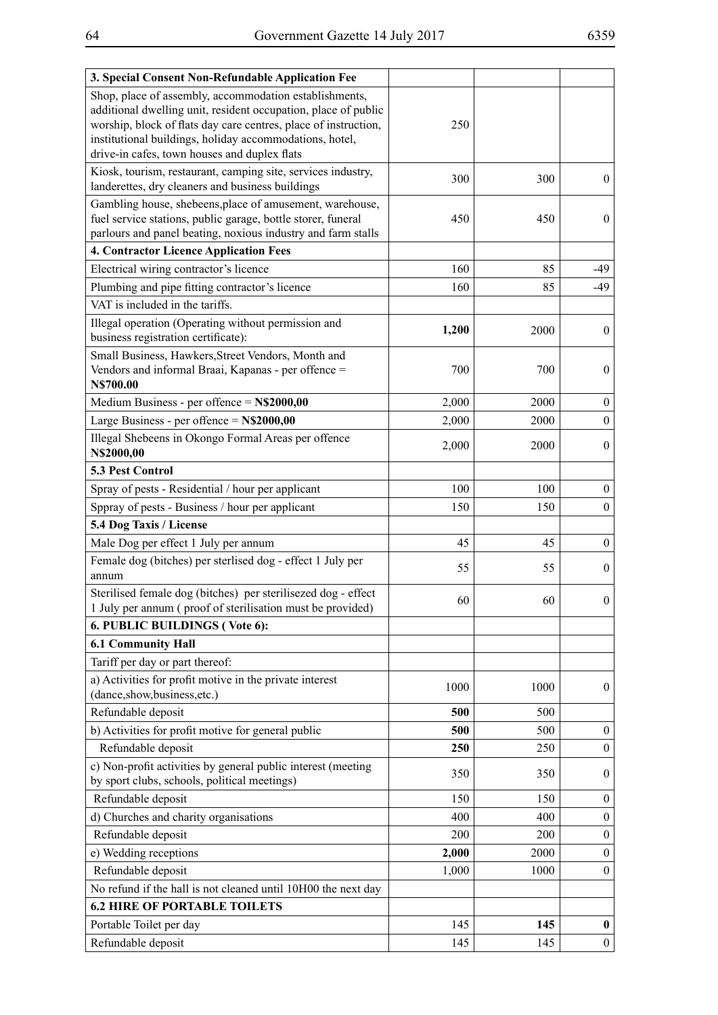| 3. Special Consent Non-Refundable Application Fee                                                                                                                                                                                                                                                      |       |      |                  |
|--------------------------------------------------------------------------------------------------------------------------------------------------------------------------------------------------------------------------------------------------------------------------------------------------------|-------|------|------------------|
| Shop, place of assembly, accommodation establishments,<br>additional dwelling unit, resident occupation, place of public<br>worship, block of flats day care centres, place of instruction,<br>institutional buildings, holiday accommodations, hotel,<br>drive-in cafes, town houses and duplex flats | 250   |      |                  |
| Kiosk, tourism, restaurant, camping site, services industry,<br>landerettes, dry cleaners and business buildings                                                                                                                                                                                       | 300   | 300  | $\boldsymbol{0}$ |
| Gambling house, shebeens, place of amusement, warehouse,<br>fuel service stations, public garage, bottle storer, funeral<br>parlours and panel beating, noxious industry and farm stalls                                                                                                               | 450   | 450  | $\boldsymbol{0}$ |
| <b>4. Contractor Licence Application Fees</b>                                                                                                                                                                                                                                                          |       |      |                  |
| Electrical wiring contractor's licence                                                                                                                                                                                                                                                                 | 160   | 85   | -49              |
| Plumbing and pipe fitting contractor's licence                                                                                                                                                                                                                                                         | 160   | 85   | -49              |
| VAT is included in the tariffs.                                                                                                                                                                                                                                                                        |       |      |                  |
| Illegal operation (Operating without permission and<br>business registration certificate):                                                                                                                                                                                                             | 1,200 | 2000 | $\mathbf{0}$     |
| Small Business, Hawkers, Street Vendors, Month and<br>Vendors and informal Braai, Kapanas - per offence =<br>N\$700.00                                                                                                                                                                                 | 700   | 700  | $\mathbf{0}$     |
| Medium Business - per offence $= N\$2000,00$                                                                                                                                                                                                                                                           | 2,000 | 2000 | $\boldsymbol{0}$ |
| Large Business - per offence $= N$2000,00$                                                                                                                                                                                                                                                             | 2,000 | 2000 | $\mathbf{0}$     |
| Illegal Shebeens in Okongo Formal Areas per offence<br>N\$2000,00                                                                                                                                                                                                                                      | 2,000 | 2000 | $\theta$         |
| 5.3 Pest Control                                                                                                                                                                                                                                                                                       |       |      |                  |
| Spray of pests - Residential / hour per applicant                                                                                                                                                                                                                                                      | 100   | 100  | $\boldsymbol{0}$ |
| Sppray of pests - Business / hour per applicant                                                                                                                                                                                                                                                        | 150   | 150  | $\mathbf{0}$     |
| 5.4 Dog Taxis / License                                                                                                                                                                                                                                                                                |       |      |                  |
| Male Dog per effect 1 July per annum                                                                                                                                                                                                                                                                   | 45    | 45   | $\boldsymbol{0}$ |
| Female dog (bitches) per sterlised dog - effect 1 July per<br>annum                                                                                                                                                                                                                                    | 55    | 55   | $\mathbf{0}$     |
| Sterilised female dog (bitches) per sterilisezed dog - effect<br>1 July per annum (proof of sterilisation must be provided)                                                                                                                                                                            | 60    | 60   | $\boldsymbol{0}$ |
| 6. PUBLIC BUILDINGS (Vote 6):                                                                                                                                                                                                                                                                          |       |      |                  |
| <b>6.1 Community Hall</b>                                                                                                                                                                                                                                                                              |       |      |                  |
| Tariff per day or part thereof:                                                                                                                                                                                                                                                                        |       |      |                  |
| a) Activities for profit motive in the private interest<br>(dance,show,business,etc.)                                                                                                                                                                                                                  | 1000  | 1000 | $\boldsymbol{0}$ |
| Refundable deposit                                                                                                                                                                                                                                                                                     | 500   | 500  |                  |
| b) Activities for profit motive for general public                                                                                                                                                                                                                                                     | 500   | 500  | $\boldsymbol{0}$ |
| Refundable deposit                                                                                                                                                                                                                                                                                     | 250   | 250  | $\theta$         |
| c) Non-profit activities by general public interest (meeting<br>by sport clubs, schools, political meetings)                                                                                                                                                                                           | 350   | 350  | $\boldsymbol{0}$ |
| Refundable deposit                                                                                                                                                                                                                                                                                     | 150   | 150  | $\boldsymbol{0}$ |
| d) Churches and charity organisations                                                                                                                                                                                                                                                                  | 400   | 400  | $\mathbf{0}$     |
| Refundable deposit                                                                                                                                                                                                                                                                                     | 200   | 200  | $\mathbf{0}$     |
| e) Wedding receptions                                                                                                                                                                                                                                                                                  | 2,000 | 2000 | $\mathbf{0}$     |
| Refundable deposit                                                                                                                                                                                                                                                                                     | 1,000 | 1000 | $\boldsymbol{0}$ |
| No refund if the hall is not cleaned until 10H00 the next day                                                                                                                                                                                                                                          |       |      |                  |
| <b>6.2 HIRE OF PORTABLE TOILETS</b>                                                                                                                                                                                                                                                                    |       |      |                  |
| Portable Toilet per day                                                                                                                                                                                                                                                                                | 145   | 145  | $\boldsymbol{0}$ |
| Refundable deposit                                                                                                                                                                                                                                                                                     | 145   | 145  | $\mathbf{0}$     |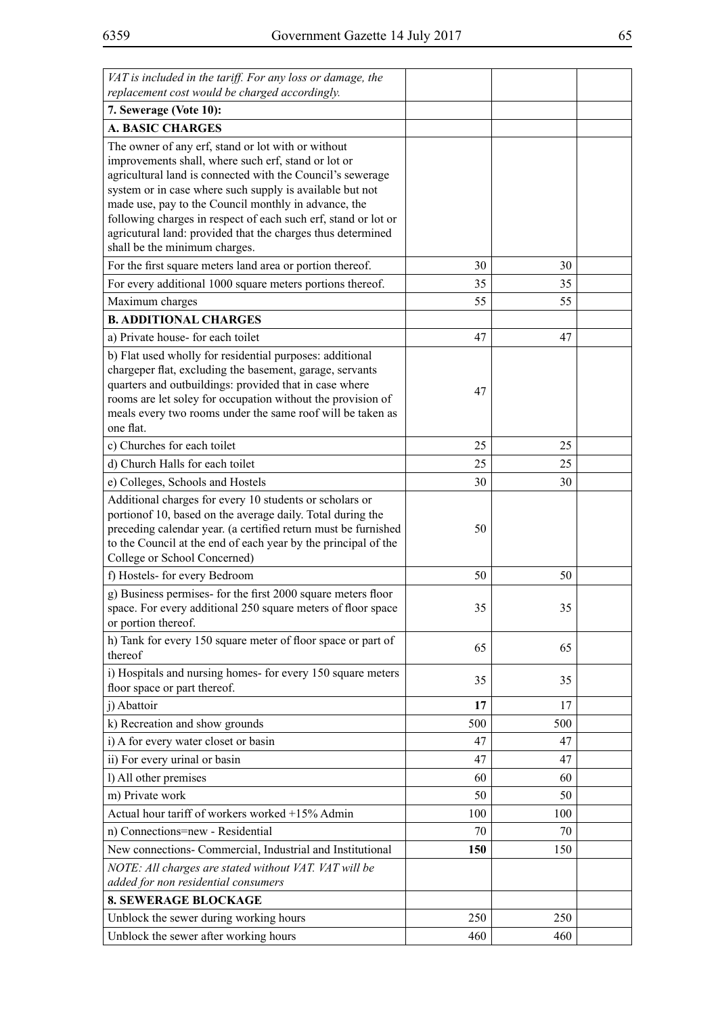| VAT is included in the tariff. For any loss or damage, the<br>replacement cost would be charged accordingly.                                                                                                                                                                                                                                                                                                                                                  |     |     |  |
|---------------------------------------------------------------------------------------------------------------------------------------------------------------------------------------------------------------------------------------------------------------------------------------------------------------------------------------------------------------------------------------------------------------------------------------------------------------|-----|-----|--|
| 7. Sewerage (Vote 10):                                                                                                                                                                                                                                                                                                                                                                                                                                        |     |     |  |
| <b>A. BASIC CHARGES</b>                                                                                                                                                                                                                                                                                                                                                                                                                                       |     |     |  |
| The owner of any erf, stand or lot with or without<br>improvements shall, where such erf, stand or lot or<br>agricultural land is connected with the Council's sewerage<br>system or in case where such supply is available but not<br>made use, pay to the Council monthly in advance, the<br>following charges in respect of each such erf, stand or lot or<br>agricutural land: provided that the charges thus determined<br>shall be the minimum charges. |     |     |  |
| For the first square meters land area or portion thereof.                                                                                                                                                                                                                                                                                                                                                                                                     | 30  | 30  |  |
| For every additional 1000 square meters portions thereof.                                                                                                                                                                                                                                                                                                                                                                                                     | 35  | 35  |  |
| Maximum charges                                                                                                                                                                                                                                                                                                                                                                                                                                               | 55  | 55  |  |
| <b>B. ADDITIONAL CHARGES</b>                                                                                                                                                                                                                                                                                                                                                                                                                                  |     |     |  |
| a) Private house-for each toilet                                                                                                                                                                                                                                                                                                                                                                                                                              | 47  | 47  |  |
| b) Flat used wholly for residential purposes: additional<br>chargeper flat, excluding the basement, garage, servants<br>quarters and outbuildings: provided that in case where<br>rooms are let soley for occupation without the provision of<br>meals every two rooms under the same roof will be taken as<br>one flat.                                                                                                                                      | 47  |     |  |
| c) Churches for each toilet                                                                                                                                                                                                                                                                                                                                                                                                                                   | 25  | 25  |  |
| d) Church Halls for each toilet                                                                                                                                                                                                                                                                                                                                                                                                                               | 25  | 25  |  |
| e) Colleges, Schools and Hostels                                                                                                                                                                                                                                                                                                                                                                                                                              | 30  | 30  |  |
| Additional charges for every 10 students or scholars or<br>portion of 10, based on the average daily. Total during the<br>preceding calendar year. (a certified return must be furnished<br>to the Council at the end of each year by the principal of the<br>College or School Concerned)                                                                                                                                                                    | 50  |     |  |
| f) Hostels- for every Bedroom                                                                                                                                                                                                                                                                                                                                                                                                                                 | 50  | 50  |  |
| g) Business permises- for the first 2000 square meters floor<br>space. For every additional 250 square meters of floor space<br>or portion thereof.                                                                                                                                                                                                                                                                                                           | 35  | 35  |  |
| h) Tank for every 150 square meter of floor space or part of<br>thereof                                                                                                                                                                                                                                                                                                                                                                                       | 65  | 65  |  |
| i) Hospitals and nursing homes- for every 150 square meters<br>floor space or part thereof.                                                                                                                                                                                                                                                                                                                                                                   | 35  | 35  |  |
| j) Abattoir                                                                                                                                                                                                                                                                                                                                                                                                                                                   | 17  | 17  |  |
| k) Recreation and show grounds                                                                                                                                                                                                                                                                                                                                                                                                                                | 500 | 500 |  |
| i) A for every water closet or basin                                                                                                                                                                                                                                                                                                                                                                                                                          | 47  | 47  |  |
| ii) For every urinal or basin                                                                                                                                                                                                                                                                                                                                                                                                                                 | 47  | 47  |  |
| l) All other premises                                                                                                                                                                                                                                                                                                                                                                                                                                         | 60  | 60  |  |
| m) Private work                                                                                                                                                                                                                                                                                                                                                                                                                                               | 50  | 50  |  |
| Actual hour tariff of workers worked +15% Admin                                                                                                                                                                                                                                                                                                                                                                                                               | 100 | 100 |  |
| n) Connections=new - Residential                                                                                                                                                                                                                                                                                                                                                                                                                              | 70  | 70  |  |
| New connections- Commercial, Industrial and Institutional                                                                                                                                                                                                                                                                                                                                                                                                     | 150 | 150 |  |
| NOTE: All charges are stated without VAT. VAT will be                                                                                                                                                                                                                                                                                                                                                                                                         |     |     |  |
| added for non residential consumers<br><b>8. SEWERAGE BLOCKAGE</b>                                                                                                                                                                                                                                                                                                                                                                                            |     |     |  |
| Unblock the sewer during working hours                                                                                                                                                                                                                                                                                                                                                                                                                        | 250 | 250 |  |
| Unblock the sewer after working hours                                                                                                                                                                                                                                                                                                                                                                                                                         | 460 | 460 |  |
|                                                                                                                                                                                                                                                                                                                                                                                                                                                               |     |     |  |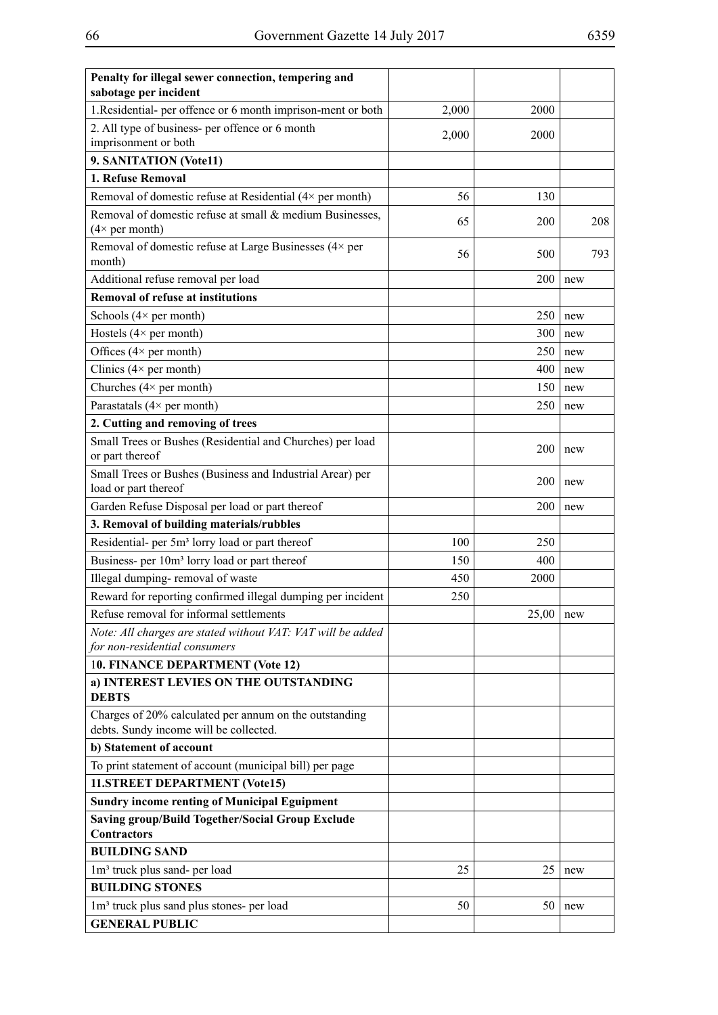| Penalty for illegal sewer connection, tempering and<br>sabotage per incident                     |       |       |     |     |
|--------------------------------------------------------------------------------------------------|-------|-------|-----|-----|
| 1.Residential- per offence or 6 month imprison-ment or both                                      | 2,000 | 2000  |     |     |
| 2. All type of business- per offence or 6 month                                                  | 2,000 | 2000  |     |     |
| imprisonment or both                                                                             |       |       |     |     |
| 9. SANITATION (Vote11)                                                                           |       |       |     |     |
| 1. Refuse Removal                                                                                |       |       |     |     |
| Removal of domestic refuse at Residential (4× per month)                                         | 56    | 130   |     |     |
| Removal of domestic refuse at small & medium Businesses,<br>$(4 \times per month)$               | 65    | 200   |     | 208 |
| Removal of domestic refuse at Large Businesses (4× per<br>month)                                 | 56    | 500   |     | 793 |
| Additional refuse removal per load                                                               |       | 200   | new |     |
| <b>Removal of refuse at institutions</b>                                                         |       |       |     |     |
| Schools $(4 \times per month)$                                                                   |       | 250   | new |     |
| Hostels $(4 \times per month)$                                                                   |       | 300   | new |     |
| Offices $(4 \times per month)$                                                                   |       | 250   | new |     |
| Clinics $(4 \times per month)$                                                                   |       | 400   | new |     |
| Churches $(4 \times per month)$                                                                  |       | 150   | new |     |
| Parastatals $(4 \times per month)$                                                               |       | 250   | new |     |
| 2. Cutting and removing of trees                                                                 |       |       |     |     |
| Small Trees or Bushes (Residential and Churches) per load<br>or part thereof                     |       | 200   | new |     |
| Small Trees or Bushes (Business and Industrial Arear) per<br>load or part thereof                |       | 200   | new |     |
| Garden Refuse Disposal per load or part thereof                                                  |       | 200   | new |     |
| 3. Removal of building materials/rubbles                                                         |       |       |     |     |
| Residential- per 5m <sup>3</sup> lorry load or part thereof                                      | 100   | 250   |     |     |
| Business- per 10m <sup>3</sup> lorry load or part thereof                                        | 150   | 400   |     |     |
| Illegal dumping-removal of waste                                                                 | 450   | 2000  |     |     |
| Reward for reporting confirmed illegal dumping per incident                                      | 250   |       |     |     |
| Refuse removal for informal settlements                                                          |       | 25,00 | new |     |
| Note: All charges are stated without VAT: VAT will be added<br>for non-residential consumers     |       |       |     |     |
| 10. FINANCE DEPARTMENT (Vote 12)                                                                 |       |       |     |     |
| a) INTEREST LEVIES ON THE OUTSTANDING<br><b>DEBTS</b>                                            |       |       |     |     |
| Charges of 20% calculated per annum on the outstanding<br>debts. Sundy income will be collected. |       |       |     |     |
| b) Statement of account                                                                          |       |       |     |     |
| To print statement of account (municipal bill) per page                                          |       |       |     |     |
| 11.STREET DEPARTMENT (Vote15)                                                                    |       |       |     |     |
| <b>Sundry income renting of Municipal Eguipment</b>                                              |       |       |     |     |
| <b>Saving group/Build Together/Social Group Exclude</b>                                          |       |       |     |     |
| <b>Contractors</b>                                                                               |       |       |     |     |
| <b>BUILDING SAND</b>                                                                             |       |       |     |     |
| 1m <sup>3</sup> truck plus sand- per load                                                        | 25    | 25    | new |     |
| <b>BUILDING STONES</b>                                                                           |       |       |     |     |
| 1m <sup>3</sup> truck plus sand plus stones- per load                                            | 50    | 50    | new |     |
| <b>GENERAL PUBLIC</b>                                                                            |       |       |     |     |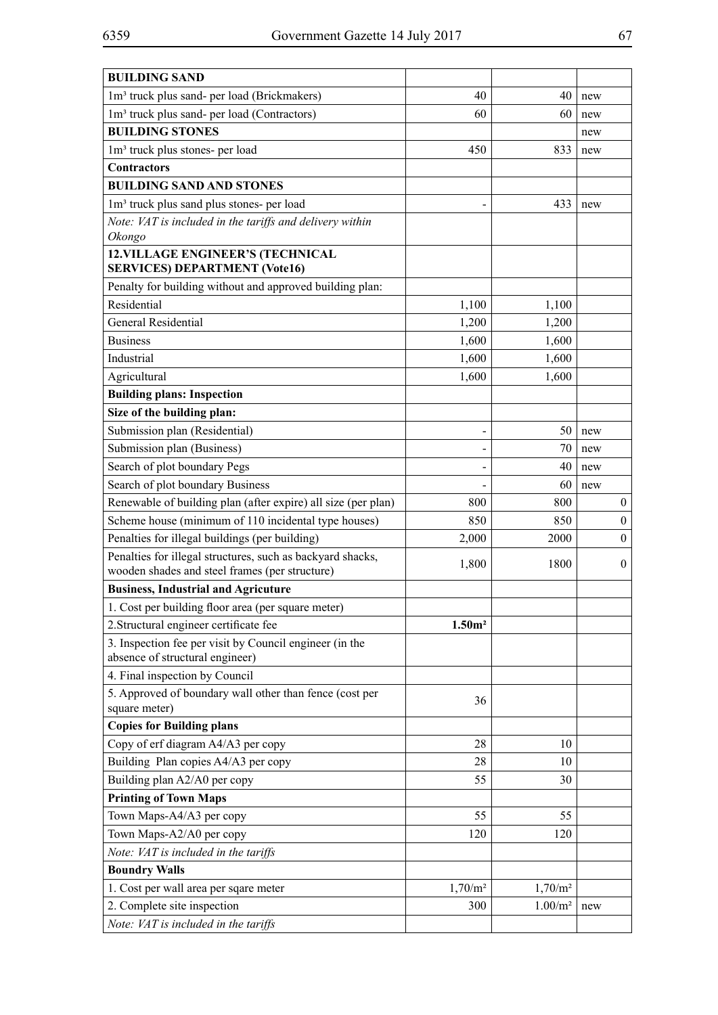| <b>BUILDING SAND</b>                                                                                         |                    |                     |                  |
|--------------------------------------------------------------------------------------------------------------|--------------------|---------------------|------------------|
| 1m <sup>3</sup> truck plus sand- per load (Brickmakers)                                                      | 40                 | 40                  | new              |
| 1m <sup>3</sup> truck plus sand- per load (Contractors)                                                      | 60                 | 60                  | new              |
| <b>BUILDING STONES</b>                                                                                       |                    |                     | new              |
| 1m <sup>3</sup> truck plus stones- per load                                                                  | 450                | 833                 | new              |
| <b>Contractors</b>                                                                                           |                    |                     |                  |
| <b>BUILDING SAND AND STONES</b>                                                                              |                    |                     |                  |
| 1m <sup>3</sup> truck plus sand plus stones- per load                                                        |                    | 433                 | new              |
| Note: VAT is included in the tariffs and delivery within<br>Okongo                                           |                    |                     |                  |
| <b>12. VILLAGE ENGINEER'S (TECHNICAL</b><br><b>SERVICES) DEPARTMENT (Vote16)</b>                             |                    |                     |                  |
| Penalty for building without and approved building plan:                                                     |                    |                     |                  |
| Residential                                                                                                  | 1,100              | 1,100               |                  |
| General Residential                                                                                          | 1,200              | 1,200               |                  |
| <b>Business</b>                                                                                              | 1,600              | 1,600               |                  |
| Industrial                                                                                                   | 1,600              | 1,600               |                  |
| Agricultural                                                                                                 | 1,600              | 1,600               |                  |
| <b>Building plans: Inspection</b>                                                                            |                    |                     |                  |
| Size of the building plan:                                                                                   |                    |                     |                  |
| Submission plan (Residential)                                                                                |                    | 50                  | new              |
| Submission plan (Business)                                                                                   |                    | 70                  | new              |
| Search of plot boundary Pegs                                                                                 |                    | 40                  | new              |
| Search of plot boundary Business                                                                             |                    | 60                  | new              |
| Renewable of building plan (after expire) all size (per plan)                                                | 800                | 800                 | $\overline{0}$   |
| Scheme house (minimum of 110 incidental type houses)                                                         | 850                | 850                 | $\overline{0}$   |
| Penalties for illegal buildings (per building)                                                               | 2,000              | 2000                | $\boldsymbol{0}$ |
| Penalties for illegal structures, such as backyard shacks,<br>wooden shades and steel frames (per structure) | 1,800              | 1800                | $\mathbf{0}$     |
| <b>Business, Industrial and Agricuture</b>                                                                   |                    |                     |                  |
| 1. Cost per building floor area (per square meter)                                                           |                    |                     |                  |
| 2. Structural engineer certificate fee                                                                       | 1.50m <sup>2</sup> |                     |                  |
| 3. Inspection fee per visit by Council engineer (in the                                                      |                    |                     |                  |
| absence of structural engineer)                                                                              |                    |                     |                  |
| 4. Final inspection by Council                                                                               |                    |                     |                  |
| 5. Approved of boundary wall other than fence (cost per<br>square meter)                                     | 36                 |                     |                  |
| <b>Copies for Building plans</b>                                                                             |                    |                     |                  |
| Copy of erf diagram A4/A3 per copy                                                                           | 28                 | 10                  |                  |
| Building Plan copies A4/A3 per copy                                                                          | 28                 | 10                  |                  |
| Building plan A2/A0 per copy                                                                                 | 55                 | 30                  |                  |
| <b>Printing of Town Maps</b>                                                                                 |                    |                     |                  |
| Town Maps-A4/A3 per copy                                                                                     | 55                 | 55                  |                  |
| Town Maps-A2/A0 per copy                                                                                     | 120                | 120                 |                  |
| Note: VAT is included in the tariffs                                                                         |                    |                     |                  |
| <b>Boundry Walls</b>                                                                                         |                    |                     |                  |
| 1. Cost per wall area per sqare meter                                                                        | $1,70/m^2$         | 1,70/m <sup>2</sup> |                  |
| 2. Complete site inspection                                                                                  | 300                | $1.00/m^2$          | new              |
| Note: VAT is included in the tariffs                                                                         |                    |                     |                  |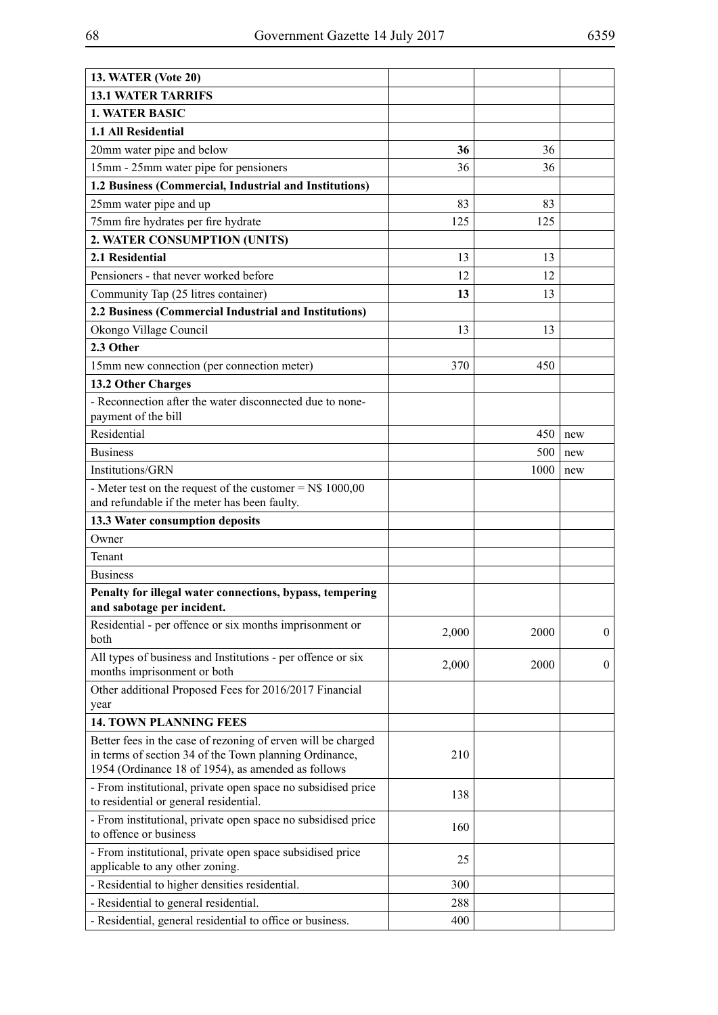| <b>13. WATER (Vote 20)</b>                                                                                                                                                   |       |      |                  |
|------------------------------------------------------------------------------------------------------------------------------------------------------------------------------|-------|------|------------------|
| <b>13.1 WATER TARRIFS</b>                                                                                                                                                    |       |      |                  |
| <b>1. WATER BASIC</b>                                                                                                                                                        |       |      |                  |
| 1.1 All Residential                                                                                                                                                          |       |      |                  |
| 20mm water pipe and below                                                                                                                                                    | 36    | 36   |                  |
| 15mm - 25mm water pipe for pensioners                                                                                                                                        | 36    | 36   |                  |
| 1.2 Business (Commercial, Industrial and Institutions)                                                                                                                       |       |      |                  |
| 25mm water pipe and up                                                                                                                                                       | 83    | 83   |                  |
| 75mm fire hydrates per fire hydrate                                                                                                                                          | 125   | 125  |                  |
| 2. WATER CONSUMPTION (UNITS)                                                                                                                                                 |       |      |                  |
| 2.1 Residential                                                                                                                                                              | 13    | 13   |                  |
| Pensioners - that never worked before                                                                                                                                        | 12    | 12   |                  |
| Community Tap (25 litres container)                                                                                                                                          | 13    | 13   |                  |
| 2.2 Business (Commercial Industrial and Institutions)                                                                                                                        |       |      |                  |
| Okongo Village Council                                                                                                                                                       | 13    | 13   |                  |
| 2.3 Other                                                                                                                                                                    |       |      |                  |
| 15mm new connection (per connection meter)                                                                                                                                   | 370   | 450  |                  |
| 13.2 Other Charges                                                                                                                                                           |       |      |                  |
| - Reconnection after the water disconnected due to none-                                                                                                                     |       |      |                  |
| payment of the bill                                                                                                                                                          |       |      |                  |
| Residential                                                                                                                                                                  |       | 450  | new              |
| <b>Business</b>                                                                                                                                                              |       | 500  | new              |
| Institutions/GRN                                                                                                                                                             |       | 1000 | new              |
| - Meter test on the request of the customer = $N$$ 1000,00<br>and refundable if the meter has been faulty.                                                                   |       |      |                  |
| 13.3 Water consumption deposits                                                                                                                                              |       |      |                  |
| Owner                                                                                                                                                                        |       |      |                  |
| Tenant                                                                                                                                                                       |       |      |                  |
| <b>Business</b>                                                                                                                                                              |       |      |                  |
| Penalty for illegal water connections, bypass, tempering                                                                                                                     |       |      |                  |
| and sabotage per incident.                                                                                                                                                   |       |      |                  |
| Residential - per offence or six months imprisonment or                                                                                                                      | 2,000 | 2000 | $\boldsymbol{0}$ |
| both                                                                                                                                                                         |       |      |                  |
| All types of business and Institutions - per offence or six<br>months imprisonment or both                                                                                   | 2,000 | 2000 | $\mathbf{0}$     |
| Other additional Proposed Fees for 2016/2017 Financial                                                                                                                       |       |      |                  |
| year                                                                                                                                                                         |       |      |                  |
| <b>14. TOWN PLANNING FEES</b>                                                                                                                                                |       |      |                  |
| Better fees in the case of rezoning of erven will be charged<br>in terms of section 34 of the Town planning Ordinance,<br>1954 (Ordinance 18 of 1954), as amended as follows | 210   |      |                  |
| - From institutional, private open space no subsidised price<br>to residential or general residential.                                                                       | 138   |      |                  |
| - From institutional, private open space no subsidised price<br>to offence or business                                                                                       | 160   |      |                  |
| - From institutional, private open space subsidised price                                                                                                                    | 25    |      |                  |
| applicable to any other zoning.                                                                                                                                              |       |      |                  |
| - Residential to higher densities residential.                                                                                                                               | 300   |      |                  |
| - Residential to general residential.                                                                                                                                        | 288   |      |                  |
| - Residential, general residential to office or business.                                                                                                                    | 400   |      |                  |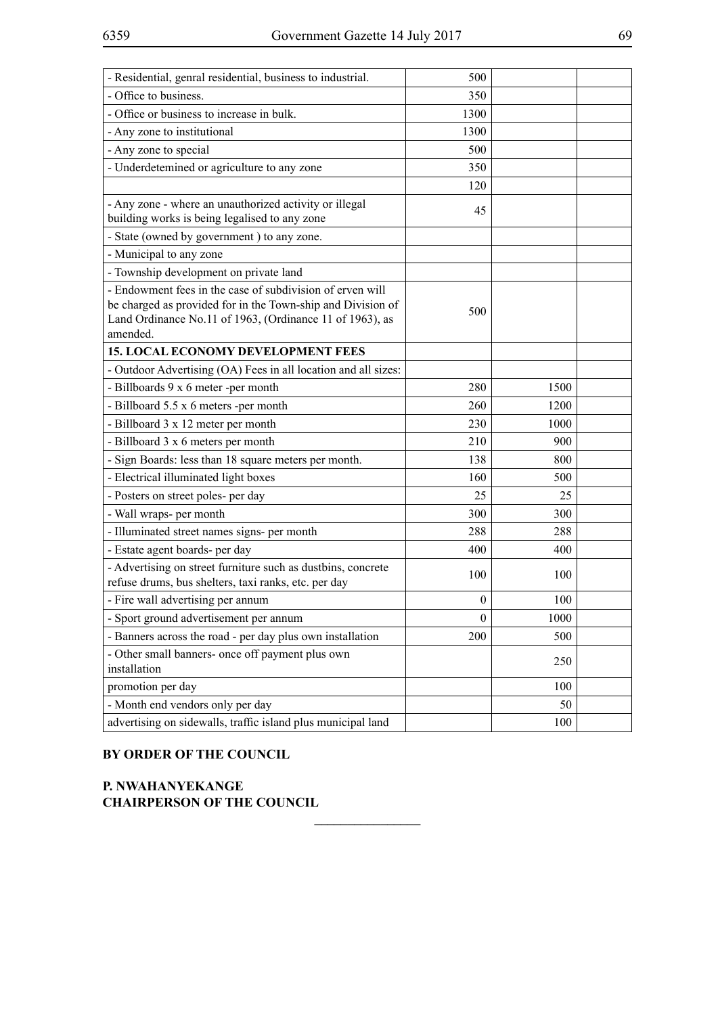| 500              |      |  |
|------------------|------|--|
|                  |      |  |
| 350              |      |  |
| 1300             |      |  |
| 1300             |      |  |
| 500              |      |  |
| 350              |      |  |
| 120              |      |  |
| 45               |      |  |
|                  |      |  |
|                  |      |  |
|                  |      |  |
| 500              |      |  |
|                  |      |  |
|                  |      |  |
| 280              | 1500 |  |
| 260              | 1200 |  |
| 230              | 1000 |  |
| 210              | 900  |  |
| 138              | 800  |  |
| 160              | 500  |  |
| 25               | 25   |  |
| 300              | 300  |  |
| 288              | 288  |  |
| 400              | 400  |  |
| 100              | 100  |  |
| $\boldsymbol{0}$ | 100  |  |
| $\theta$         | 1000 |  |
| 200              | 500  |  |
|                  | 250  |  |
|                  | 100  |  |
|                  | 50   |  |
|                  | 100  |  |
|                  |      |  |

 $\overline{\phantom{a}}$  , where  $\overline{\phantom{a}}$ 

## **BY ORDER OF THE COUNCIL**

**P. NWAHANYEKANGE CHAIRPERSON OF THE COUNCIL**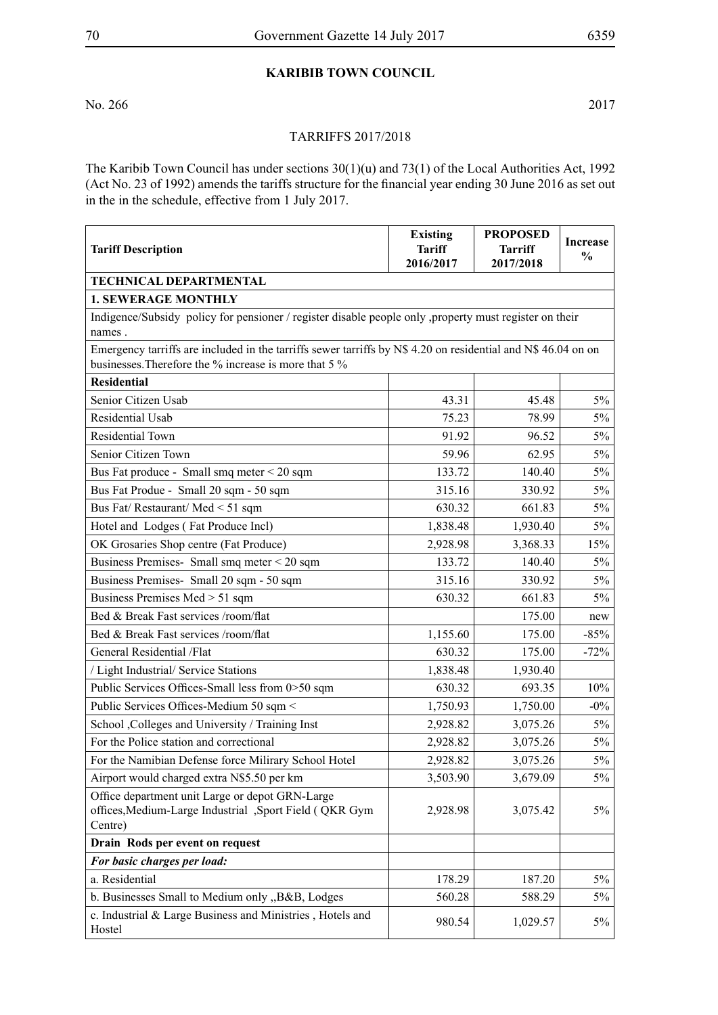# **KARIBIB TOWN COUNCIL**

No. 266 2017

### TARRIFFS 2017/2018

The Karibib Town Council has under sections 30(1)(u) and 73(1) of the Local Authorities Act, 1992 (Act No. 23 of 1992) amends the tariffs structure for the financial year ending 30 June 2016 as set out in the in the schedule, effective from 1 July 2017.

| <b>Tariff Description</b>                                                                                                                                              | <b>Existing</b><br><b>Tariff</b><br>2016/2017 | <b>PROPOSED</b><br><b>Tarriff</b><br>2017/2018 | <b>Increase</b><br>$\frac{0}{0}$ |
|------------------------------------------------------------------------------------------------------------------------------------------------------------------------|-----------------------------------------------|------------------------------------------------|----------------------------------|
| TECHNICAL DEPARTMENTAL                                                                                                                                                 |                                               |                                                |                                  |
| <b>1. SEWERAGE MONTHLY</b>                                                                                                                                             |                                               |                                                |                                  |
| Indigence/Subsidy policy for pensioner / register disable people only , property must register on their<br>names.                                                      |                                               |                                                |                                  |
| Emergency tarriffs are included in the tarriffs sewer tarriffs by N\$ 4.20 on residential and N\$ 46.04 on on<br>businesses. Therefore the % increase is more that 5 % |                                               |                                                |                                  |
| <b>Residential</b>                                                                                                                                                     |                                               |                                                |                                  |
| Senior Citizen Usab                                                                                                                                                    | 43.31                                         | 45.48                                          | $5\%$                            |
| <b>Residential Usab</b>                                                                                                                                                | 75.23                                         | 78.99                                          | $5\%$                            |
| Residential Town                                                                                                                                                       | 91.92                                         | 96.52                                          | $5\%$                            |
| Senior Citizen Town                                                                                                                                                    | 59.96                                         | 62.95                                          | $5\%$                            |
| Bus Fat produce - Small smq meter $\leq$ 20 sqm                                                                                                                        | 133.72                                        | 140.40                                         | $5\%$                            |
| Bus Fat Produe - Small 20 sqm - 50 sqm                                                                                                                                 | 315.16                                        | 330.92                                         | $5\%$                            |
| Bus Fat/ Restaurant/ Med < 51 sqm                                                                                                                                      | 630.32                                        | 661.83                                         | $5\%$                            |
| Hotel and Lodges (Fat Produce Incl)                                                                                                                                    | 1,838.48                                      | 1,930.40                                       | $5\%$                            |
| OK Grosaries Shop centre (Fat Produce)                                                                                                                                 | 2,928.98                                      | 3,368.33                                       | 15%                              |
| Business Premises-Small smq meter < 20 sqm                                                                                                                             | 133.72                                        | 140.40                                         | $5\%$                            |
| Business Premises- Small 20 sqm - 50 sqm                                                                                                                               | 315.16                                        | 330.92                                         | $5\%$                            |
| Business Premises Med > 51 sqm                                                                                                                                         | 630.32                                        | 661.83                                         | 5%                               |
| Bed & Break Fast services /room/flat                                                                                                                                   |                                               | 175.00                                         | new                              |
| Bed & Break Fast services /room/flat                                                                                                                                   | 1,155.60                                      | 175.00                                         | $-85%$                           |
| General Residential /Flat                                                                                                                                              | 630.32                                        | 175.00                                         | $-72%$                           |
| / Light Industrial/ Service Stations                                                                                                                                   | 1,838.48                                      | 1,930.40                                       |                                  |
| Public Services Offices-Small less from 0>50 sqm                                                                                                                       | 630.32                                        | 693.35                                         | 10%                              |
| Public Services Offices-Medium 50 sqm <                                                                                                                                | 1,750.93                                      | 1,750.00                                       | $-0\%$                           |
| School , Colleges and University / Training Inst                                                                                                                       | 2,928.82                                      | 3,075.26                                       | 5%                               |
| For the Police station and correctional                                                                                                                                | 2,928.82                                      | 3,075.26                                       | $5\%$                            |
| For the Namibian Defense force Milirary School Hotel                                                                                                                   | 2,928.82                                      | 3,075.26                                       | $5\%$                            |
| Airport would charged extra N\$5.50 per km                                                                                                                             | 3,503.90                                      | 3,679.09                                       | 5%                               |
| Office department unit Large or depot GRN-Large<br>offices, Medium-Large Industrial , Sport Field (QKR Gym<br>Centre)                                                  | 2,928.98                                      | 3,075.42                                       | 5%                               |
| Drain Rods per event on request                                                                                                                                        |                                               |                                                |                                  |
| For basic charges per load:                                                                                                                                            |                                               |                                                |                                  |
| a. Residential                                                                                                                                                         | 178.29                                        | 187.20                                         | $5\%$                            |
| b. Businesses Small to Medium only "B&B, Lodges                                                                                                                        | 560.28                                        | 588.29                                         | $5\%$                            |
| c. Industrial & Large Business and Ministries, Hotels and<br>Hostel                                                                                                    | 980.54                                        | 1,029.57                                       | 5%                               |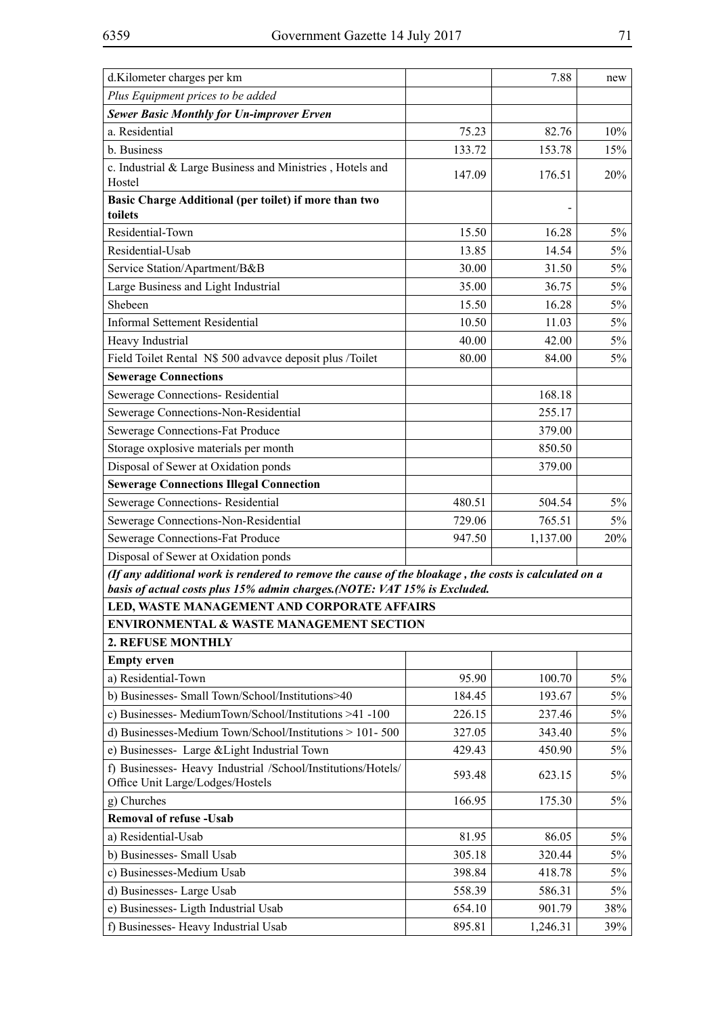| d.Kilometer charges per km                                                                                                                                                        |        | 7.88     | new   |
|-----------------------------------------------------------------------------------------------------------------------------------------------------------------------------------|--------|----------|-------|
| Plus Equipment prices to be added                                                                                                                                                 |        |          |       |
| <b>Sewer Basic Monthly for Un-improver Erven</b>                                                                                                                                  |        |          |       |
| a. Residential                                                                                                                                                                    | 75.23  | 82.76    | 10%   |
| b. Business                                                                                                                                                                       | 133.72 | 153.78   | 15%   |
| c. Industrial & Large Business and Ministries, Hotels and<br>Hostel                                                                                                               | 147.09 | 176.51   | 20%   |
| Basic Charge Additional (per toilet) if more than two<br>toilets                                                                                                                  |        |          |       |
| Residential-Town                                                                                                                                                                  | 15.50  | 16.28    | $5\%$ |
| Residential-Usab                                                                                                                                                                  | 13.85  | 14.54    | 5%    |
| Service Station/Apartment/B&B                                                                                                                                                     | 30.00  | 31.50    | 5%    |
| Large Business and Light Industrial                                                                                                                                               | 35.00  | 36.75    | 5%    |
| Shebeen                                                                                                                                                                           | 15.50  | 16.28    | 5%    |
| <b>Informal Settement Residential</b>                                                                                                                                             | 10.50  | 11.03    | 5%    |
| Heavy Industrial                                                                                                                                                                  | 40.00  | 42.00    | $5\%$ |
| Field Toilet Rental N\$ 500 advavce deposit plus /Toilet                                                                                                                          | 80.00  | 84.00    | $5\%$ |
| <b>Sewerage Connections</b>                                                                                                                                                       |        |          |       |
| Sewerage Connections-Residential                                                                                                                                                  |        | 168.18   |       |
| Sewerage Connections-Non-Residential                                                                                                                                              |        | 255.17   |       |
| Sewerage Connections-Fat Produce                                                                                                                                                  |        | 379.00   |       |
| Storage oxplosive materials per month                                                                                                                                             |        | 850.50   |       |
| Disposal of Sewer at Oxidation ponds                                                                                                                                              |        | 379.00   |       |
| <b>Sewerage Connections Illegal Connection</b>                                                                                                                                    |        |          |       |
| Sewerage Connections-Residential                                                                                                                                                  | 480.51 | 504.54   | 5%    |
| Sewerage Connections-Non-Residential                                                                                                                                              | 729.06 | 765.51   | 5%    |
| Sewerage Connections-Fat Produce                                                                                                                                                  | 947.50 | 1,137.00 | 20%   |
| Disposal of Sewer at Oxidation ponds                                                                                                                                              |        |          |       |
| (If any additional work is rendered to remove the cause of the bloakage, the costs is calculated on a<br>basis of actual costs plus 15% admin charges.(NOTE: VAT 15% is Excluded. |        |          |       |
| LED, WASTE MANAGEMENT AND CORPORATE AFFAIRS                                                                                                                                       |        |          |       |
| <b>ENVIRONMENTAL &amp; WASTE MANAGEMENT SECTION</b>                                                                                                                               |        |          |       |
| 2. REFUSE MONTHLY                                                                                                                                                                 |        |          |       |
| <b>Empty erven</b>                                                                                                                                                                |        |          |       |
| a) Residential-Town                                                                                                                                                               | 95.90  | 100.70   | 5%    |
| b) Businesses- Small Town/School/Institutions>40                                                                                                                                  | 184.45 | 193.67   | 5%    |
| c) Businesses- MediumTown/School/Institutions >41 -100                                                                                                                            | 226.15 | 237.46   | $5\%$ |
| d) Businesses-Medium Town/School/Institutions > 101-500                                                                                                                           | 327.05 | 343.40   | $5\%$ |
| e) Businesses- Large & Light Industrial Town                                                                                                                                      | 429.43 | 450.90   | 5%    |
| f) Businesses- Heavy Industrial /School/Institutions/Hotels/<br>Office Unit Large/Lodges/Hostels                                                                                  | 593.48 | 623.15   | 5%    |
| g) Churches                                                                                                                                                                       | 166.95 | 175.30   | 5%    |
| <b>Removal of refuse - Usab</b>                                                                                                                                                   |        |          |       |
| a) Residential-Usab                                                                                                                                                               | 81.95  | 86.05    | $5\%$ |
| b) Businesses- Small Usab                                                                                                                                                         | 305.18 | 320.44   | 5%    |
| c) Businesses-Medium Usab                                                                                                                                                         | 398.84 | 418.78   | $5\%$ |
| d) Businesses- Large Usab                                                                                                                                                         | 558.39 | 586.31   | $5\%$ |
| e) Businesses- Ligth Industrial Usab                                                                                                                                              | 654.10 | 901.79   | 38%   |
| f) Businesses-Heavy Industrial Usab                                                                                                                                               | 895.81 | 1,246.31 | 39%   |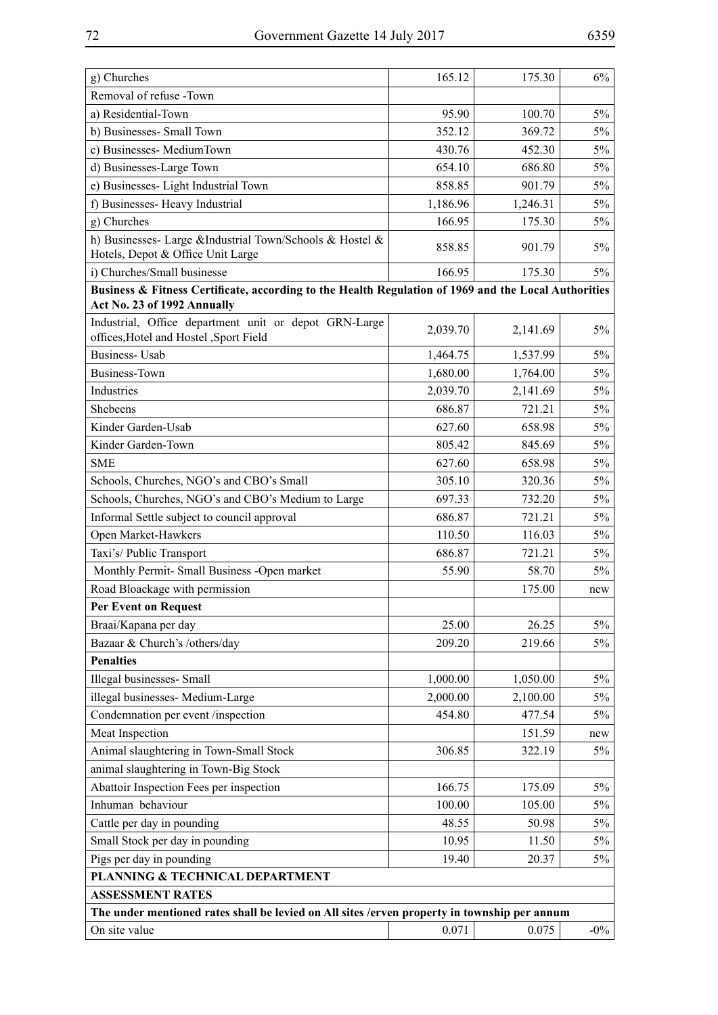| g) Churches                                                                                                                         | 165.12   | 175.30   | $6\%$  |  |
|-------------------------------------------------------------------------------------------------------------------------------------|----------|----------|--------|--|
| Removal of refuse -Town                                                                                                             |          |          |        |  |
| a) Residential-Town                                                                                                                 | 95.90    | 100.70   | $5\%$  |  |
| b) Businesses- Small Town                                                                                                           | 352.12   | 369.72   | $5\%$  |  |
| c) Businesses- MediumTown                                                                                                           | 430.76   | 452.30   | 5%     |  |
| d) Businesses-Large Town                                                                                                            | 654.10   | 686.80   | 5%     |  |
| e) Businesses- Light Industrial Town                                                                                                | 858.85   | 901.79   | 5%     |  |
| f) Businesses- Heavy Industrial                                                                                                     | 1,186.96 | 1,246.31 | 5%     |  |
| g) Churches                                                                                                                         | 166.95   | 175.30   | 5%     |  |
| h) Businesses- Large &Industrial Town/Schools & Hostel &<br>Hotels, Depot & Office Unit Large                                       | 858.85   | 901.79   | 5%     |  |
| i) Churches/Small businesse                                                                                                         | 166.95   | 175.30   | 5%     |  |
| Business & Fitness Certificate, according to the Health Regulation of 1969 and the Local Authorities<br>Act No. 23 of 1992 Annually |          |          |        |  |
| Industrial, Office department unit or depot GRN-Large<br>offices, Hotel and Hostel , Sport Field                                    | 2,039.70 | 2,141.69 | $5\%$  |  |
| <b>Business-Usab</b>                                                                                                                | 1,464.75 | 1,537.99 | $5\%$  |  |
| <b>Business-Town</b>                                                                                                                | 1,680.00 | 1,764.00 | 5%     |  |
| Industries                                                                                                                          | 2,039.70 | 2,141.69 | 5%     |  |
| Shebeens                                                                                                                            | 686.87   | 721.21   | 5%     |  |
| Kinder Garden-Usab                                                                                                                  | 627.60   | 658.98   | 5%     |  |
| Kinder Garden-Town                                                                                                                  | 805.42   | 845.69   | 5%     |  |
| <b>SME</b>                                                                                                                          | 627.60   | 658.98   | $5\%$  |  |
| Schools, Churches, NGO's and CBO's Small                                                                                            | 305.10   | 320.36   | $5\%$  |  |
| Schools, Churches, NGO's and CBO's Medium to Large                                                                                  | 697.33   | 732.20   | $5\%$  |  |
| Informal Settle subject to council approval                                                                                         | 686.87   | 721.21   | $5\%$  |  |
| Open Market-Hawkers                                                                                                                 | 110.50   | 116.03   | $5\%$  |  |
| Taxi's/ Public Transport                                                                                                            | 686.87   | 721.21   | $5\%$  |  |
| Monthly Permit- Small Business -Open market                                                                                         | 55.90    | 58.70    | $5\%$  |  |
| Road Bloackage with permission                                                                                                      |          | 175.00   | new    |  |
| <b>Per Event on Request</b>                                                                                                         |          |          |        |  |
| Braai/Kapana per day                                                                                                                | 25.00    | 26.25    | $5\%$  |  |
| Bazaar & Church's /others/day                                                                                                       | 209.20   | 219.66   | 5%     |  |
| <b>Penalties</b>                                                                                                                    |          |          |        |  |
| Illegal businesses- Small                                                                                                           | 1,000.00 | 1,050.00 | $5\%$  |  |
| illegal businesses- Medium-Large                                                                                                    | 2,000.00 | 2,100.00 | 5%     |  |
| Condemnation per event /inspection                                                                                                  | 454.80   | 477.54   | 5%     |  |
| Meat Inspection                                                                                                                     |          | 151.59   | new    |  |
| Animal slaughtering in Town-Small Stock                                                                                             | 306.85   | 322.19   | 5%     |  |
| animal slaughtering in Town-Big Stock                                                                                               |          |          |        |  |
| Abattoir Inspection Fees per inspection                                                                                             | 166.75   | 175.09   | $5\%$  |  |
| Inhuman behaviour                                                                                                                   | 100.00   | 105.00   | 5%     |  |
| Cattle per day in pounding                                                                                                          | 48.55    | 50.98    | 5%     |  |
| Small Stock per day in pounding                                                                                                     | 10.95    | 11.50    | 5%     |  |
| Pigs per day in pounding                                                                                                            | 19.40    | 20.37    | 5%     |  |
| PLANNING & TECHNICAL DEPARTMENT                                                                                                     |          |          |        |  |
| <b>ASSESSMENT RATES</b>                                                                                                             |          |          |        |  |
| The under mentioned rates shall be levied on All sites /erven property in township per annum                                        |          |          |        |  |
| On site value                                                                                                                       | 0.071    | 0.075    | $-0\%$ |  |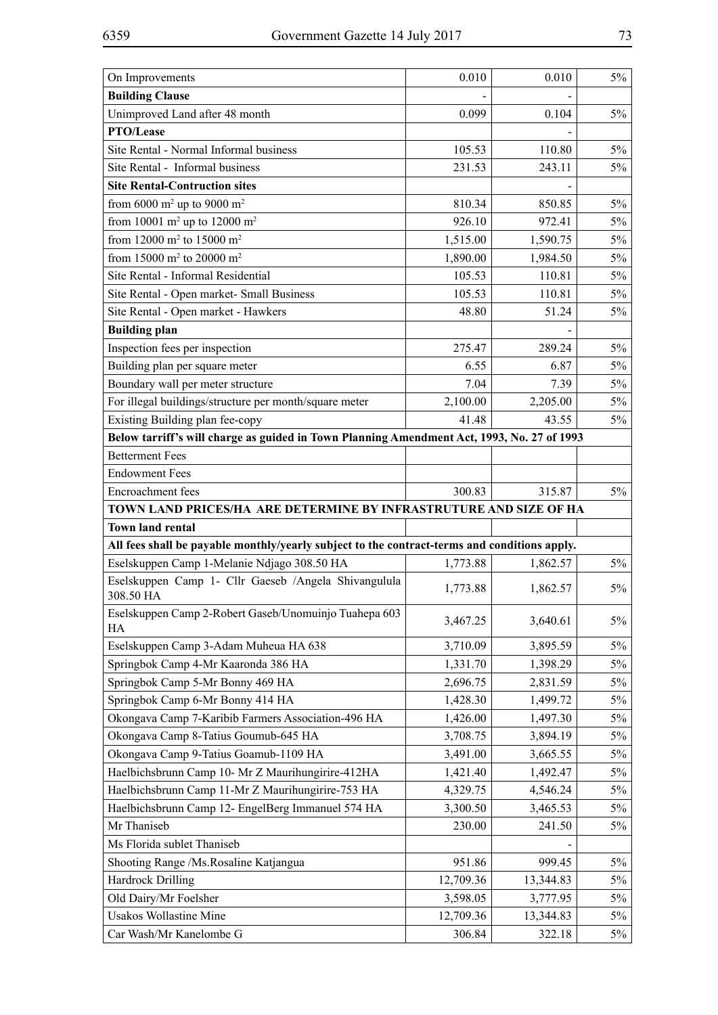| On Improvements                                                                              | 0.010     | 0.010     | $5\%$ |
|----------------------------------------------------------------------------------------------|-----------|-----------|-------|
| <b>Building Clause</b>                                                                       |           |           |       |
| Unimproved Land after 48 month                                                               | 0.099     | 0.104     | $5\%$ |
| <b>PTO/Lease</b>                                                                             |           |           |       |
| Site Rental - Normal Informal business                                                       | 105.53    | 110.80    | $5\%$ |
| Site Rental - Informal business                                                              | 231.53    | 243.11    | 5%    |
| <b>Site Rental-Contruction sites</b>                                                         |           |           |       |
| from 6000 $m^2$ up to 9000 $m^2$                                                             | 810.34    | 850.85    | $5\%$ |
| from 10001 m <sup>2</sup> up to 12000 m <sup>2</sup>                                         | 926.10    | 972.41    | $5\%$ |
| from 12000 m <sup>2</sup> to 15000 m <sup>2</sup>                                            | 1,515.00  | 1,590.75  | 5%    |
| from 15000 m <sup>2</sup> to 20000 m <sup>2</sup>                                            | 1,890.00  | 1,984.50  | $5\%$ |
| Site Rental - Informal Residential                                                           | 105.53    | 110.81    | $5\%$ |
| Site Rental - Open market- Small Business                                                    | 105.53    | 110.81    | $5\%$ |
| Site Rental - Open market - Hawkers                                                          | 48.80     | 51.24     | $5\%$ |
| <b>Building plan</b>                                                                         |           |           |       |
| Inspection fees per inspection                                                               | 275.47    | 289.24    | $5\%$ |
| Building plan per square meter                                                               | 6.55      | 6.87      | $5\%$ |
| Boundary wall per meter structure                                                            | 7.04      | 7.39      | $5\%$ |
| For illegal buildings/structure per month/square meter                                       | 2,100.00  | 2,205.00  | $5\%$ |
| Existing Building plan fee-copy                                                              | 41.48     | 43.55     | $5\%$ |
| Below tarriff's will charge as guided in Town Planning Amendment Act, 1993, No. 27 of 1993   |           |           |       |
| <b>Betterment Fees</b>                                                                       |           |           |       |
| <b>Endowment Fees</b>                                                                        |           |           |       |
|                                                                                              |           | 315.87    | $5\%$ |
| Encroachment fees                                                                            | 300.83    |           |       |
| TOWN LAND PRICES/HA ARE DETERMINE BY INFRASTRUTURE AND SIZE OF HA                            |           |           |       |
| <b>Town land rental</b>                                                                      |           |           |       |
| All fees shall be payable monthly/yearly subject to the contract-terms and conditions apply. |           |           |       |
| Eselskuppen Camp 1-Melanie Ndjago 308.50 HA                                                  | 1,773.88  | 1,862.57  | $5\%$ |
| Eselskuppen Camp 1- Cllr Gaeseb /Angela Shivangulula<br>308.50 HA                            | 1,773.88  | 1,862.57  | $5\%$ |
| Eselskuppen Camp 2-Robert Gaseb/Unomuinjo Tuahepa 603<br>HA                                  | 3,467.25  | 3,640.61  | $5\%$ |
| Eselskuppen Camp 3-Adam Muheua HA 638                                                        | 3,710.09  | 3,895.59  | 5%    |
| Springbok Camp 4-Mr Kaaronda 386 HA                                                          | 1,331.70  | 1,398.29  | 5%    |
| Springbok Camp 5-Mr Bonny 469 HA                                                             | 2,696.75  | 2,831.59  | 5%    |
| Springbok Camp 6-Mr Bonny 414 HA                                                             | 1,428.30  | 1,499.72  | $5\%$ |
| Okongava Camp 7-Karibib Farmers Association-496 HA                                           | 1,426.00  | 1,497.30  | 5%    |
| Okongava Camp 8-Tatius Goumub-645 HA                                                         | 3,708.75  | 3,894.19  | $5\%$ |
| Okongava Camp 9-Tatius Goamub-1109 HA                                                        | 3,491.00  | 3,665.55  | 5%    |
| Haelbichsbrunn Camp 10- Mr Z Maurihungirire-412HA                                            | 1,421.40  | 1,492.47  | 5%    |
| Haelbichsbrunn Camp 11-Mr Z Maurihungirire-753 HA                                            | 4,329.75  | 4,546.24  | $5\%$ |
| Haelbichsbrunn Camp 12- EngelBerg Immanuel 574 HA                                            | 3,300.50  | 3,465.53  | $5\%$ |
| Mr Thaniseb                                                                                  | 230.00    | 241.50    | 5%    |
| Ms Florida sublet Thaniseb                                                                   |           |           |       |
| Shooting Range /Ms.Rosaline Katjangua                                                        | 951.86    | 999.45    | 5%    |
| <b>Hardrock Drilling</b>                                                                     | 12,709.36 | 13,344.83 | $5\%$ |
| Old Dairy/Mr Foelsher                                                                        | 3,598.05  | 3,777.95  | 5%    |
| <b>Usakos Wollastine Mine</b>                                                                | 12,709.36 | 13,344.83 | 5%    |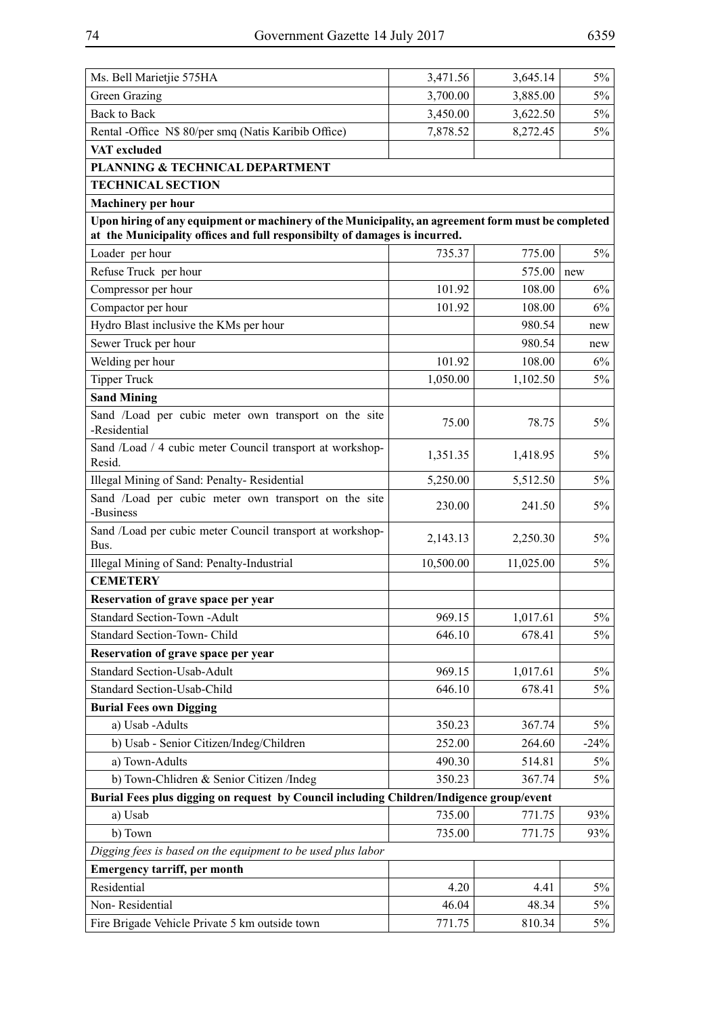| Ms. Bell Marietjie 575HA                                                                                                                                                         | 3,471.56  | 3,645.14  | 5%     |
|----------------------------------------------------------------------------------------------------------------------------------------------------------------------------------|-----------|-----------|--------|
| Green Grazing                                                                                                                                                                    | 3,700.00  | 3,885.00  | $5\%$  |
| <b>Back to Back</b>                                                                                                                                                              | 3,450.00  | 3,622.50  | 5%     |
| Rental -Office N\$ 80/per smq (Natis Karibib Office)                                                                                                                             | 7,878.52  | 8,272.45  | $5\%$  |
| VAT excluded                                                                                                                                                                     |           |           |        |
| PLANNING & TECHNICAL DEPARTMENT                                                                                                                                                  |           |           |        |
| <b>TECHNICAL SECTION</b>                                                                                                                                                         |           |           |        |
| <b>Machinery per hour</b>                                                                                                                                                        |           |           |        |
| Upon hiring of any equipment or machinery of the Municipality, an agreement form must be completed<br>at the Municipality offices and full responsibilty of damages is incurred. |           |           |        |
| Loader per hour                                                                                                                                                                  | 735.37    | 775.00    | 5%     |
| Refuse Truck per hour                                                                                                                                                            |           | 575.00    | new    |
| Compressor per hour                                                                                                                                                              | 101.92    | 108.00    | 6%     |
| Compactor per hour                                                                                                                                                               | 101.92    | 108.00    | 6%     |
| Hydro Blast inclusive the KMs per hour                                                                                                                                           |           | 980.54    | new    |
| Sewer Truck per hour                                                                                                                                                             |           | 980.54    | new    |
| Welding per hour                                                                                                                                                                 | 101.92    | 108.00    | 6%     |
| <b>Tipper Truck</b>                                                                                                                                                              | 1,050.00  | 1,102.50  | 5%     |
| <b>Sand Mining</b>                                                                                                                                                               |           |           |        |
| Sand /Load per cubic meter own transport on the site<br>-Residential                                                                                                             | 75.00     | 78.75     | $5\%$  |
| Sand /Load / 4 cubic meter Council transport at workshop-<br>Resid.                                                                                                              | 1,351.35  | 1,418.95  | $5\%$  |
| Illegal Mining of Sand: Penalty-Residential                                                                                                                                      | 5,250.00  | 5,512.50  | $5\%$  |
| Sand /Load per cubic meter own transport on the site<br>-Business                                                                                                                | 230.00    | 241.50    | $5\%$  |
| Sand /Load per cubic meter Council transport at workshop-<br>Bus.                                                                                                                | 2,143.13  | 2,250.30  | $5\%$  |
| Illegal Mining of Sand: Penalty-Industrial                                                                                                                                       | 10,500.00 | 11,025.00 | 5%     |
| <b>CEMETERY</b>                                                                                                                                                                  |           |           |        |
| Reservation of grave space per year                                                                                                                                              |           |           |        |
| Standard Section-Town -Adult                                                                                                                                                     | 969.15    | 1,017.61  | $5\%$  |
| Standard Section-Town- Child                                                                                                                                                     | 646.10    | 678.41    | 5%     |
| Reservation of grave space per year                                                                                                                                              |           |           |        |
| Standard Section-Usab-Adult                                                                                                                                                      | 969.15    | 1,017.61  | 5%     |
| Standard Section-Usab-Child                                                                                                                                                      | 646.10    | 678.41    | 5%     |
| <b>Burial Fees own Digging</b>                                                                                                                                                   |           |           |        |
| a) Usab -Adults                                                                                                                                                                  | 350.23    | 367.74    | $5\%$  |
| b) Usab - Senior Citizen/Indeg/Children                                                                                                                                          | 252.00    | 264.60    | $-24%$ |
| a) Town-Adults                                                                                                                                                                   | 490.30    | 514.81    | 5%     |
| b) Town-Chlidren & Senior Citizen /Indeg                                                                                                                                         | 350.23    | 367.74    | 5%     |
| Burial Fees plus digging on request by Council including Children/Indigence group/event                                                                                          |           |           |        |
| a) Usab                                                                                                                                                                          | 735.00    | 771.75    | 93%    |
| b) Town                                                                                                                                                                          | 735.00    | 771.75    | 93%    |
| Digging fees is based on the equipment to be used plus labor                                                                                                                     |           |           |        |
| <b>Emergency tarriff, per month</b>                                                                                                                                              |           |           |        |
| Residential                                                                                                                                                                      | 4.20      | 4.41      | $5\%$  |
| Non-Residential                                                                                                                                                                  | 46.04     | 48.34     | $5\%$  |
| Fire Brigade Vehicle Private 5 km outside town                                                                                                                                   | 771.75    | 810.34    | 5%     |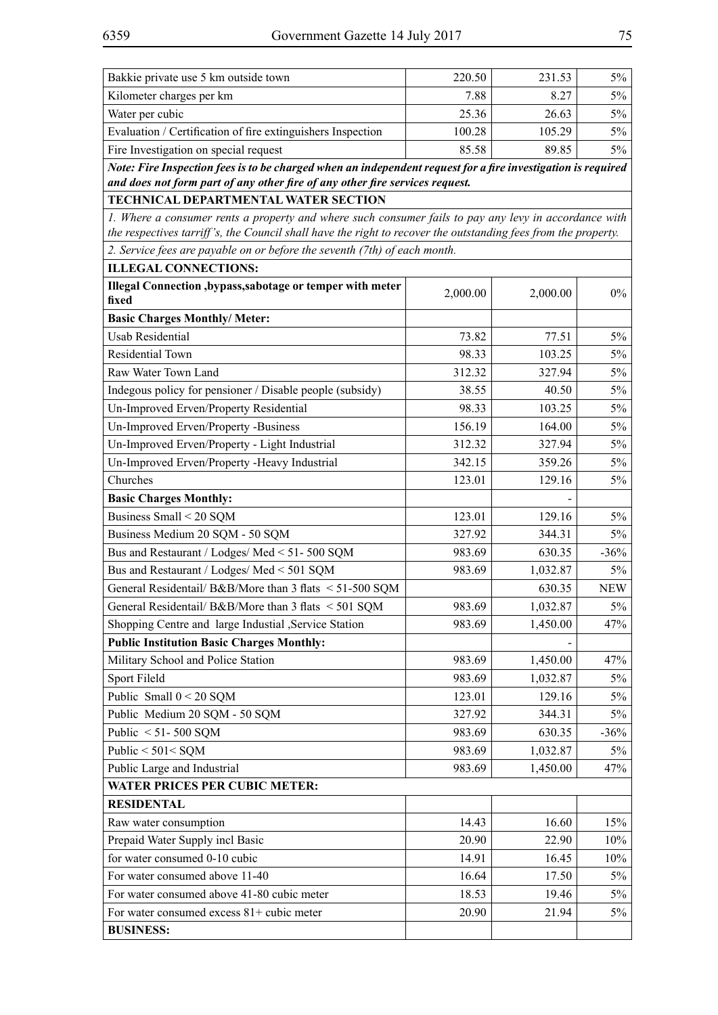| Kilometer charges per km<br>$5\%$<br>7.88<br>8.27<br>Water per cubic<br>25.36<br>26.63<br>$5\%$<br>Evaluation / Certification of fire extinguishers Inspection<br>100.28<br>105.29<br>$5\%$<br>85.58<br>Fire Investigation on special request<br>89.85<br>$5\%$<br>Note: Fire Inspection fees is to be charged when an independent request for a fire investigation is required<br>and does not form part of any other fire of any other fire services request.<br>TECHNICAL DEPARTMENTAL WATER SECTION<br>1. Where a consumer rents a property and where such consumer fails to pay any levy in accordance with<br>the respectives tarriff's, the Council shall have the right to recover the outstanding fees from the property.<br>2. Service fees are payable on or before the seventh (7th) of each month.<br><b>ILLEGAL CONNECTIONS:</b><br>Illegal Connection, bypass, sabotage or temper with meter<br>2,000.00<br>$0\%$<br>2,000.00<br>fixed<br><b>Basic Charges Monthly/ Meter:</b><br><b>Usab Residential</b><br>$5\%$<br>73.82<br>77.51<br>98.33<br>103.25<br>Residential Town<br>$5\%$<br>Raw Water Town Land<br>312.32<br>327.94<br>5%<br>$5\%$<br>Indegous policy for pensioner / Disable people (subsidy)<br>38.55<br>40.50<br>Un-Improved Erven/Property Residential<br>98.33<br>103.25<br>5%<br>Un-Improved Erven/Property -Business<br>156.19<br>164.00<br>$5\%$<br>Un-Improved Erven/Property - Light Industrial<br>312.32<br>327.94<br>$5\%$<br>Un-Improved Erven/Property -Heavy Industrial<br>342.15<br>359.26<br>$5\%$<br>Churches<br>123.01<br>129.16<br>$5\%$<br><b>Basic Charges Monthly:</b><br>Business Small < 20 SQM<br>123.01<br>129.16<br>$5\%$<br>Business Medium 20 SQM - 50 SQM<br>327.92<br>344.31<br>$5\%$<br>Bus and Restaurant / Lodges/ Med < 51-500 SQM<br>983.69<br>630.35<br>$-36\%$<br>Bus and Restaurant / Lodges/ Med < 501 SQM<br>983.69<br>1,032.87<br>$5\%$<br>General Residentail/ B&B/More than 3 flats < 51-500 SQM<br>630.35<br><b>NEW</b><br>General Residentail/ B&B/More than 3 flats < 501 SQM<br>983.69<br>1,032.87<br>$5\%$<br>Shopping Centre and large Industial , Service Station<br>983.69<br>1,450.00<br>47%<br><b>Public Institution Basic Charges Monthly:</b><br>Military School and Police Station<br>983.69<br>1,450.00<br>47%<br>Sport Fileld<br>983.69<br>$5\%$<br>1,032.87<br>Public Small $0 < 20$ SQM<br>123.01<br>129.16<br>$5\%$<br>Public Medium 20 SQM - 50 SQM<br>327.92<br>344.31<br>$5\%$<br>Public $< 51 - 500$ SQM<br>983.69<br>630.35<br>$-36%$<br>Public < 501< SQM<br>983.69<br>1,032.87<br>$5\%$<br>Public Large and Industrial<br>983.69<br>1,450.00<br>47%<br><b>WATER PRICES PER CUBIC METER:</b><br><b>RESIDENTAL</b><br>Raw water consumption<br>14.43<br>15%<br>16.60<br>Prepaid Water Supply incl Basic<br>20.90<br>22.90<br>10%<br>for water consumed 0-10 cubic<br>14.91<br>16.45<br>10%<br>For water consumed above 11-40<br>16.64<br>17.50<br>$5\%$<br>For water consumed above 41-80 cubic meter<br>18.53<br>19.46<br>$5\%$<br>For water consumed excess $81+$ cubic meter<br>20.90<br>$5\%$<br>21.94<br><b>BUSINESS:</b> | Bakkie private use 5 km outside town | 220.50 | 231.53 | $5\%$ |  |  |
|-------------------------------------------------------------------------------------------------------------------------------------------------------------------------------------------------------------------------------------------------------------------------------------------------------------------------------------------------------------------------------------------------------------------------------------------------------------------------------------------------------------------------------------------------------------------------------------------------------------------------------------------------------------------------------------------------------------------------------------------------------------------------------------------------------------------------------------------------------------------------------------------------------------------------------------------------------------------------------------------------------------------------------------------------------------------------------------------------------------------------------------------------------------------------------------------------------------------------------------------------------------------------------------------------------------------------------------------------------------------------------------------------------------------------------------------------------------------------------------------------------------------------------------------------------------------------------------------------------------------------------------------------------------------------------------------------------------------------------------------------------------------------------------------------------------------------------------------------------------------------------------------------------------------------------------------------------------------------------------------------------------------------------------------------------------------------------------------------------------------------------------------------------------------------------------------------------------------------------------------------------------------------------------------------------------------------------------------------------------------------------------------------------------------------------------------------------------------------------------------------------------------------------------------------------------------------------------------------------------------------------------------------------------------------------------------------------------------------------------------------------------------------------------------------------------------------------------------------------------------------------------------------------------------------------------------------------------------------------------------------------------------------------------------------------------------------------------------------------------------------------|--------------------------------------|--------|--------|-------|--|--|
|                                                                                                                                                                                                                                                                                                                                                                                                                                                                                                                                                                                                                                                                                                                                                                                                                                                                                                                                                                                                                                                                                                                                                                                                                                                                                                                                                                                                                                                                                                                                                                                                                                                                                                                                                                                                                                                                                                                                                                                                                                                                                                                                                                                                                                                                                                                                                                                                                                                                                                                                                                                                                                                                                                                                                                                                                                                                                                                                                                                                                                                                                                                               |                                      |        |        |       |  |  |
|                                                                                                                                                                                                                                                                                                                                                                                                                                                                                                                                                                                                                                                                                                                                                                                                                                                                                                                                                                                                                                                                                                                                                                                                                                                                                                                                                                                                                                                                                                                                                                                                                                                                                                                                                                                                                                                                                                                                                                                                                                                                                                                                                                                                                                                                                                                                                                                                                                                                                                                                                                                                                                                                                                                                                                                                                                                                                                                                                                                                                                                                                                                               |                                      |        |        |       |  |  |
|                                                                                                                                                                                                                                                                                                                                                                                                                                                                                                                                                                                                                                                                                                                                                                                                                                                                                                                                                                                                                                                                                                                                                                                                                                                                                                                                                                                                                                                                                                                                                                                                                                                                                                                                                                                                                                                                                                                                                                                                                                                                                                                                                                                                                                                                                                                                                                                                                                                                                                                                                                                                                                                                                                                                                                                                                                                                                                                                                                                                                                                                                                                               |                                      |        |        |       |  |  |
|                                                                                                                                                                                                                                                                                                                                                                                                                                                                                                                                                                                                                                                                                                                                                                                                                                                                                                                                                                                                                                                                                                                                                                                                                                                                                                                                                                                                                                                                                                                                                                                                                                                                                                                                                                                                                                                                                                                                                                                                                                                                                                                                                                                                                                                                                                                                                                                                                                                                                                                                                                                                                                                                                                                                                                                                                                                                                                                                                                                                                                                                                                                               |                                      |        |        |       |  |  |
|                                                                                                                                                                                                                                                                                                                                                                                                                                                                                                                                                                                                                                                                                                                                                                                                                                                                                                                                                                                                                                                                                                                                                                                                                                                                                                                                                                                                                                                                                                                                                                                                                                                                                                                                                                                                                                                                                                                                                                                                                                                                                                                                                                                                                                                                                                                                                                                                                                                                                                                                                                                                                                                                                                                                                                                                                                                                                                                                                                                                                                                                                                                               |                                      |        |        |       |  |  |
|                                                                                                                                                                                                                                                                                                                                                                                                                                                                                                                                                                                                                                                                                                                                                                                                                                                                                                                                                                                                                                                                                                                                                                                                                                                                                                                                                                                                                                                                                                                                                                                                                                                                                                                                                                                                                                                                                                                                                                                                                                                                                                                                                                                                                                                                                                                                                                                                                                                                                                                                                                                                                                                                                                                                                                                                                                                                                                                                                                                                                                                                                                                               |                                      |        |        |       |  |  |
|                                                                                                                                                                                                                                                                                                                                                                                                                                                                                                                                                                                                                                                                                                                                                                                                                                                                                                                                                                                                                                                                                                                                                                                                                                                                                                                                                                                                                                                                                                                                                                                                                                                                                                                                                                                                                                                                                                                                                                                                                                                                                                                                                                                                                                                                                                                                                                                                                                                                                                                                                                                                                                                                                                                                                                                                                                                                                                                                                                                                                                                                                                                               |                                      |        |        |       |  |  |
|                                                                                                                                                                                                                                                                                                                                                                                                                                                                                                                                                                                                                                                                                                                                                                                                                                                                                                                                                                                                                                                                                                                                                                                                                                                                                                                                                                                                                                                                                                                                                                                                                                                                                                                                                                                                                                                                                                                                                                                                                                                                                                                                                                                                                                                                                                                                                                                                                                                                                                                                                                                                                                                                                                                                                                                                                                                                                                                                                                                                                                                                                                                               |                                      |        |        |       |  |  |
|                                                                                                                                                                                                                                                                                                                                                                                                                                                                                                                                                                                                                                                                                                                                                                                                                                                                                                                                                                                                                                                                                                                                                                                                                                                                                                                                                                                                                                                                                                                                                                                                                                                                                                                                                                                                                                                                                                                                                                                                                                                                                                                                                                                                                                                                                                                                                                                                                                                                                                                                                                                                                                                                                                                                                                                                                                                                                                                                                                                                                                                                                                                               |                                      |        |        |       |  |  |
|                                                                                                                                                                                                                                                                                                                                                                                                                                                                                                                                                                                                                                                                                                                                                                                                                                                                                                                                                                                                                                                                                                                                                                                                                                                                                                                                                                                                                                                                                                                                                                                                                                                                                                                                                                                                                                                                                                                                                                                                                                                                                                                                                                                                                                                                                                                                                                                                                                                                                                                                                                                                                                                                                                                                                                                                                                                                                                                                                                                                                                                                                                                               |                                      |        |        |       |  |  |
|                                                                                                                                                                                                                                                                                                                                                                                                                                                                                                                                                                                                                                                                                                                                                                                                                                                                                                                                                                                                                                                                                                                                                                                                                                                                                                                                                                                                                                                                                                                                                                                                                                                                                                                                                                                                                                                                                                                                                                                                                                                                                                                                                                                                                                                                                                                                                                                                                                                                                                                                                                                                                                                                                                                                                                                                                                                                                                                                                                                                                                                                                                                               |                                      |        |        |       |  |  |
|                                                                                                                                                                                                                                                                                                                                                                                                                                                                                                                                                                                                                                                                                                                                                                                                                                                                                                                                                                                                                                                                                                                                                                                                                                                                                                                                                                                                                                                                                                                                                                                                                                                                                                                                                                                                                                                                                                                                                                                                                                                                                                                                                                                                                                                                                                                                                                                                                                                                                                                                                                                                                                                                                                                                                                                                                                                                                                                                                                                                                                                                                                                               |                                      |        |        |       |  |  |
|                                                                                                                                                                                                                                                                                                                                                                                                                                                                                                                                                                                                                                                                                                                                                                                                                                                                                                                                                                                                                                                                                                                                                                                                                                                                                                                                                                                                                                                                                                                                                                                                                                                                                                                                                                                                                                                                                                                                                                                                                                                                                                                                                                                                                                                                                                                                                                                                                                                                                                                                                                                                                                                                                                                                                                                                                                                                                                                                                                                                                                                                                                                               |                                      |        |        |       |  |  |
|                                                                                                                                                                                                                                                                                                                                                                                                                                                                                                                                                                                                                                                                                                                                                                                                                                                                                                                                                                                                                                                                                                                                                                                                                                                                                                                                                                                                                                                                                                                                                                                                                                                                                                                                                                                                                                                                                                                                                                                                                                                                                                                                                                                                                                                                                                                                                                                                                                                                                                                                                                                                                                                                                                                                                                                                                                                                                                                                                                                                                                                                                                                               |                                      |        |        |       |  |  |
|                                                                                                                                                                                                                                                                                                                                                                                                                                                                                                                                                                                                                                                                                                                                                                                                                                                                                                                                                                                                                                                                                                                                                                                                                                                                                                                                                                                                                                                                                                                                                                                                                                                                                                                                                                                                                                                                                                                                                                                                                                                                                                                                                                                                                                                                                                                                                                                                                                                                                                                                                                                                                                                                                                                                                                                                                                                                                                                                                                                                                                                                                                                               |                                      |        |        |       |  |  |
|                                                                                                                                                                                                                                                                                                                                                                                                                                                                                                                                                                                                                                                                                                                                                                                                                                                                                                                                                                                                                                                                                                                                                                                                                                                                                                                                                                                                                                                                                                                                                                                                                                                                                                                                                                                                                                                                                                                                                                                                                                                                                                                                                                                                                                                                                                                                                                                                                                                                                                                                                                                                                                                                                                                                                                                                                                                                                                                                                                                                                                                                                                                               |                                      |        |        |       |  |  |
|                                                                                                                                                                                                                                                                                                                                                                                                                                                                                                                                                                                                                                                                                                                                                                                                                                                                                                                                                                                                                                                                                                                                                                                                                                                                                                                                                                                                                                                                                                                                                                                                                                                                                                                                                                                                                                                                                                                                                                                                                                                                                                                                                                                                                                                                                                                                                                                                                                                                                                                                                                                                                                                                                                                                                                                                                                                                                                                                                                                                                                                                                                                               |                                      |        |        |       |  |  |
|                                                                                                                                                                                                                                                                                                                                                                                                                                                                                                                                                                                                                                                                                                                                                                                                                                                                                                                                                                                                                                                                                                                                                                                                                                                                                                                                                                                                                                                                                                                                                                                                                                                                                                                                                                                                                                                                                                                                                                                                                                                                                                                                                                                                                                                                                                                                                                                                                                                                                                                                                                                                                                                                                                                                                                                                                                                                                                                                                                                                                                                                                                                               |                                      |        |        |       |  |  |
|                                                                                                                                                                                                                                                                                                                                                                                                                                                                                                                                                                                                                                                                                                                                                                                                                                                                                                                                                                                                                                                                                                                                                                                                                                                                                                                                                                                                                                                                                                                                                                                                                                                                                                                                                                                                                                                                                                                                                                                                                                                                                                                                                                                                                                                                                                                                                                                                                                                                                                                                                                                                                                                                                                                                                                                                                                                                                                                                                                                                                                                                                                                               |                                      |        |        |       |  |  |
|                                                                                                                                                                                                                                                                                                                                                                                                                                                                                                                                                                                                                                                                                                                                                                                                                                                                                                                                                                                                                                                                                                                                                                                                                                                                                                                                                                                                                                                                                                                                                                                                                                                                                                                                                                                                                                                                                                                                                                                                                                                                                                                                                                                                                                                                                                                                                                                                                                                                                                                                                                                                                                                                                                                                                                                                                                                                                                                                                                                                                                                                                                                               |                                      |        |        |       |  |  |
|                                                                                                                                                                                                                                                                                                                                                                                                                                                                                                                                                                                                                                                                                                                                                                                                                                                                                                                                                                                                                                                                                                                                                                                                                                                                                                                                                                                                                                                                                                                                                                                                                                                                                                                                                                                                                                                                                                                                                                                                                                                                                                                                                                                                                                                                                                                                                                                                                                                                                                                                                                                                                                                                                                                                                                                                                                                                                                                                                                                                                                                                                                                               |                                      |        |        |       |  |  |
|                                                                                                                                                                                                                                                                                                                                                                                                                                                                                                                                                                                                                                                                                                                                                                                                                                                                                                                                                                                                                                                                                                                                                                                                                                                                                                                                                                                                                                                                                                                                                                                                                                                                                                                                                                                                                                                                                                                                                                                                                                                                                                                                                                                                                                                                                                                                                                                                                                                                                                                                                                                                                                                                                                                                                                                                                                                                                                                                                                                                                                                                                                                               |                                      |        |        |       |  |  |
|                                                                                                                                                                                                                                                                                                                                                                                                                                                                                                                                                                                                                                                                                                                                                                                                                                                                                                                                                                                                                                                                                                                                                                                                                                                                                                                                                                                                                                                                                                                                                                                                                                                                                                                                                                                                                                                                                                                                                                                                                                                                                                                                                                                                                                                                                                                                                                                                                                                                                                                                                                                                                                                                                                                                                                                                                                                                                                                                                                                                                                                                                                                               |                                      |        |        |       |  |  |
|                                                                                                                                                                                                                                                                                                                                                                                                                                                                                                                                                                                                                                                                                                                                                                                                                                                                                                                                                                                                                                                                                                                                                                                                                                                                                                                                                                                                                                                                                                                                                                                                                                                                                                                                                                                                                                                                                                                                                                                                                                                                                                                                                                                                                                                                                                                                                                                                                                                                                                                                                                                                                                                                                                                                                                                                                                                                                                                                                                                                                                                                                                                               |                                      |        |        |       |  |  |
|                                                                                                                                                                                                                                                                                                                                                                                                                                                                                                                                                                                                                                                                                                                                                                                                                                                                                                                                                                                                                                                                                                                                                                                                                                                                                                                                                                                                                                                                                                                                                                                                                                                                                                                                                                                                                                                                                                                                                                                                                                                                                                                                                                                                                                                                                                                                                                                                                                                                                                                                                                                                                                                                                                                                                                                                                                                                                                                                                                                                                                                                                                                               |                                      |        |        |       |  |  |
|                                                                                                                                                                                                                                                                                                                                                                                                                                                                                                                                                                                                                                                                                                                                                                                                                                                                                                                                                                                                                                                                                                                                                                                                                                                                                                                                                                                                                                                                                                                                                                                                                                                                                                                                                                                                                                                                                                                                                                                                                                                                                                                                                                                                                                                                                                                                                                                                                                                                                                                                                                                                                                                                                                                                                                                                                                                                                                                                                                                                                                                                                                                               |                                      |        |        |       |  |  |
|                                                                                                                                                                                                                                                                                                                                                                                                                                                                                                                                                                                                                                                                                                                                                                                                                                                                                                                                                                                                                                                                                                                                                                                                                                                                                                                                                                                                                                                                                                                                                                                                                                                                                                                                                                                                                                                                                                                                                                                                                                                                                                                                                                                                                                                                                                                                                                                                                                                                                                                                                                                                                                                                                                                                                                                                                                                                                                                                                                                                                                                                                                                               |                                      |        |        |       |  |  |
|                                                                                                                                                                                                                                                                                                                                                                                                                                                                                                                                                                                                                                                                                                                                                                                                                                                                                                                                                                                                                                                                                                                                                                                                                                                                                                                                                                                                                                                                                                                                                                                                                                                                                                                                                                                                                                                                                                                                                                                                                                                                                                                                                                                                                                                                                                                                                                                                                                                                                                                                                                                                                                                                                                                                                                                                                                                                                                                                                                                                                                                                                                                               |                                      |        |        |       |  |  |
|                                                                                                                                                                                                                                                                                                                                                                                                                                                                                                                                                                                                                                                                                                                                                                                                                                                                                                                                                                                                                                                                                                                                                                                                                                                                                                                                                                                                                                                                                                                                                                                                                                                                                                                                                                                                                                                                                                                                                                                                                                                                                                                                                                                                                                                                                                                                                                                                                                                                                                                                                                                                                                                                                                                                                                                                                                                                                                                                                                                                                                                                                                                               |                                      |        |        |       |  |  |
|                                                                                                                                                                                                                                                                                                                                                                                                                                                                                                                                                                                                                                                                                                                                                                                                                                                                                                                                                                                                                                                                                                                                                                                                                                                                                                                                                                                                                                                                                                                                                                                                                                                                                                                                                                                                                                                                                                                                                                                                                                                                                                                                                                                                                                                                                                                                                                                                                                                                                                                                                                                                                                                                                                                                                                                                                                                                                                                                                                                                                                                                                                                               |                                      |        |        |       |  |  |
|                                                                                                                                                                                                                                                                                                                                                                                                                                                                                                                                                                                                                                                                                                                                                                                                                                                                                                                                                                                                                                                                                                                                                                                                                                                                                                                                                                                                                                                                                                                                                                                                                                                                                                                                                                                                                                                                                                                                                                                                                                                                                                                                                                                                                                                                                                                                                                                                                                                                                                                                                                                                                                                                                                                                                                                                                                                                                                                                                                                                                                                                                                                               |                                      |        |        |       |  |  |
|                                                                                                                                                                                                                                                                                                                                                                                                                                                                                                                                                                                                                                                                                                                                                                                                                                                                                                                                                                                                                                                                                                                                                                                                                                                                                                                                                                                                                                                                                                                                                                                                                                                                                                                                                                                                                                                                                                                                                                                                                                                                                                                                                                                                                                                                                                                                                                                                                                                                                                                                                                                                                                                                                                                                                                                                                                                                                                                                                                                                                                                                                                                               |                                      |        |        |       |  |  |
|                                                                                                                                                                                                                                                                                                                                                                                                                                                                                                                                                                                                                                                                                                                                                                                                                                                                                                                                                                                                                                                                                                                                                                                                                                                                                                                                                                                                                                                                                                                                                                                                                                                                                                                                                                                                                                                                                                                                                                                                                                                                                                                                                                                                                                                                                                                                                                                                                                                                                                                                                                                                                                                                                                                                                                                                                                                                                                                                                                                                                                                                                                                               |                                      |        |        |       |  |  |
|                                                                                                                                                                                                                                                                                                                                                                                                                                                                                                                                                                                                                                                                                                                                                                                                                                                                                                                                                                                                                                                                                                                                                                                                                                                                                                                                                                                                                                                                                                                                                                                                                                                                                                                                                                                                                                                                                                                                                                                                                                                                                                                                                                                                                                                                                                                                                                                                                                                                                                                                                                                                                                                                                                                                                                                                                                                                                                                                                                                                                                                                                                                               |                                      |        |        |       |  |  |
|                                                                                                                                                                                                                                                                                                                                                                                                                                                                                                                                                                                                                                                                                                                                                                                                                                                                                                                                                                                                                                                                                                                                                                                                                                                                                                                                                                                                                                                                                                                                                                                                                                                                                                                                                                                                                                                                                                                                                                                                                                                                                                                                                                                                                                                                                                                                                                                                                                                                                                                                                                                                                                                                                                                                                                                                                                                                                                                                                                                                                                                                                                                               |                                      |        |        |       |  |  |
|                                                                                                                                                                                                                                                                                                                                                                                                                                                                                                                                                                                                                                                                                                                                                                                                                                                                                                                                                                                                                                                                                                                                                                                                                                                                                                                                                                                                                                                                                                                                                                                                                                                                                                                                                                                                                                                                                                                                                                                                                                                                                                                                                                                                                                                                                                                                                                                                                                                                                                                                                                                                                                                                                                                                                                                                                                                                                                                                                                                                                                                                                                                               |                                      |        |        |       |  |  |
|                                                                                                                                                                                                                                                                                                                                                                                                                                                                                                                                                                                                                                                                                                                                                                                                                                                                                                                                                                                                                                                                                                                                                                                                                                                                                                                                                                                                                                                                                                                                                                                                                                                                                                                                                                                                                                                                                                                                                                                                                                                                                                                                                                                                                                                                                                                                                                                                                                                                                                                                                                                                                                                                                                                                                                                                                                                                                                                                                                                                                                                                                                                               |                                      |        |        |       |  |  |
|                                                                                                                                                                                                                                                                                                                                                                                                                                                                                                                                                                                                                                                                                                                                                                                                                                                                                                                                                                                                                                                                                                                                                                                                                                                                                                                                                                                                                                                                                                                                                                                                                                                                                                                                                                                                                                                                                                                                                                                                                                                                                                                                                                                                                                                                                                                                                                                                                                                                                                                                                                                                                                                                                                                                                                                                                                                                                                                                                                                                                                                                                                                               |                                      |        |        |       |  |  |
|                                                                                                                                                                                                                                                                                                                                                                                                                                                                                                                                                                                                                                                                                                                                                                                                                                                                                                                                                                                                                                                                                                                                                                                                                                                                                                                                                                                                                                                                                                                                                                                                                                                                                                                                                                                                                                                                                                                                                                                                                                                                                                                                                                                                                                                                                                                                                                                                                                                                                                                                                                                                                                                                                                                                                                                                                                                                                                                                                                                                                                                                                                                               |                                      |        |        |       |  |  |
|                                                                                                                                                                                                                                                                                                                                                                                                                                                                                                                                                                                                                                                                                                                                                                                                                                                                                                                                                                                                                                                                                                                                                                                                                                                                                                                                                                                                                                                                                                                                                                                                                                                                                                                                                                                                                                                                                                                                                                                                                                                                                                                                                                                                                                                                                                                                                                                                                                                                                                                                                                                                                                                                                                                                                                                                                                                                                                                                                                                                                                                                                                                               |                                      |        |        |       |  |  |
|                                                                                                                                                                                                                                                                                                                                                                                                                                                                                                                                                                                                                                                                                                                                                                                                                                                                                                                                                                                                                                                                                                                                                                                                                                                                                                                                                                                                                                                                                                                                                                                                                                                                                                                                                                                                                                                                                                                                                                                                                                                                                                                                                                                                                                                                                                                                                                                                                                                                                                                                                                                                                                                                                                                                                                                                                                                                                                                                                                                                                                                                                                                               |                                      |        |        |       |  |  |
|                                                                                                                                                                                                                                                                                                                                                                                                                                                                                                                                                                                                                                                                                                                                                                                                                                                                                                                                                                                                                                                                                                                                                                                                                                                                                                                                                                                                                                                                                                                                                                                                                                                                                                                                                                                                                                                                                                                                                                                                                                                                                                                                                                                                                                                                                                                                                                                                                                                                                                                                                                                                                                                                                                                                                                                                                                                                                                                                                                                                                                                                                                                               |                                      |        |        |       |  |  |
|                                                                                                                                                                                                                                                                                                                                                                                                                                                                                                                                                                                                                                                                                                                                                                                                                                                                                                                                                                                                                                                                                                                                                                                                                                                                                                                                                                                                                                                                                                                                                                                                                                                                                                                                                                                                                                                                                                                                                                                                                                                                                                                                                                                                                                                                                                                                                                                                                                                                                                                                                                                                                                                                                                                                                                                                                                                                                                                                                                                                                                                                                                                               |                                      |        |        |       |  |  |
|                                                                                                                                                                                                                                                                                                                                                                                                                                                                                                                                                                                                                                                                                                                                                                                                                                                                                                                                                                                                                                                                                                                                                                                                                                                                                                                                                                                                                                                                                                                                                                                                                                                                                                                                                                                                                                                                                                                                                                                                                                                                                                                                                                                                                                                                                                                                                                                                                                                                                                                                                                                                                                                                                                                                                                                                                                                                                                                                                                                                                                                                                                                               |                                      |        |        |       |  |  |
|                                                                                                                                                                                                                                                                                                                                                                                                                                                                                                                                                                                                                                                                                                                                                                                                                                                                                                                                                                                                                                                                                                                                                                                                                                                                                                                                                                                                                                                                                                                                                                                                                                                                                                                                                                                                                                                                                                                                                                                                                                                                                                                                                                                                                                                                                                                                                                                                                                                                                                                                                                                                                                                                                                                                                                                                                                                                                                                                                                                                                                                                                                                               |                                      |        |        |       |  |  |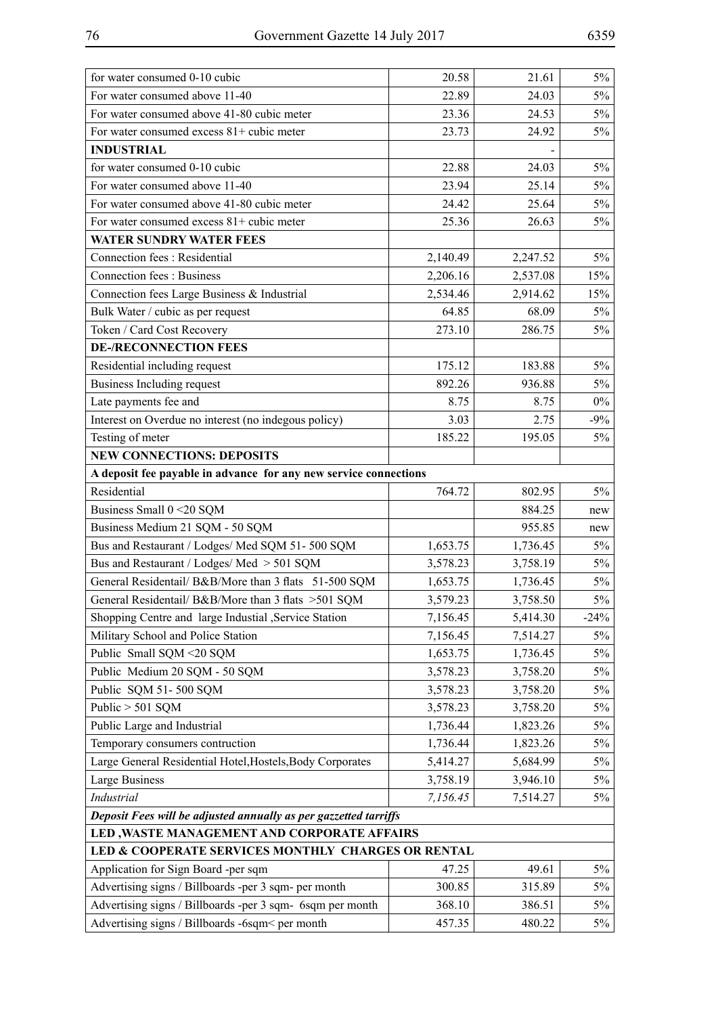| for water consumed 0-10 cubic                                    | 20.58    | 21.61    | $5\%$  |
|------------------------------------------------------------------|----------|----------|--------|
| For water consumed above 11-40                                   | 22.89    | 24.03    | $5\%$  |
| For water consumed above 41-80 cubic meter                       | 23.36    | 24.53    | $5\%$  |
| For water consumed excess 81+ cubic meter                        | 23.73    | 24.92    | 5%     |
| <b>INDUSTRIAL</b>                                                |          |          |        |
| for water consumed 0-10 cubic                                    | 22.88    | 24.03    | $5\%$  |
| For water consumed above 11-40                                   | 23.94    | 25.14    | $5\%$  |
| For water consumed above 41-80 cubic meter                       | 24.42    | 25.64    | $5\%$  |
| For water consumed excess 81+ cubic meter                        | 25.36    | 26.63    | $5\%$  |
| <b>WATER SUNDRY WATER FEES</b>                                   |          |          |        |
| Connection fees : Residential                                    | 2,140.49 | 2,247.52 | $5\%$  |
| Connection fees: Business                                        | 2,206.16 | 2,537.08 | 15%    |
| Connection fees Large Business & Industrial                      | 2,534.46 | 2,914.62 | 15%    |
| Bulk Water / cubic as per request                                | 64.85    | 68.09    | 5%     |
| Token / Card Cost Recovery                                       | 273.10   | 286.75   | 5%     |
| <b>DE-/RECONNECTION FEES</b>                                     |          |          |        |
| Residential including request                                    | 175.12   | 183.88   | $5\%$  |
| Business Including request                                       | 892.26   | 936.88   | $5\%$  |
| Late payments fee and                                            | 8.75     | 8.75     | $0\%$  |
| Interest on Overdue no interest (no indegous policy)             | 3.03     | 2.75     | $-9\%$ |
| Testing of meter                                                 | 185.22   | 195.05   | $5\%$  |
| <b>NEW CONNECTIONS: DEPOSITS</b>                                 |          |          |        |
| A deposit fee payable in advance for any new service connections |          |          |        |
| Residential                                                      | 764.72   | 802.95   | 5%     |
| Business Small 0 < 20 SQM                                        |          | 884.25   | new    |
| Business Medium 21 SQM - 50 SQM                                  |          | 955.85   | new    |
| Bus and Restaurant / Lodges/ Med SQM 51-500 SQM                  | 1,653.75 | 1,736.45 | $5\%$  |
| Bus and Restaurant / Lodges/ Med > 501 SQM                       | 3,578.23 | 3,758.19 | $5\%$  |
| General Residentail/ B&B/More than 3 flats 51-500 SQM            | 1,653.75 | 1,736.45 | $5\%$  |
| General Residentail/ B&B/More than 3 flats > 501 SQM             | 3,579.23 | 3,758.50 | $5\%$  |
| Shopping Centre and large Industial , Service Station            | 7,156.45 | 5,414.30 | $-24%$ |
| Military School and Police Station                               | 7,156.45 | 7,514.27 | 5%     |
| Public Small SQM <20 SQM                                         | 1,653.75 | 1,736.45 | 5%     |
| Public Medium 20 SQM - 50 SQM                                    | 3,578.23 | 3,758.20 | 5%     |
| Public SQM 51-500 SQM                                            | 3,578.23 | 3,758.20 | 5%     |
| Public $> 501$ SQM                                               | 3,578.23 | 3,758.20 | 5%     |
| Public Large and Industrial                                      | 1,736.44 | 1,823.26 | 5%     |
| Temporary consumers contruction                                  | 1,736.44 | 1,823.26 | 5%     |
| Large General Residential Hotel, Hostels, Body Corporates        | 5,414.27 | 5,684.99 | 5%     |
| <b>Large Business</b>                                            | 3,758.19 | 3,946.10 | 5%     |
| <b>Industrial</b>                                                | 7,156.45 | 7,514.27 | 5%     |
| Deposit Fees will be adjusted annually as per gazzetted tarriffs |          |          |        |
| LED, WASTE MANAGEMENT AND CORPORATE AFFAIRS                      |          |          |        |
| LED & COOPERATE SERVICES MONTHLY CHARGES OR RENTAL               |          |          |        |
| Application for Sign Board -per sqm                              | 47.25    | 49.61    | 5%     |
| Advertising signs / Billboards -per 3 sqm- per month             | 300.85   | 315.89   | 5%     |
| Advertising signs / Billboards -per 3 sqm- 6sqm per month        | 368.10   | 386.51   | $5\%$  |
| Advertising signs / Billboards -6sqm< per month                  | 457.35   | 480.22   | 5%     |
|                                                                  |          |          |        |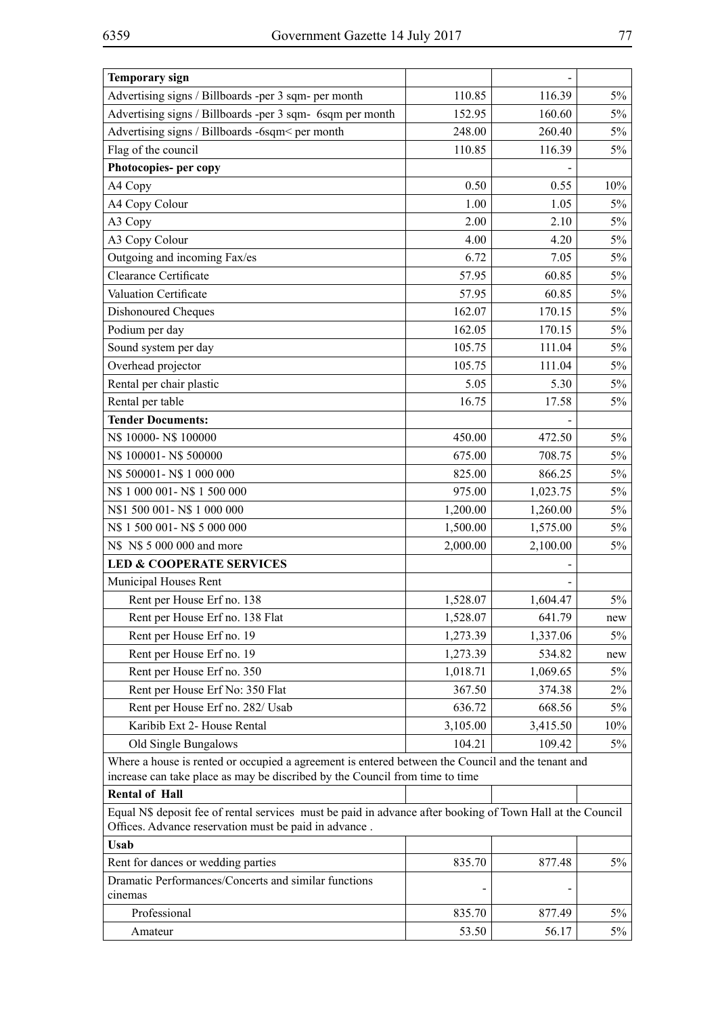| <b>Temporary sign</b>                                                                                                                                               |          |          |       |
|---------------------------------------------------------------------------------------------------------------------------------------------------------------------|----------|----------|-------|
| Advertising signs / Billboards -per 3 sqm- per month                                                                                                                | 110.85   | 116.39   | 5%    |
| Advertising signs / Billboards -per 3 sqm- 6sqm per month                                                                                                           | 152.95   | 160.60   | $5\%$ |
| Advertising signs / Billboards -6sqm< per month                                                                                                                     | 248.00   | 260.40   | $5\%$ |
| Flag of the council                                                                                                                                                 | 110.85   | 116.39   | 5%    |
| Photocopies- per copy                                                                                                                                               |          |          |       |
| A4 Copy                                                                                                                                                             | 0.50     | 0.55     | 10%   |
| A4 Copy Colour                                                                                                                                                      | 1.00     | 1.05     | 5%    |
| A3 Copy                                                                                                                                                             | 2.00     | 2.10     | $5\%$ |
| A3 Copy Colour                                                                                                                                                      | 4.00     | 4.20     | 5%    |
| Outgoing and incoming Fax/es                                                                                                                                        | 6.72     | 7.05     | 5%    |
| Clearance Certificate                                                                                                                                               | 57.95    | 60.85    | 5%    |
| Valuation Certificate                                                                                                                                               | 57.95    | 60.85    | $5\%$ |
| Dishonoured Cheques                                                                                                                                                 | 162.07   | 170.15   | 5%    |
| Podium per day                                                                                                                                                      | 162.05   | 170.15   | 5%    |
| Sound system per day                                                                                                                                                | 105.75   | 111.04   | $5\%$ |
| Overhead projector                                                                                                                                                  | 105.75   | 111.04   | $5\%$ |
| Rental per chair plastic                                                                                                                                            | 5.05     | 5.30     | $5\%$ |
| Rental per table                                                                                                                                                    | 16.75    | 17.58    | 5%    |
| <b>Tender Documents:</b>                                                                                                                                            |          |          |       |
| N\$ 10000-N\$ 100000                                                                                                                                                | 450.00   | 472.50   | 5%    |
| N\$ 100001-N\$ 500000                                                                                                                                               | 675.00   | 708.75   | $5\%$ |
| N\$ 500001-N\$ 1 000 000                                                                                                                                            | 825.00   | 866.25   | $5\%$ |
| N\$ 1 000 001-N\$ 1 500 000                                                                                                                                         | 975.00   | 1,023.75 | $5\%$ |
| N\$1 500 001-N\$1 000 000                                                                                                                                           | 1,200.00 | 1,260.00 | $5\%$ |
| N\$ 1 500 001-N\$ 5 000 000                                                                                                                                         | 1,500.00 | 1,575.00 | $5\%$ |
| N\$ N\$ 5 000 000 and more                                                                                                                                          | 2,000.00 | 2,100.00 | 5%    |
| <b>LED &amp; COOPERATE SERVICES</b>                                                                                                                                 |          |          |       |
| Municipal Houses Rent                                                                                                                                               |          |          |       |
| Rent per House Erf no. 138                                                                                                                                          | 1,528.07 | 1,604.47 | 5%    |
| Rent per House Erf no. 138 Flat                                                                                                                                     | 1,528.07 | 641.79   | new   |
| Rent per House Erf no. 19                                                                                                                                           | 1,273.39 | 1,337.06 | 5%    |
| Rent per House Erf no. 19                                                                                                                                           | 1,273.39 | 534.82   | new   |
| Rent per House Erf no. 350                                                                                                                                          | 1,018.71 | 1,069.65 | 5%    |
| Rent per House Erf No: 350 Flat                                                                                                                                     | 367.50   | 374.38   | 2%    |
| Rent per House Erf no. 282/ Usab                                                                                                                                    | 636.72   | 668.56   | 5%    |
| Karibib Ext 2- House Rental                                                                                                                                         | 3,105.00 | 3,415.50 | 10%   |
| Old Single Bungalows                                                                                                                                                | 104.21   | 109.42   | 5%    |
| Where a house is rented or occupied a agreement is entered between the Council and the tenant and                                                                   |          |          |       |
| increase can take place as may be discribed by the Council from time to time                                                                                        |          |          |       |
| <b>Rental of Hall</b>                                                                                                                                               |          |          |       |
| Equal N\$ deposit fee of rental services must be paid in advance after booking of Town Hall at the Council<br>Offices. Advance reservation must be paid in advance. |          |          |       |
| <b>Usab</b>                                                                                                                                                         |          |          |       |
| Rent for dances or wedding parties                                                                                                                                  | 835.70   | 877.48   | $5\%$ |
| Dramatic Performances/Concerts and similar functions                                                                                                                |          |          |       |
| cinemas                                                                                                                                                             |          |          |       |
| Professional                                                                                                                                                        | 835.70   | 877.49   | $5\%$ |
| Amateur                                                                                                                                                             | 53.50    | 56.17    | 5%    |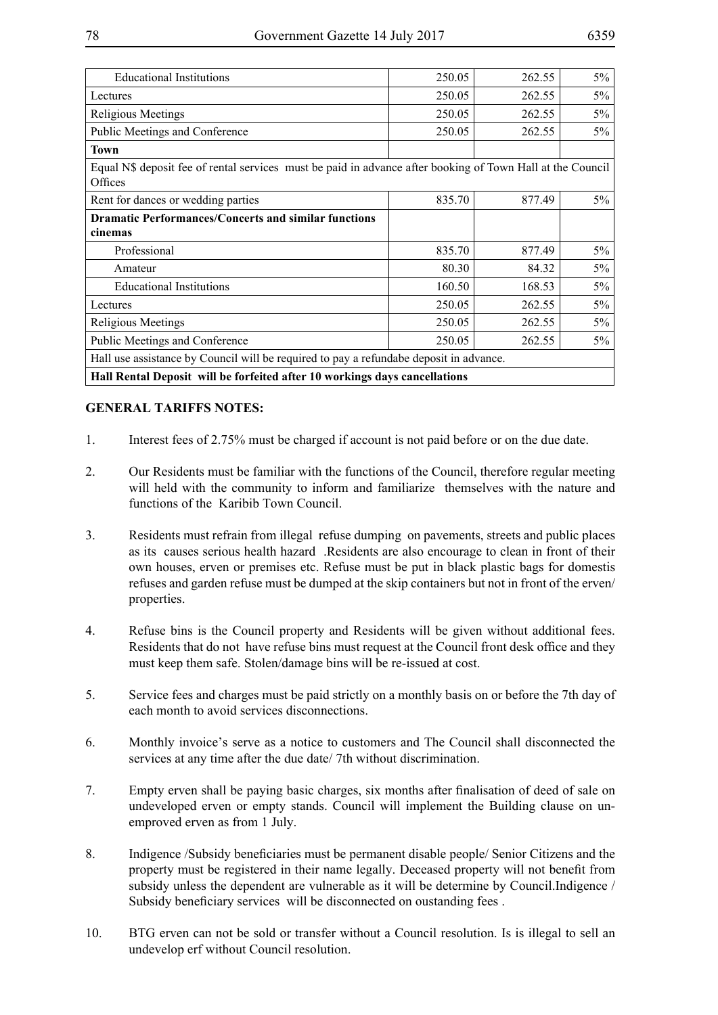| <b>Educational Institutions</b>                                                                                       | 250.05 | 262.55 | $5\%$ |
|-----------------------------------------------------------------------------------------------------------------------|--------|--------|-------|
| Lectures                                                                                                              | 250.05 | 262.55 | $5\%$ |
| Religious Meetings                                                                                                    | 250.05 | 262.55 | 5%    |
| Public Meetings and Conference                                                                                        | 250.05 | 262.55 | 5%    |
| <b>Town</b>                                                                                                           |        |        |       |
| Equal N\$ deposit fee of rental services must be paid in advance after booking of Town Hall at the Council<br>Offices |        |        |       |
| Rent for dances or wedding parties                                                                                    | 835.70 | 877.49 | $5\%$ |
| <b>Dramatic Performances/Concerts and similar functions</b>                                                           |        |        |       |
| cinemas                                                                                                               |        |        |       |
| Professional                                                                                                          | 835.70 | 877.49 | $5\%$ |
| Amateur                                                                                                               | 80.30  | 84.32  | 5%    |
| <b>Educational Institutions</b>                                                                                       | 160.50 | 168.53 | $5\%$ |
| Lectures                                                                                                              | 250.05 | 262.55 | $5\%$ |
| Religious Meetings                                                                                                    | 250.05 | 262.55 | 5%    |
| Public Meetings and Conference                                                                                        | 250.05 | 262.55 | 5%    |
| Hall use assistance by Council will be required to pay a refundabe deposit in advance.                                |        |        |       |
| Hall Rental Deposit will be forfeited after 10 workings days cancellations                                            |        |        |       |

### **GENERAL TARIFFS NOTES:**

- 1. Interest fees of 2.75% must be charged if account is not paid before or on the due date.
- 2. Our Residents must be familiar with the functions of the Council, therefore regular meeting will held with the community to inform and familiarize themselves with the nature and functions of the Karibib Town Council.
- 3. Residents must refrain from illegal refuse dumping on pavements, streets and public places as its causes serious health hazard .Residents are also encourage to clean in front of their own houses, erven or premises etc. Refuse must be put in black plastic bags for domestis refuses and garden refuse must be dumped at the skip containers but not in front of the erven/ properties.
- 4. Refuse bins is the Council property and Residents will be given without additional fees. Residents that do not have refuse bins must request at the Council front desk office and they must keep them safe. Stolen/damage bins will be re-issued at cost.
- 5. Service fees and charges must be paid strictly on a monthly basis on or before the 7th day of each month to avoid services disconnections.
- 6. Monthly invoice's serve as a notice to customers and The Council shall disconnected the services at any time after the due date/ 7th without discrimination.
- 7. Empty erven shall be paying basic charges, six months after finalisation of deed of sale on undeveloped erven or empty stands. Council will implement the Building clause on unemproved erven as from 1 July.
- 8. Indigence /Subsidy beneficiaries must be permanent disable people/ Senior Citizens and the property must be registered in their name legally. Deceased property will not benefit from subsidy unless the dependent are vulnerable as it will be determine by Council.Indigence / Subsidy beneficiary services will be disconnected on oustanding fees .
- 10. BTG erven can not be sold or transfer without a Council resolution. Is is illegal to sell an undevelop erf without Council resolution.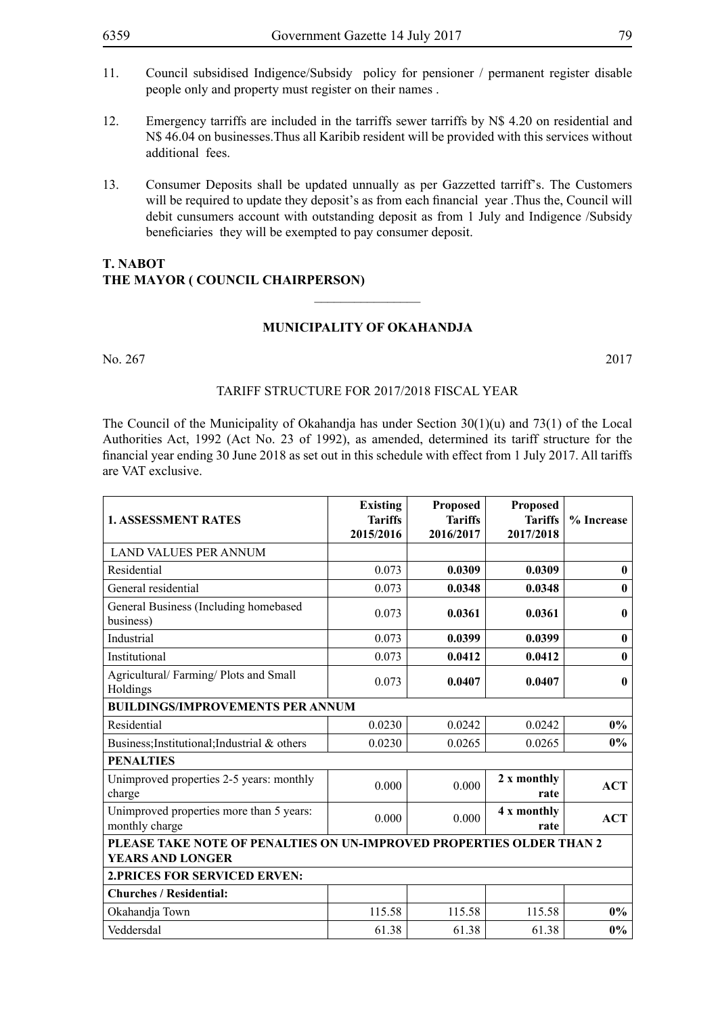13. Consumer Deposits shall be updated unnually as per Gazzetted tarriff's. The Customers will be required to update they deposit's as from each financial year. Thus the, Council will debit cunsumers account with outstanding deposit as from 1 July and Indigence /Subsidy beneficiaries they will be exempted to pay consumer deposit.

## **T. NABOT THE MAYOR ( COUNCIL CHAIRPERSON)**

## **MUNICIPALITY OF OKAHANDJA**

 $\frac{1}{2}$ 

No. 267 2017

#### TARIFF STRUCTURE FOR 2017/2018 FISCAL YEAR

The Council of the Municipality of Okahandja has under Section  $30(1)(u)$  and  $73(1)$  of the Local Authorities Act, 1992 (Act No. 23 of 1992), as amended, determined its tariff structure for the financial year ending 30 June 2018 as set out in this schedule with effect from 1 July 2017. All tariffs are VAT exclusive.

| <b>1. ASSESSMENT RATES</b>                                                                      | <b>Existing</b><br><b>Tariffs</b><br>2015/2016 | <b>Proposed</b><br><b>Tariffs</b><br>2016/2017 | Proposed<br><b>Tariffs</b><br>2017/2018 | % Increase       |
|-------------------------------------------------------------------------------------------------|------------------------------------------------|------------------------------------------------|-----------------------------------------|------------------|
| <b>LAND VALUES PER ANNUM</b>                                                                    |                                                |                                                |                                         |                  |
| Residential                                                                                     | 0.073                                          | 0.0309                                         | 0.0309                                  | $\bf{0}$         |
| General residential                                                                             | 0.073                                          | 0.0348                                         | 0.0348                                  | $\bf{0}$         |
| General Business (Including homebased<br>business)                                              | 0.073                                          | 0.0361                                         | 0.0361                                  | $\boldsymbol{0}$ |
| Industrial                                                                                      | 0.073                                          | 0.0399                                         | 0.0399                                  | $\bf{0}$         |
| Institutional                                                                                   | 0.073                                          | 0.0412                                         | 0.0412                                  | $\boldsymbol{0}$ |
| Agricultural/Farming/Plots and Small<br>Holdings                                                | 0.073                                          | 0.0407                                         | 0.0407                                  | $\mathbf{0}$     |
| <b>BUILDINGS/IMPROVEMENTS PER ANNUM</b>                                                         |                                                |                                                |                                         |                  |
| Residential                                                                                     | 0.0230                                         | 0.0242                                         | 0.0242                                  | $0\%$            |
| Business; Institutional; Industrial & others                                                    | 0.0230                                         | 0.0265                                         | 0.0265                                  | $0\%$            |
| <b>PENALTIES</b>                                                                                |                                                |                                                |                                         |                  |
| Unimproved properties 2-5 years: monthly<br>charge                                              | 0.000                                          | 0.000                                          | 2 x monthly<br>rate                     | <b>ACT</b>       |
| Unimproved properties more than 5 years:<br>monthly charge                                      | 0.000                                          | 0.000                                          | 4 x monthly<br>rate                     | <b>ACT</b>       |
| PLEASE TAKE NOTE OF PENALTIES ON UN-IMPROVED PROPERTIES OLDER THAN 2<br><b>YEARS AND LONGER</b> |                                                |                                                |                                         |                  |
| <b>2. PRICES FOR SERVICED ERVEN:</b>                                                            |                                                |                                                |                                         |                  |
| <b>Churches / Residential:</b>                                                                  |                                                |                                                |                                         |                  |
| Okahandja Town                                                                                  | 115.58                                         | 115.58                                         | 115.58                                  | $0\%$            |
| Veddersdal                                                                                      | 61.38                                          | 61.38                                          | 61.38                                   | $0\%$            |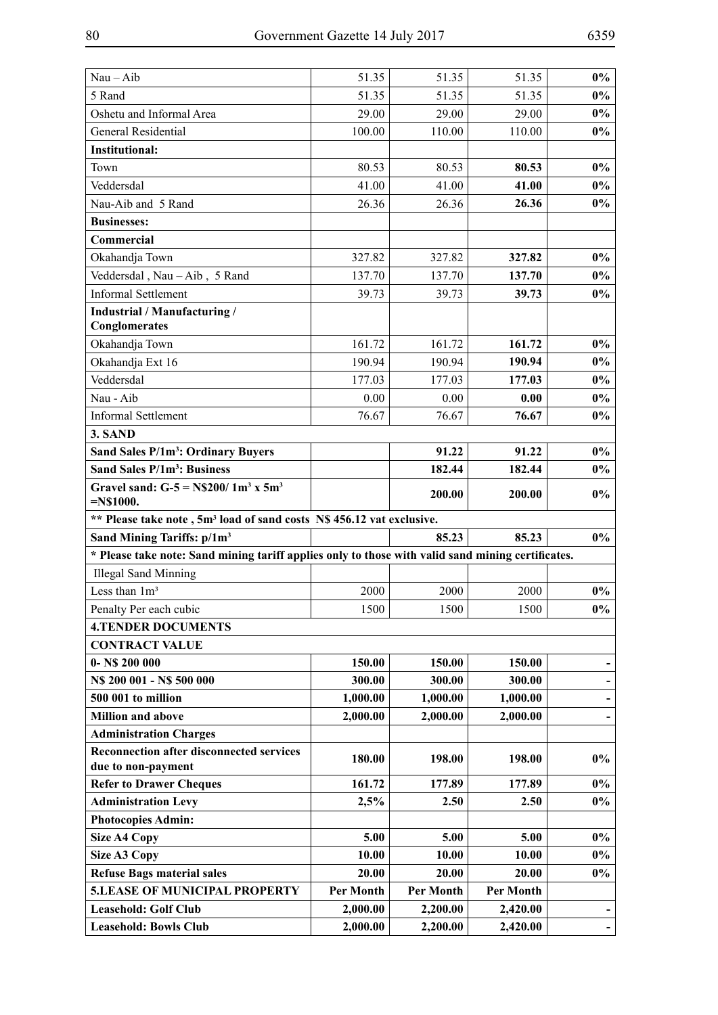| 5 Rand<br>51.35<br>$0\%$<br>51.35<br>51.35<br>Oshetu and Informal Area<br>$0\%$<br>29.00<br>29.00<br>29.00<br>$0\%$<br><b>General Residential</b><br>100.00<br>110.00<br>110.00<br><b>Institutional:</b><br>$0\%$<br>80.53<br>80.53<br>Town<br>80.53<br>Veddersdal<br>$0\%$<br>41.00<br>41.00<br>41.00<br>Nau-Aib and 5 Rand<br>$0\%$<br>26.36<br>26.36<br>26.36<br><b>Businesses:</b><br>Commercial<br>327.82<br>$0\%$<br>Okahandja Town<br>327.82<br>327.82<br>Veddersdal, Nau-Aib, 5 Rand<br>137.70<br>$0\%$<br>137.70<br>137.70<br><b>Informal Settlement</b><br>39.73<br>39.73<br>$0\%$<br>39.73<br>Industrial / Manufacturing /<br>Conglomerates<br>Okahandja Town<br>161.72<br>161.72<br>161.72<br>$0\%$<br>Okahandja Ext 16<br>190.94<br>190.94<br>190.94<br>$0\%$<br>Veddersdal<br>177.03<br>177.03<br>$0\%$<br>177.03<br>Nau - Aib<br>0.00<br>0.00<br>0.00<br>$0\%$<br><b>Informal Settlement</b><br>76.67<br>$0\%$<br>76.67<br>76.67<br>3. SAND<br>Sand Sales P/1m <sup>3</sup> : Ordinary Buyers<br>91.22<br>91.22<br>$0\%$<br>Sand Sales P/1m <sup>3</sup> : Business<br>182.44<br>182.44<br>$0\%$<br>Gravel sand: $G-5 = N$200/1m3 x 5m3$<br>$0\%$<br>200.00<br>200.00<br>$=N$1000.$<br>** Please take note, 5m <sup>3</sup> load of sand costs N\$ 456.12 vat exclusive.<br>Sand Mining Tariffs: p/1m <sup>3</sup><br>85.23<br>85.23<br>$0\%$<br>* Please take note: Sand mining tariff applies only to those with valid sand mining certificates.<br><b>Illegal Sand Minning</b><br>Less than 1m <sup>3</sup><br>$2000\,$<br>$0\%$<br>2000<br>2000<br>Penalty Per each cubic<br>1500<br>1500<br>1500<br>$0\%$<br><b>4.TENDER DOCUMENTS</b><br><b>CONTRACT VALUE</b><br>$0 - NS 200 000$<br>150.00<br>150.00<br>150.00<br>N\$ 200 001 - N\$ 500 000<br>300.00<br>300.00<br>300.00<br>500 001 to million<br>1,000.00<br>1,000.00<br>1,000.00<br><b>Million and above</b><br>2,000.00<br>2,000.00<br>2,000.00<br><b>Administration Charges</b><br><b>Reconnection after disconnected services</b><br>$0\%$<br>180.00<br>198.00<br>198.00<br>due to non-payment<br>$0\%$<br><b>Refer to Drawer Cheques</b><br>161.72<br>177.89<br>177.89<br><b>Administration Levy</b><br>$0\%$<br>2,5%<br>2.50<br>2.50<br><b>Photocopies Admin:</b><br><b>Size A4 Copy</b><br>5.00<br>5.00<br>5.00<br>$0\%$<br>10.00<br>10.00<br>$0\%$<br>Size A3 Copy<br>10.00<br><b>Refuse Bags material sales</b><br>20.00<br>20.00<br>20.00<br>$0\%$<br><b>5.LEASE OF MUNICIPAL PROPERTY</b><br>Per Month<br>Per Month<br>Per Month<br><b>Leasehold: Golf Club</b><br>2,000.00<br>2,200.00<br>2,420.00<br><b>Leasehold: Bowls Club</b><br>2,000.00<br>2,200.00<br>2,420.00 |             |       |       |       |       |
|-------------------------------------------------------------------------------------------------------------------------------------------------------------------------------------------------------------------------------------------------------------------------------------------------------------------------------------------------------------------------------------------------------------------------------------------------------------------------------------------------------------------------------------------------------------------------------------------------------------------------------------------------------------------------------------------------------------------------------------------------------------------------------------------------------------------------------------------------------------------------------------------------------------------------------------------------------------------------------------------------------------------------------------------------------------------------------------------------------------------------------------------------------------------------------------------------------------------------------------------------------------------------------------------------------------------------------------------------------------------------------------------------------------------------------------------------------------------------------------------------------------------------------------------------------------------------------------------------------------------------------------------------------------------------------------------------------------------------------------------------------------------------------------------------------------------------------------------------------------------------------------------------------------------------------------------------------------------------------------------------------------------------------------------------------------------------------------------------------------------------------------------------------------------------------------------------------------------------------------------------------------------------------------------------------------------------------------------------------------------------------------------------------------------------------------------------------------------------------------------------------------------------------------------------------------------------------------------------------------------------------------------------------------|-------------|-------|-------|-------|-------|
|                                                                                                                                                                                                                                                                                                                                                                                                                                                                                                                                                                                                                                                                                                                                                                                                                                                                                                                                                                                                                                                                                                                                                                                                                                                                                                                                                                                                                                                                                                                                                                                                                                                                                                                                                                                                                                                                                                                                                                                                                                                                                                                                                                                                                                                                                                                                                                                                                                                                                                                                                                                                                                                             | $Nau - Aib$ | 51.35 | 51.35 | 51.35 | $0\%$ |
|                                                                                                                                                                                                                                                                                                                                                                                                                                                                                                                                                                                                                                                                                                                                                                                                                                                                                                                                                                                                                                                                                                                                                                                                                                                                                                                                                                                                                                                                                                                                                                                                                                                                                                                                                                                                                                                                                                                                                                                                                                                                                                                                                                                                                                                                                                                                                                                                                                                                                                                                                                                                                                                             |             |       |       |       |       |
|                                                                                                                                                                                                                                                                                                                                                                                                                                                                                                                                                                                                                                                                                                                                                                                                                                                                                                                                                                                                                                                                                                                                                                                                                                                                                                                                                                                                                                                                                                                                                                                                                                                                                                                                                                                                                                                                                                                                                                                                                                                                                                                                                                                                                                                                                                                                                                                                                                                                                                                                                                                                                                                             |             |       |       |       |       |
|                                                                                                                                                                                                                                                                                                                                                                                                                                                                                                                                                                                                                                                                                                                                                                                                                                                                                                                                                                                                                                                                                                                                                                                                                                                                                                                                                                                                                                                                                                                                                                                                                                                                                                                                                                                                                                                                                                                                                                                                                                                                                                                                                                                                                                                                                                                                                                                                                                                                                                                                                                                                                                                             |             |       |       |       |       |
|                                                                                                                                                                                                                                                                                                                                                                                                                                                                                                                                                                                                                                                                                                                                                                                                                                                                                                                                                                                                                                                                                                                                                                                                                                                                                                                                                                                                                                                                                                                                                                                                                                                                                                                                                                                                                                                                                                                                                                                                                                                                                                                                                                                                                                                                                                                                                                                                                                                                                                                                                                                                                                                             |             |       |       |       |       |
|                                                                                                                                                                                                                                                                                                                                                                                                                                                                                                                                                                                                                                                                                                                                                                                                                                                                                                                                                                                                                                                                                                                                                                                                                                                                                                                                                                                                                                                                                                                                                                                                                                                                                                                                                                                                                                                                                                                                                                                                                                                                                                                                                                                                                                                                                                                                                                                                                                                                                                                                                                                                                                                             |             |       |       |       |       |
|                                                                                                                                                                                                                                                                                                                                                                                                                                                                                                                                                                                                                                                                                                                                                                                                                                                                                                                                                                                                                                                                                                                                                                                                                                                                                                                                                                                                                                                                                                                                                                                                                                                                                                                                                                                                                                                                                                                                                                                                                                                                                                                                                                                                                                                                                                                                                                                                                                                                                                                                                                                                                                                             |             |       |       |       |       |
|                                                                                                                                                                                                                                                                                                                                                                                                                                                                                                                                                                                                                                                                                                                                                                                                                                                                                                                                                                                                                                                                                                                                                                                                                                                                                                                                                                                                                                                                                                                                                                                                                                                                                                                                                                                                                                                                                                                                                                                                                                                                                                                                                                                                                                                                                                                                                                                                                                                                                                                                                                                                                                                             |             |       |       |       |       |
|                                                                                                                                                                                                                                                                                                                                                                                                                                                                                                                                                                                                                                                                                                                                                                                                                                                                                                                                                                                                                                                                                                                                                                                                                                                                                                                                                                                                                                                                                                                                                                                                                                                                                                                                                                                                                                                                                                                                                                                                                                                                                                                                                                                                                                                                                                                                                                                                                                                                                                                                                                                                                                                             |             |       |       |       |       |
|                                                                                                                                                                                                                                                                                                                                                                                                                                                                                                                                                                                                                                                                                                                                                                                                                                                                                                                                                                                                                                                                                                                                                                                                                                                                                                                                                                                                                                                                                                                                                                                                                                                                                                                                                                                                                                                                                                                                                                                                                                                                                                                                                                                                                                                                                                                                                                                                                                                                                                                                                                                                                                                             |             |       |       |       |       |
|                                                                                                                                                                                                                                                                                                                                                                                                                                                                                                                                                                                                                                                                                                                                                                                                                                                                                                                                                                                                                                                                                                                                                                                                                                                                                                                                                                                                                                                                                                                                                                                                                                                                                                                                                                                                                                                                                                                                                                                                                                                                                                                                                                                                                                                                                                                                                                                                                                                                                                                                                                                                                                                             |             |       |       |       |       |
|                                                                                                                                                                                                                                                                                                                                                                                                                                                                                                                                                                                                                                                                                                                                                                                                                                                                                                                                                                                                                                                                                                                                                                                                                                                                                                                                                                                                                                                                                                                                                                                                                                                                                                                                                                                                                                                                                                                                                                                                                                                                                                                                                                                                                                                                                                                                                                                                                                                                                                                                                                                                                                                             |             |       |       |       |       |
|                                                                                                                                                                                                                                                                                                                                                                                                                                                                                                                                                                                                                                                                                                                                                                                                                                                                                                                                                                                                                                                                                                                                                                                                                                                                                                                                                                                                                                                                                                                                                                                                                                                                                                                                                                                                                                                                                                                                                                                                                                                                                                                                                                                                                                                                                                                                                                                                                                                                                                                                                                                                                                                             |             |       |       |       |       |
|                                                                                                                                                                                                                                                                                                                                                                                                                                                                                                                                                                                                                                                                                                                                                                                                                                                                                                                                                                                                                                                                                                                                                                                                                                                                                                                                                                                                                                                                                                                                                                                                                                                                                                                                                                                                                                                                                                                                                                                                                                                                                                                                                                                                                                                                                                                                                                                                                                                                                                                                                                                                                                                             |             |       |       |       |       |
|                                                                                                                                                                                                                                                                                                                                                                                                                                                                                                                                                                                                                                                                                                                                                                                                                                                                                                                                                                                                                                                                                                                                                                                                                                                                                                                                                                                                                                                                                                                                                                                                                                                                                                                                                                                                                                                                                                                                                                                                                                                                                                                                                                                                                                                                                                                                                                                                                                                                                                                                                                                                                                                             |             |       |       |       |       |
|                                                                                                                                                                                                                                                                                                                                                                                                                                                                                                                                                                                                                                                                                                                                                                                                                                                                                                                                                                                                                                                                                                                                                                                                                                                                                                                                                                                                                                                                                                                                                                                                                                                                                                                                                                                                                                                                                                                                                                                                                                                                                                                                                                                                                                                                                                                                                                                                                                                                                                                                                                                                                                                             |             |       |       |       |       |
|                                                                                                                                                                                                                                                                                                                                                                                                                                                                                                                                                                                                                                                                                                                                                                                                                                                                                                                                                                                                                                                                                                                                                                                                                                                                                                                                                                                                                                                                                                                                                                                                                                                                                                                                                                                                                                                                                                                                                                                                                                                                                                                                                                                                                                                                                                                                                                                                                                                                                                                                                                                                                                                             |             |       |       |       |       |
|                                                                                                                                                                                                                                                                                                                                                                                                                                                                                                                                                                                                                                                                                                                                                                                                                                                                                                                                                                                                                                                                                                                                                                                                                                                                                                                                                                                                                                                                                                                                                                                                                                                                                                                                                                                                                                                                                                                                                                                                                                                                                                                                                                                                                                                                                                                                                                                                                                                                                                                                                                                                                                                             |             |       |       |       |       |
|                                                                                                                                                                                                                                                                                                                                                                                                                                                                                                                                                                                                                                                                                                                                                                                                                                                                                                                                                                                                                                                                                                                                                                                                                                                                                                                                                                                                                                                                                                                                                                                                                                                                                                                                                                                                                                                                                                                                                                                                                                                                                                                                                                                                                                                                                                                                                                                                                                                                                                                                                                                                                                                             |             |       |       |       |       |
|                                                                                                                                                                                                                                                                                                                                                                                                                                                                                                                                                                                                                                                                                                                                                                                                                                                                                                                                                                                                                                                                                                                                                                                                                                                                                                                                                                                                                                                                                                                                                                                                                                                                                                                                                                                                                                                                                                                                                                                                                                                                                                                                                                                                                                                                                                                                                                                                                                                                                                                                                                                                                                                             |             |       |       |       |       |
|                                                                                                                                                                                                                                                                                                                                                                                                                                                                                                                                                                                                                                                                                                                                                                                                                                                                                                                                                                                                                                                                                                                                                                                                                                                                                                                                                                                                                                                                                                                                                                                                                                                                                                                                                                                                                                                                                                                                                                                                                                                                                                                                                                                                                                                                                                                                                                                                                                                                                                                                                                                                                                                             |             |       |       |       |       |
|                                                                                                                                                                                                                                                                                                                                                                                                                                                                                                                                                                                                                                                                                                                                                                                                                                                                                                                                                                                                                                                                                                                                                                                                                                                                                                                                                                                                                                                                                                                                                                                                                                                                                                                                                                                                                                                                                                                                                                                                                                                                                                                                                                                                                                                                                                                                                                                                                                                                                                                                                                                                                                                             |             |       |       |       |       |
|                                                                                                                                                                                                                                                                                                                                                                                                                                                                                                                                                                                                                                                                                                                                                                                                                                                                                                                                                                                                                                                                                                                                                                                                                                                                                                                                                                                                                                                                                                                                                                                                                                                                                                                                                                                                                                                                                                                                                                                                                                                                                                                                                                                                                                                                                                                                                                                                                                                                                                                                                                                                                                                             |             |       |       |       |       |
|                                                                                                                                                                                                                                                                                                                                                                                                                                                                                                                                                                                                                                                                                                                                                                                                                                                                                                                                                                                                                                                                                                                                                                                                                                                                                                                                                                                                                                                                                                                                                                                                                                                                                                                                                                                                                                                                                                                                                                                                                                                                                                                                                                                                                                                                                                                                                                                                                                                                                                                                                                                                                                                             |             |       |       |       |       |
|                                                                                                                                                                                                                                                                                                                                                                                                                                                                                                                                                                                                                                                                                                                                                                                                                                                                                                                                                                                                                                                                                                                                                                                                                                                                                                                                                                                                                                                                                                                                                                                                                                                                                                                                                                                                                                                                                                                                                                                                                                                                                                                                                                                                                                                                                                                                                                                                                                                                                                                                                                                                                                                             |             |       |       |       |       |
|                                                                                                                                                                                                                                                                                                                                                                                                                                                                                                                                                                                                                                                                                                                                                                                                                                                                                                                                                                                                                                                                                                                                                                                                                                                                                                                                                                                                                                                                                                                                                                                                                                                                                                                                                                                                                                                                                                                                                                                                                                                                                                                                                                                                                                                                                                                                                                                                                                                                                                                                                                                                                                                             |             |       |       |       |       |
|                                                                                                                                                                                                                                                                                                                                                                                                                                                                                                                                                                                                                                                                                                                                                                                                                                                                                                                                                                                                                                                                                                                                                                                                                                                                                                                                                                                                                                                                                                                                                                                                                                                                                                                                                                                                                                                                                                                                                                                                                                                                                                                                                                                                                                                                                                                                                                                                                                                                                                                                                                                                                                                             |             |       |       |       |       |
|                                                                                                                                                                                                                                                                                                                                                                                                                                                                                                                                                                                                                                                                                                                                                                                                                                                                                                                                                                                                                                                                                                                                                                                                                                                                                                                                                                                                                                                                                                                                                                                                                                                                                                                                                                                                                                                                                                                                                                                                                                                                                                                                                                                                                                                                                                                                                                                                                                                                                                                                                                                                                                                             |             |       |       |       |       |
|                                                                                                                                                                                                                                                                                                                                                                                                                                                                                                                                                                                                                                                                                                                                                                                                                                                                                                                                                                                                                                                                                                                                                                                                                                                                                                                                                                                                                                                                                                                                                                                                                                                                                                                                                                                                                                                                                                                                                                                                                                                                                                                                                                                                                                                                                                                                                                                                                                                                                                                                                                                                                                                             |             |       |       |       |       |
|                                                                                                                                                                                                                                                                                                                                                                                                                                                                                                                                                                                                                                                                                                                                                                                                                                                                                                                                                                                                                                                                                                                                                                                                                                                                                                                                                                                                                                                                                                                                                                                                                                                                                                                                                                                                                                                                                                                                                                                                                                                                                                                                                                                                                                                                                                                                                                                                                                                                                                                                                                                                                                                             |             |       |       |       |       |
|                                                                                                                                                                                                                                                                                                                                                                                                                                                                                                                                                                                                                                                                                                                                                                                                                                                                                                                                                                                                                                                                                                                                                                                                                                                                                                                                                                                                                                                                                                                                                                                                                                                                                                                                                                                                                                                                                                                                                                                                                                                                                                                                                                                                                                                                                                                                                                                                                                                                                                                                                                                                                                                             |             |       |       |       |       |
|                                                                                                                                                                                                                                                                                                                                                                                                                                                                                                                                                                                                                                                                                                                                                                                                                                                                                                                                                                                                                                                                                                                                                                                                                                                                                                                                                                                                                                                                                                                                                                                                                                                                                                                                                                                                                                                                                                                                                                                                                                                                                                                                                                                                                                                                                                                                                                                                                                                                                                                                                                                                                                                             |             |       |       |       |       |
|                                                                                                                                                                                                                                                                                                                                                                                                                                                                                                                                                                                                                                                                                                                                                                                                                                                                                                                                                                                                                                                                                                                                                                                                                                                                                                                                                                                                                                                                                                                                                                                                                                                                                                                                                                                                                                                                                                                                                                                                                                                                                                                                                                                                                                                                                                                                                                                                                                                                                                                                                                                                                                                             |             |       |       |       |       |
|                                                                                                                                                                                                                                                                                                                                                                                                                                                                                                                                                                                                                                                                                                                                                                                                                                                                                                                                                                                                                                                                                                                                                                                                                                                                                                                                                                                                                                                                                                                                                                                                                                                                                                                                                                                                                                                                                                                                                                                                                                                                                                                                                                                                                                                                                                                                                                                                                                                                                                                                                                                                                                                             |             |       |       |       |       |
|                                                                                                                                                                                                                                                                                                                                                                                                                                                                                                                                                                                                                                                                                                                                                                                                                                                                                                                                                                                                                                                                                                                                                                                                                                                                                                                                                                                                                                                                                                                                                                                                                                                                                                                                                                                                                                                                                                                                                                                                                                                                                                                                                                                                                                                                                                                                                                                                                                                                                                                                                                                                                                                             |             |       |       |       |       |
|                                                                                                                                                                                                                                                                                                                                                                                                                                                                                                                                                                                                                                                                                                                                                                                                                                                                                                                                                                                                                                                                                                                                                                                                                                                                                                                                                                                                                                                                                                                                                                                                                                                                                                                                                                                                                                                                                                                                                                                                                                                                                                                                                                                                                                                                                                                                                                                                                                                                                                                                                                                                                                                             |             |       |       |       |       |
|                                                                                                                                                                                                                                                                                                                                                                                                                                                                                                                                                                                                                                                                                                                                                                                                                                                                                                                                                                                                                                                                                                                                                                                                                                                                                                                                                                                                                                                                                                                                                                                                                                                                                                                                                                                                                                                                                                                                                                                                                                                                                                                                                                                                                                                                                                                                                                                                                                                                                                                                                                                                                                                             |             |       |       |       |       |
|                                                                                                                                                                                                                                                                                                                                                                                                                                                                                                                                                                                                                                                                                                                                                                                                                                                                                                                                                                                                                                                                                                                                                                                                                                                                                                                                                                                                                                                                                                                                                                                                                                                                                                                                                                                                                                                                                                                                                                                                                                                                                                                                                                                                                                                                                                                                                                                                                                                                                                                                                                                                                                                             |             |       |       |       |       |
|                                                                                                                                                                                                                                                                                                                                                                                                                                                                                                                                                                                                                                                                                                                                                                                                                                                                                                                                                                                                                                                                                                                                                                                                                                                                                                                                                                                                                                                                                                                                                                                                                                                                                                                                                                                                                                                                                                                                                                                                                                                                                                                                                                                                                                                                                                                                                                                                                                                                                                                                                                                                                                                             |             |       |       |       |       |
|                                                                                                                                                                                                                                                                                                                                                                                                                                                                                                                                                                                                                                                                                                                                                                                                                                                                                                                                                                                                                                                                                                                                                                                                                                                                                                                                                                                                                                                                                                                                                                                                                                                                                                                                                                                                                                                                                                                                                                                                                                                                                                                                                                                                                                                                                                                                                                                                                                                                                                                                                                                                                                                             |             |       |       |       |       |
|                                                                                                                                                                                                                                                                                                                                                                                                                                                                                                                                                                                                                                                                                                                                                                                                                                                                                                                                                                                                                                                                                                                                                                                                                                                                                                                                                                                                                                                                                                                                                                                                                                                                                                                                                                                                                                                                                                                                                                                                                                                                                                                                                                                                                                                                                                                                                                                                                                                                                                                                                                                                                                                             |             |       |       |       |       |
|                                                                                                                                                                                                                                                                                                                                                                                                                                                                                                                                                                                                                                                                                                                                                                                                                                                                                                                                                                                                                                                                                                                                                                                                                                                                                                                                                                                                                                                                                                                                                                                                                                                                                                                                                                                                                                                                                                                                                                                                                                                                                                                                                                                                                                                                                                                                                                                                                                                                                                                                                                                                                                                             |             |       |       |       |       |
|                                                                                                                                                                                                                                                                                                                                                                                                                                                                                                                                                                                                                                                                                                                                                                                                                                                                                                                                                                                                                                                                                                                                                                                                                                                                                                                                                                                                                                                                                                                                                                                                                                                                                                                                                                                                                                                                                                                                                                                                                                                                                                                                                                                                                                                                                                                                                                                                                                                                                                                                                                                                                                                             |             |       |       |       |       |
|                                                                                                                                                                                                                                                                                                                                                                                                                                                                                                                                                                                                                                                                                                                                                                                                                                                                                                                                                                                                                                                                                                                                                                                                                                                                                                                                                                                                                                                                                                                                                                                                                                                                                                                                                                                                                                                                                                                                                                                                                                                                                                                                                                                                                                                                                                                                                                                                                                                                                                                                                                                                                                                             |             |       |       |       |       |
|                                                                                                                                                                                                                                                                                                                                                                                                                                                                                                                                                                                                                                                                                                                                                                                                                                                                                                                                                                                                                                                                                                                                                                                                                                                                                                                                                                                                                                                                                                                                                                                                                                                                                                                                                                                                                                                                                                                                                                                                                                                                                                                                                                                                                                                                                                                                                                                                                                                                                                                                                                                                                                                             |             |       |       |       |       |
|                                                                                                                                                                                                                                                                                                                                                                                                                                                                                                                                                                                                                                                                                                                                                                                                                                                                                                                                                                                                                                                                                                                                                                                                                                                                                                                                                                                                                                                                                                                                                                                                                                                                                                                                                                                                                                                                                                                                                                                                                                                                                                                                                                                                                                                                                                                                                                                                                                                                                                                                                                                                                                                             |             |       |       |       |       |
|                                                                                                                                                                                                                                                                                                                                                                                                                                                                                                                                                                                                                                                                                                                                                                                                                                                                                                                                                                                                                                                                                                                                                                                                                                                                                                                                                                                                                                                                                                                                                                                                                                                                                                                                                                                                                                                                                                                                                                                                                                                                                                                                                                                                                                                                                                                                                                                                                                                                                                                                                                                                                                                             |             |       |       |       |       |
|                                                                                                                                                                                                                                                                                                                                                                                                                                                                                                                                                                                                                                                                                                                                                                                                                                                                                                                                                                                                                                                                                                                                                                                                                                                                                                                                                                                                                                                                                                                                                                                                                                                                                                                                                                                                                                                                                                                                                                                                                                                                                                                                                                                                                                                                                                                                                                                                                                                                                                                                                                                                                                                             |             |       |       |       |       |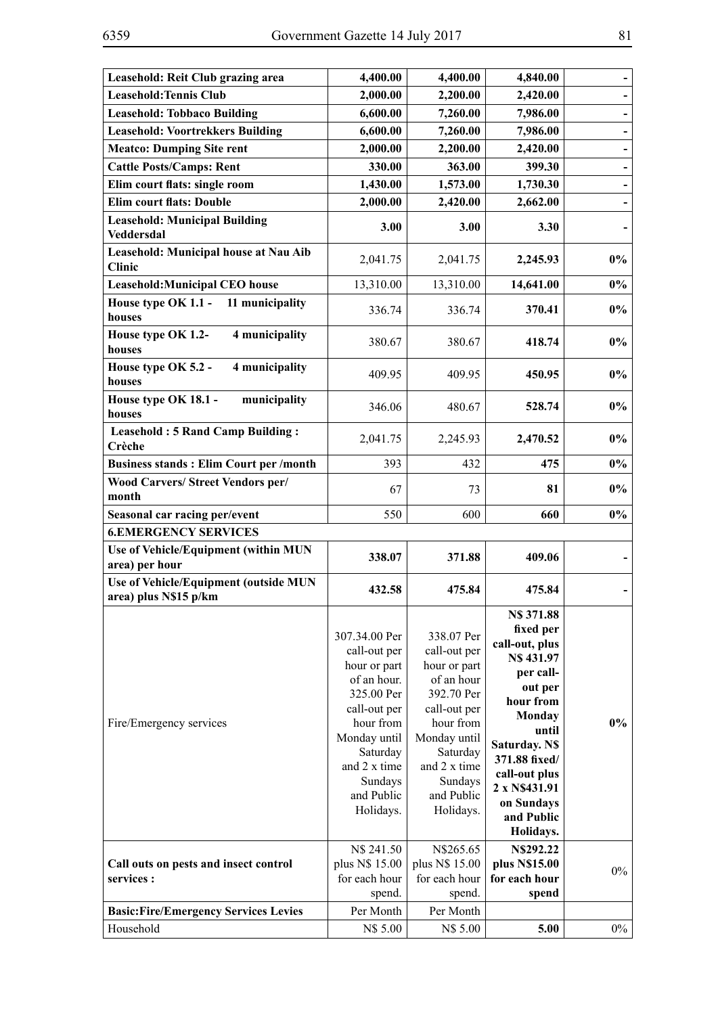| Leasehold: Reit Club grazing area                                     | 4,400.00                                                                                                                                                                                                | 4,400.00                                                                                                                                                                                           | 4,840.00                                                                                                                                                                                                                                        |       |
|-----------------------------------------------------------------------|---------------------------------------------------------------------------------------------------------------------------------------------------------------------------------------------------------|----------------------------------------------------------------------------------------------------------------------------------------------------------------------------------------------------|-------------------------------------------------------------------------------------------------------------------------------------------------------------------------------------------------------------------------------------------------|-------|
| <b>Leasehold: Tennis Club</b>                                         | 2,000.00                                                                                                                                                                                                | 2,200.00                                                                                                                                                                                           | 2,420.00                                                                                                                                                                                                                                        |       |
| <b>Leasehold: Tobbaco Building</b>                                    | 6,600.00                                                                                                                                                                                                | 7,260.00                                                                                                                                                                                           | 7,986.00                                                                                                                                                                                                                                        | -     |
| <b>Leasehold: Voortrekkers Building</b>                               | 6,600.00                                                                                                                                                                                                | 7,260.00                                                                                                                                                                                           | 7,986.00                                                                                                                                                                                                                                        |       |
| <b>Meatco: Dumping Site rent</b>                                      | 2,000.00                                                                                                                                                                                                | 2,200.00                                                                                                                                                                                           | 2,420.00                                                                                                                                                                                                                                        |       |
| <b>Cattle Posts/Camps: Rent</b>                                       | 330.00                                                                                                                                                                                                  | 363.00                                                                                                                                                                                             | 399.30                                                                                                                                                                                                                                          |       |
| Elim court flats: single room                                         | 1,430.00                                                                                                                                                                                                | 1,573.00                                                                                                                                                                                           | 1,730.30                                                                                                                                                                                                                                        |       |
| <b>Elim court flats: Double</b>                                       | 2,000.00                                                                                                                                                                                                | 2,420.00                                                                                                                                                                                           | 2,662.00                                                                                                                                                                                                                                        |       |
| <b>Leasehold: Municipal Building</b><br>Veddersdal                    | 3.00                                                                                                                                                                                                    | 3.00                                                                                                                                                                                               | 3.30                                                                                                                                                                                                                                            |       |
| Leasehold: Municipal house at Nau Aib<br><b>Clinic</b>                | 2,041.75                                                                                                                                                                                                | 2,041.75                                                                                                                                                                                           | 2,245.93                                                                                                                                                                                                                                        | $0\%$ |
| <b>Leasehold: Municipal CEO house</b>                                 | 13,310.00                                                                                                                                                                                               | 13,310.00                                                                                                                                                                                          | 14,641.00                                                                                                                                                                                                                                       | $0\%$ |
| House type OK 1.1 -<br>11 municipality<br>houses                      | 336.74                                                                                                                                                                                                  | 336.74                                                                                                                                                                                             | 370.41                                                                                                                                                                                                                                          | $0\%$ |
| House type OK 1.2-<br>4 municipality<br>houses                        | 380.67                                                                                                                                                                                                  | 380.67                                                                                                                                                                                             | 418.74                                                                                                                                                                                                                                          | $0\%$ |
| House type OK 5.2 -<br>4 municipality<br>houses                       | 409.95                                                                                                                                                                                                  | 409.95                                                                                                                                                                                             | 450.95                                                                                                                                                                                                                                          | $0\%$ |
| House type OK 18.1 -<br>municipality<br>houses                        | 346.06                                                                                                                                                                                                  | 480.67                                                                                                                                                                                             | 528.74                                                                                                                                                                                                                                          | $0\%$ |
| <b>Leasehold: 5 Rand Camp Building:</b><br>Crèche                     | 2,041.75                                                                                                                                                                                                | 2,245.93                                                                                                                                                                                           | 2,470.52                                                                                                                                                                                                                                        | $0\%$ |
| <b>Business stands: Elim Court per /month</b>                         | 393                                                                                                                                                                                                     | 432                                                                                                                                                                                                | 475                                                                                                                                                                                                                                             | $0\%$ |
| <b>Wood Carvers/ Street Vendors per/</b><br>month                     | 67                                                                                                                                                                                                      | 73                                                                                                                                                                                                 | 81                                                                                                                                                                                                                                              | $0\%$ |
| Seasonal car racing per/event                                         | 550                                                                                                                                                                                                     | 600                                                                                                                                                                                                | 660                                                                                                                                                                                                                                             | $0\%$ |
| <b>6.EMERGENCY SERVICES</b>                                           |                                                                                                                                                                                                         |                                                                                                                                                                                                    |                                                                                                                                                                                                                                                 |       |
| Use of Vehicle/Equipment (within MUN<br>area) per hour                | 338.07                                                                                                                                                                                                  | 371.88                                                                                                                                                                                             | 409.06                                                                                                                                                                                                                                          |       |
| <b>Use of Vehicle/Equipment (outside MUN</b><br>area) plus N\$15 p/km | 432.58                                                                                                                                                                                                  | 475.84                                                                                                                                                                                             | 475.84                                                                                                                                                                                                                                          |       |
| Fire/Emergency services                                               | 307.34.00 Per<br>call-out per<br>hour or part<br>of an hour.<br>325.00 Per<br>call-out per<br>hour from<br>Monday until<br>Saturday<br>and 2 x time<br>Sundays<br>and Public<br>Holidays.<br>N\$ 241.50 | 338.07 Per<br>call-out per<br>hour or part<br>of an hour<br>392.70 Per<br>call-out per<br>hour from<br>Monday until<br>Saturday<br>and 2 x time<br>Sundays<br>and Public<br>Holidays.<br>N\$265.65 | N\$ 371.88<br>fixed per<br>call-out, plus<br>N\$431.97<br>per call-<br>out per<br>hour from<br>Monday<br>until<br><b>Saturday. N\$</b><br>371.88 fixed/<br>call-out plus<br>2 x N\$431.91<br>on Sundays<br>and Public<br>Holidays.<br>N\$292.22 | $0\%$ |
| Call outs on pests and insect control                                 | plus N\$ 15.00                                                                                                                                                                                          | plus N\$ 15.00                                                                                                                                                                                     | plus N\$15.00                                                                                                                                                                                                                                   | $0\%$ |
| services :                                                            | for each hour<br>spend.                                                                                                                                                                                 | for each hour<br>spend.                                                                                                                                                                            | for each hour<br>spend                                                                                                                                                                                                                          |       |
| <b>Basic:Fire/Emergency Services Levies</b>                           | Per Month                                                                                                                                                                                               | Per Month                                                                                                                                                                                          |                                                                                                                                                                                                                                                 |       |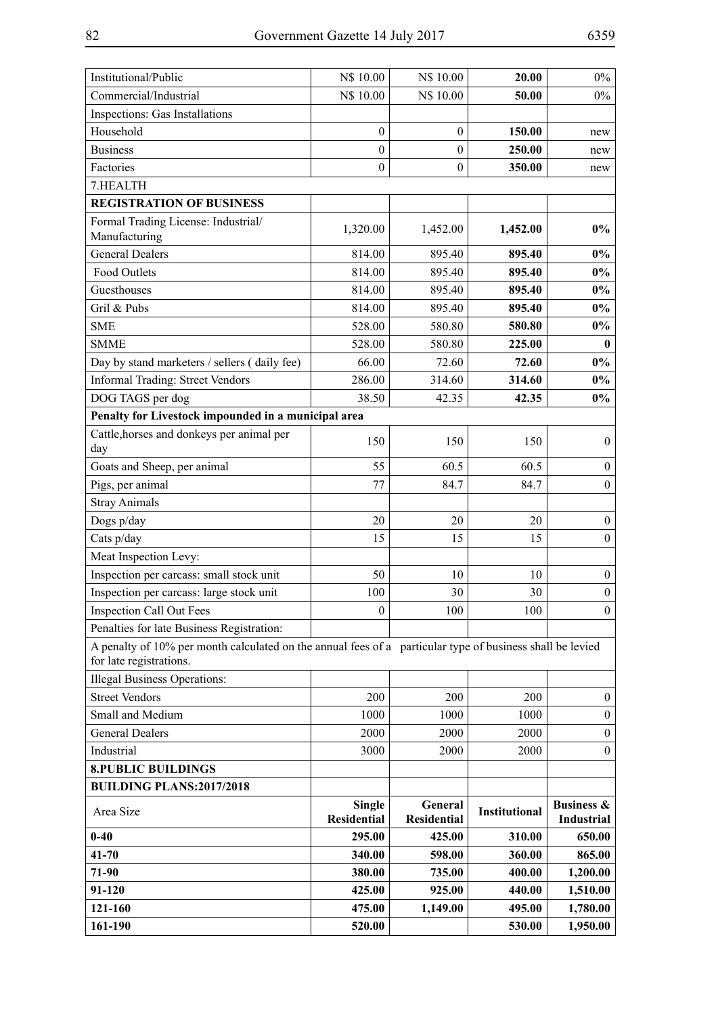| Institutional/Public                                                                                      | N\$ 10.00                           | N\$ 10.00                     | 20.00                | $0\%$                                      |
|-----------------------------------------------------------------------------------------------------------|-------------------------------------|-------------------------------|----------------------|--------------------------------------------|
| Commercial/Industrial                                                                                     | N\$ 10.00                           | N\$ 10.00                     | 50.00                | $0\%$                                      |
| Inspections: Gas Installations                                                                            |                                     |                               |                      |                                            |
| Household                                                                                                 | $\boldsymbol{0}$                    | $\overline{0}$                | 150.00               | new                                        |
| <b>Business</b>                                                                                           | $\boldsymbol{0}$                    | $\boldsymbol{0}$              | 250.00               | new                                        |
| Factories                                                                                                 | $\boldsymbol{0}$                    | $\boldsymbol{0}$              | 350.00               | new                                        |
| 7.HEALTH                                                                                                  |                                     |                               |                      |                                            |
| <b>REGISTRATION OF BUSINESS</b>                                                                           |                                     |                               |                      |                                            |
| Formal Trading License: Industrial/<br>Manufacturing                                                      | 1,320.00                            | 1,452.00                      | 1,452.00             | $0\%$                                      |
| <b>General Dealers</b>                                                                                    | 814.00                              | 895.40                        | 895.40               | $0\%$                                      |
| Food Outlets                                                                                              | 814.00                              | 895.40                        | 895.40               | $0\%$                                      |
| Guesthouses                                                                                               | 814.00                              | 895.40                        | 895.40               | $0\%$                                      |
| Gril & Pubs                                                                                               | 814.00                              | 895.40                        | 895.40               | $0\%$                                      |
| <b>SME</b>                                                                                                | 528.00                              | 580.80                        | 580.80               | $0\%$                                      |
| <b>SMME</b>                                                                                               | 528.00                              | 580.80                        | 225.00               | $\bf{0}$                                   |
| Day by stand marketers / sellers (daily fee)                                                              | 66.00                               | 72.60                         | 72.60                | $0\%$                                      |
| <b>Informal Trading: Street Vendors</b>                                                                   | 286.00                              | 314.60                        | 314.60               | $0\%$                                      |
| DOG TAGS per dog                                                                                          | 38.50                               | 42.35                         | 42.35                | $0\%$                                      |
| Penalty for Livestock impounded in a municipal area                                                       |                                     |                               |                      |                                            |
| Cattle, horses and donkeys per animal per                                                                 |                                     |                               |                      |                                            |
| day                                                                                                       | 150                                 | 150                           | 150                  | $\boldsymbol{0}$                           |
| Goats and Sheep, per animal                                                                               | 55                                  | 60.5                          | 60.5                 | $\boldsymbol{0}$                           |
| Pigs, per animal                                                                                          | 77                                  | 84.7                          | 84.7                 | $\mathbf{0}$                               |
| <b>Stray Animals</b>                                                                                      |                                     |                               |                      |                                            |
| Dogs p/day                                                                                                | 20                                  | 20                            | 20                   | $\boldsymbol{0}$                           |
| Cats p/day                                                                                                | 15                                  | 15                            | 15                   | $\boldsymbol{0}$                           |
| Meat Inspection Levy:                                                                                     |                                     |                               |                      |                                            |
| Inspection per carcass: small stock unit                                                                  | 50                                  | 10                            | 10                   | $\boldsymbol{0}$                           |
| Inspection per carcass: large stock unit                                                                  | 100                                 | 30                            | 30                   | $\boldsymbol{0}$                           |
| <b>Inspection Call Out Fees</b>                                                                           | $\bf{0}$                            | 100                           | 100                  | $\theta$                                   |
| Penalties for late Business Registration:                                                                 |                                     |                               |                      |                                            |
| A penalty of 10% per month calculated on the annual fees of a particular type of business shall be levied |                                     |                               |                      |                                            |
| for late registrations.                                                                                   |                                     |                               |                      |                                            |
| <b>Illegal Business Operations:</b>                                                                       |                                     |                               |                      |                                            |
| <b>Street Vendors</b>                                                                                     | 200                                 | 200                           | 200                  | $\boldsymbol{0}$                           |
| Small and Medium                                                                                          | 1000                                | 1000                          | 1000                 | $\boldsymbol{0}$                           |
| <b>General Dealers</b>                                                                                    | 2000                                | 2000                          | 2000                 | $\boldsymbol{0}$                           |
| Industrial                                                                                                | 3000                                | 2000                          | 2000                 | $\boldsymbol{0}$                           |
| <b>8.PUBLIC BUILDINGS</b>                                                                                 |                                     |                               |                      |                                            |
| <b>BUILDING PLANS:2017/2018</b>                                                                           |                                     |                               |                      |                                            |
| Area Size                                                                                                 | <b>Single</b><br><b>Residential</b> | General<br><b>Residential</b> | <b>Institutional</b> | <b>Business &amp;</b><br><b>Industrial</b> |
| $0 - 40$                                                                                                  | 295.00                              | 425.00                        | 310.00               | 650.00                                     |
| $41 - 70$                                                                                                 | 340.00                              | 598.00                        | 360.00               | 865.00                                     |
| 71-90                                                                                                     | 380.00                              | 735.00                        | 400.00               | 1,200.00                                   |
| 91-120                                                                                                    | 425.00                              | 925.00                        | 440.00               | 1,510.00                                   |
| 121-160                                                                                                   | 475.00                              | 1,149.00                      | 495.00               | 1,780.00                                   |
| 161-190                                                                                                   | 520.00                              |                               | 530.00               | 1,950.00                                   |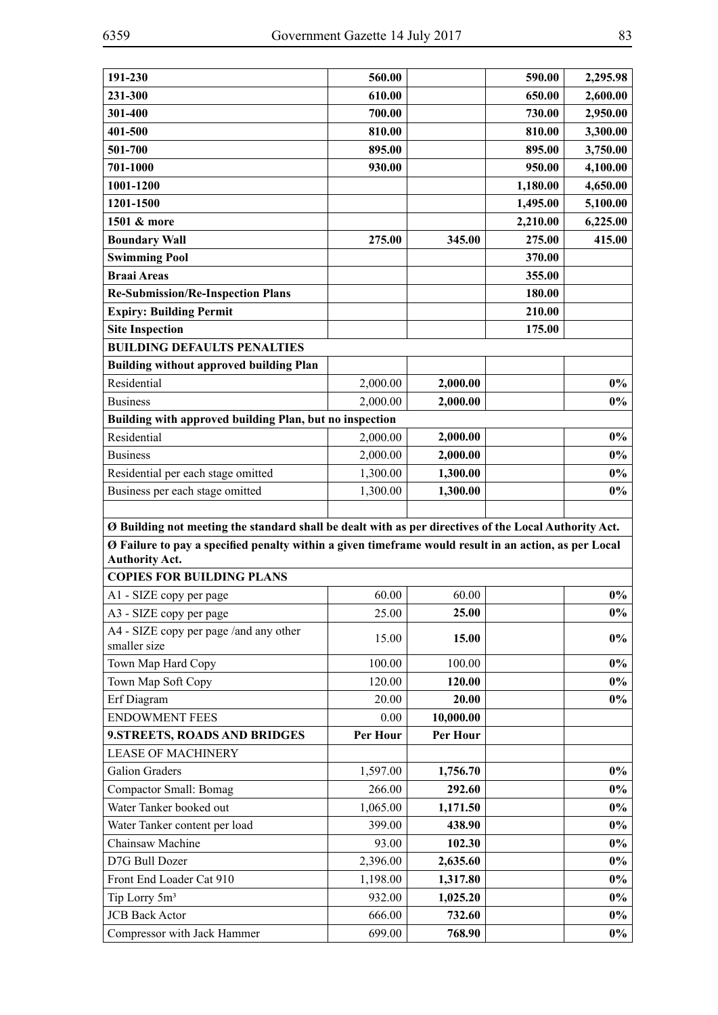| 191-230                                                                                                                                                                                                                                 | 560.00           |                  | 590.00   |                      |
|-----------------------------------------------------------------------------------------------------------------------------------------------------------------------------------------------------------------------------------------|------------------|------------------|----------|----------------------|
| 231-300                                                                                                                                                                                                                                 | 610.00           |                  | 650.00   | 2,295.98<br>2,600.00 |
| 301-400                                                                                                                                                                                                                                 | 700.00           |                  | 730.00   | 2,950.00             |
| 401-500                                                                                                                                                                                                                                 | 810.00           |                  | 810.00   | 3,300.00             |
|                                                                                                                                                                                                                                         |                  |                  |          |                      |
| 501-700                                                                                                                                                                                                                                 | 895.00           |                  | 895.00   | 3,750.00             |
| 701-1000                                                                                                                                                                                                                                | 930.00           |                  | 950.00   | 4,100.00             |
| 1001-1200                                                                                                                                                                                                                               |                  |                  | 1,180.00 | 4,650.00             |
| 1201-1500                                                                                                                                                                                                                               |                  |                  | 1,495.00 | 5,100.00             |
| 1501 & more                                                                                                                                                                                                                             |                  |                  | 2,210.00 | 6,225.00             |
| <b>Boundary Wall</b>                                                                                                                                                                                                                    | 275.00           | 345.00           | 275.00   | 415.00               |
| <b>Swimming Pool</b>                                                                                                                                                                                                                    |                  |                  | 370.00   |                      |
| <b>Braai Areas</b>                                                                                                                                                                                                                      |                  |                  | 355.00   |                      |
| <b>Re-Submission/Re-Inspection Plans</b>                                                                                                                                                                                                |                  |                  | 180.00   |                      |
| <b>Expiry: Building Permit</b>                                                                                                                                                                                                          |                  |                  | 210.00   |                      |
| <b>Site Inspection</b>                                                                                                                                                                                                                  |                  |                  | 175.00   |                      |
| <b>BUILDING DEFAULTS PENALTIES</b>                                                                                                                                                                                                      |                  |                  |          |                      |
| <b>Building without approved building Plan</b>                                                                                                                                                                                          |                  |                  |          |                      |
| Residential                                                                                                                                                                                                                             | 2,000.00         | 2,000.00         |          | $0\%$                |
| <b>Business</b>                                                                                                                                                                                                                         | 2,000.00         | 2,000.00         |          | $0\%$                |
| Building with approved building Plan, but no inspection                                                                                                                                                                                 |                  |                  |          |                      |
| Residential                                                                                                                                                                                                                             | 2,000.00         | 2,000.00         |          | $0\%$                |
| <b>Business</b>                                                                                                                                                                                                                         | 2,000.00         | 2,000.00         |          | $0\%$                |
| Residential per each stage omitted                                                                                                                                                                                                      | 1,300.00         | 1,300.00         |          | $0\%$                |
| Business per each stage omitted                                                                                                                                                                                                         | 1,300.00         | 1,300.00         |          | $0\%$                |
| Ø Building not meeting the standard shall be dealt with as per directives of the Local Authority Act.<br>Ø Failure to pay a specified penalty within a given timeframe would result in an action, as per Local<br><b>Authority Act.</b> |                  |                  |          |                      |
| <b>COPIES FOR BUILDING PLANS</b>                                                                                                                                                                                                        |                  |                  |          |                      |
| A1 - SIZE copy per page                                                                                                                                                                                                                 | 60.00            | 60.00            |          | $0\%$                |
| A3 - SIZE copy per page                                                                                                                                                                                                                 | 25.00            | 25.00            |          | $0\%$                |
| A4 - SIZE copy per page /and any other<br>smaller size                                                                                                                                                                                  | 15.00            | 15.00            |          | $0\%$                |
| Town Map Hard Copy                                                                                                                                                                                                                      | 100.00           | 100.00           |          |                      |
| Town Map Soft Copy                                                                                                                                                                                                                      |                  |                  |          |                      |
| Erf Diagram                                                                                                                                                                                                                             |                  |                  |          | $0\%$                |
|                                                                                                                                                                                                                                         | 120.00           | 120.00           |          | $0\%$                |
|                                                                                                                                                                                                                                         | 20.00            | 20.00            |          | $0\%$                |
| <b>ENDOWMENT FEES</b>                                                                                                                                                                                                                   | 0.00             | 10,000.00        |          |                      |
| 9.STREETS, ROADS AND BRIDGES                                                                                                                                                                                                            | Per Hour         | Per Hour         |          |                      |
| <b>LEASE OF MACHINERY</b>                                                                                                                                                                                                               |                  |                  |          |                      |
| <b>Galion Graders</b>                                                                                                                                                                                                                   | 1,597.00         | 1,756.70         |          | $0\%$                |
| Compactor Small: Bomag                                                                                                                                                                                                                  | 266.00           | 292.60           |          | $0\%$                |
| Water Tanker booked out                                                                                                                                                                                                                 | 1,065.00         | 1,171.50         |          | $0\%$                |
| Water Tanker content per load                                                                                                                                                                                                           | 399.00           | 438.90           |          | $0\%$                |
| Chainsaw Machine                                                                                                                                                                                                                        | 93.00            | 102.30           |          | $0\%$                |
| D7G Bull Dozer                                                                                                                                                                                                                          | 2,396.00         | 2,635.60         |          | $0\%$                |
| Front End Loader Cat 910                                                                                                                                                                                                                | 1,198.00         | 1,317.80         |          | $0\%$                |
| Tip Lorry 5m <sup>3</sup>                                                                                                                                                                                                               | 932.00           | 1,025.20         |          | $0\%$                |
| <b>JCB</b> Back Actor<br>Compressor with Jack Hammer                                                                                                                                                                                    | 666.00<br>699.00 | 732.60<br>768.90 |          | $0\%$<br>$0\%$       |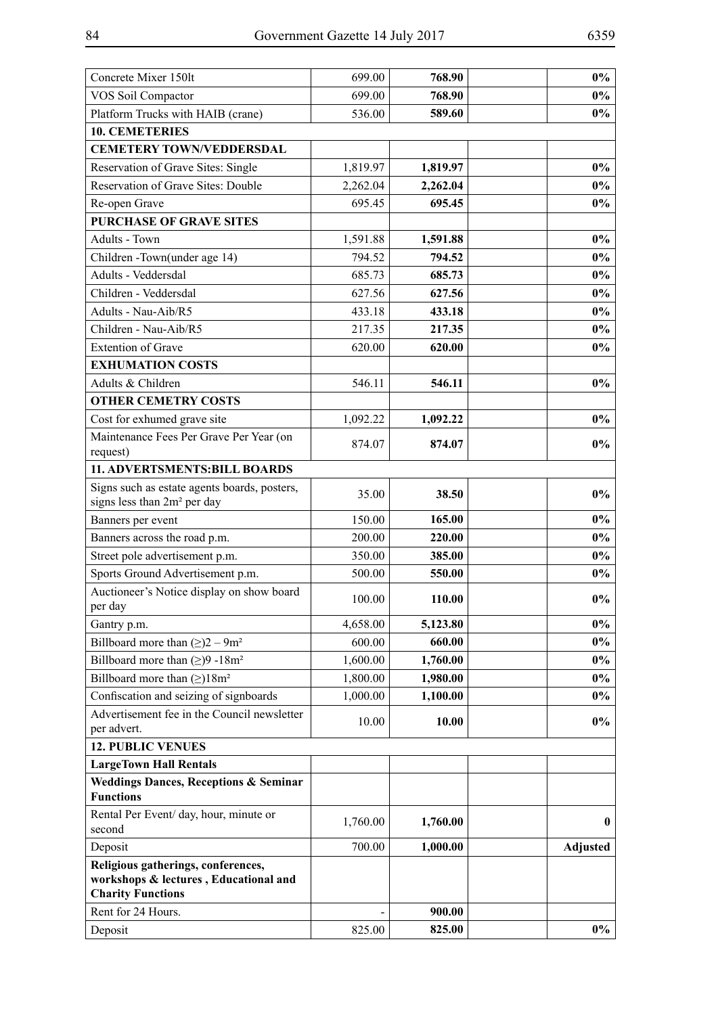| Concrete Mixer 150lt                                                                                    | 699.00   | 768.90   | $0\%$           |
|---------------------------------------------------------------------------------------------------------|----------|----------|-----------------|
| VOS Soil Compactor                                                                                      | 699.00   | 768.90   | $0\%$           |
| Platform Trucks with HAIB (crane)                                                                       | 536.00   | 589.60   | $0\%$           |
| <b>10. CEMETERIES</b>                                                                                   |          |          |                 |
| <b>CEMETERY TOWN/VEDDERSDAL</b>                                                                         |          |          |                 |
| Reservation of Grave Sites: Single                                                                      | 1,819.97 | 1,819.97 | $0\%$           |
| Reservation of Grave Sites: Double                                                                      | 2,262.04 | 2,262.04 | $0\%$           |
| Re-open Grave                                                                                           | 695.45   | 695.45   | $0\%$           |
| <b>PURCHASE OF GRAVE SITES</b>                                                                          |          |          |                 |
| Adults - Town                                                                                           | 1,591.88 | 1,591.88 | $0\%$           |
| Children - Town(under age 14)                                                                           | 794.52   | 794.52   | $0\%$           |
| Adults - Veddersdal                                                                                     | 685.73   | 685.73   | $0\%$           |
| Children - Veddersdal                                                                                   | 627.56   | 627.56   | $0\%$           |
| Adults - Nau-Aib/R5                                                                                     | 433.18   | 433.18   | $0\%$           |
| Children - Nau-Aib/R5                                                                                   | 217.35   | 217.35   | $0\%$           |
| <b>Extention of Grave</b>                                                                               | 620.00   | 620.00   | $0\%$           |
| <b>EXHUMATION COSTS</b>                                                                                 |          |          |                 |
| Adults & Children                                                                                       | 546.11   | 546.11   | $0\%$           |
| <b>OTHER CEMETRY COSTS</b>                                                                              |          |          |                 |
| Cost for exhumed grave site                                                                             | 1,092.22 | 1,092.22 | $0\%$           |
| Maintenance Fees Per Grave Per Year (on<br>request)                                                     | 874.07   | 874.07   | $0\%$           |
| 11. ADVERTSMENTS: BILL BOARDS                                                                           |          |          |                 |
| Signs such as estate agents boards, posters,<br>signs less than 2m <sup>2</sup> per day                 | 35.00    | 38.50    | $0\%$           |
| Banners per event                                                                                       | 150.00   | 165.00   | $0\%$           |
| Banners across the road p.m.                                                                            | 200.00   | 220.00   | $0\%$           |
| Street pole advertisement p.m.                                                                          | 350.00   | 385.00   | $0\%$           |
| Sports Ground Advertisement p.m.                                                                        | 500.00   | 550.00   | $0\%$           |
| Auctioneer's Notice display on show board<br>per day                                                    | 100.00   | 110.00   | $0\%$           |
| Gantry p.m.                                                                                             | 4,658.00 | 5,123.80 | $0\%$           |
| Billboard more than $(\ge)2 - 9m^2$                                                                     | 600.00   | 660.00   | $0\%$           |
| Billboard more than $(\geq)9 - 18m^2$                                                                   | 1,600.00 | 1,760.00 | $0\%$           |
| Billboard more than $(\ge)$ 18m <sup>2</sup>                                                            | 1,800.00 | 1,980.00 | $0\%$           |
| Confiscation and seizing of signboards                                                                  | 1,000.00 | 1,100.00 | $0\%$           |
| Advertisement fee in the Council newsletter<br>per advert.                                              | 10.00    | 10.00    | $0\%$           |
| <b>12. PUBLIC VENUES</b>                                                                                |          |          |                 |
| <b>LargeTown Hall Rentals</b>                                                                           |          |          |                 |
| <b>Weddings Dances, Receptions &amp; Seminar</b><br><b>Functions</b>                                    |          |          |                 |
| Rental Per Event/ day, hour, minute or<br>second                                                        | 1,760.00 | 1,760.00 | $\bf{0}$        |
| Deposit                                                                                                 | 700.00   | 1,000.00 | <b>Adjusted</b> |
| Religious gatherings, conferences,<br>workshops & lectures, Educational and<br><b>Charity Functions</b> |          |          |                 |
| Rent for 24 Hours.                                                                                      |          | 900.00   |                 |
| Deposit                                                                                                 | 825.00   | 825.00   | $0\%$           |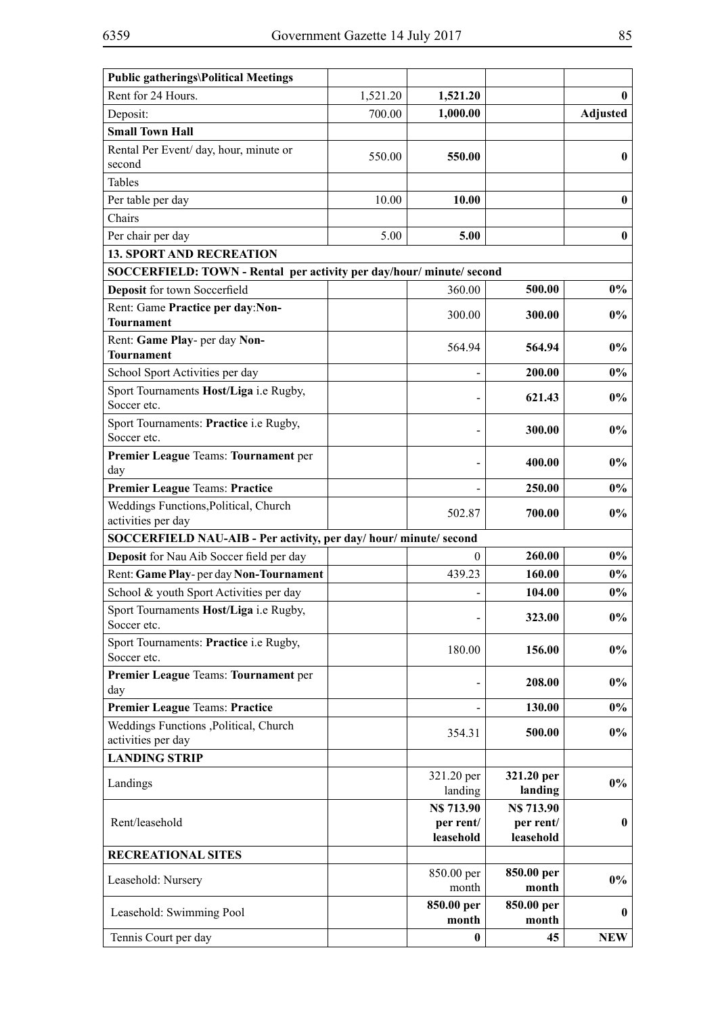| <b>Public gatherings\Political Meetings</b>                          |          |                        |                        |                 |
|----------------------------------------------------------------------|----------|------------------------|------------------------|-----------------|
| Rent for 24 Hours.                                                   | 1,521.20 | 1,521.20               |                        | 0               |
| Deposit:                                                             | 700.00   | 1,000.00               |                        | <b>Adjusted</b> |
| <b>Small Town Hall</b>                                               |          |                        |                        |                 |
| Rental Per Event/ day, hour, minute or                               | 550.00   | 550.00                 |                        | $\bf{0}$        |
| second                                                               |          |                        |                        |                 |
| Tables                                                               |          |                        |                        |                 |
| Per table per day                                                    | 10.00    | <b>10.00</b>           |                        | $\bf{0}$        |
| Chairs                                                               |          |                        |                        |                 |
| Per chair per day                                                    | 5.00     | 5.00                   |                        | $\bf{0}$        |
| <b>13. SPORT AND RECREATION</b>                                      |          |                        |                        |                 |
| SOCCERFIELD: TOWN - Rental per activity per day/hour/ minute/ second |          |                        |                        |                 |
| Deposit for town Soccerfield                                         |          | 360.00                 | 500.00                 | $0\%$           |
| Rent: Game Practice per day:Non-                                     |          | 300.00                 | 300.00                 | $0\%$           |
| <b>Tournament</b>                                                    |          |                        |                        |                 |
| Rent: Game Play- per day Non-                                        |          | 564.94                 | 564.94                 | $0\%$           |
| <b>Tournament</b>                                                    |          |                        |                        |                 |
| School Sport Activities per day                                      |          |                        | 200.00                 | $0\%$           |
| Sport Tournaments Host/Liga i.e Rugby,<br>Soccer etc.                |          |                        | 621.43                 | $0\%$           |
| Sport Tournaments: Practice i.e Rugby,<br>Soccer etc.                |          |                        | 300.00                 | $0\%$           |
| Premier League Teams: Tournament per                                 |          |                        |                        |                 |
| day                                                                  |          |                        | 400.00                 | $0\%$           |
| <b>Premier League Teams: Practice</b>                                |          |                        | 250.00                 | $0\%$           |
| Weddings Functions, Political, Church                                |          | 502.87                 | 700.00                 | $0\%$           |
| activities per day                                                   |          |                        |                        |                 |
| SOCCERFIELD NAU-AIB - Per activity, per day/ hour/ minute/ second    |          |                        |                        |                 |
| Deposit for Nau Aib Soccer field per day                             |          | 0                      | 260.00                 | $0\%$           |
| Rent: Game Play-per day Non-Tournament                               |          | 439.23                 | 160.00                 | $0\%$           |
| School & youth Sport Activities per day                              |          |                        | 104.00                 | $0\%$           |
| Sport Tournaments Host/Liga i.e Rugby,<br>Soccer etc.                |          |                        | 323.00                 | $0\%$           |
| Sport Tournaments: Practice i.e Rugby,<br>Soccer etc.                |          | 180.00                 | 156.00                 | $0\%$           |
| Premier League Teams: Tournament per                                 |          |                        |                        |                 |
| day                                                                  |          |                        | 208.00                 | $0\%$           |
| <b>Premier League Teams: Practice</b>                                |          |                        | 130.00                 | $0\%$           |
| Weddings Functions , Political, Church                               |          | 354.31                 | 500.00                 | $0\%$           |
| activities per day                                                   |          |                        |                        |                 |
| <b>LANDING STRIP</b>                                                 |          |                        |                        |                 |
| Landings                                                             |          | 321.20 per<br>landing  | 321.20 per<br>landing  | $0\%$           |
|                                                                      |          | <b>N\$713.90</b>       | <b>N\$713.90</b>       |                 |
| Rent/leasehold                                                       |          | per rent/<br>leasehold | per rent/<br>leasehold | $\bf{0}$        |
| <b>RECREATIONAL SITES</b>                                            |          |                        |                        |                 |
|                                                                      |          | 850.00 per             | 850.00 per             |                 |
| Leasehold: Nursery                                                   |          | month                  | month                  | $0\%$           |
| Leasehold: Swimming Pool                                             |          | 850.00 per<br>month    | 850.00 per<br>month    | $\bf{0}$        |
| Tennis Court per day                                                 |          | $\bf{0}$               | 45                     | <b>NEW</b>      |
|                                                                      |          |                        |                        |                 |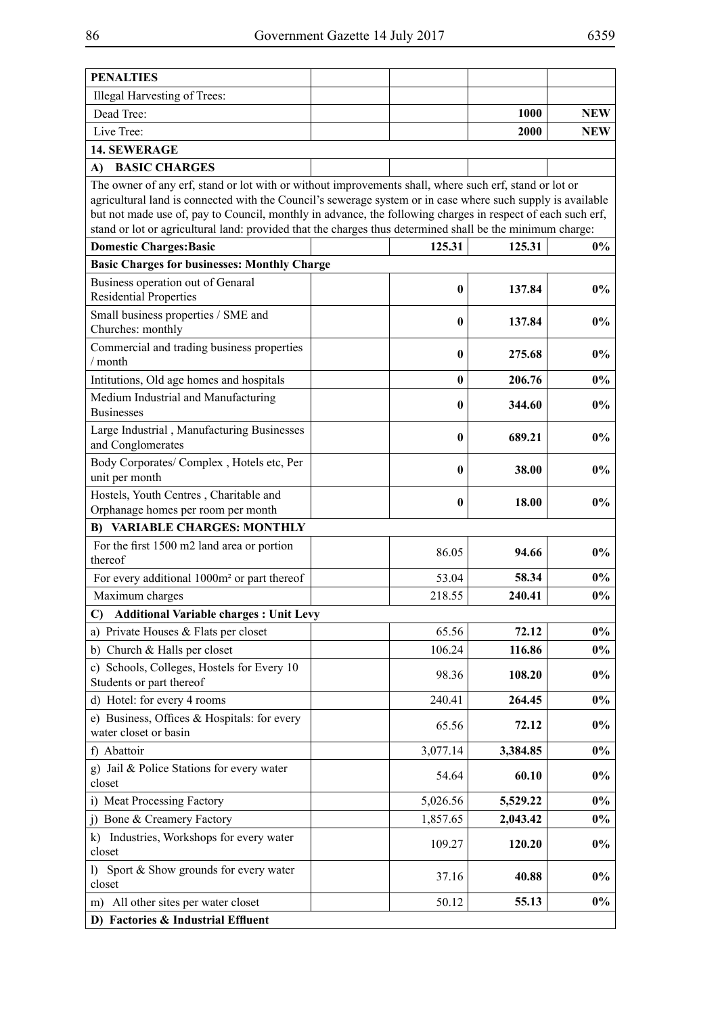| <b>PENALTIES</b>                                                                                                                                                                                                      |              |             |            |
|-----------------------------------------------------------------------------------------------------------------------------------------------------------------------------------------------------------------------|--------------|-------------|------------|
| Illegal Harvesting of Trees:                                                                                                                                                                                          |              |             |            |
| Dead Tree:                                                                                                                                                                                                            |              | <b>1000</b> | <b>NEW</b> |
| Live Tree:                                                                                                                                                                                                            |              | 2000        | <b>NEW</b> |
| <b>14. SEWERAGE</b>                                                                                                                                                                                                   |              |             |            |
| <b>BASIC CHARGES</b><br>A)                                                                                                                                                                                            |              |             |            |
| The owner of any erf, stand or lot with or without improvements shall, where such erf, stand or lot or<br>agricultural land is connected with the Council's sewerage system or in case where such supply is available |              |             |            |
| but not made use of, pay to Council, monthly in advance, the following charges in respect of each such erf,                                                                                                           |              |             |            |
| stand or lot or agricultural land: provided that the charges thus determined shall be the minimum charge:                                                                                                             |              |             |            |
| <b>Domestic Charges: Basic</b>                                                                                                                                                                                        | 125.31       | 125.31      | $0\%$      |
| <b>Basic Charges for businesses: Monthly Charge</b>                                                                                                                                                                   |              |             |            |
| Business operation out of Genaral<br><b>Residential Properties</b>                                                                                                                                                    | $\mathbf{0}$ | 137.84      | $0\%$      |
| Small business properties / SME and<br>Churches: monthly                                                                                                                                                              | 0            | 137.84      | $0\%$      |
| Commercial and trading business properties<br>/ month                                                                                                                                                                 | 0            | 275.68      | $0\%$      |
| Intitutions, Old age homes and hospitals                                                                                                                                                                              | 0            | 206.76      | $0\%$      |
| Medium Industrial and Manufacturing<br><b>Businesses</b>                                                                                                                                                              | $\mathbf{0}$ | 344.60      | $0\%$      |
| Large Industrial, Manufacturing Businesses<br>and Conglomerates                                                                                                                                                       | 0            | 689.21      | $0\%$      |
| Body Corporates/Complex, Hotels etc, Per<br>unit per month                                                                                                                                                            | $\bf{0}$     | 38.00       | $0\%$      |
| Hostels, Youth Centres, Charitable and                                                                                                                                                                                | 0            | 18.00       | $0\%$      |
| Orphanage homes per room per month                                                                                                                                                                                    |              |             |            |
| <b>B) VARIABLE CHARGES: MONTHLY</b>                                                                                                                                                                                   |              |             |            |
| For the first 1500 m2 land area or portion<br>thereof                                                                                                                                                                 | 86.05        | 94.66       | $0\%$      |
| For every additional 1000m <sup>2</sup> or part thereof                                                                                                                                                               | 53.04        | 58.34       | $0\%$      |
| Maximum charges                                                                                                                                                                                                       | 218.55       | 240.41      | $0\%$      |
| <b>Additional Variable charges : Unit Levy</b><br>$\mathbf{C}$                                                                                                                                                        |              |             |            |
| a) Private Houses & Flats per closet                                                                                                                                                                                  | 65.56        | 72.12       | $0\%$      |
| b) Church & Halls per closet                                                                                                                                                                                          | 106.24       | 116.86      | $0\%$      |
| c) Schools, Colleges, Hostels for Every 10<br>Students or part thereof                                                                                                                                                | 98.36        | 108.20      | $0\%$      |
| d) Hotel: for every 4 rooms                                                                                                                                                                                           | 240.41       | 264.45      | $0\%$      |
| e) Business, Offices & Hospitals: for every<br>water closet or basin                                                                                                                                                  | 65.56        | 72.12       | $0\%$      |
| f) Abattoir                                                                                                                                                                                                           | 3,077.14     | 3,384.85    | $0\%$      |
| g) Jail & Police Stations for every water<br>closet                                                                                                                                                                   | 54.64        | 60.10       | $0\%$      |
| i) Meat Processing Factory                                                                                                                                                                                            | 5,026.56     | 5,529.22    | $0\%$      |
| j) Bone & Creamery Factory                                                                                                                                                                                            | 1,857.65     | 2,043.42    | $0\%$      |
| Industries, Workshops for every water<br>k)<br>closet                                                                                                                                                                 | 109.27       | 120.20      | $0\%$      |
| Sport & Show grounds for every water<br>$\left( \right)$<br>closet                                                                                                                                                    | 37.16        | 40.88       | $0\%$      |
| All other sites per water closet<br>m)                                                                                                                                                                                | 50.12        | 55.13       | $0\%$      |
| D) Factories & Industrial Effluent                                                                                                                                                                                    |              |             |            |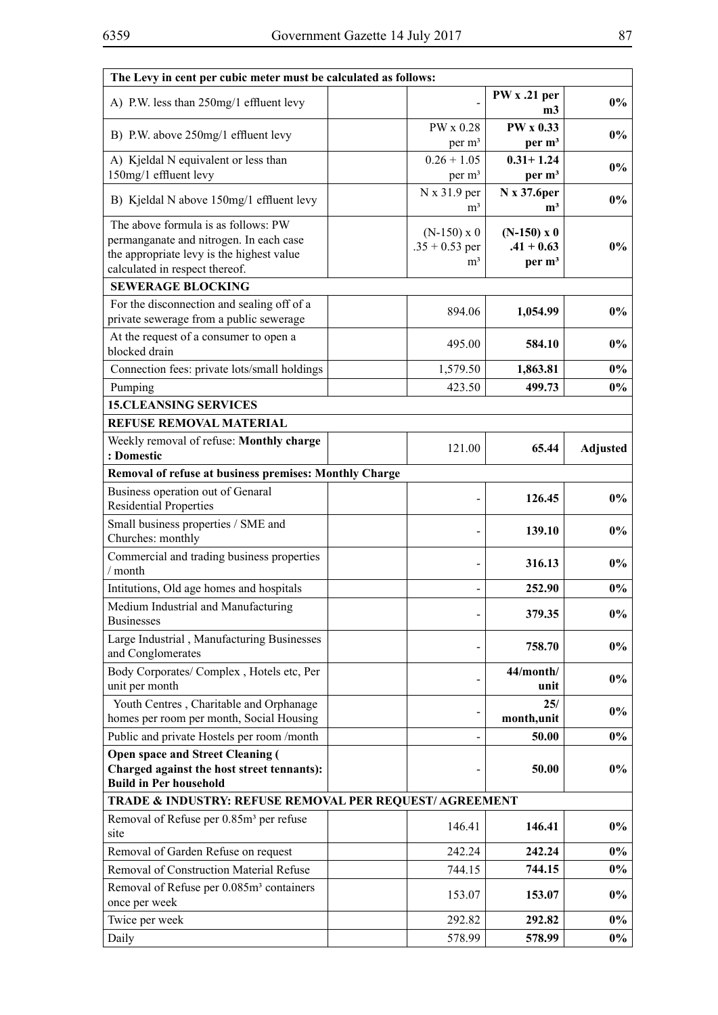| The Levy in cent per cubic meter must be calculated as follows:                                                                                               |                                                          |                                                     |                 |
|---------------------------------------------------------------------------------------------------------------------------------------------------------------|----------------------------------------------------------|-----------------------------------------------------|-----------------|
| A) P.W. less than 250mg/1 effluent levy                                                                                                                       |                                                          | PW x .21 per<br>m3                                  | $0\%$           |
| B) P.W. above 250mg/1 effluent levy                                                                                                                           | PW x 0.28<br>per m <sup>3</sup>                          | <b>PW x 0.33</b><br>per m <sup>3</sup>              | $0\%$           |
| A) Kjeldal N equivalent or less than<br>150mg/1 effluent levy                                                                                                 | $0.26 + 1.05$<br>per m <sup>3</sup>                      | $0.31 + 1.24$<br>per m <sup>3</sup>                 | $0\%$           |
| B) Kjeldal N above 150mg/1 effluent levy                                                                                                                      | N x 31.9 per<br>m <sup>3</sup>                           | N x 37.6 per<br>m <sup>3</sup>                      | $0\%$           |
| The above formula is as follows: PW<br>permanganate and nitrogen. In each case<br>the appropriate levy is the highest value<br>calculated in respect thereof. | $(N-150) \times 0$<br>$.35 + 0.53$ per<br>m <sup>3</sup> | $(N-150)$ x 0<br>$.41 + 0.63$<br>per m <sup>3</sup> | $0\%$           |
| <b>SEWERAGE BLOCKING</b>                                                                                                                                      |                                                          |                                                     |                 |
| For the disconnection and sealing off of a<br>private sewerage from a public sewerage                                                                         | 894.06                                                   | 1,054.99                                            | $0\%$           |
| At the request of a consumer to open a<br>blocked drain                                                                                                       | 495.00                                                   | 584.10                                              | $0\%$           |
| Connection fees: private lots/small holdings                                                                                                                  | 1,579.50                                                 | 1,863.81                                            | $0\%$           |
| Pumping                                                                                                                                                       | 423.50                                                   | 499.73                                              | $0\%$           |
| <b>15.CLEANSING SERVICES</b>                                                                                                                                  |                                                          |                                                     |                 |
| <b>REFUSE REMOVAL MATERIAL</b>                                                                                                                                |                                                          |                                                     |                 |
| Weekly removal of refuse: Monthly charge<br>: Domestic                                                                                                        | 121.00                                                   | 65.44                                               | <b>Adjusted</b> |
| Removal of refuse at business premises: Monthly Charge                                                                                                        |                                                          |                                                     |                 |
| Business operation out of Genaral<br><b>Residential Properties</b>                                                                                            |                                                          | 126.45                                              | $0\%$           |
| Small business properties / SME and<br>Churches: monthly                                                                                                      |                                                          | 139.10                                              | $0\%$           |
| Commercial and trading business properties<br>/ month                                                                                                         |                                                          | 316.13                                              | $0\%$           |
| Intitutions, Old age homes and hospitals                                                                                                                      |                                                          | 252.90                                              | $0\%$           |
| Medium Industrial and Manufacturing<br><b>Businesses</b>                                                                                                      |                                                          | 379.35                                              | $0\%$           |
| Large Industrial, Manufacturing Businesses<br>and Conglomerates                                                                                               |                                                          | 758.70                                              | $0\%$           |
| Body Corporates/Complex, Hotels etc, Per<br>unit per month                                                                                                    |                                                          | 44/month/<br>unit                                   | $0\%$           |
| Youth Centres, Charitable and Orphanage<br>homes per room per month, Social Housing                                                                           |                                                          | 25/<br>month,unit                                   | $0\%$           |
| Public and private Hostels per room /month                                                                                                                    |                                                          | 50.00                                               | $0\%$           |
| <b>Open space and Street Cleaning (</b><br>Charged against the host street tennants):<br><b>Build in Per household</b>                                        |                                                          | 50.00                                               | $0\%$           |
| TRADE & INDUSTRY: REFUSE REMOVAL PER REQUEST/ AGREEMENT                                                                                                       |                                                          |                                                     |                 |
| Removal of Refuse per 0.85m <sup>3</sup> per refuse<br>site                                                                                                   | 146.41                                                   | 146.41                                              | $0\%$           |
| Removal of Garden Refuse on request                                                                                                                           | 242.24                                                   | 242.24                                              | $0\%$           |
| Removal of Construction Material Refuse                                                                                                                       | 744.15                                                   | 744.15                                              | $0\%$           |
| Removal of Refuse per 0.085m <sup>3</sup> containers<br>once per week                                                                                         | 153.07                                                   | 153.07                                              | $0\%$           |
| Twice per week                                                                                                                                                | 292.82                                                   | 292.82                                              | $0\%$           |
| Daily                                                                                                                                                         | 578.99                                                   | 578.99                                              | $0\%$           |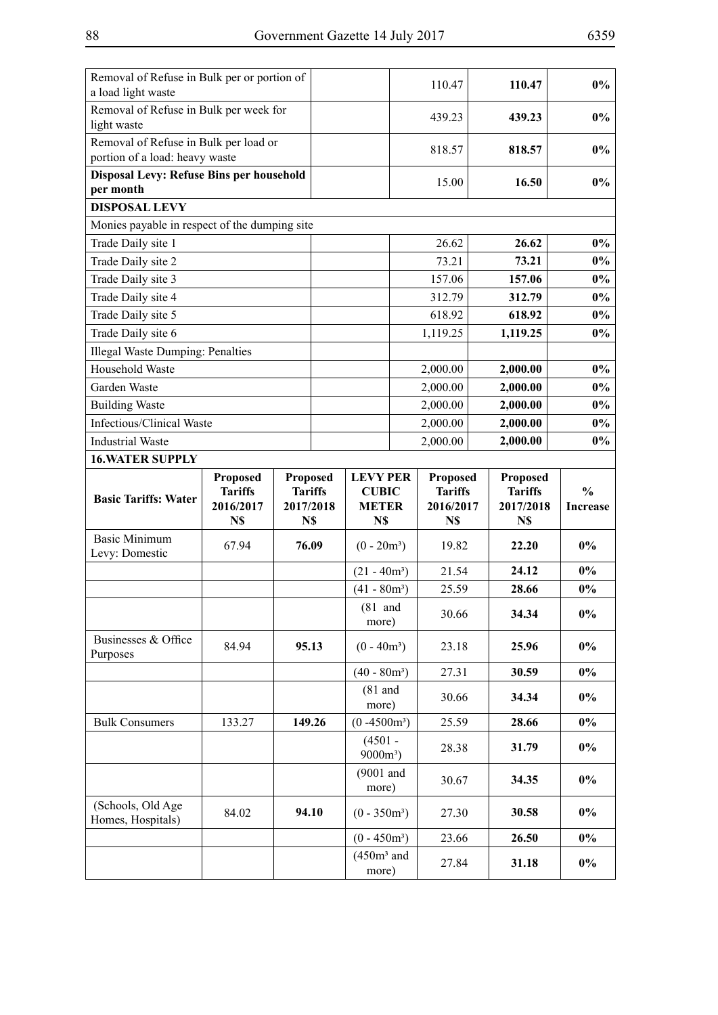| Removal of Refuse in Bulk per or portion of<br>a load light waste       |                                          |                  |  |                          |  | 110.47           |  | 110.47           | $0\%$           |
|-------------------------------------------------------------------------|------------------------------------------|------------------|--|--------------------------|--|------------------|--|------------------|-----------------|
| Removal of Refuse in Bulk per week for<br>light waste                   |                                          |                  |  |                          |  | 439.23           |  | 439.23           | $0\%$           |
| Removal of Refuse in Bulk per load or<br>portion of a load: heavy waste |                                          |                  |  |                          |  | 818.57           |  | 818.57           | $0\%$           |
| per month                                                               | Disposal Levy: Refuse Bins per household |                  |  |                          |  | 15.00            |  | 16.50            | $0\%$           |
| <b>DISPOSAL LEVY</b>                                                    |                                          |                  |  |                          |  |                  |  |                  |                 |
| Monies payable in respect of the dumping site                           |                                          |                  |  |                          |  |                  |  |                  |                 |
| Trade Daily site 1                                                      |                                          |                  |  |                          |  | 26.62            |  | 26.62            | $0\%$           |
| Trade Daily site 2                                                      |                                          |                  |  |                          |  | 73.21            |  | 73.21            | $0\%$           |
| Trade Daily site 3                                                      |                                          |                  |  |                          |  | 157.06           |  | 157.06           | $0\%$           |
| Trade Daily site 4                                                      |                                          |                  |  |                          |  | 312.79           |  | 312.79           | $0\%$           |
| Trade Daily site 5                                                      |                                          |                  |  |                          |  | 618.92           |  | 618.92           | $0\%$           |
| Trade Daily site 6                                                      |                                          |                  |  |                          |  | 1,119.25         |  | 1,119.25         | $0\%$           |
| Illegal Waste Dumping: Penalties                                        |                                          |                  |  |                          |  |                  |  |                  |                 |
| Household Waste                                                         |                                          |                  |  |                          |  | 2,000.00         |  | 2,000.00         | $0\%$           |
| Garden Waste                                                            |                                          |                  |  |                          |  | 2,000.00         |  | 2,000.00         | $0\%$           |
| <b>Building Waste</b>                                                   |                                          |                  |  |                          |  | 2,000.00         |  | 2,000.00         | $0\%$           |
| Infectious/Clinical Waste                                               |                                          |                  |  |                          |  | 2,000.00         |  | 2,000.00         | $0\%$           |
| <b>Industrial Waste</b>                                                 |                                          |                  |  |                          |  | 2,000.00         |  | 2,000.00         | $0\%$           |
| <b>16. WATER SUPPLY</b>                                                 |                                          |                  |  |                          |  |                  |  |                  |                 |
|                                                                         | <b>Proposed</b>                          | <b>Proposed</b>  |  | <b>LEVY PER</b>          |  | <b>Proposed</b>  |  | <b>Proposed</b>  |                 |
| <b>Basic Tariffs: Water</b>                                             | <b>Tariffs</b>                           | <b>Tariffs</b>   |  | <b>CUBIC</b>             |  | <b>Tariffs</b>   |  | <b>Tariffs</b>   | $\frac{0}{0}$   |
|                                                                         | 2016/2017<br>N\$                         | 2017/2018<br>N\$ |  | <b>METER</b><br>N\$      |  | 2016/2017<br>N\$ |  | 2017/2018<br>N\$ | <b>Increase</b> |
| <b>Basic Minimum</b>                                                    |                                          |                  |  |                          |  |                  |  |                  |                 |
| Levy: Domestic                                                          | 67.94                                    | 76.09            |  | $(0 - 20m^3)$            |  | 19.82            |  | 22.20            | $0\%$           |
|                                                                         |                                          |                  |  | $(21 - 40m^3)$           |  | 21.54            |  | 24.12            | $0\%$           |
|                                                                         |                                          |                  |  | $(41 - 80m^3)$           |  | 25.59            |  | 28.66            | 0%              |
|                                                                         |                                          |                  |  | $(81$ and<br>more)       |  | 30.66            |  | 34.34            | $0\%$           |
| Businesses & Office<br>Purposes                                         | 84.94                                    | 95.13            |  | $(0 - 40m^3)$            |  | 23.18            |  | 25.96            | $0\%$           |
|                                                                         |                                          |                  |  |                          |  |                  |  |                  |                 |
|                                                                         |                                          |                  |  | $(40 - 80m^3)$           |  | 27.31            |  | 30.59            | $0\%$           |
|                                                                         |                                          |                  |  | $(81$ and<br>more)       |  | 30.66            |  | 34.34            | $0\%$           |
| <b>Bulk Consumers</b>                                                   | 133.27                                   | 149.26           |  | $(0 -4500m^3)$           |  | 25.59            |  | 28.66            | $0\%$           |
|                                                                         |                                          |                  |  | $(4501 -$<br>$9000m^3$ ) |  | 28.38            |  | 31.79            | $0\%$           |
|                                                                         |                                          |                  |  | $(9001$ and<br>more)     |  | 30.67            |  | 34.35            | $0\%$           |
| (Schools, Old Age<br>Homes, Hospitals)                                  | 84.02                                    | 94.10            |  | $(0 - 350m^3)$           |  | 27.30            |  | 30.58            | $0\%$           |
|                                                                         |                                          |                  |  | $(0 - 450m^3)$           |  | 23.66            |  | 26.50            | $0\%$           |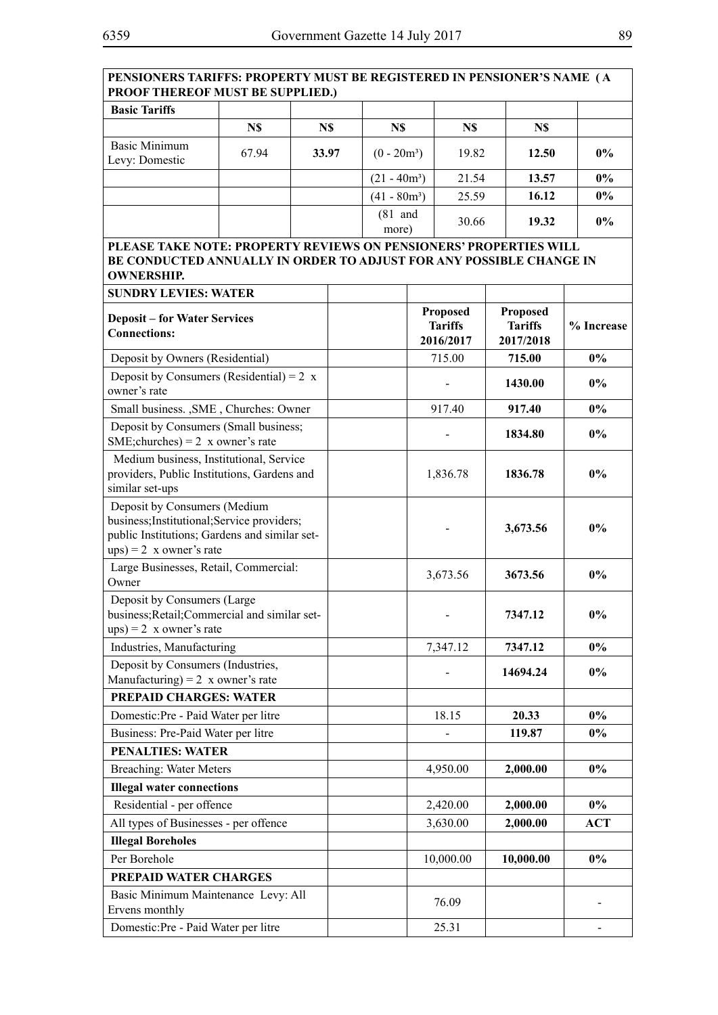| PENSIONERS TARIFFS: PROPERTY MUST BE REGISTERED IN PENSIONER'S NAME (A<br><b>PROOF THEREOF MUST BE SUPPLIED.)</b>                                             |                                                                                                                              |       |  |                |          |                                                |                                                |            |
|---------------------------------------------------------------------------------------------------------------------------------------------------------------|------------------------------------------------------------------------------------------------------------------------------|-------|--|----------------|----------|------------------------------------------------|------------------------------------------------|------------|
| <b>Basic Tariffs</b>                                                                                                                                          |                                                                                                                              |       |  |                |          |                                                |                                                |            |
|                                                                                                                                                               | N\$                                                                                                                          | N\$   |  | N\$            |          | N\$                                            | N\$                                            |            |
| <b>Basic Minimum</b><br>Levy: Domestic                                                                                                                        | 67.94                                                                                                                        | 33.97 |  | $(0 - 20m^3)$  |          | 19.82                                          | 12.50                                          | $0\%$      |
|                                                                                                                                                               |                                                                                                                              |       |  | $(21 - 40m^3)$ |          | 21.54                                          | 13.57                                          | $0\%$      |
|                                                                                                                                                               |                                                                                                                              |       |  | $(41 - 80m^3)$ |          | 25.59                                          | 16.12                                          | $0\%$      |
|                                                                                                                                                               |                                                                                                                              |       |  | $(81$ and      |          | 30.66                                          | 19.32                                          | $0\%$      |
|                                                                                                                                                               |                                                                                                                              |       |  | more)          |          |                                                |                                                |            |
| PLEASE TAKE NOTE: PROPERTY REVIEWS ON PENSIONERS' PROPERTIES WILL<br>BE CONDUCTED ANNUALLY IN ORDER TO ADJUST FOR ANY POSSIBLE CHANGE IN<br><b>OWNERSHIP.</b> |                                                                                                                              |       |  |                |          |                                                |                                                |            |
| <b>SUNDRY LEVIES: WATER</b>                                                                                                                                   |                                                                                                                              |       |  |                |          |                                                |                                                |            |
| <b>Deposit – for Water Services</b><br><b>Connections:</b>                                                                                                    |                                                                                                                              |       |  |                |          | <b>Proposed</b><br><b>Tariffs</b><br>2016/2017 | <b>Proposed</b><br><b>Tariffs</b><br>2017/2018 | % Increase |
| Deposit by Owners (Residential)                                                                                                                               |                                                                                                                              |       |  |                |          | 715.00                                         | 715.00                                         | $0\%$      |
| Deposit by Consumers (Residential) = $2 x$<br>owner's rate                                                                                                    |                                                                                                                              |       |  |                |          |                                                | 1430.00                                        | $0\%$      |
| Small business. , SME, Churches: Owner                                                                                                                        |                                                                                                                              |       |  |                |          | 917.40                                         | 917.40                                         | $0\%$      |
| Deposit by Consumers (Small business;<br>SME; churches $= 2$ x owner's rate                                                                                   |                                                                                                                              |       |  |                |          |                                                | 1834.80                                        | $0\%$      |
| similar set-ups                                                                                                                                               | Medium business, Institutional, Service<br>providers, Public Institutions, Gardens and                                       |       |  |                | 1,836.78 |                                                | 1836.78                                        | $0\%$      |
| $ups) = 2$ x owner's rate                                                                                                                                     | Deposit by Consumers (Medium<br>business; Institutional; Service providers;<br>public Institutions; Gardens and similar set- |       |  |                |          |                                                | 3,673.56                                       | $0\%$      |
| Large Businesses, Retail, Commercial:<br>Owner                                                                                                                |                                                                                                                              |       |  |                |          | 3,673.56                                       | 3673.56                                        | $0\%$      |
| Deposit by Consumers (Large<br>business; Retail; Commercial and similar set-<br>$ups) = 2$ x owner's rate                                                     |                                                                                                                              |       |  |                |          |                                                | 7347.12                                        | $0\%$      |
| Industries, Manufacturing                                                                                                                                     |                                                                                                                              |       |  |                |          | 7,347.12                                       | 7347.12                                        | $0\%$      |
| Deposit by Consumers (Industries,                                                                                                                             |                                                                                                                              |       |  |                |          |                                                | 14694.24                                       | $0\%$      |
| Manufacturing) = $2 \times$ owner's rate                                                                                                                      |                                                                                                                              |       |  |                |          |                                                |                                                |            |
| PREPAID CHARGES: WATER                                                                                                                                        |                                                                                                                              |       |  |                |          |                                                |                                                |            |
| Domestic:Pre - Paid Water per litre                                                                                                                           |                                                                                                                              |       |  |                |          | 18.15                                          | 20.33                                          | $0\%$      |
| Business: Pre-Paid Water per litre<br><b>PENALTIES: WATER</b>                                                                                                 |                                                                                                                              |       |  |                |          |                                                | 119.87                                         | $0\%$      |
|                                                                                                                                                               |                                                                                                                              |       |  |                |          |                                                |                                                | $0\%$      |
| <b>Breaching: Water Meters</b>                                                                                                                                |                                                                                                                              |       |  |                |          | 4,950.00                                       | 2,000.00                                       |            |
| <b>Illegal water connections</b>                                                                                                                              |                                                                                                                              |       |  |                |          |                                                |                                                | $0\%$      |
| Residential - per offence<br>All types of Businesses - per offence                                                                                            |                                                                                                                              |       |  |                |          | 2,420.00<br>3,630.00                           | 2,000.00<br>2,000.00                           | <b>ACT</b> |
| <b>Illegal Boreholes</b>                                                                                                                                      |                                                                                                                              |       |  |                |          |                                                |                                                |            |
| Per Borehole                                                                                                                                                  |                                                                                                                              |       |  |                |          | 10,000.00                                      | 10,000.00                                      | $0\%$      |
| PREPAID WATER CHARGES                                                                                                                                         |                                                                                                                              |       |  |                |          |                                                |                                                |            |
| Basic Minimum Maintenance Levy: All                                                                                                                           |                                                                                                                              |       |  |                |          | 76.09                                          |                                                |            |
| Ervens monthly                                                                                                                                                |                                                                                                                              |       |  |                |          |                                                |                                                |            |
| Domestic:Pre - Paid Water per litre                                                                                                                           |                                                                                                                              |       |  |                |          | 25.31                                          |                                                |            |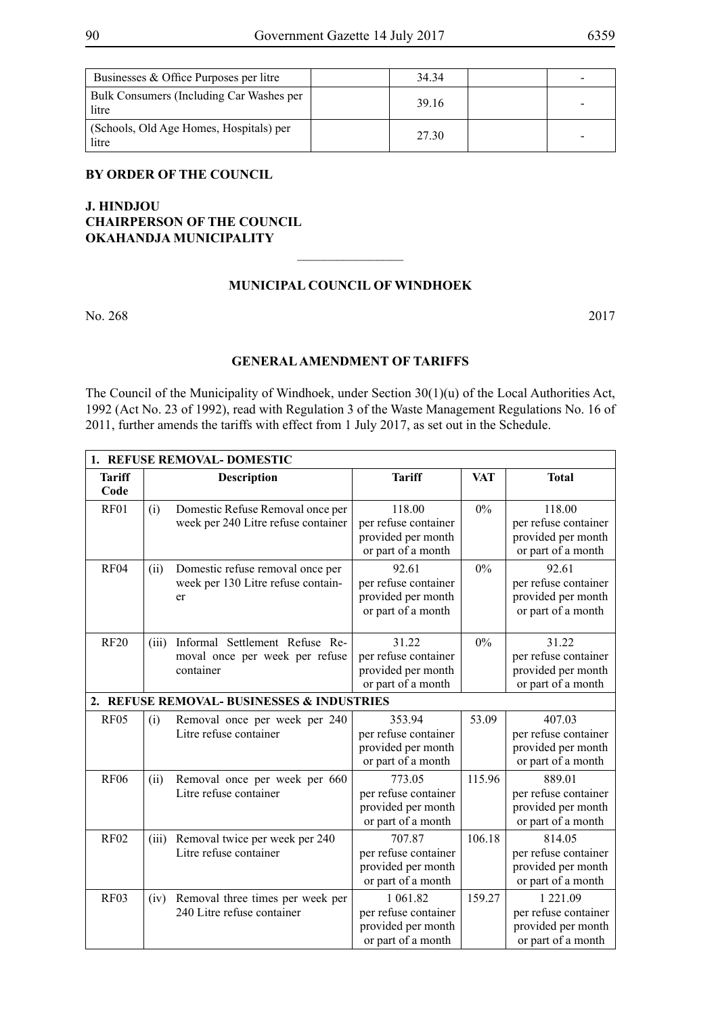| Businesses & Office Purposes per litre            | 34 34 |  |
|---------------------------------------------------|-------|--|
| Bulk Consumers (Including Car Washes per<br>litre | 39.16 |  |
| (Schools, Old Age Homes, Hospitals) per<br>litre  | 27 30 |  |

## **BY ORDER OF THE COUNCIL**

# **J. HINDJOU CHAIRPERSON OF THE COUNCIL OKAHANDJA MUNICIPALITY**

## **MUNICIPAL COUNCIL OF WINDHOEK**

 $\overline{\phantom{a}}$  , where  $\overline{\phantom{a}}$ 

No. 268 2017

## **GENERAL AMENDMENT OF TARIFFS**

The Council of the Municipality of Windhoek, under Section 30(1)(u) of the Local Authorities Act, 1992 (Act No. 23 of 1992), read with Regulation 3 of the Waste Management Regulations No. 16 of 2011, further amends the tariffs with effect from 1 July 2017, as set out in the Schedule.

|                       | 1. REFUSE REMOVAL-DOMESTIC |                                                                               |                                                                              |            |                                                                              |  |  |  |
|-----------------------|----------------------------|-------------------------------------------------------------------------------|------------------------------------------------------------------------------|------------|------------------------------------------------------------------------------|--|--|--|
| <b>Tariff</b><br>Code |                            | <b>Description</b>                                                            | <b>Tariff</b>                                                                | <b>VAT</b> | <b>Total</b>                                                                 |  |  |  |
| RF01                  | (i)                        | Domestic Refuse Removal once per<br>week per 240 Litre refuse container       | 118.00<br>per refuse container<br>provided per month<br>or part of a month   | $0\%$      | 118.00<br>per refuse container<br>provided per month<br>or part of a month   |  |  |  |
| RF <sub>04</sub>      | (ii)                       | Domestic refuse removal once per<br>week per 130 Litre refuse contain-<br>er  | 92.61<br>per refuse container<br>provided per month<br>or part of a month    | $0\%$      | 92.61<br>per refuse container<br>provided per month<br>or part of a month    |  |  |  |
| <b>RF20</b>           | (iii)                      | Informal Settlement Refuse Re-<br>moval once per week per refuse<br>container | 31.22<br>per refuse container<br>provided per month<br>or part of a month    | $0\%$      | 31.22<br>per refuse container<br>provided per month<br>or part of a month    |  |  |  |
|                       |                            | 2. REFUSE REMOVAL-BUSINESSES & INDUSTRIES                                     |                                                                              |            |                                                                              |  |  |  |
| <b>RF05</b>           | (i)                        | Removal once per week per 240<br>Litre refuse container                       | 353.94<br>per refuse container<br>provided per month<br>or part of a month   | 53.09      | 407.03<br>per refuse container<br>provided per month<br>or part of a month   |  |  |  |
| <b>RF06</b>           | (ii)                       | Removal once per week per 660<br>Litre refuse container                       | 773.05<br>per refuse container<br>provided per month<br>or part of a month   | 115.96     | 889.01<br>per refuse container<br>provided per month<br>or part of a month   |  |  |  |
| <b>RF02</b>           | (iii)                      | Removal twice per week per 240<br>Litre refuse container                      | 707.87<br>per refuse container<br>provided per month<br>or part of a month   | 106.18     | 814.05<br>per refuse container<br>provided per month<br>or part of a month   |  |  |  |
| <b>RF03</b>           | (iv)                       | Removal three times per week per<br>240 Litre refuse container                | 1 061.82<br>per refuse container<br>provided per month<br>or part of a month | 159.27     | 1 221.09<br>per refuse container<br>provided per month<br>or part of a month |  |  |  |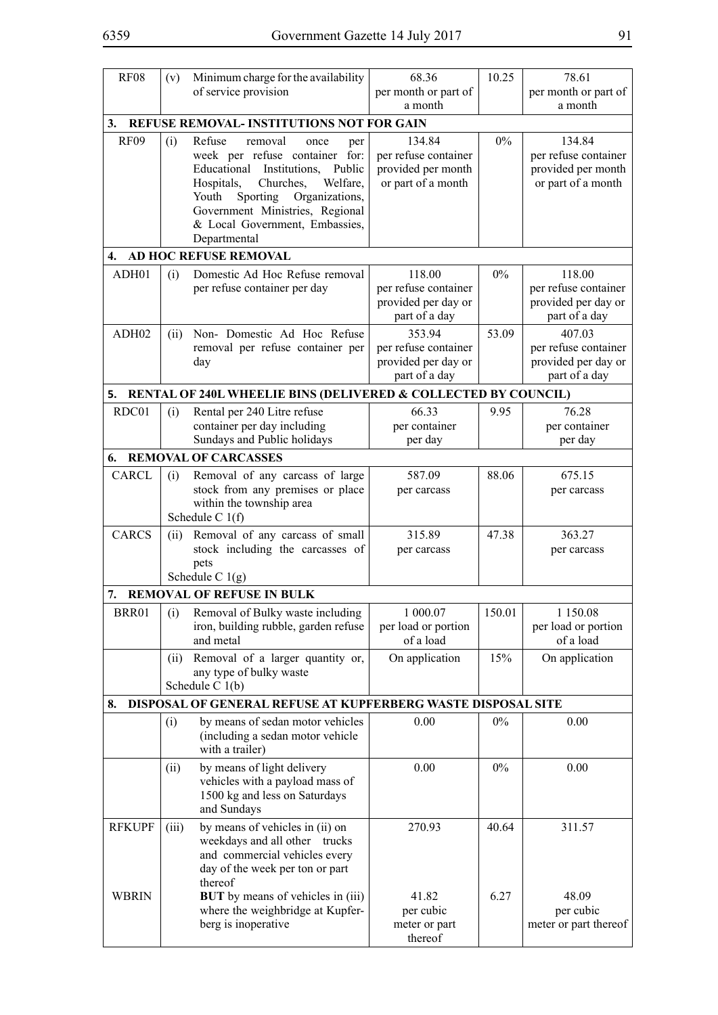| <b>RF08</b>                   | (v)   | Minimum charge for the availability                                                                                                                                                                                                                                    | 68.36                                                                      | 10.25         | 78.61                                                                      |
|-------------------------------|-------|------------------------------------------------------------------------------------------------------------------------------------------------------------------------------------------------------------------------------------------------------------------------|----------------------------------------------------------------------------|---------------|----------------------------------------------------------------------------|
|                               |       | of service provision                                                                                                                                                                                                                                                   | per month or part of<br>a month                                            |               | per month or part of<br>a month                                            |
| 3.                            |       | <b>REFUSE REMOVAL- INSTITUTIONS NOT FOR GAIN</b>                                                                                                                                                                                                                       |                                                                            |               |                                                                            |
| <b>RF09</b>                   | (i)   | Refuse<br>removal<br>once<br>per<br>week per refuse container for:<br>Educational Institutions, Public<br>Hospitals,<br>Churches,<br>Welfare,<br>Sporting Organizations,<br>Youth<br>Government Ministries, Regional<br>& Local Government, Embassies,<br>Departmental | 134.84<br>per refuse container<br>provided per month<br>or part of a month | $0\%$         | 134.84<br>per refuse container<br>provided per month<br>or part of a month |
| 4.                            |       | AD HOC REFUSE REMOVAL                                                                                                                                                                                                                                                  |                                                                            |               |                                                                            |
| ADH01                         | (i)   | Domestic Ad Hoc Refuse removal<br>per refuse container per day                                                                                                                                                                                                         | 118.00<br>per refuse container<br>provided per day or<br>part of a day     | $0\%$         | 118.00<br>per refuse container<br>provided per day or<br>part of a day     |
| ADH02                         | (ii)  | Non- Domestic Ad Hoc Refuse<br>removal per refuse container per<br>day                                                                                                                                                                                                 | 353.94<br>per refuse container<br>provided per day or<br>part of a day     | 53.09         | 407.03<br>per refuse container<br>provided per day or<br>part of a day     |
|                               |       | 5. RENTAL OF 240L WHEELIE BINS (DELIVERED & COLLECTED BY COUNCIL)                                                                                                                                                                                                      |                                                                            |               |                                                                            |
| RDC01                         | (i)   | Rental per 240 Litre refuse<br>container per day including<br>Sundays and Public holidays                                                                                                                                                                              | 66.33<br>per container<br>per day                                          | 9.95          | 76.28<br>per container<br>per day                                          |
| 6.                            |       | <b>REMOVAL OF CARCASSES</b>                                                                                                                                                                                                                                            |                                                                            |               |                                                                            |
| <b>CARCL</b>                  | (i)   | Removal of any carcass of large<br>stock from any premises or place<br>within the township area<br>Schedule C $1(f)$                                                                                                                                                   | 587.09<br>per carcass                                                      | 88.06         | 675.15<br>per carcass                                                      |
| <b>CARCS</b>                  | (ii)  | Removal of any carcass of small<br>stock including the carcasses of<br>pets                                                                                                                                                                                            | 315.89<br>per carcass                                                      | 47.38         | 363.27<br>per carcass                                                      |
|                               |       | Schedule C $1(g)$                                                                                                                                                                                                                                                      |                                                                            |               |                                                                            |
| 7.                            |       | <b>REMOVAL OF REFUSE IN BULK</b>                                                                                                                                                                                                                                       |                                                                            |               |                                                                            |
| BRR01                         | (i)   | Removal of Bulky waste including<br>iron, building rubble, garden refuse<br>and metal                                                                                                                                                                                  | 1 000.07<br>per load or portion<br>of a load                               | 150.01        | 1 1 5 0 . 0 8<br>per load or portion<br>of a load                          |
|                               | (ii)  | Removal of a larger quantity or,<br>any type of bulky waste<br>Schedule C 1(b)                                                                                                                                                                                         | On application                                                             | 15%           | On application                                                             |
| 8.                            |       | DISPOSAL OF GENERAL REFUSE AT KUPFERBERG WASTE DISPOSAL SITE                                                                                                                                                                                                           |                                                                            |               |                                                                            |
|                               | (i)   | by means of sedan motor vehicles<br>(including a sedan motor vehicle<br>with a trailer)                                                                                                                                                                                | 0.00                                                                       | $0\%$         | 0.00                                                                       |
|                               | (ii)  | by means of light delivery<br>vehicles with a payload mass of<br>1500 kg and less on Saturdays<br>and Sundays                                                                                                                                                          | 0.00                                                                       | $0\%$         | 0.00                                                                       |
| <b>RFKUPF</b><br><b>WBRIN</b> | (iii) | by means of vehicles in (ii) on<br>weekdays and all other trucks<br>and commercial vehicles every<br>day of the week per ton or part<br>thereof<br><b>BUT</b> by means of vehicles in (iii)                                                                            | 270.93<br>41.82                                                            | 40.64<br>6.27 | 311.57<br>48.09                                                            |
|                               |       | where the weighbridge at Kupfer-<br>berg is inoperative                                                                                                                                                                                                                | per cubic<br>meter or part<br>thereof                                      |               | per cubic<br>meter or part thereof                                         |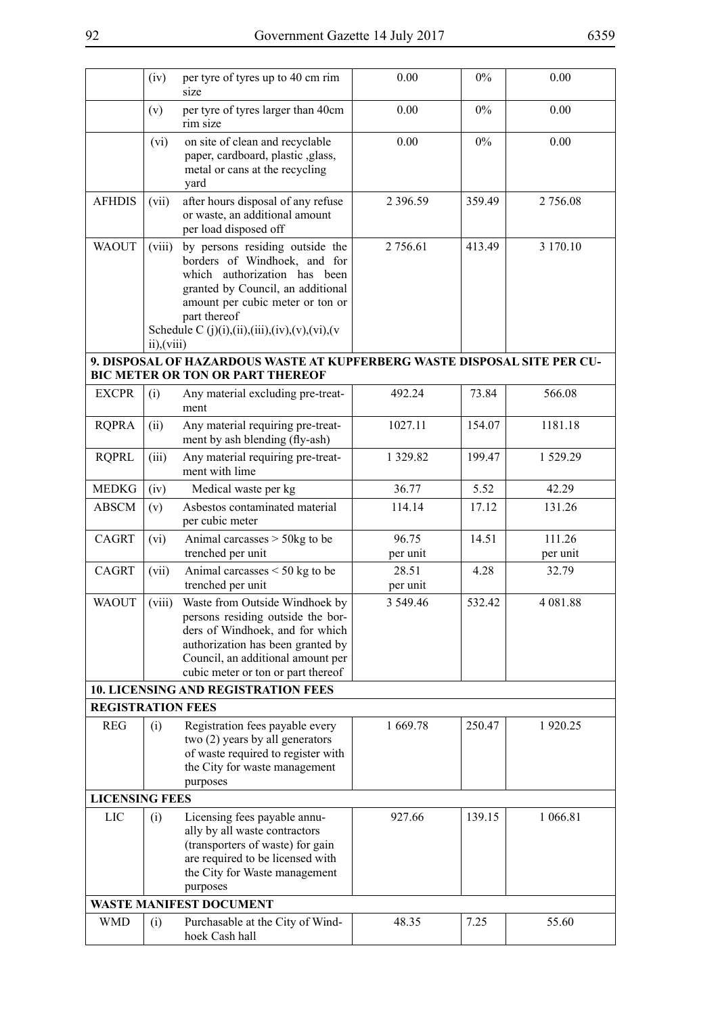|                          | (iv)                  | per tyre of tyres up to 40 cm rim<br>size                                                                                                                                                                                                 | 0.00              | $0\%$  | 0.00               |
|--------------------------|-----------------------|-------------------------------------------------------------------------------------------------------------------------------------------------------------------------------------------------------------------------------------------|-------------------|--------|--------------------|
|                          | (v)                   | per tyre of tyres larger than 40cm<br>rim size                                                                                                                                                                                            | 0.00              | $0\%$  | 0.00               |
|                          | (vi)                  | on site of clean and recyclable<br>paper, cardboard, plastic , glass,<br>metal or cans at the recycling<br>yard                                                                                                                           | 0.00              | $0\%$  | 0.00               |
| <b>AFHDIS</b>            | (vii)                 | after hours disposal of any refuse<br>or waste, an additional amount<br>per load disposed off                                                                                                                                             | 2 3 9 6 . 5 9     | 359.49 | 2 756.08           |
| <b>WAOUT</b>             | (viii)<br>ii), (viii) | by persons residing outside the<br>borders of Windhoek, and for<br>which authorization has been<br>granted by Council, an additional<br>amount per cubic meter or ton or<br>part thereof<br>Schedule C (j)(i),(ii),(iii),(iv),(v),(vi),(v | 2 756.61          | 413.49 | 3 170.10           |
|                          |                       | 9. DISPOSAL OF HAZARDOUS WASTE AT KUPFERBERG WASTE DISPOSAL SITE PER CU-<br><b>BIC METER OR TON OR PART THEREOF</b>                                                                                                                       |                   |        |                    |
| <b>EXCPR</b>             | (i)                   | Any material excluding pre-treat-<br>ment                                                                                                                                                                                                 | 492.24            | 73.84  | 566.08             |
| <b>RQPRA</b>             | (ii)                  | Any material requiring pre-treat-<br>ment by ash blending (fly-ash)                                                                                                                                                                       | 1027.11           | 154.07 | 1181.18            |
| <b>RQPRL</b>             | (iii)                 | Any material requiring pre-treat-<br>ment with lime                                                                                                                                                                                       | 1 329.82          | 199.47 | 1 529.29           |
| <b>MEDKG</b>             | (iv)                  | Medical waste per kg                                                                                                                                                                                                                      | 36.77             | 5.52   | 42.29              |
| <b>ABSCM</b>             | (v)                   | Asbestos contaminated material<br>per cubic meter                                                                                                                                                                                         | 114.14            | 17.12  | 131.26             |
| <b>CAGRT</b>             | (vi)                  | Animal carcasses $>$ 50kg to be<br>trenched per unit                                                                                                                                                                                      | 96.75<br>per unit | 14.51  | 111.26<br>per unit |
| <b>CAGRT</b>             | (vii)                 | Animal carcasses $<$ 50 kg to be<br>trenched per unit                                                                                                                                                                                     | 28.51<br>per unit | 4.28   | 32.79              |
| <b>WAOUT</b>             | (viii)                | Waste from Outside Windhoek by<br>persons residing outside the bor-<br>ders of Windhoek, and for which<br>authorization has been granted by<br>Council, an additional amount per<br>cubic meter or ton or part thereof                    | 3 549.46          | 532.42 | 4 081.88           |
|                          |                       | <b>10. LICENSING AND REGISTRATION FEES</b>                                                                                                                                                                                                |                   |        |                    |
| <b>REGISTRATION FEES</b> |                       |                                                                                                                                                                                                                                           |                   |        |                    |
| <b>REG</b>               | (i)                   | Registration fees payable every<br>two (2) years by all generators<br>of waste required to register with<br>the City for waste management<br>purposes                                                                                     | 1 669.78          | 250.47 | 1920.25            |
| <b>LICENSING FEES</b>    |                       |                                                                                                                                                                                                                                           |                   |        |                    |
| LIC                      | (i)                   | Licensing fees payable annu-<br>ally by all waste contractors<br>(transporters of waste) for gain<br>are required to be licensed with<br>the City for Waste management<br>purposes                                                        | 927.66            | 139.15 | 1 066.81           |
|                          |                       | <b>WASTE MANIFEST DOCUMENT</b>                                                                                                                                                                                                            |                   |        |                    |
| <b>WMD</b>               | (i)                   | Purchasable at the City of Wind-<br>hoek Cash hall                                                                                                                                                                                        | 48.35             | 7.25   | 55.60              |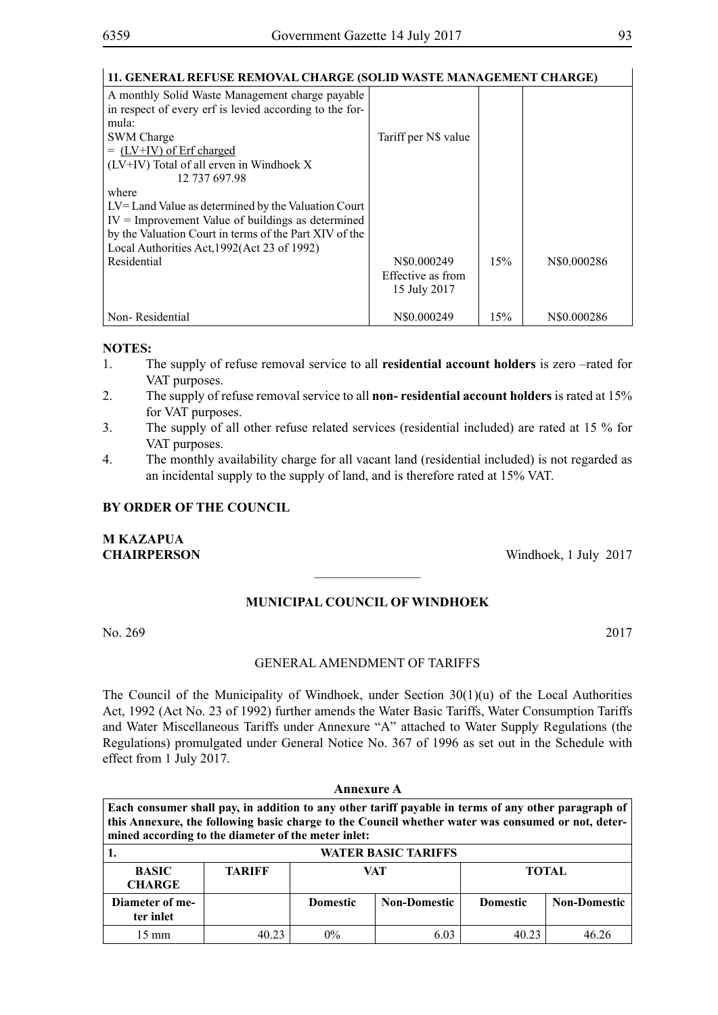| 11. GENERAL REFUSE REMOVAL CHARGE (SOLID WASTE MANAGEMENT CHARGE)                                          |                      |     |             |
|------------------------------------------------------------------------------------------------------------|----------------------|-----|-------------|
| A monthly Solid Waste Management charge payable<br>in respect of every erf is levied according to the for- |                      |     |             |
| mula:                                                                                                      |                      |     |             |
| <b>SWM</b> Charge                                                                                          | Tariff per N\$ value |     |             |
| $=$ (LV+IV) of Erf charged                                                                                 |                      |     |             |
| (LV+IV) Total of all erven in Windhoek X                                                                   |                      |     |             |
| 12 737 697.98                                                                                              |                      |     |             |
| where                                                                                                      |                      |     |             |
| $LV =$ Land Value as determined by the Valuation Court                                                     |                      |     |             |
| $IV =$ Improvement Value of buildings as determined                                                        |                      |     |             |
| by the Valuation Court in terms of the Part XIV of the                                                     |                      |     |             |
| Local Authorities Act, 1992 (Act 23 of 1992)                                                               |                      |     |             |
| Residential                                                                                                | N\$0.000249          | 15% | N\$0.000286 |
|                                                                                                            | Effective as from    |     |             |
|                                                                                                            | 15 July 2017         |     |             |
| Non-Residential                                                                                            | N\$0.000249          | 15% | N\$0.000286 |

- 1. The supply of refuse removal service to all **residential account holders** is zero –rated for VAT purposes.
- 2. The supply of refuse removal service to all **non- residential account holders** is rated at 15% for VAT purposes.
- 3. The supply of all other refuse related services (residential included) are rated at 15 % for VAT purposes.
- 4. The monthly availability charge for all vacant land (residential included) is not regarded as an incidental supply to the supply of land, and is therefore rated at 15% VAT.

### **BY ORDER OF THE COUNCIL**

**M KAZAPUA**

**CHAIRPERSON** Windhoek, 1 July 2017

## **MUNICIPAL COUNCIL OF WINDHOEK**

 $\overline{\phantom{a}}$  , where  $\overline{\phantom{a}}$ 

No. 269 2017

## GENERAL AMENDMENT OF TARIFFS

The Council of the Municipality of Windhoek, under Section 30(1)(u) of the Local Authorities Act, 1992 (Act No. 23 of 1992) further amends the Water Basic Tariffs, Water Consumption Tariffs and Water Miscellaneous Tariffs under Annexure "A" attached to Water Supply Regulations (the Regulations) promulgated under General Notice No. 367 of 1996 as set out in the Schedule with effect from 1 July 2017.

|                                                                                                                                                                                                                                                                  |                            | <b>Annexure A</b> |                     |                 |                     |  |  |
|------------------------------------------------------------------------------------------------------------------------------------------------------------------------------------------------------------------------------------------------------------------|----------------------------|-------------------|---------------------|-----------------|---------------------|--|--|
| Each consumer shall pay, in addition to any other tariff payable in terms of any other paragraph of<br>this Annexure, the following basic charge to the Council whether water was consumed or not, deter-<br>mined according to the diameter of the meter inlet: |                            |                   |                     |                 |                     |  |  |
|                                                                                                                                                                                                                                                                  | <b>WATER BASIC TARIFFS</b> |                   |                     |                 |                     |  |  |
| <b>BASIC</b><br><b>CHARGE</b>                                                                                                                                                                                                                                    | <b>TARIFF</b>              | VAT               |                     | <b>TOTAL</b>    |                     |  |  |
| Diameter of me-<br>ter inlet                                                                                                                                                                                                                                     |                            | <b>Domestic</b>   | <b>Non-Domestic</b> | <b>Domestic</b> | <b>Non-Domestic</b> |  |  |
| $15 \text{ mm}$                                                                                                                                                                                                                                                  | 40.23                      | $0\%$             | 6.03                | 40.23           | 46 76               |  |  |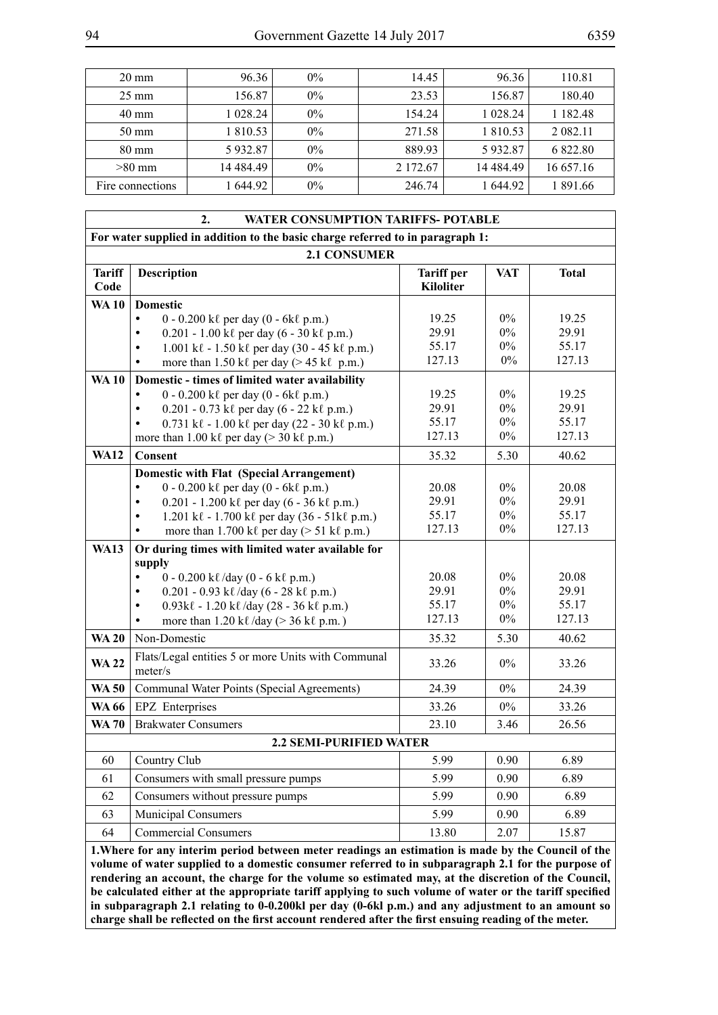| $20 \text{ mm}$  | 96.36     | $0\%$ | 14.45    | 96.36      | 110.81        |
|------------------|-----------|-------|----------|------------|---------------|
| $25 \text{ mm}$  | 156.87    | $0\%$ | 23.53    | 156.87     | 180.40        |
| 40 mm            | 1 028.24  | 0%    | 154.24   | 1 028.24   | 1 1 8 2 4 8   |
| $50 \text{ mm}$  | 1 810.53  | $0\%$ | 271.58   | 1 810.53   | 2 0 8 2 . 1 1 |
| 80 mm            | 5932.87   | $0\%$ | 889.93   | 5932.87    | 6 822.80      |
| $>80$ mm         | 14 484 49 | $0\%$ | 2 172.67 | 14 4 84.49 | 16 657.16     |
| Fire connections | 644.92    | $0\%$ | 246.74   | 1 644.92   | 1 891.66      |

|                                                                                                                                                                                                                                                                                                                                                                                                                           | 2.<br><b>WATER CONSUMPTION TARIFFS- POTABLE</b>                                                                               |                                       |            |              |
|---------------------------------------------------------------------------------------------------------------------------------------------------------------------------------------------------------------------------------------------------------------------------------------------------------------------------------------------------------------------------------------------------------------------------|-------------------------------------------------------------------------------------------------------------------------------|---------------------------------------|------------|--------------|
|                                                                                                                                                                                                                                                                                                                                                                                                                           | For water supplied in addition to the basic charge referred to in paragraph 1:                                                |                                       |            |              |
|                                                                                                                                                                                                                                                                                                                                                                                                                           | <b>2.1 CONSUMER</b>                                                                                                           |                                       |            |              |
| <b>Tariff</b><br>Code                                                                                                                                                                                                                                                                                                                                                                                                     | <b>Description</b>                                                                                                            | <b>Tariff per</b><br><b>Kiloliter</b> | <b>VAT</b> | <b>Total</b> |
| <b>WA10</b>                                                                                                                                                                                                                                                                                                                                                                                                               | <b>Domestic</b>                                                                                                               |                                       |            |              |
|                                                                                                                                                                                                                                                                                                                                                                                                                           | $\bullet$<br>$0 - 0.200$ k $\ell$ per day $(0 - 6k\ell p.m.)$                                                                 | 19.25                                 | $0\%$      | 19.25        |
|                                                                                                                                                                                                                                                                                                                                                                                                                           | 0.201 - 1.00 kl per day (6 - 30 kl p.m.)<br>$\bullet$                                                                         | 29.91                                 | $0\%$      | 29.91        |
|                                                                                                                                                                                                                                                                                                                                                                                                                           | 1.001 kl - 1.50 kl per day (30 - 45 kl p.m.)<br>$\bullet$                                                                     | 55.17                                 | $0\%$      | 55.17        |
|                                                                                                                                                                                                                                                                                                                                                                                                                           | more than 1.50 kl per day ( $> 45$ kl p.m.)<br>$\bullet$                                                                      | 127.13                                | $0\%$      | 127.13       |
| <b>WA10</b>                                                                                                                                                                                                                                                                                                                                                                                                               | Domestic - times of limited water availability                                                                                |                                       |            |              |
|                                                                                                                                                                                                                                                                                                                                                                                                                           | $0 - 0.200$ k $\ell$ per day $(0 - 6k\ell p.m.)$<br>$\bullet$                                                                 | 19.25                                 | $0\%$      | 19.25        |
|                                                                                                                                                                                                                                                                                                                                                                                                                           | $0.201 - 0.73$ k $\ell$ per day (6 - 22 k $\ell$ p.m.)<br>$\bullet$                                                           | 29.91                                 | $0\%$      | 29.91        |
|                                                                                                                                                                                                                                                                                                                                                                                                                           | 0.731 kl - 1.00 kl per day (22 - 30 kl p.m.)<br>$\bullet$                                                                     | 55.17                                 | $0\%$      | 55.17        |
|                                                                                                                                                                                                                                                                                                                                                                                                                           | more than 1.00 kl per day ( $>$ 30 kl p.m.)                                                                                   | 127.13                                | $0\%$      | 127.13       |
| <b>WA12</b>                                                                                                                                                                                                                                                                                                                                                                                                               | <b>Consent</b>                                                                                                                | 35.32                                 | 5.30       | 40.62        |
|                                                                                                                                                                                                                                                                                                                                                                                                                           | <b>Domestic with Flat (Special Arrangement)</b>                                                                               |                                       |            |              |
|                                                                                                                                                                                                                                                                                                                                                                                                                           | $0 - 0.200$ k $\ell$ per day $(0 - 6k\ell p.m.)$<br>$\bullet$                                                                 | 20.08                                 | $0\%$      | 20.08        |
|                                                                                                                                                                                                                                                                                                                                                                                                                           | $0.201 - 1.200$ k $\ell$ per day (6 - 36 k $\ell$ p.m.)<br>$\bullet$                                                          | 29.91                                 | $0\%$      | 29.91        |
|                                                                                                                                                                                                                                                                                                                                                                                                                           | $1.201 \text{ k} \ell - 1.700 \text{ k} \ell \text{ per day} (36 - 51 \text{ k} \ell \text{ p.m.})$<br>$\bullet$              | 55.17                                 | $0\%$      | 55.17        |
|                                                                                                                                                                                                                                                                                                                                                                                                                           | more than 1.700 kl per day ( $> 51$ kl p.m.)<br>$\bullet$                                                                     | 127.13                                | $0\%$      | 127.13       |
| <b>WA13</b>                                                                                                                                                                                                                                                                                                                                                                                                               | Or during times with limited water available for                                                                              |                                       |            |              |
|                                                                                                                                                                                                                                                                                                                                                                                                                           | supply<br>$\bullet$                                                                                                           |                                       | $0\%$      | 20.08        |
|                                                                                                                                                                                                                                                                                                                                                                                                                           | $0 - 0.200$ k $\ell$ /day (0 - 6 k $\ell$ p.m.)                                                                               | 20.08<br>29.91                        | $0\%$      | 29.91        |
|                                                                                                                                                                                                                                                                                                                                                                                                                           | $0.201 - 0.93$ kl/day (6 - 28 kl p.m.)<br>$\bullet$<br>$\bullet$                                                              | 55.17                                 | $0\%$      | 55.17        |
|                                                                                                                                                                                                                                                                                                                                                                                                                           | $0.93k\ell - 1.20k\ell$ /day (28 - 36 k $\ell$ p.m.)<br>more than $1.20 \text{ k}\ell$ /day (> 36 k $\ell$ p.m.)<br>$\bullet$ | 127.13                                | $0\%$      | 127.13       |
| <b>WA 20</b>                                                                                                                                                                                                                                                                                                                                                                                                              | Non-Domestic                                                                                                                  | 35.32                                 | 5.30       | 40.62        |
|                                                                                                                                                                                                                                                                                                                                                                                                                           |                                                                                                                               |                                       |            |              |
| <b>WA22</b>                                                                                                                                                                                                                                                                                                                                                                                                               | Flats/Legal entities 5 or more Units with Communal<br>meter/s                                                                 | 33.26                                 | $0\%$      | 33.26        |
| <b>WA 50</b>                                                                                                                                                                                                                                                                                                                                                                                                              | Communal Water Points (Special Agreements)                                                                                    | 24.39                                 | $0\%$      | 24.39        |
| <b>WA 66</b>                                                                                                                                                                                                                                                                                                                                                                                                              | EPZ Enterprises                                                                                                               | 33.26                                 | $0\%$      | 33.26        |
| <b>WA 70</b>                                                                                                                                                                                                                                                                                                                                                                                                              | <b>Brakwater Consumers</b>                                                                                                    | 23.10                                 | 3.46       | 26.56        |
|                                                                                                                                                                                                                                                                                                                                                                                                                           | <b>2.2 SEMI-PURIFIED WATER</b>                                                                                                |                                       |            |              |
| 60                                                                                                                                                                                                                                                                                                                                                                                                                        | Country Club                                                                                                                  | 5.99                                  | 0.90       | 6.89         |
| 61                                                                                                                                                                                                                                                                                                                                                                                                                        | Consumers with small pressure pumps                                                                                           | 5.99                                  | 0.90       | 6.89         |
| 62                                                                                                                                                                                                                                                                                                                                                                                                                        | Consumers without pressure pumps                                                                                              | 5.99                                  | 0.90       | 6.89         |
| 63                                                                                                                                                                                                                                                                                                                                                                                                                        | <b>Municipal Consumers</b>                                                                                                    | 5.99                                  | 0.90       | 6.89         |
| 64                                                                                                                                                                                                                                                                                                                                                                                                                        | <b>Commercial Consumers</b>                                                                                                   | 13.80                                 | 2.07       | 15.87        |
| 1. Where for any interim period between meter readings an estimation is made by the Council of the                                                                                                                                                                                                                                                                                                                        |                                                                                                                               |                                       |            |              |
| volume of water supplied to a domestic consumer referred to in subparagraph 2.1 for the purpose of<br>rendering an account, the charge for the volume so estimated may, at the discretion of the Council,<br>be calculated either at the appropriate tariff applying to such volume of water or the tariff specified<br>in subparagraph 2.1 relating to 0-0.200kl per day (0-6kl p.m.) and any adjustment to an amount so |                                                                                                                               |                                       |            |              |

**charge shall be reflected on the first account rendered after the first ensuing reading of the meter.**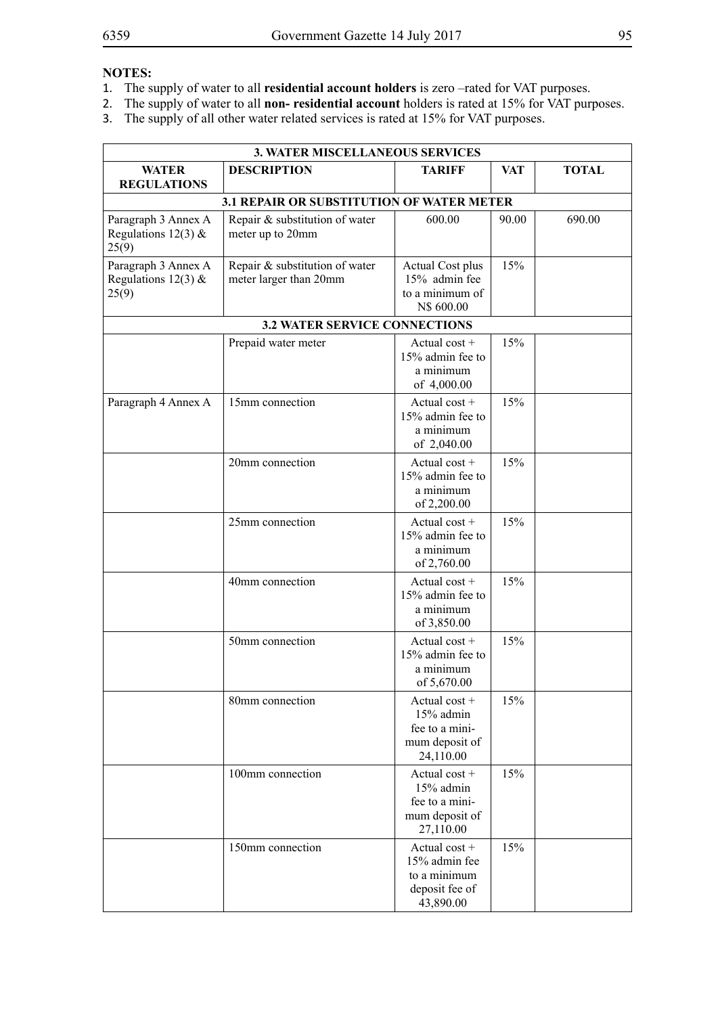- 1. The supply of water to all **residential account holders** is zero –rated for VAT purposes.<br>2. The supply of water to all **non-** residential account holders is rated at 15% for VAT pur
- 2. The supply of water to all **non- residential account** holders is rated at 15% for VAT purposes.
- 3. The supply of all other water related services is rated at 15% for VAT purposes.

| <b>3. WATER MISCELLANEOUS SERVICES</b>                |                                                          |                                                                                 |       |              |
|-------------------------------------------------------|----------------------------------------------------------|---------------------------------------------------------------------------------|-------|--------------|
| <b>WATER</b><br><b>REGULATIONS</b>                    | <b>DESCRIPTION</b>                                       | <b>TARIFF</b>                                                                   | VAT   | <b>TOTAL</b> |
|                                                       | 3.1 REPAIR OR SUBSTITUTION OF WATER METER                |                                                                                 |       |              |
| Paragraph 3 Annex A<br>Regulations 12(3) $&$<br>25(9) | Repair & substitution of water<br>meter up to 20mm       | 600.00                                                                          | 90.00 | 690.00       |
| Paragraph 3 Annex A<br>Regulations 12(3) $&$<br>25(9) | Repair & substitution of water<br>meter larger than 20mm | Actual Cost plus<br>15% admin fee<br>to a minimum of<br>N\$ 600.00              | 15%   |              |
|                                                       | <b>3.2 WATER SERVICE CONNECTIONS</b>                     |                                                                                 |       |              |
|                                                       | Prepaid water meter                                      | Actual $cost +$<br>15% admin fee to<br>a minimum<br>of 4,000.00                 | 15%   |              |
| Paragraph 4 Annex A                                   | 15mm connection                                          | Actual cost $+$<br>15% admin fee to<br>a minimum<br>of 2,040.00                 | 15%   |              |
|                                                       | 20mm connection                                          | Actual $cost +$<br>15% admin fee to<br>a minimum<br>of 2,200.00                 | 15%   |              |
|                                                       | 25mm connection                                          | Actual $cost +$<br>15% admin fee to<br>a minimum<br>of 2,760.00                 | 15%   |              |
|                                                       | 40mm connection                                          | Actual $cost +$<br>15% admin fee to<br>a minimum<br>of 3,850.00                 | 15%   |              |
|                                                       | 50mm connection                                          | Actual $cost +$<br>15% admin fee to<br>a minimum<br>of 5,670.00                 | 15%   |              |
|                                                       | 80mm connection                                          | Actual $cost +$<br>15% admin<br>fee to a mini-<br>mum deposit of<br>24,110.00   | 15%   |              |
|                                                       | 100mm connection                                         | Actual $cost +$<br>15% admin<br>fee to a mini-<br>mum deposit of<br>27,110.00   | 15%   |              |
|                                                       | 150mm connection                                         | Actual $cost +$<br>15% admin fee<br>to a minimum<br>deposit fee of<br>43,890.00 | 15%   |              |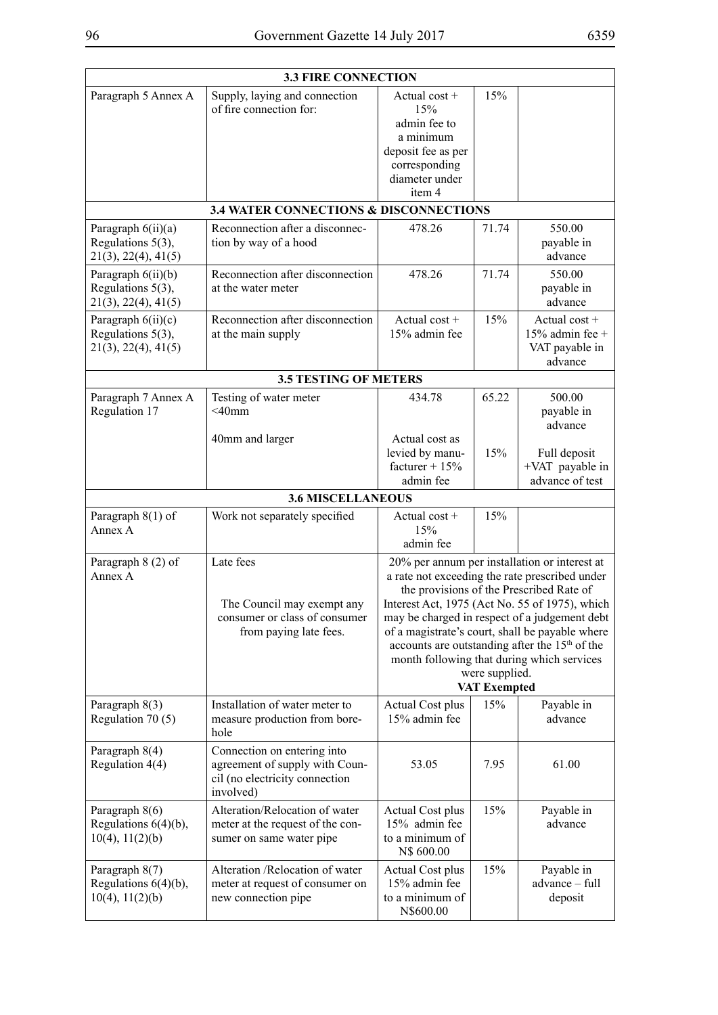| <b>3.3 FIRE CONNECTION</b>                                          |                                                                                                              |                                                                                                                                                                                                                                                                                                                                                                                                                                                        |       |                                                                 |
|---------------------------------------------------------------------|--------------------------------------------------------------------------------------------------------------|--------------------------------------------------------------------------------------------------------------------------------------------------------------------------------------------------------------------------------------------------------------------------------------------------------------------------------------------------------------------------------------------------------------------------------------------------------|-------|-----------------------------------------------------------------|
| Paragraph 5 Annex A                                                 | Supply, laying and connection<br>of fire connection for:                                                     | Actual cost +<br>15%<br>admin fee to<br>a minimum<br>deposit fee as per<br>corresponding<br>diameter under<br>item 4                                                                                                                                                                                                                                                                                                                                   | 15%   |                                                                 |
|                                                                     | <b>3.4 WATER CONNECTIONS &amp; DISCONNECTIONS</b>                                                            |                                                                                                                                                                                                                                                                                                                                                                                                                                                        |       |                                                                 |
| Paragraph $6(ii)(a)$<br>Regulations 5(3),<br>21(3), 22(4), 41(5)    | Reconnection after a disconnec-<br>tion by way of a hood                                                     | 478.26                                                                                                                                                                                                                                                                                                                                                                                                                                                 | 71.74 | 550.00<br>payable in<br>advance                                 |
| Paragraph 6(ii)(b)<br>Regulations 5(3),<br>21(3), 22(4), 41(5)      | Reconnection after disconnection<br>at the water meter                                                       | 478.26                                                                                                                                                                                                                                                                                                                                                                                                                                                 | 71.74 | 550.00<br>payable in<br>advance                                 |
| Paragraph $6(ii)(c)$<br>Regulations $5(3)$ ,<br>21(3), 22(4), 41(5) | Reconnection after disconnection<br>at the main supply                                                       | Actual $cost +$<br>15% admin fee                                                                                                                                                                                                                                                                                                                                                                                                                       | 15%   | Actual $cost +$<br>15% admin fee +<br>VAT payable in<br>advance |
|                                                                     | <b>3.5 TESTING OF METERS</b>                                                                                 |                                                                                                                                                                                                                                                                                                                                                                                                                                                        |       |                                                                 |
| Paragraph 7 Annex A<br>Regulation 17                                | Testing of water meter<br>$<$ 40mm                                                                           | 434.78                                                                                                                                                                                                                                                                                                                                                                                                                                                 | 65.22 | 500.00<br>payable in<br>advance                                 |
|                                                                     | 40mm and larger                                                                                              | Actual cost as<br>levied by manu-<br>facturer + $15%$<br>admin fee                                                                                                                                                                                                                                                                                                                                                                                     | 15%   | Full deposit<br>+VAT payable in<br>advance of test              |
|                                                                     | <b>3.6 MISCELLANEOUS</b>                                                                                     |                                                                                                                                                                                                                                                                                                                                                                                                                                                        |       |                                                                 |
| Paragraph $8(1)$ of<br>Annex A                                      | Work not separately specified                                                                                | Actual cost +<br>15%<br>admin fee                                                                                                                                                                                                                                                                                                                                                                                                                      | 15%   |                                                                 |
| Paragraph 8 (2) of<br>Annex A                                       | Late fees<br>The Council may exempt any<br>consumer or class of consumer<br>from paying late fees.           | 20% per annum per installation or interest at<br>a rate not exceeding the rate prescribed under<br>the provisions of the Prescribed Rate of<br>Interest Act, 1975 (Act No. 55 of 1975), which<br>may be charged in respect of a judgement debt<br>of a magistrate's court, shall be payable where<br>accounts are outstanding after the 15 <sup>th</sup> of the<br>month following that during which services<br>were supplied.<br><b>VAT Exempted</b> |       |                                                                 |
| Paragraph 8(3)<br>Regulation 70 (5)                                 | Installation of water meter to<br>measure production from bore-<br>hole                                      | <b>Actual Cost plus</b><br>15% admin fee                                                                                                                                                                                                                                                                                                                                                                                                               | 15%   | Payable in<br>advance                                           |
| Paragraph 8(4)<br>Regulation 4(4)                                   | Connection on entering into<br>agreement of supply with Coun-<br>cil (no electricity connection<br>involved) | 53.05                                                                                                                                                                                                                                                                                                                                                                                                                                                  | 7.95  | 61.00                                                           |
| Paragraph 8(6)<br>Regulations $6(4)(b)$ ,<br>$10(4)$ , $11(2)(b)$   | Alteration/Relocation of water<br>meter at the request of the con-<br>sumer on same water pipe               | <b>Actual Cost plus</b><br>15% admin fee<br>to a minimum of<br>N\$ 600.00                                                                                                                                                                                                                                                                                                                                                                              | 15%   | Payable in<br>advance                                           |
| Paragraph 8(7)<br>Regulations $6(4)(b)$ ,<br>$10(4)$ , $11(2)(b)$   | Alteration /Relocation of water<br>meter at request of consumer on<br>new connection pipe                    | Actual Cost plus<br>15% admin fee<br>to a minimum of<br>N\$600.00                                                                                                                                                                                                                                                                                                                                                                                      | 15%   | Payable in<br>advance - full<br>deposit                         |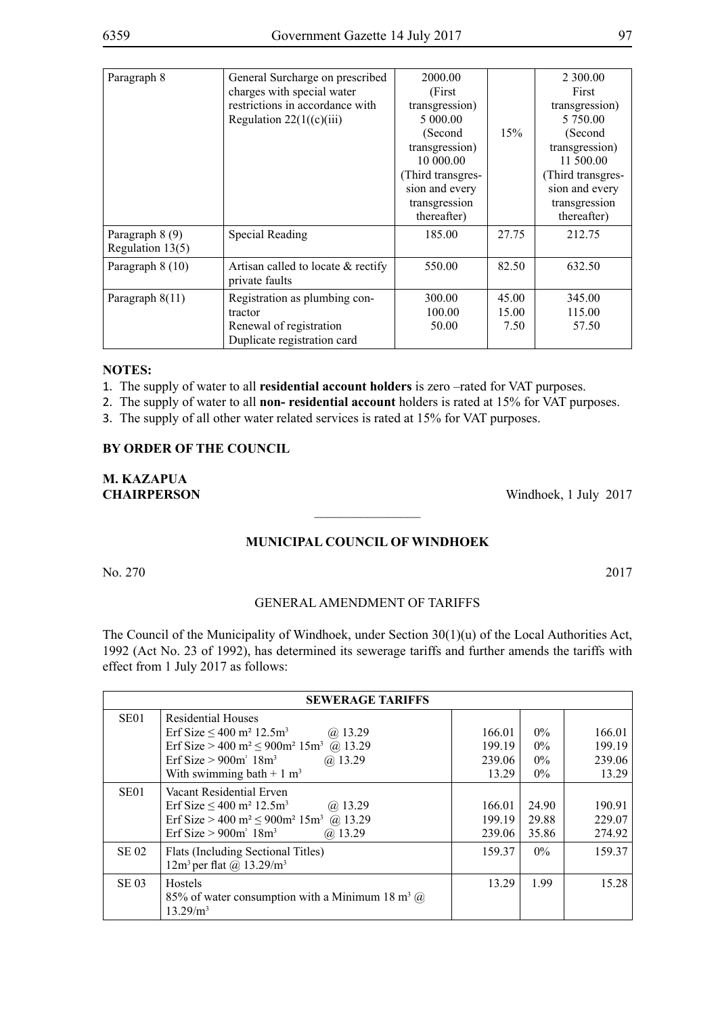| Paragraph 8                           | General Surcharge on prescribed<br>charges with special water<br>restrictions in accordance with   | 2000.00<br>(First)<br>transgression)                                                                       |                        | 2 300.00<br>First<br>transgression)                                                                         |
|---------------------------------------|----------------------------------------------------------------------------------------------------|------------------------------------------------------------------------------------------------------------|------------------------|-------------------------------------------------------------------------------------------------------------|
|                                       | Regulation $22(1((c)(iii))$                                                                        | 5 000.00<br>(Second<br>transgression)<br>10 000 00<br>(Third transgres-<br>sion and every<br>transgression | 15%                    | 5 750.00<br>(Second)<br>transgression)<br>11 500.00<br>(Third transgres-<br>sion and every<br>transgression |
| Paragraph 8 (9)<br>Regulation $13(5)$ | Special Reading                                                                                    | thereafter)<br>185.00                                                                                      | 27.75                  | thereafter)<br>212.75                                                                                       |
| Paragraph 8 (10)                      | Artisan called to locate $\&$ rectify<br>private faults                                            | 550.00                                                                                                     | 82.50                  | 632.50                                                                                                      |
| Paragraph $8(11)$                     | Registration as plumbing con-<br>tractor<br>Renewal of registration<br>Duplicate registration card | 300.00<br>100.00<br>50.00                                                                                  | 45.00<br>15.00<br>7.50 | 345.00<br>115.00<br>57.50                                                                                   |

1. The supply of water to all **residential account holders** is zero –rated for VAT purposes.

2. The supply of water to all **non- residential account** holders is rated at 15% for VAT purposes.

3. The supply of all other water related services is rated at 15% for VAT purposes.

#### **BY ORDER OF THE COUNCIL**

**M. KAZAPUA**

**CHAIRPERSON** Windhoek, 1 July 2017

#### **MUNICIPAL COUNCIL OF WINDHOEK**

 $\overline{\phantom{a}}$  , where  $\overline{\phantom{a}}$ 

No. 270 2017

GENERAL AMENDMENT OF TARIFFS

The Council of the Municipality of Windhoek, under Section 30(1)(u) of the Local Authorities Act, 1992 (Act No. 23 of 1992), has determined its sewerage tariffs and further amends the tariffs with effect from 1 July 2017 as follows:

|                  | <b>SEWERAGE TARIFFS</b>                                                                                                                                                                                                                                  |                                     |                                  |                                     |
|------------------|----------------------------------------------------------------------------------------------------------------------------------------------------------------------------------------------------------------------------------------------------------|-------------------------------------|----------------------------------|-------------------------------------|
| SE <sub>01</sub> | Residential Houses<br>Erf Size $\leq 400$ m <sup>2</sup> 12.5m <sup>3</sup><br>$(a)$ 13.29<br>Erf Size > 400 m <sup>2</sup> $\leq$ 900m <sup>2</sup> 15m <sup>3</sup> @ 13.29<br>Erf Size $> 900m^2 18m^3$<br>$(a)$ 13.29<br>With swimming bath + 1 $m3$ | 166.01<br>199.19<br>239.06<br>13.29 | $0\%$<br>$0\%$<br>$0\%$<br>$0\%$ | 166.01<br>199.19<br>239.06<br>13.29 |
| SE <sub>01</sub> | Vacant Residential Erven<br>Erf Size $\leq 400$ m <sup>2</sup> 12.5m <sup>3</sup><br>$(a)$ 13.29<br>Erf Size > 400 m <sup>2</sup> $\leq$ 900m <sup>2</sup> 15m <sup>3</sup> (a) 13.29<br>$(a)$ 13.29<br>Erf Size $> 900m^2 18m^3$                        | 166.01<br>199.19<br>239.06          | 24.90<br>29.88<br>35.86          | 190.91<br>229.07<br>274.92          |
| <b>SE 02</b>     | Flats (Including Sectional Titles)<br>$12m3$ per flat @ $13.29/m3$                                                                                                                                                                                       | 159.37                              | $0\%$                            | 159.37                              |
| <b>SE 03</b>     | <b>Hostels</b><br>85% of water consumption with a Minimum 18 m <sup>3</sup> $\omega$<br>13.29/m <sup>3</sup>                                                                                                                                             | 13.29                               | 1.99                             | 15.28                               |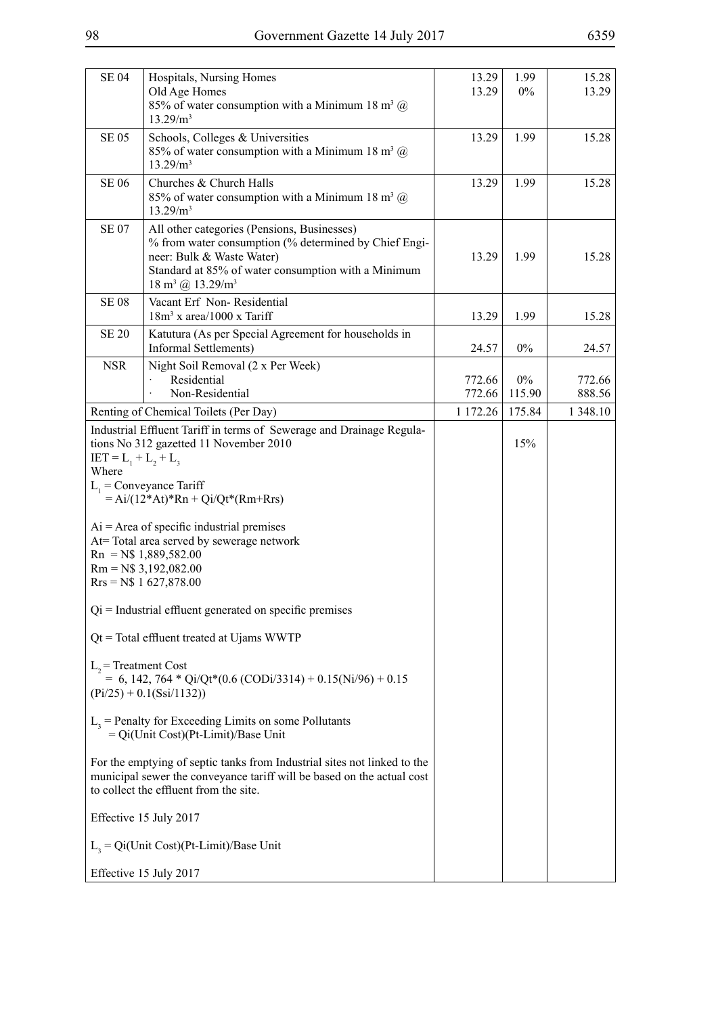| <b>SE 04</b>                                                                                                                                                                                 | Hospitals, Nursing Homes<br>Old Age Homes<br>85% of water consumption with a Minimum 18 m <sup>3</sup> $\omega$<br>13.29/m <sup>3</sup>                                                                                                               | 13.29<br>13.29   | 1.99<br>$0\%$   | 15.28<br>13.29   |
|----------------------------------------------------------------------------------------------------------------------------------------------------------------------------------------------|-------------------------------------------------------------------------------------------------------------------------------------------------------------------------------------------------------------------------------------------------------|------------------|-----------------|------------------|
| <b>SE 05</b>                                                                                                                                                                                 | Schools, Colleges & Universities<br>85% of water consumption with a Minimum 18 m <sup>3</sup> $\omega$<br>13.29/m <sup>3</sup>                                                                                                                        | 13.29            | 1.99            | 15.28            |
| <b>SE 06</b>                                                                                                                                                                                 | Churches & Church Halls<br>85% of water consumption with a Minimum 18 m <sup>3</sup> $\omega$<br>13.29/m <sup>3</sup>                                                                                                                                 | 13.29            | 1.99            | 15.28            |
| <b>SE 07</b>                                                                                                                                                                                 | All other categories (Pensions, Businesses)<br>% from water consumption (% determined by Chief Engi-<br>neer: Bulk & Waste Water)<br>Standard at 85% of water consumption with a Minimum<br>$18 \text{ m}^3$ (a) $13.29 \text{/m}^3$                  | 13.29            | 1.99            | 15.28            |
| <b>SE 08</b>                                                                                                                                                                                 | Vacant Erf Non-Residential<br>$18m3$ x area/1000 x Tariff                                                                                                                                                                                             | 13.29            | 1.99            | 15.28            |
| <b>SE 20</b>                                                                                                                                                                                 | Katutura (As per Special Agreement for households in<br>Informal Settlements)                                                                                                                                                                         | 24.57            | $0\%$           | 24.57            |
| <b>NSR</b>                                                                                                                                                                                   | Night Soil Removal (2 x Per Week)<br>Residential<br>Non-Residential                                                                                                                                                                                   | 772.66<br>772.66 | $0\%$<br>115.90 | 772.66<br>888.56 |
|                                                                                                                                                                                              | Renting of Chemical Toilets (Per Day)                                                                                                                                                                                                                 | 1 172.26         | 175.84          | 1 348.10         |
| $IET = L_1 + L_2 + L_3$<br>Where                                                                                                                                                             | Industrial Effluent Tariff in terms of Sewerage and Drainage Regula-<br>tions No 312 gazetted 11 November 2010<br>$L_1$ = Conveyance Tariff<br>$= Ai/(12*At)*Rn + Qi/Qt*(Rm+Rrs)$                                                                     |                  | 15%             |                  |
|                                                                                                                                                                                              | $Ai = Area of specific industrial premises$<br>At=Total area served by sewerage network<br>$\mathrm{Rn} = \mathrm{N\$} 1,889,582.00$<br>$Rm = N$3,192,082.00$<br>$Rrs = N$$ 1 627,878.00<br>$Qi = Industrial$ effluent generated on specific premises |                  |                 |                  |
|                                                                                                                                                                                              |                                                                                                                                                                                                                                                       |                  |                 |                  |
| $Qt = Total effuent treated at Ujams WWTP$<br>$L2$ = Treatment Cost<br>$= 6, 142, 764 * Qi/Qt*(0.6 (CODi/3314) + 0.15(Ni/96) + 0.15)$<br>$(Pi/25) + 0.1(Ssi/1132))$                          |                                                                                                                                                                                                                                                       |                  |                 |                  |
| $L3$ = Penalty for Exceeding Limits on some Pollutants<br>$=$ Qi(Unit Cost)(Pt-Limit)/Base Unit                                                                                              |                                                                                                                                                                                                                                                       |                  |                 |                  |
| For the emptying of septic tanks from Industrial sites not linked to the<br>municipal sewer the conveyance tariff will be based on the actual cost<br>to collect the effluent from the site. |                                                                                                                                                                                                                                                       |                  |                 |                  |
| Effective 15 July 2017                                                                                                                                                                       |                                                                                                                                                                                                                                                       |                  |                 |                  |
| $L_3 = Qi$ (Unit Cost)(Pt-Limit)/Base Unit                                                                                                                                                   |                                                                                                                                                                                                                                                       |                  |                 |                  |
|                                                                                                                                                                                              | Effective 15 July 2017                                                                                                                                                                                                                                |                  |                 |                  |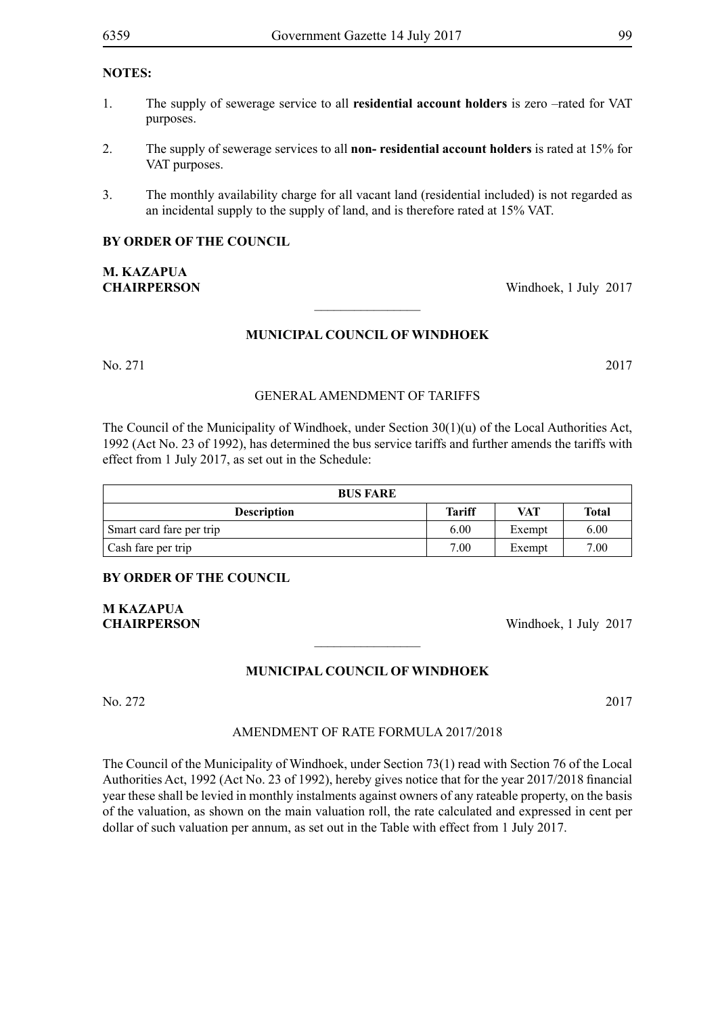- 1. The supply of sewerage service to all **residential account holders** is zero –rated for VAT purposes.
- 2. The supply of sewerage services to all **non- residential account holders** is rated at 15% for VAT purposes.
- 3. The monthly availability charge for all vacant land (residential included) is not regarded as an incidental supply to the supply of land, and is therefore rated at 15% VAT.

#### **BY ORDER OF THE COUNCIL**

## **M. KAZAPUA CHAIRPERSON** Windhoek, 1 July 2017

#### **MUNICIPAL COUNCIL OF WINDHOEK**

 $\frac{1}{2}$ 

No. 271 2017

#### GENERAL AMENDMENT OF TARIFFS

The Council of the Municipality of Windhoek, under Section 30(1)(u) of the Local Authorities Act, 1992 (Act No. 23 of 1992), has determined the bus service tariffs and further amends the tariffs with effect from 1 July 2017, as set out in the Schedule:

| <b>BUS FARE</b>          |               |            |       |  |
|--------------------------|---------------|------------|-------|--|
| <b>Description</b>       | <b>Tariff</b> | <b>VAT</b> | Total |  |
| Smart card fare per trip | 6.00          | Exempt     | 6.00  |  |
| Cash fare per trip       | 7.00          | Exempt     | 7.00  |  |

#### **BY ORDER OF THE COUNCIL**

**M KAZAPUA**

**CHAIRPERSON** Windhoek, 1 July 2017

### **MUNICIPAL COUNCIL OF WINDHOEK**

 $\frac{1}{2}$ 

### No. 272 2017

## AMENDMENT OF RATE FORMULA 2017/2018

The Council of the Municipality of Windhoek, under Section 73(1) read with Section 76 of the Local Authorities Act, 1992 (Act No. 23 of 1992), hereby gives notice that for the year 2017/2018 financial year these shall be levied in monthly instalments against owners of any rateable property, on the basis of the valuation, as shown on the main valuation roll, the rate calculated and expressed in cent per dollar of such valuation per annum, as set out in the Table with effect from 1 July 2017.